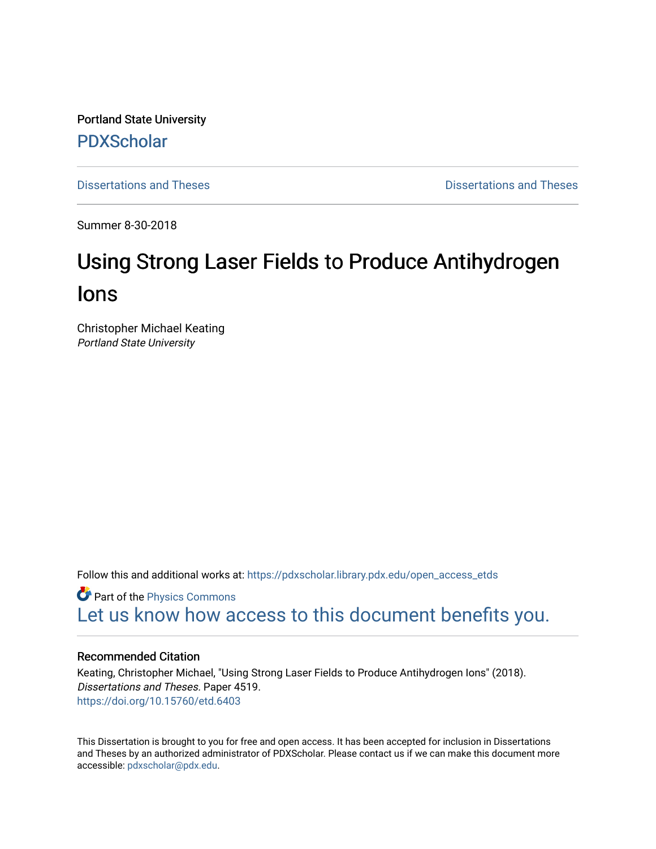Portland State University [PDXScholar](https://pdxscholar.library.pdx.edu/)

[Dissertations and Theses](https://pdxscholar.library.pdx.edu/open_access_etds) **Dissertations and Theses** Dissertations and Theses

Summer 8-30-2018

# Using Strong Laser Fields to Produce Antihydrogen Ions

Christopher Michael Keating Portland State University

Follow this and additional works at: [https://pdxscholar.library.pdx.edu/open\\_access\\_etds](https://pdxscholar.library.pdx.edu/open_access_etds?utm_source=pdxscholar.library.pdx.edu%2Fopen_access_etds%2F4519&utm_medium=PDF&utm_campaign=PDFCoverPages)

**Part of the [Physics Commons](http://network.bepress.com/hgg/discipline/193?utm_source=pdxscholar.library.pdx.edu%2Fopen_access_etds%2F4519&utm_medium=PDF&utm_campaign=PDFCoverPages)** [Let us know how access to this document benefits you.](http://library.pdx.edu/services/pdxscholar-services/pdxscholar-feedback/) 

#### Recommended Citation

Keating, Christopher Michael, "Using Strong Laser Fields to Produce Antihydrogen Ions" (2018). Dissertations and Theses. Paper 4519. <https://doi.org/10.15760/etd.6403>

This Dissertation is brought to you for free and open access. It has been accepted for inclusion in Dissertations and Theses by an authorized administrator of PDXScholar. Please contact us if we can make this document more accessible: [pdxscholar@pdx.edu.](mailto:pdxscholar@pdx.edu)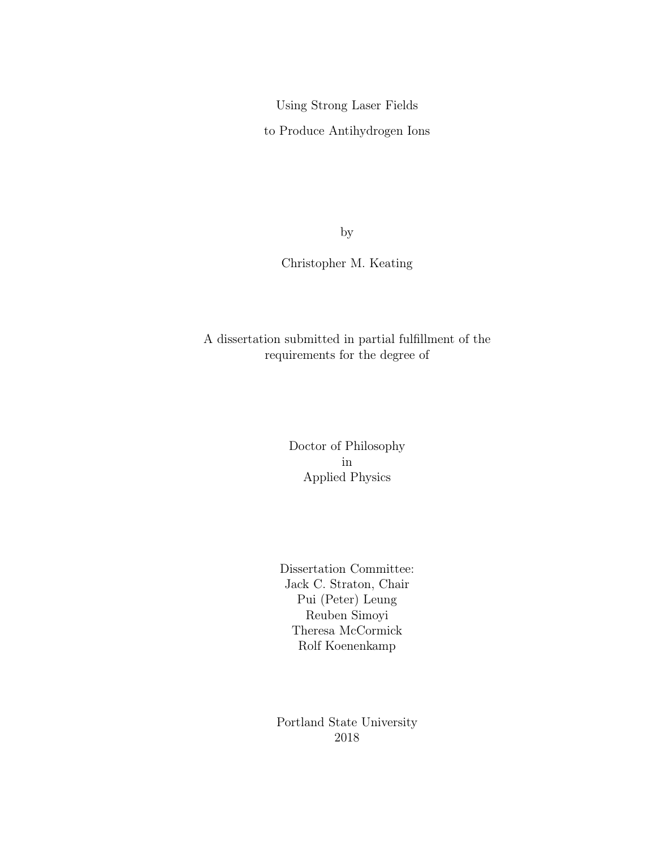Using Strong Laser Fields

to Produce Antihydrogen Ions

by

Christopher M. Keating

A dissertation submitted in partial fulfillment of the requirements for the degree of

> Doctor of Philosophy in Applied Physics

Dissertation Committee: Jack C. Straton, Chair Pui (Peter) Leung Reuben Simoyi Theresa McCormick Rolf Koenenkamp

Portland State University 2018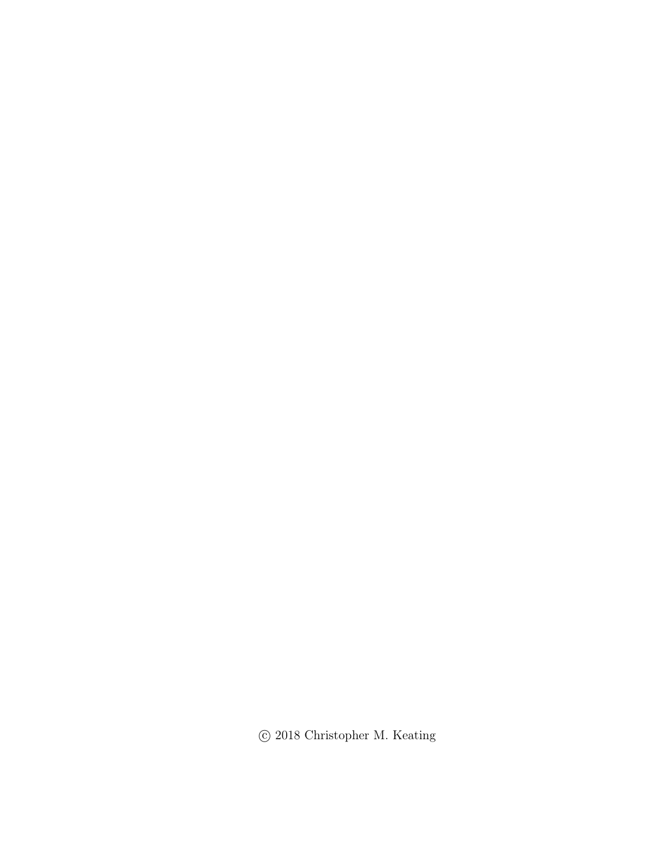$\odot$  2018 Christopher M. Keating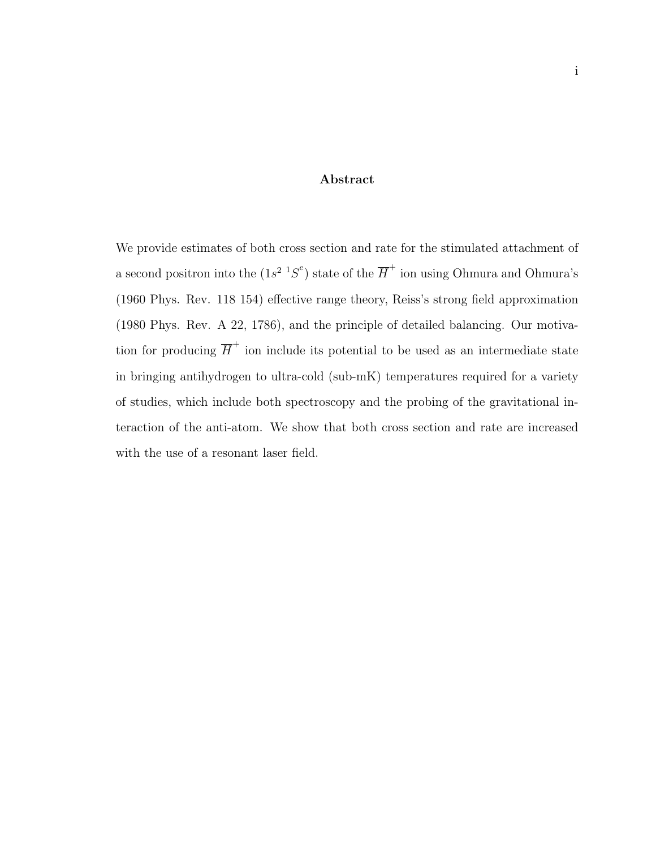#### Abstract

We provide estimates of both cross section and rate for the stimulated attachment of a second positron into the  $(1s^2 \tcdot 1S^e)$  state of the  $\overline{H}^+$  ion using Ohmura and Ohmura's (1960 Phys. Rev. 118 154) effective range theory, Reiss's strong field approximation (1980 Phys. Rev. A 22, 1786), and the principle of detailed balancing. Our motivation for producing  $\overline{H}^+$  ion include its potential to be used as an intermediate state in bringing antihydrogen to ultra-cold (sub-mK) temperatures required for a variety of studies, which include both spectroscopy and the probing of the gravitational interaction of the anti-atom. We show that both cross section and rate are increased with the use of a resonant laser field.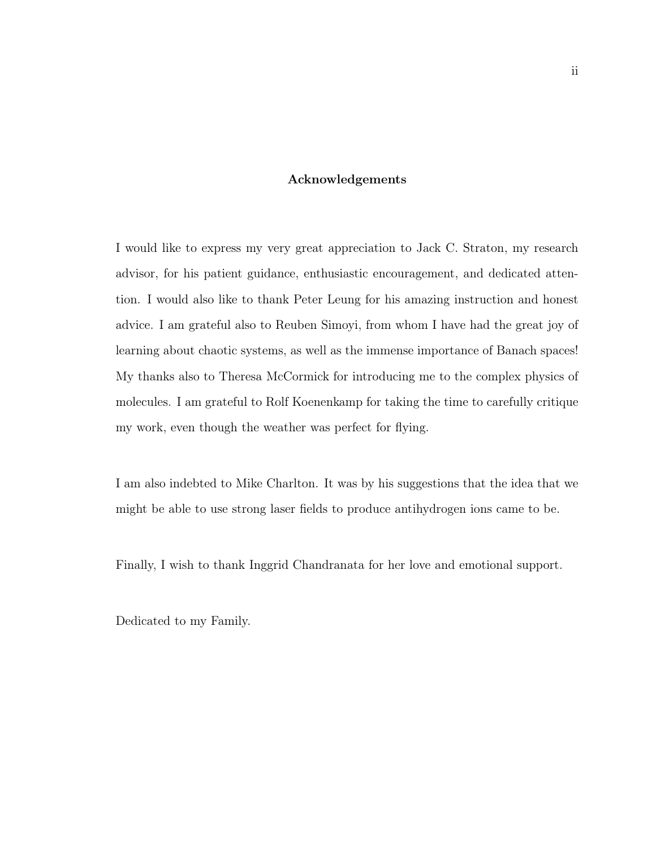#### Acknowledgements

I would like to express my very great appreciation to Jack C. Straton, my research advisor, for his patient guidance, enthusiastic encouragement, and dedicated attention. I would also like to thank Peter Leung for his amazing instruction and honest advice. I am grateful also to Reuben Simoyi, from whom I have had the great joy of learning about chaotic systems, as well as the immense importance of Banach spaces! My thanks also to Theresa McCormick for introducing me to the complex physics of molecules. I am grateful to Rolf Koenenkamp for taking the time to carefully critique my work, even though the weather was perfect for flying.

I am also indebted to Mike Charlton. It was by his suggestions that the idea that we might be able to use strong laser fields to produce antihydrogen ions came to be.

Finally, I wish to thank Inggrid Chandranata for her love and emotional support.

Dedicated to my Family.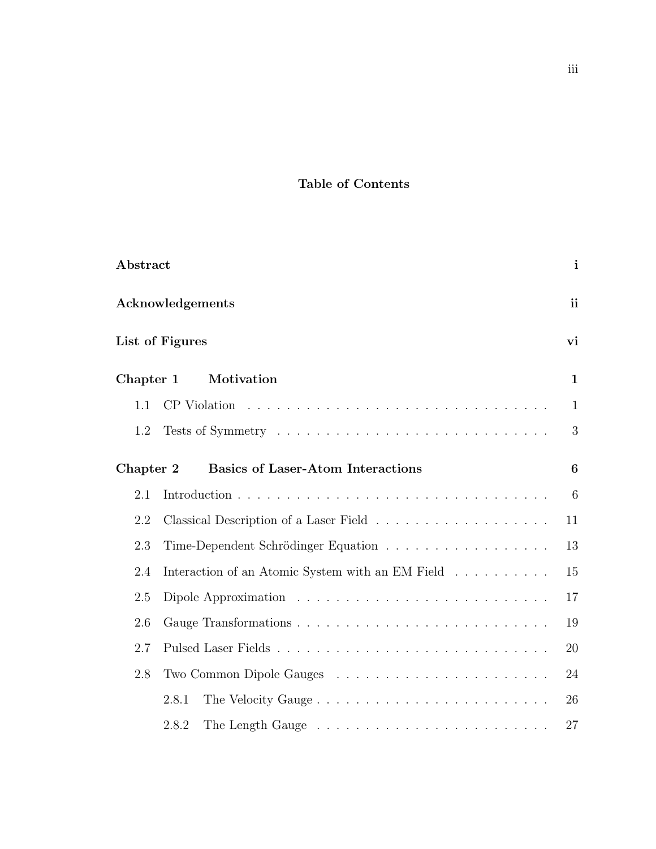### Table of Contents

| Abstract  |                                                  | $\mathbf{i}$    |
|-----------|--------------------------------------------------|-----------------|
|           | Acknowledgements                                 | <i>ii</i>       |
|           | List of Figures                                  | vi              |
| Chapter 1 | Motivation                                       | $\mathbf{1}$    |
| 1.1       |                                                  | $\mathbf{1}$    |
| 1.2       |                                                  | 3               |
| Chapter 2 | <b>Basics of Laser-Atom Interactions</b>         | 6               |
| 2.1       |                                                  | $6\phantom{.}6$ |
| 2.2       |                                                  | 11              |
| 2.3       | Time-Dependent Schrödinger Equation              | 13              |
| 2.4       | Interaction of an Atomic System with an EM Field | 15              |
| 2.5       |                                                  | 17              |
| 2.6       |                                                  | 19              |
| 2.7       |                                                  | 20              |
| 2.8       |                                                  | 24              |
|           | The Velocity Gauge<br>2.8.1                      | 26              |
|           | 2.8.2                                            | 27              |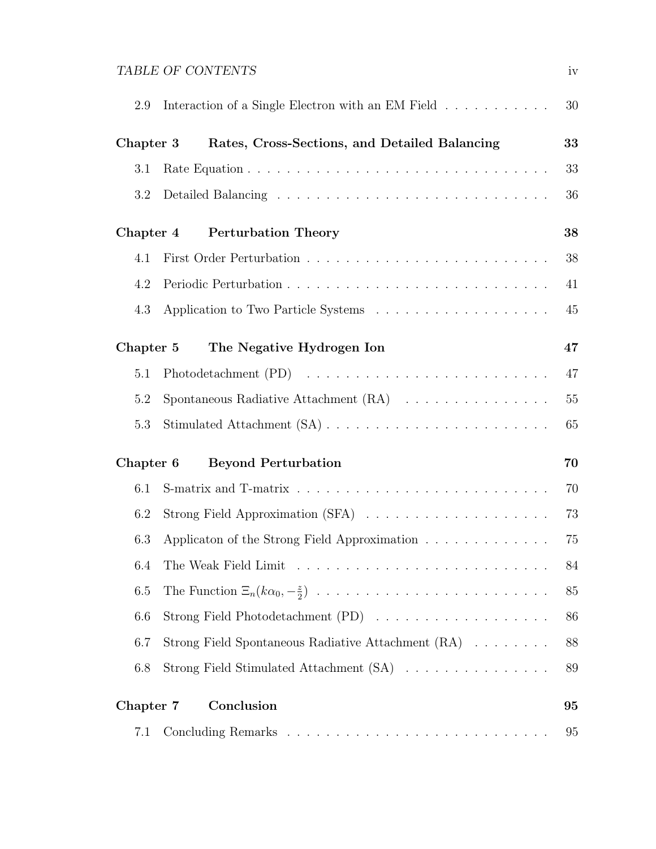## TABLE OF CONTENTS iv

| 2.9       | Interaction of a Single Electron with an EM Field                            | 30 |
|-----------|------------------------------------------------------------------------------|----|
| Chapter 3 | Rates, Cross-Sections, and Detailed Balancing                                | 33 |
| 3.1       |                                                                              | 33 |
| 3.2       |                                                                              | 36 |
| Chapter 4 | <b>Perturbation Theory</b>                                                   | 38 |
| 4.1       |                                                                              | 38 |
| 4.2       |                                                                              | 41 |
| 4.3       |                                                                              | 45 |
| Chapter 5 | The Negative Hydrogen Ion                                                    | 47 |
| 5.1       |                                                                              | 47 |
| 5.2       | Spontaneous Radiative Attachment $(RA) \dots \dots \dots \dots \dots$        | 55 |
| 5.3       |                                                                              | 65 |
| Chapter 6 | <b>Beyond Perturbation</b>                                                   | 70 |
| 6.1       |                                                                              | 70 |
| 6.2       | Strong Field Approximation (SFA) $\ldots \ldots \ldots \ldots \ldots \ldots$ | 73 |
| 6.3       | Applicaton of the Strong Field Approximation                                 | 75 |
| 6.4       |                                                                              | 84 |
| 6.5       |                                                                              | 85 |
| 6.6       | Strong Field Photodetachment (PD)                                            | 86 |
| 6.7       | Strong Field Spontaneous Radiative Attachment (RA)                           | 88 |
| 6.8       | Strong Field Stimulated Attachment (SA)                                      | 89 |
| Chapter 7 | Conclusion                                                                   | 95 |
| 7.1       |                                                                              | 95 |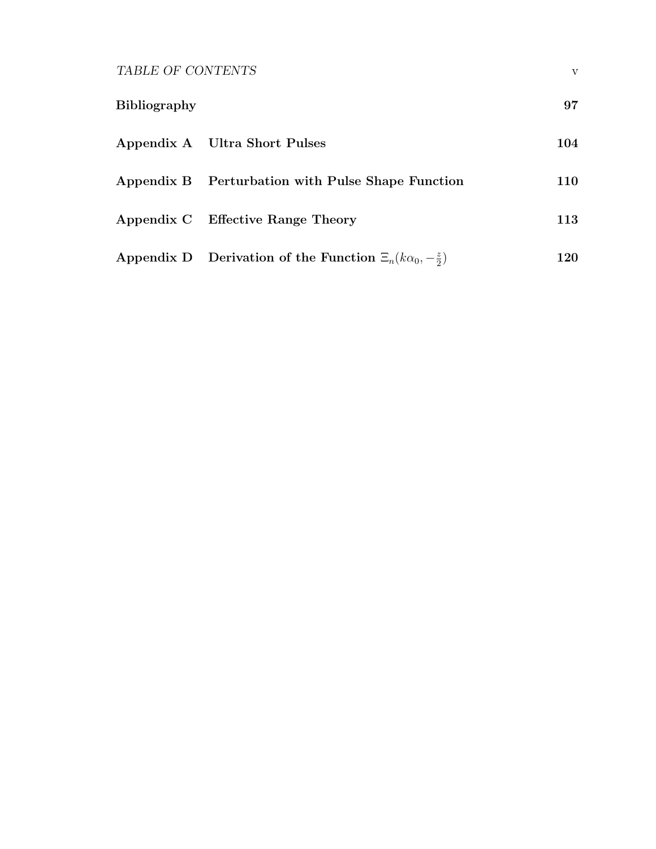TABLE OF CONTENTS  $\boldsymbol{\mathrm{v}}$ 

| <b>Bibliography</b> |                                                                       | 97  |
|---------------------|-----------------------------------------------------------------------|-----|
|                     | Appendix A Ultra Short Pulses                                         | 104 |
|                     | Appendix B Perturbation with Pulse Shape Function                     | 110 |
|                     | Appendix C Effective Range Theory                                     | 113 |
|                     | Appendix D Derivation of the Function $\Xi_n(k\alpha_0,-\frac{z}{2})$ | 120 |

2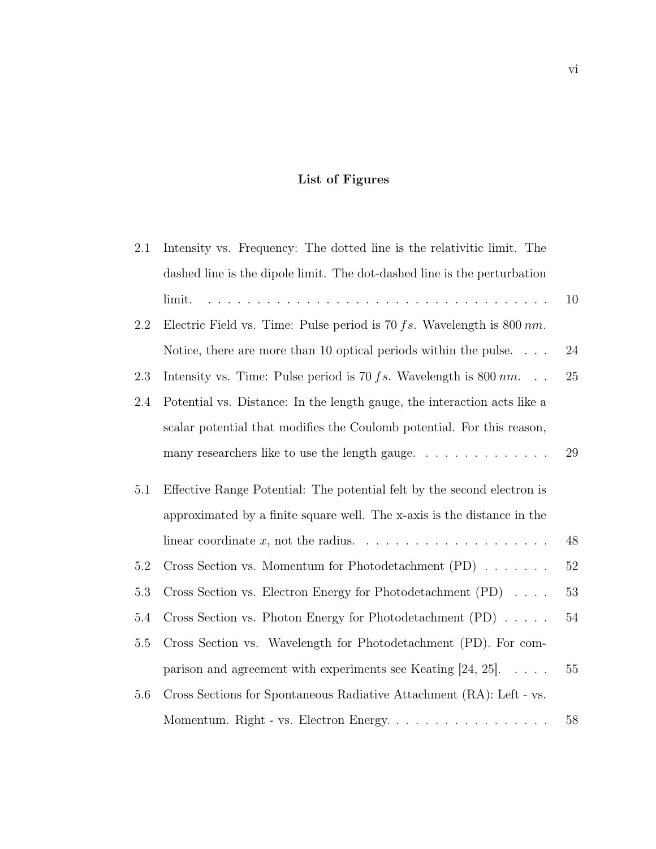# List of Figures

| $2.1\,$ | Intensity vs. Frequency: The dotted line is the relativitic limit. The                                                          |        |
|---------|---------------------------------------------------------------------------------------------------------------------------------|--------|
|         | dashed line is the dipole limit. The dot-dashed line is the perturbation                                                        |        |
|         | <u>. A series a la calca de la calca de la calca de la calca de la calca de la calca de la calca de la calca de l</u><br>limit. | 10     |
| 2.2     | Electric Field vs. Time: Pulse period is 70 $fs$ . Wavelength is 800 $nm$ .                                                     |        |
|         | Notice, there are more than 10 optical periods within the pulse. $\ldots$ .                                                     | 24     |
| 2.3     | Intensity vs. Time: Pulse period is 70 $fs$ . Wavelength is 800 $nm$                                                            | 25     |
| 2.4     | Potential vs. Distance: In the length gauge, the interaction acts like a                                                        |        |
|         | scalar potential that modifies the Coulomb potential. For this reason,                                                          |        |
|         | many researchers like to use the length gauge                                                                                   | 29     |
| 5.1     | Effective Range Potential: The potential felt by the second electron is                                                         |        |
|         | approximated by a finite square well. The x-axis is the distance in the                                                         |        |
|         |                                                                                                                                 | 48     |
| 5.2     | Cross Section vs. Momentum for Photodetachment $(PD) \dots \dots$                                                               | $52\,$ |
| $5.3\,$ | Cross Section vs. Electron Energy for Photodetachment (PD)                                                                      | 53     |
| 5.4     | Cross Section vs. Photon Energy for Photodetachment $(PD) \dots$ .                                                              | $54\,$ |
| 5.5     | Cross Section vs. Wavelength for Photodetachment (PD). For com-                                                                 |        |
|         | parison and agreement with experiments see Keating [24, 25]. $\ldots$ .                                                         | 55     |
| 5.6     | Cross Sections for Spontaneous Radiative Attachment (RA): Left - vs.                                                            |        |
|         | Momentum. Right - vs. Electron Energy.                                                                                          | $58\,$ |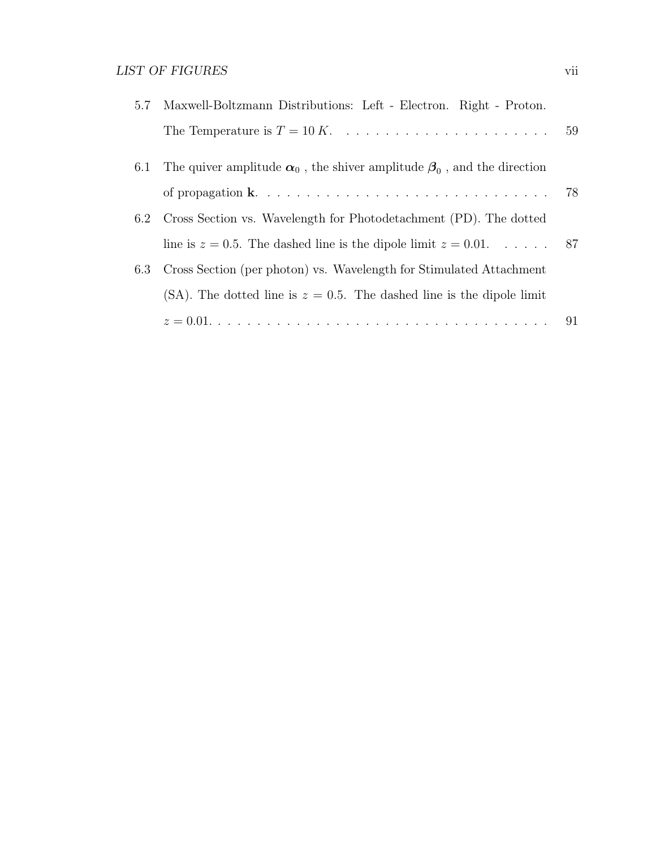| The quiver amplitude $\alpha_0$ , the shiver amplitude $\beta_0$ , and the direction<br>6.1 |  |
|---------------------------------------------------------------------------------------------|--|
|                                                                                             |  |
| 6.2 Cross Section vs. Wavelength for Photodetachment (PD). The dotted                       |  |
| line is $z = 0.5$ . The dashed line is the dipole limit $z = 0.01$ 87                       |  |
| Cross Section (per photon) vs. Wavelength for Stimulated Attachment<br>6.3                  |  |
| (SA). The dotted line is $z = 0.5$ . The dashed line is the dipole limit                    |  |
|                                                                                             |  |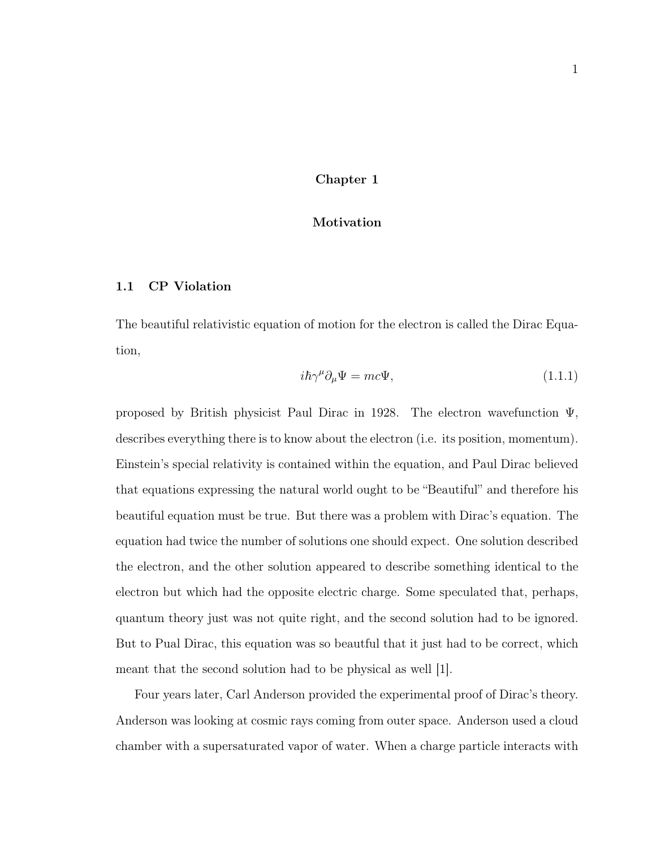#### Chapter 1

#### Motivation

#### 1.1 CP Violation

The beautiful relativistic equation of motion for the electron is called the Dirac Equation,

$$
i\hbar\gamma^{\mu}\partial_{\mu}\Psi = mc\Psi, \qquad (1.1.1)
$$

proposed by British physicist Paul Dirac in 1928. The electron wavefunction Ψ, describes everything there is to know about the electron (i.e. its position, momentum). Einstein's special relativity is contained within the equation, and Paul Dirac believed that equations expressing the natural world ought to be "Beautiful" and therefore his beautiful equation must be true. But there was a problem with Dirac's equation. The equation had twice the number of solutions one should expect. One solution described the electron, and the other solution appeared to describe something identical to the electron but which had the opposite electric charge. Some speculated that, perhaps, quantum theory just was not quite right, and the second solution had to be ignored. But to Pual Dirac, this equation was so beautful that it just had to be correct, which meant that the second solution had to be physical as well [1].

Four years later, Carl Anderson provided the experimental proof of Dirac's theory. Anderson was looking at cosmic rays coming from outer space. Anderson used a cloud chamber with a supersaturated vapor of water. When a charge particle interacts with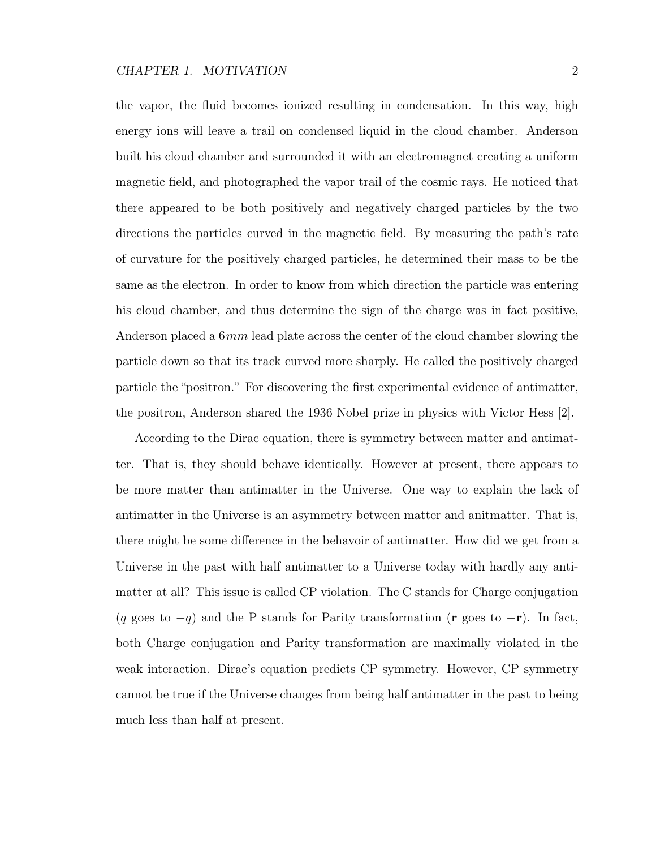the vapor, the fluid becomes ionized resulting in condensation. In this way, high energy ions will leave a trail on condensed liquid in the cloud chamber. Anderson built his cloud chamber and surrounded it with an electromagnet creating a uniform magnetic field, and photographed the vapor trail of the cosmic rays. He noticed that there appeared to be both positively and negatively charged particles by the two directions the particles curved in the magnetic field. By measuring the path's rate of curvature for the positively charged particles, he determined their mass to be the same as the electron. In order to know from which direction the particle was entering his cloud chamber, and thus determine the sign of the charge was in fact positive, Anderson placed a 6mm lead plate across the center of the cloud chamber slowing the particle down so that its track curved more sharply. He called the positively charged particle the "positron." For discovering the first experimental evidence of antimatter, the positron, Anderson shared the 1936 Nobel prize in physics with Victor Hess [2].

According to the Dirac equation, there is symmetry between matter and antimatter. That is, they should behave identically. However at present, there appears to be more matter than antimatter in the Universe. One way to explain the lack of antimatter in the Universe is an asymmetry between matter and anitmatter. That is, there might be some difference in the behavoir of antimatter. How did we get from a Universe in the past with half antimatter to a Universe today with hardly any antimatter at all? This issue is called CP violation. The C stands for Charge conjugation (q goes to  $-q$ ) and the P stands for Parity transformation (**r** goes to  $-r$ ). In fact, both Charge conjugation and Parity transformation are maximally violated in the weak interaction. Dirac's equation predicts CP symmetry. However, CP symmetry cannot be true if the Universe changes from being half antimatter in the past to being much less than half at present.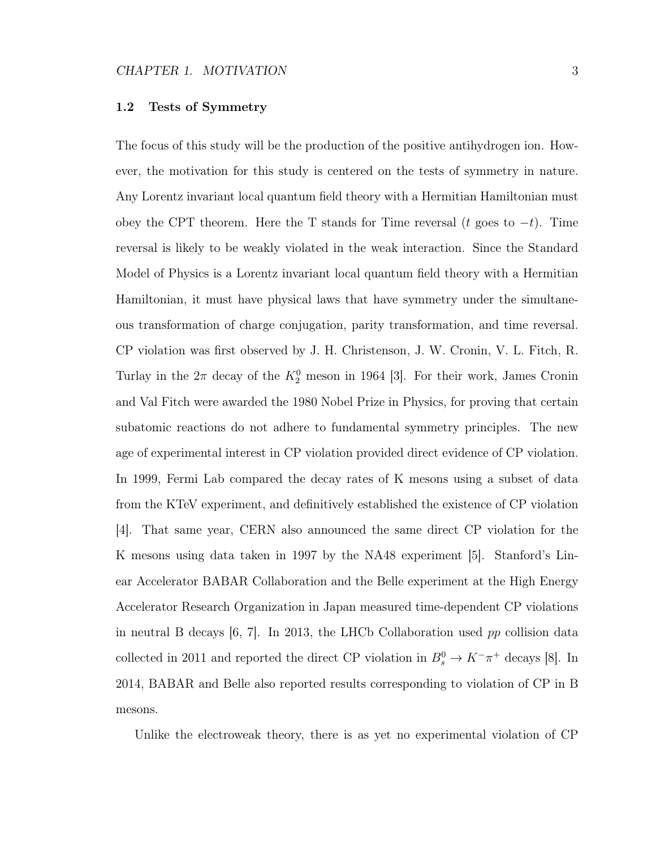#### 1.2 Tests of Symmetry

The focus of this study will be the production of the positive antihydrogen ion. However, the motivation for this study is centered on the tests of symmetry in nature. Any Lorentz invariant local quantum field theory with a Hermitian Hamiltonian must obey the CPT theorem. Here the T stands for Time reversal (t goes to  $-t$ ). Time reversal is likely to be weakly violated in the weak interaction. Since the Standard Model of Physics is a Lorentz invariant local quantum field theory with a Hermitian Hamiltonian, it must have physical laws that have symmetry under the simultaneous transformation of charge conjugation, parity transformation, and time reversal. CP violation was first observed by J. H. Christenson, J. W. Cronin, V. L. Fitch, R. Turlay in the  $2\pi$  decay of the  $K_2^0$  meson in 1964 [3]. For their work, James Cronin and Val Fitch were awarded the 1980 Nobel Prize in Physics, for proving that certain subatomic reactions do not adhere to fundamental symmetry principles. The new age of experimental interest in CP violation provided direct evidence of CP violation. In 1999, Fermi Lab compared the decay rates of K mesons using a subset of data from the KTeV experiment, and definitively established the existence of CP violation [4]. That same year, CERN also announced the same direct CP violation for the K mesons using data taken in 1997 by the NA48 experiment [5]. Stanford's Linear Accelerator BABAR Collaboration and the Belle experiment at the High Energy Accelerator Research Organization in Japan measured time-dependent CP violations in neutral B decays  $[6, 7]$ . In 2013, the LHCb Collaboration used pp collision data collected in 2011 and reported the direct CP violation in  $B_s^0 \to K^-\pi^+$  decays [8]. In 2014, BABAR and Belle also reported results corresponding to violation of CP in B mesons.

Unlike the electroweak theory, there is as yet no experimental violation of CP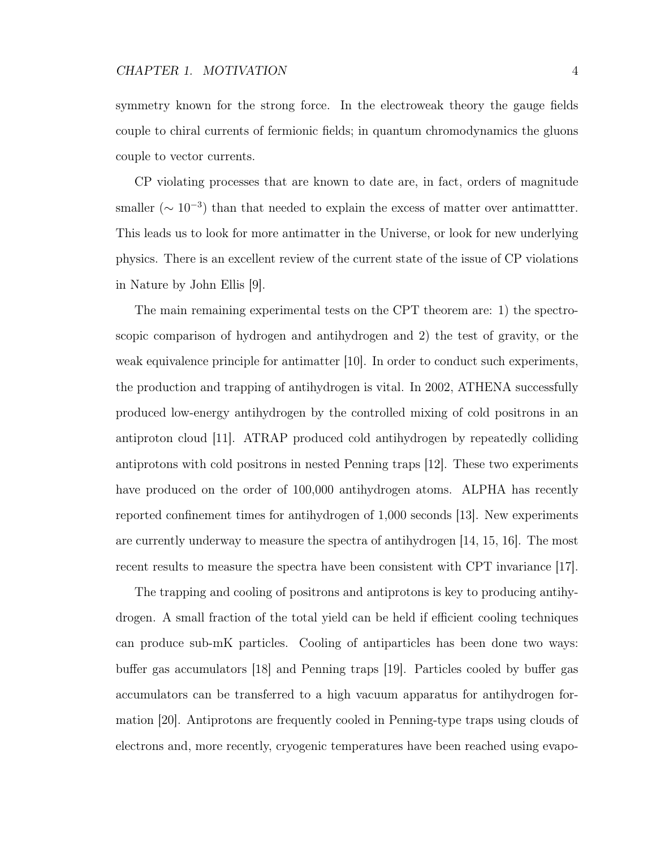symmetry known for the strong force. In the electroweak theory the gauge fields couple to chiral currents of fermionic fields; in quantum chromodynamics the gluons couple to vector currents.

CP violating processes that are known to date are, in fact, orders of magnitude smaller ( $\sim 10^{-3}$ ) than that needed to explain the excess of matter over antimattter. This leads us to look for more antimatter in the Universe, or look for new underlying physics. There is an excellent review of the current state of the issue of CP violations in Nature by John Ellis [9].

The main remaining experimental tests on the CPT theorem are: 1) the spectroscopic comparison of hydrogen and antihydrogen and 2) the test of gravity, or the weak equivalence principle for antimatter [10]. In order to conduct such experiments, the production and trapping of antihydrogen is vital. In 2002, ATHENA successfully produced low-energy antihydrogen by the controlled mixing of cold positrons in an antiproton cloud [11]. ATRAP produced cold antihydrogen by repeatedly colliding antiprotons with cold positrons in nested Penning traps [12]. These two experiments have produced on the order of 100,000 antihydrogen atoms. ALPHA has recently reported confinement times for antihydrogen of 1,000 seconds [13]. New experiments are currently underway to measure the spectra of antihydrogen [14, 15, 16]. The most recent results to measure the spectra have been consistent with CPT invariance [17].

The trapping and cooling of positrons and antiprotons is key to producing antihydrogen. A small fraction of the total yield can be held if efficient cooling techniques can produce sub-mK particles. Cooling of antiparticles has been done two ways: buffer gas accumulators [18] and Penning traps [19]. Particles cooled by buffer gas accumulators can be transferred to a high vacuum apparatus for antihydrogen formation [20]. Antiprotons are frequently cooled in Penning-type traps using clouds of electrons and, more recently, cryogenic temperatures have been reached using evapo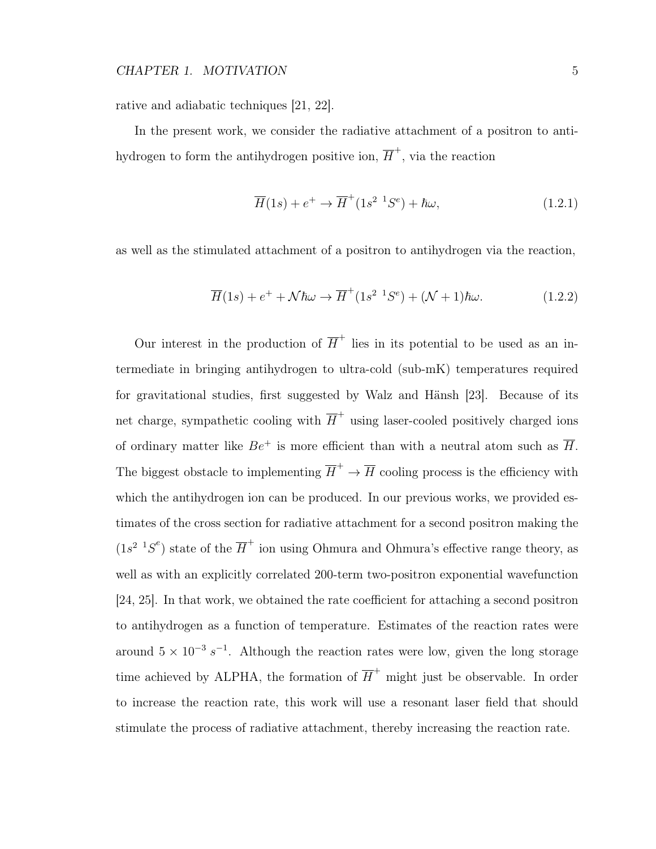rative and adiabatic techniques [21, 22].

In the present work, we consider the radiative attachment of a positron to antihydrogen to form the antihydrogen positive ion,  $\overline{H}^+$ , via the reaction

$$
\overline{H}(1s) + e^+ \rightarrow \overline{H}^+(1s^2 \ {}^1S^e) + \hbar\omega,
$$
\n(1.2.1)

as well as the stimulated attachment of a positron to antihydrogen via the reaction,

$$
\overline{H}(1s) + e^+ + \mathcal{N}\hbar\omega \to \overline{H}^+(1s^{2}{}^{1}S^e) + (\mathcal{N} + 1)\hbar\omega.
$$
\n(1.2.2)

Our interest in the production of  $\overline{H}^+$  lies in its potential to be used as an intermediate in bringing antihydrogen to ultra-cold (sub-mK) temperatures required for gravitational studies, first suggested by Walz and Hänsh [23]. Because of its net charge, sympathetic cooling with  $\overline{H}^+$  using laser-cooled positively charged ions of ordinary matter like  $Be^+$  is more efficient than with a neutral atom such as  $\overline{H}$ . The biggest obstacle to implementing  $\overline{H}^+ \to \overline{H}$  cooling process is the efficiency with which the antihydrogen ion can be produced. In our previous works, we provided estimates of the cross section for radiative attachment for a second positron making the  $(1s^2 \ {}^1S^e)$  state of the  $\overline{H}^+$  ion using Ohmura and Ohmura's effective range theory, as well as with an explicitly correlated 200-term two-positron exponential wavefunction [24, 25]. In that work, we obtained the rate coefficient for attaching a second positron to antihydrogen as a function of temperature. Estimates of the reaction rates were around  $5 \times 10^{-3} s^{-1}$ . Although the reaction rates were low, given the long storage time achieved by ALPHA, the formation of  $\overline{H}^+$  might just be observable. In order to increase the reaction rate, this work will use a resonant laser field that should stimulate the process of radiative attachment, thereby increasing the reaction rate.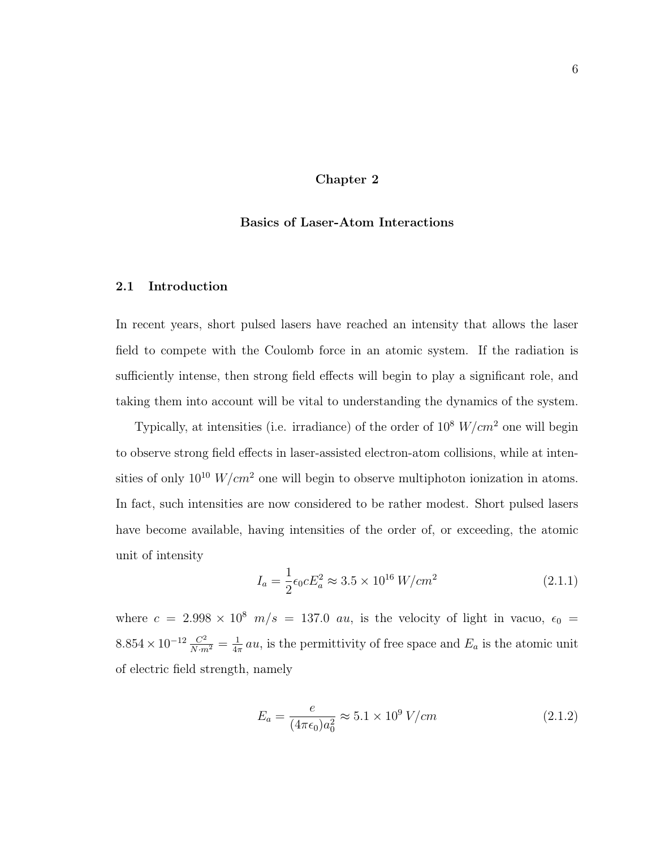#### Chapter 2

#### Basics of Laser-Atom Interactions

#### 2.1 Introduction

In recent years, short pulsed lasers have reached an intensity that allows the laser field to compete with the Coulomb force in an atomic system. If the radiation is sufficiently intense, then strong field effects will begin to play a significant role, and taking them into account will be vital to understanding the dynamics of the system.

Typically, at intensities (i.e. irradiance) of the order of  $10^8$   $W/cm^2$  one will begin to observe strong field effects in laser-assisted electron-atom collisions, while at intensities of only  $10^{10}$  W/cm<sup>2</sup> one will begin to observe multiphoton ionization in atoms. In fact, such intensities are now considered to be rather modest. Short pulsed lasers have become available, having intensities of the order of, or exceeding, the atomic unit of intensity

$$
I_a = \frac{1}{2} \epsilon_0 c E_a^2 \approx 3.5 \times 10^{16} \, W/cm^2 \tag{2.1.1}
$$

where  $c = 2.998 \times 10^8$   $m/s = 137.0$  au, is the velocity of light in vacuo,  $\epsilon_0$  =  $8.854 \times 10^{-12} \frac{C^2}{N \cdot m^2} = \frac{1}{4\pi}$  $\frac{1}{4\pi}$  au, is the permittivity of free space and  $E_a$  is the atomic unit of electric field strength, namely

$$
E_a = \frac{e}{(4\pi\epsilon_0)a_0^2} \approx 5.1 \times 10^9 \text{ V/cm}
$$
 (2.1.2)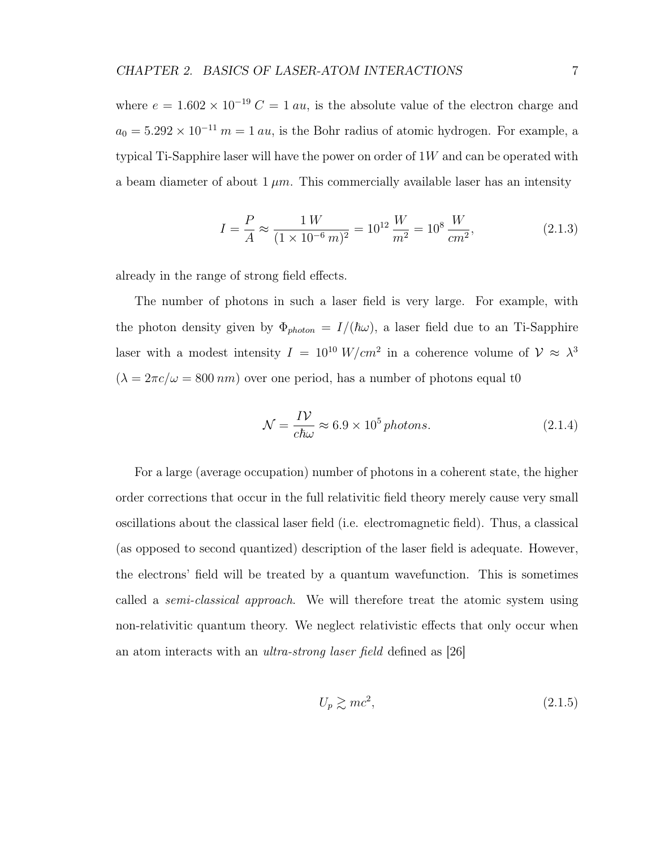where  $e = 1.602 \times 10^{-19} C = 1 au$ , is the absolute value of the electron charge and  $a_0 = 5.292 \times 10^{-11}$  m = 1 au, is the Bohr radius of atomic hydrogen. For example, a typical Ti-Sapphire laser will have the power on order of  $1W$  and can be operated with a beam diameter of about  $1 \mu m$ . This commercially available laser has an intensity

$$
I = \frac{P}{A} \approx \frac{1 \, W}{(1 \times 10^{-6} \, m)^2} = 10^{12} \frac{W}{m^2} = 10^8 \frac{W}{cm^2},\tag{2.1.3}
$$

already in the range of strong field effects.

The number of photons in such a laser field is very large. For example, with the photon density given by  $\Phi_{photon} = I/(\hbar\omega)$ , a laser field due to an Ti-Sapphire laser with a modest intensity  $I = 10^{10} W/cm^2$  in a coherence volume of  $\mathcal{V} \approx \lambda^3$  $(\lambda = 2\pi c/\omega = 800 \text{ nm})$  over one period, has a number of photons equal to

$$
\mathcal{N} = \frac{IV}{c\hbar\omega} \approx 6.9 \times 10^5 \text{ photons.}
$$
\n(2.1.4)

For a large (average occupation) number of photons in a coherent state, the higher order corrections that occur in the full relativitic field theory merely cause very small oscillations about the classical laser field (i.e. electromagnetic field). Thus, a classical (as opposed to second quantized) description of the laser field is adequate. However, the electrons' field will be treated by a quantum wavefunction. This is sometimes called a *semi-classical approach*. We will therefore treat the atomic system using non-relativitic quantum theory. We neglect relativistic effects that only occur when an atom interacts with an ultra-strong laser field defined as [26]

$$
U_p \gtrsim mc^2,\tag{2.1.5}
$$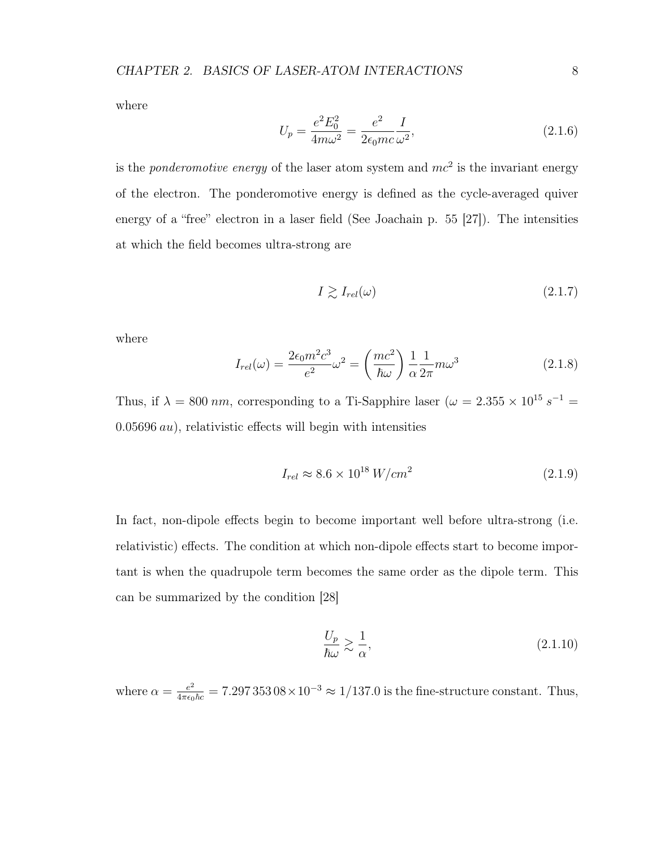where

$$
U_p = \frac{e^2 E_0^2}{4m\omega^2} = \frac{e^2}{2\epsilon_0 mc} \frac{I}{\omega^2},\tag{2.1.6}
$$

is the *ponderomotive energy* of the laser atom system and  $mc^2$  is the invariant energy of the electron. The ponderomotive energy is defined as the cycle-averaged quiver energy of a "free" electron in a laser field (See Joachain p. 55 [27]). The intensities at which the field becomes ultra-strong are

$$
I \gtrsim I_{rel}(\omega) \tag{2.1.7}
$$

where

$$
I_{rel}(\omega) = \frac{2\epsilon_0 m^2 c^3}{e^2} \omega^2 = \left(\frac{mc^2}{\hbar \omega}\right) \frac{1}{\alpha} \frac{1}{2\pi} m \omega^3
$$
 (2.1.8)

Thus, if  $\lambda = 800 \text{ nm}$ , corresponding to a Ti-Sapphire laser ( $\omega = 2.355 \times 10^{15} \text{ s}^{-1}$  $0.05696 \, \text{au}$ , relativistic effects will begin with intensities

$$
I_{rel} \approx 8.6 \times 10^{18} \, W/cm^2 \tag{2.1.9}
$$

In fact, non-dipole effects begin to become important well before ultra-strong (i.e. relativistic) effects. The condition at which non-dipole effects start to become important is when the quadrupole term becomes the same order as the dipole term. This can be summarized by the condition [28]

$$
\frac{U_p}{\hbar \omega} \gtrsim \frac{1}{\alpha},\tag{2.1.10}
$$

where  $\alpha = \frac{e^2}{4\pi\epsilon_0\hbar c} = 7.29735308 \times 10^{-3} \approx 1/137.0$  is the fine-structure constant. Thus,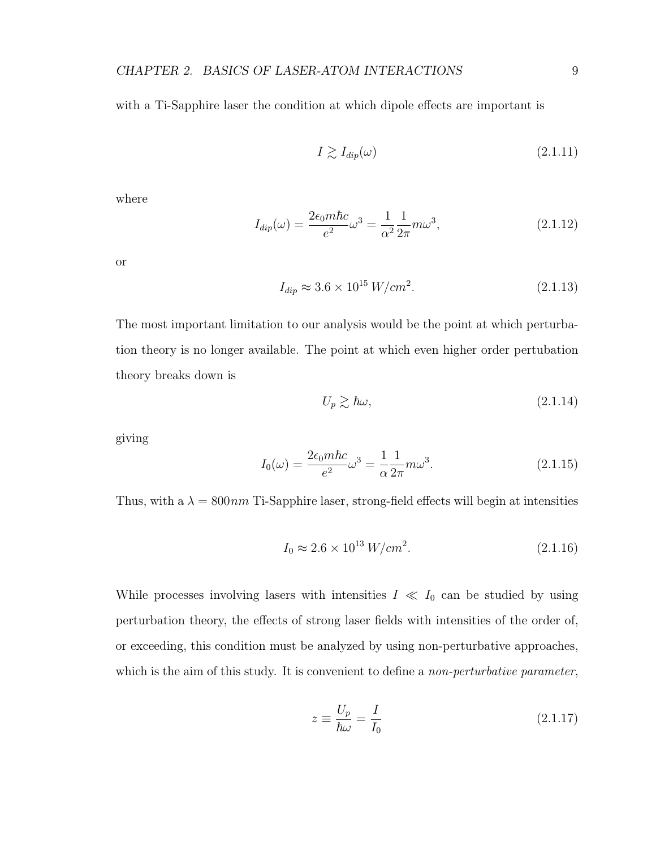with a Ti-Sapphire laser the condition at which dipole effects are important is

$$
I \gtrsim I_{dip}(\omega) \tag{2.1.11}
$$

where

$$
I_{dip}(\omega) = \frac{2\epsilon_0 m \hbar c}{e^2} \omega^3 = \frac{1}{\alpha^2} \frac{1}{2\pi} m \omega^3, \qquad (2.1.12)
$$

or

$$
I_{dip} \approx 3.6 \times 10^{15} \, W/cm^2. \tag{2.1.13}
$$

The most important limitation to our analysis would be the point at which perturbation theory is no longer available. The point at which even higher order pertubation theory breaks down is

$$
U_p \gtrsim \hbar \omega,\tag{2.1.14}
$$

giving

$$
I_0(\omega) = \frac{2\epsilon_0 m \hbar c}{e^2} \omega^3 = \frac{1}{\alpha} \frac{1}{2\pi} m \omega^3.
$$
 (2.1.15)

Thus, with a  $\lambda = 800nm$  Ti-Sapphire laser, strong-field effects will begin at intensities

$$
I_0 \approx 2.6 \times 10^{13} \, W/cm^2. \tag{2.1.16}
$$

While processes involving lasers with intensities  $I \ll I_0$  can be studied by using perturbation theory, the effects of strong laser fields with intensities of the order of, or exceeding, this condition must be analyzed by using non-perturbative approaches, which is the aim of this study. It is convenient to define a *non-perturbative parameter*,

$$
z \equiv \frac{U_p}{\hbar \omega} = \frac{I}{I_0} \tag{2.1.17}
$$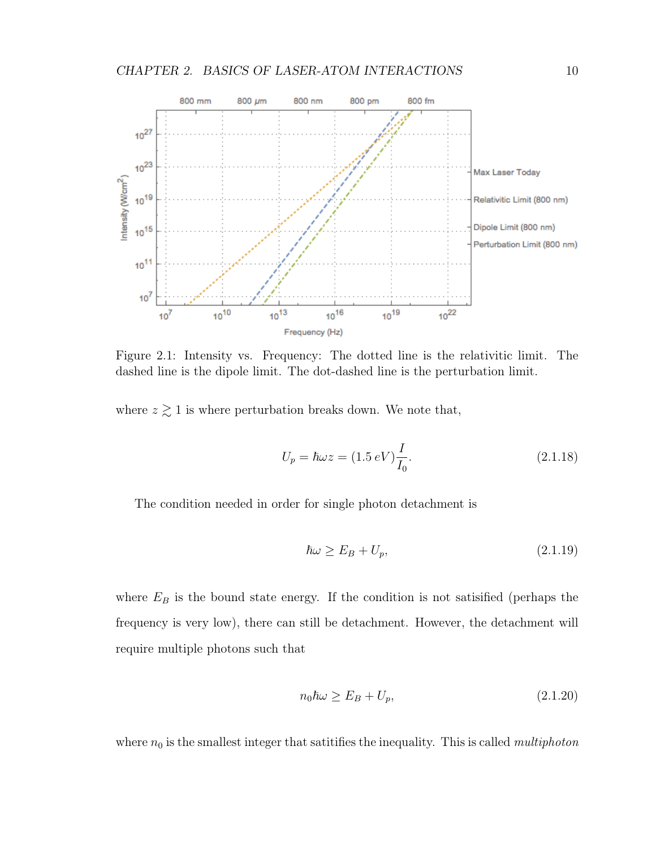

Figure 2.1: Intensity vs. Frequency: The dotted line is the relativitic limit. The dashed line is the dipole limit. The dot-dashed line is the perturbation limit.

where  $z \gtrsim 1$  is where perturbation breaks down. We note that,

$$
U_p = \hbar\omega z = (1.5 \, eV) \frac{I}{I_0}.\tag{2.1.18}
$$

The condition needed in order for single photon detachment is

$$
\hbar\omega \ge E_B + U_p,\tag{2.1.19}
$$

where  $E_B$  is the bound state energy. If the condition is not satisfied (perhaps the frequency is very low), there can still be detachment. However, the detachment will require multiple photons such that

$$
n_0 \hbar \omega \ge E_B + U_p,\tag{2.1.20}
$$

where  $n_0$  is the smallest integer that satitifies the inequality. This is called *multiphoton*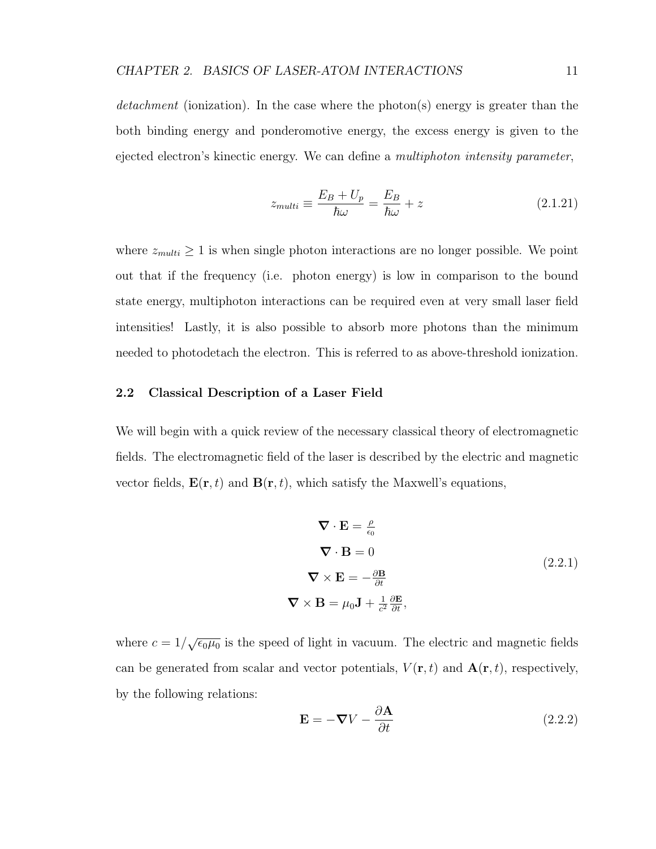detachment (ionization). In the case where the photon(s) energy is greater than the both binding energy and ponderomotive energy, the excess energy is given to the ejected electron's kinectic energy. We can define a *multiphoton intensity parameter*,

$$
z_{multi} \equiv \frac{E_B + U_p}{\hbar \omega} = \frac{E_B}{\hbar \omega} + z \tag{2.1.21}
$$

where  $z_{multi} \geq 1$  is when single photon interactions are no longer possible. We point out that if the frequency (i.e. photon energy) is low in comparison to the bound state energy, multiphoton interactions can be required even at very small laser field intensities! Lastly, it is also possible to absorb more photons than the minimum needed to photodetach the electron. This is referred to as above-threshold ionization.

#### 2.2 Classical Description of a Laser Field

We will begin with a quick review of the necessary classical theory of electromagnetic fields. The electromagnetic field of the laser is described by the electric and magnetic vector fields,  $\mathbf{E}(\mathbf{r},t)$  and  $\mathbf{B}(\mathbf{r},t)$ , which satisfy the Maxwell's equations,

$$
\nabla \cdot \mathbf{E} = \frac{\rho}{\epsilon_0}
$$
  
\n
$$
\nabla \cdot \mathbf{B} = 0
$$
  
\n
$$
\nabla \times \mathbf{E} = -\frac{\partial \mathbf{B}}{\partial t}
$$
  
\n
$$
\nabla \times \mathbf{B} = \mu_0 \mathbf{J} + \frac{1}{c^2} \frac{\partial \mathbf{E}}{\partial t},
$$
\n(2.2.1)

where  $c = 1/\sqrt{\epsilon_0 \mu_0}$  is the speed of light in vacuum. The electric and magnetic fields can be generated from scalar and vector potentials,  $V(\mathbf{r}, t)$  and  $\mathbf{A}(\mathbf{r}, t)$ , respectively, by the following relations:

$$
\mathbf{E} = -\nabla V - \frac{\partial \mathbf{A}}{\partial t}
$$
 (2.2.2)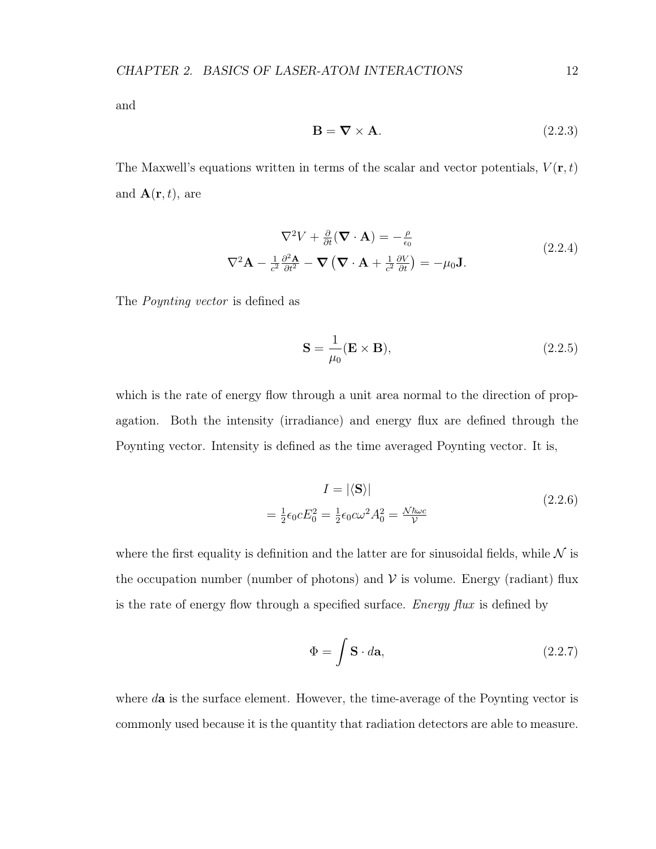and

$$
\mathbf{B} = \nabla \times \mathbf{A}.\tag{2.2.3}
$$

The Maxwell's equations written in terms of the scalar and vector potentials,  $V(\mathbf{r},t)$ and  $\mathbf{A}(\mathbf{r},t)$ , are

$$
\nabla^2 V + \frac{\partial}{\partial t} (\nabla \cdot \mathbf{A}) = -\frac{\rho}{\epsilon_0}
$$
  

$$
\nabla^2 \mathbf{A} - \frac{1}{c^2} \frac{\partial^2 \mathbf{A}}{\partial t^2} - \nabla (\nabla \cdot \mathbf{A} + \frac{1}{c^2} \frac{\partial V}{\partial t}) = -\mu_0 \mathbf{J}.
$$
 (2.2.4)

The Poynting vector is defined as

$$
\mathbf{S} = \frac{1}{\mu_0} (\mathbf{E} \times \mathbf{B}), \tag{2.2.5}
$$

which is the rate of energy flow through a unit area normal to the direction of propagation. Both the intensity (irradiance) and energy flux are defined through the Poynting vector. Intensity is defined as the time averaged Poynting vector. It is,

$$
I = |\langle \mathbf{S} \rangle|
$$
  
=  $\frac{1}{2} \epsilon_0 c E_0^2 = \frac{1}{2} \epsilon_0 c \omega^2 A_0^2 = \frac{\mathcal{N} \hbar \omega c}{\mathcal{V}}$  (2.2.6)

where the first equality is definition and the latter are for sinusoidal fields, while  $\mathcal N$  is the occupation number (number of photons) and  $\mathcal V$  is volume. Energy (radiant) flux is the rate of energy flow through a specified surface. Energy flux is defined by

$$
\Phi = \int \mathbf{S} \cdot d\mathbf{a},\tag{2.2.7}
$$

where da is the surface element. However, the time-average of the Poynting vector is commonly used because it is the quantity that radiation detectors are able to measure.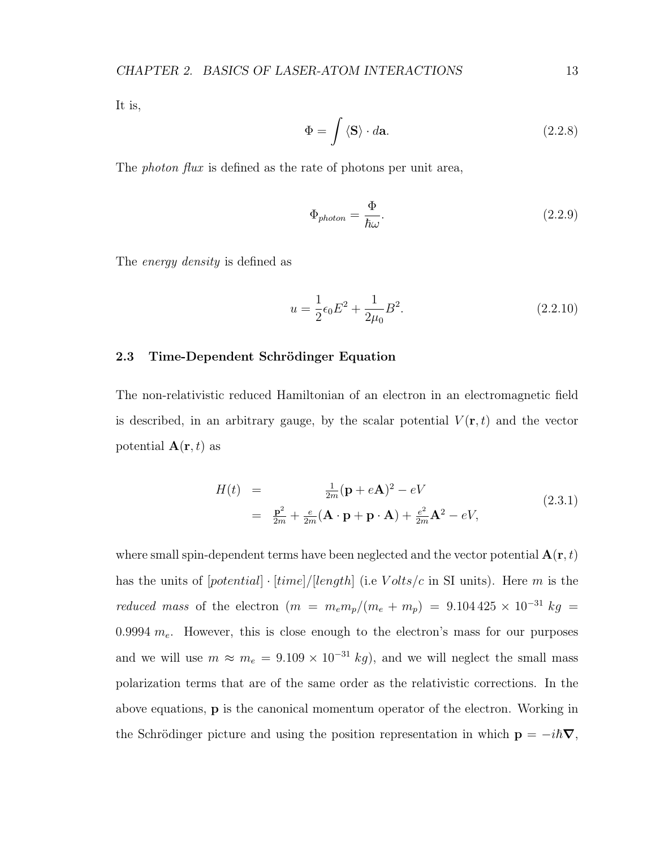It is,

$$
\Phi = \int \langle \mathbf{S} \rangle \cdot d\mathbf{a}.\tag{2.2.8}
$$

The *photon flux* is defined as the rate of photons per unit area,

$$
\Phi_{photon} = \frac{\Phi}{\hbar \omega}.
$$
\n(2.2.9)

The energy density is defined as

$$
u = \frac{1}{2}\epsilon_0 E^2 + \frac{1}{2\mu_0} B^2.
$$
\n(2.2.10)

#### 2.3 Time-Dependent Schrödinger Equation

The non-relativistic reduced Hamiltonian of an electron in an electromagnetic field is described, in an arbitrary gauge, by the scalar potential  $V(\mathbf{r},t)$  and the vector potential  $A(r, t)$  as

$$
H(t) = \frac{\frac{1}{2m}(\mathbf{p} + e\mathbf{A})^2 - eV}{\frac{\mathbf{p}^2}{2m} + \frac{e}{2m}(\mathbf{A} \cdot \mathbf{p} + \mathbf{p} \cdot \mathbf{A}) + \frac{e^2}{2m}\mathbf{A}^2 - eV},
$$
\n(2.3.1)

where small spin-dependent terms have been neglected and the vector potential  $\mathbf{A}(\mathbf{r},t)$ has the units of  $[potential] \cdot [time]/[length]$  (i.e  $Volts/c$  in SI units). Here m is the reduced mass of the electron  $(m = m_e m_p/(m_e + m_p) = 9.104425 \times 10^{-31} kg =$ 0.9994  $m_e$ . However, this is close enough to the electron's mass for our purposes and we will use  $m \approx m_e = 9.109 \times 10^{-31} kg$ , and we will neglect the small mass polarization terms that are of the same order as the relativistic corrections. In the above equations, p is the canonical momentum operator of the electron. Working in the Schrödinger picture and using the position representation in which  $\mathbf{p} = -i\hbar\boldsymbol{\nabla}$ ,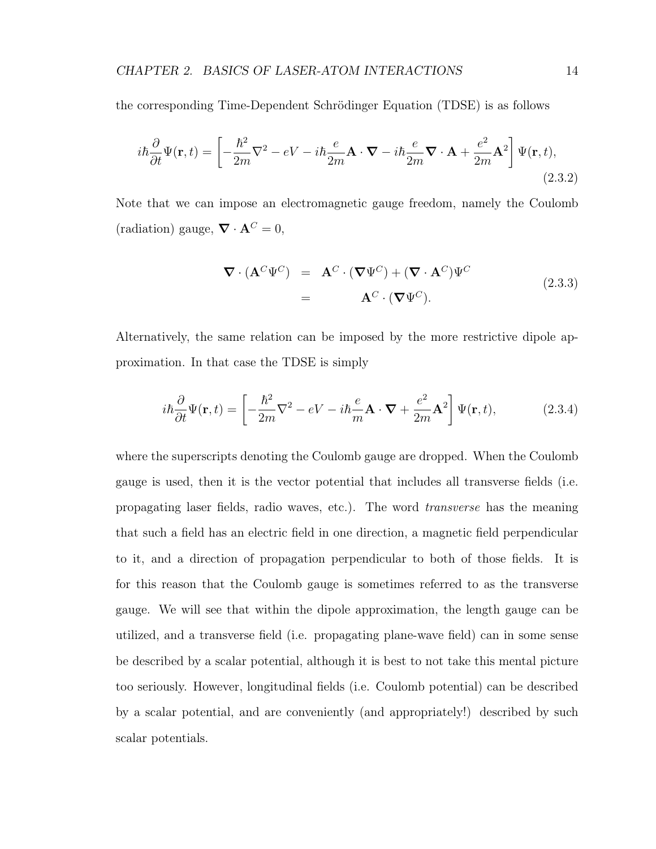the corresponding Time-Dependent Schrödinger Equation (TDSE) is as follows

$$
i\hbar \frac{\partial}{\partial t} \Psi(\mathbf{r}, t) = \left[ -\frac{\hbar^2}{2m} \nabla^2 - eV - i\hbar \frac{e}{2m} \mathbf{A} \cdot \mathbf{\nabla} - i\hbar \frac{e}{2m} \mathbf{\nabla} \cdot \mathbf{A} + \frac{e^2}{2m} \mathbf{A}^2 \right] \Psi(\mathbf{r}, t),
$$
\n(2.3.2)

Note that we can impose an electromagnetic gauge freedom, namely the Coulomb (radiation) gauge,  $\nabla \cdot \mathbf{A}^C = 0$ ,

$$
\nabla \cdot (\mathbf{A}^C \Psi^C) = \mathbf{A}^C \cdot (\nabla \Psi^C) + (\nabla \cdot \mathbf{A}^C) \Psi^C
$$
  
= 
$$
\mathbf{A}^C \cdot (\nabla \Psi^C).
$$
 (2.3.3)

Alternatively, the same relation can be imposed by the more restrictive dipole approximation. In that case the TDSE is simply

$$
i\hbar \frac{\partial}{\partial t} \Psi(\mathbf{r}, t) = \left[ -\frac{\hbar^2}{2m} \nabla^2 - eV - i\hbar \frac{e}{m} \mathbf{A} \cdot \mathbf{\nabla} + \frac{e^2}{2m} \mathbf{A}^2 \right] \Psi(\mathbf{r}, t), \tag{2.3.4}
$$

where the superscripts denoting the Coulomb gauge are dropped. When the Coulomb gauge is used, then it is the vector potential that includes all transverse fields (i.e. propagating laser fields, radio waves, etc.). The word transverse has the meaning that such a field has an electric field in one direction, a magnetic field perpendicular to it, and a direction of propagation perpendicular to both of those fields. It is for this reason that the Coulomb gauge is sometimes referred to as the transverse gauge. We will see that within the dipole approximation, the length gauge can be utilized, and a transverse field (i.e. propagating plane-wave field) can in some sense be described by a scalar potential, although it is best to not take this mental picture too seriously. However, longitudinal fields (i.e. Coulomb potential) can be described by a scalar potential, and are conveniently (and appropriately!) described by such scalar potentials.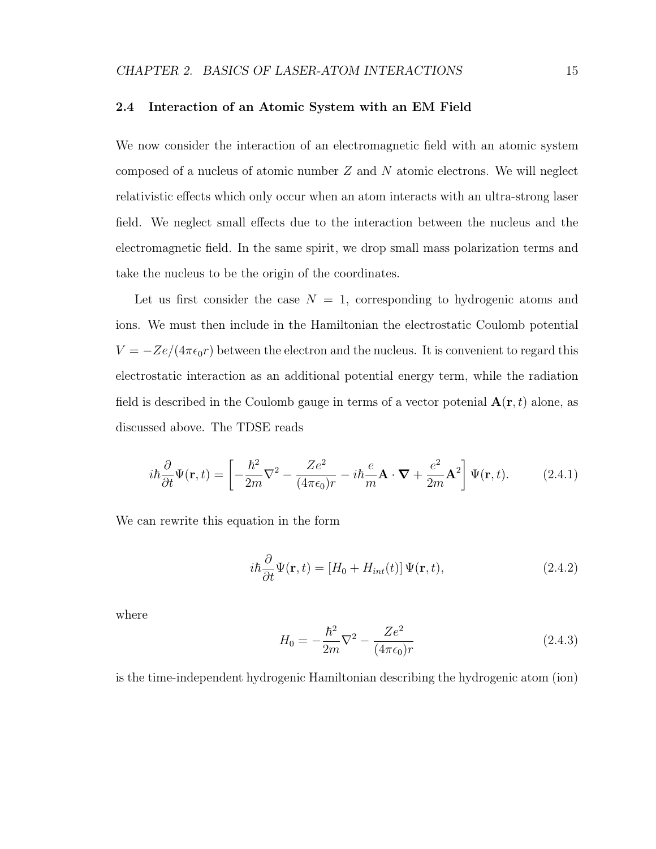#### 2.4 Interaction of an Atomic System with an EM Field

We now consider the interaction of an electromagnetic field with an atomic system composed of a nucleus of atomic number  $Z$  and  $N$  atomic electrons. We will neglect relativistic effects which only occur when an atom interacts with an ultra-strong laser field. We neglect small effects due to the interaction between the nucleus and the electromagnetic field. In the same spirit, we drop small mass polarization terms and take the nucleus to be the origin of the coordinates.

Let us first consider the case  $N = 1$ , corresponding to hydrogenic atoms and ions. We must then include in the Hamiltonian the electrostatic Coulomb potential  $V = -Ze/(4\pi\epsilon_0 r)$  between the electron and the nucleus. It is convenient to regard this electrostatic interaction as an additional potential energy term, while the radiation field is described in the Coulomb gauge in terms of a vector potenial  $\mathbf{A}(\mathbf{r},t)$  alone, as discussed above. The TDSE reads

$$
i\hbar \frac{\partial}{\partial t} \Psi(\mathbf{r}, t) = \left[ -\frac{\hbar^2}{2m} \nabla^2 - \frac{Ze^2}{(4\pi\epsilon_0)r} - i\hbar \frac{e}{m} \mathbf{A} \cdot \mathbf{\nabla} + \frac{e^2}{2m} \mathbf{A}^2 \right] \Psi(\mathbf{r}, t). \tag{2.4.1}
$$

We can rewrite this equation in the form

$$
i\hbar \frac{\partial}{\partial t} \Psi(\mathbf{r}, t) = [H_0 + H_{int}(t)] \Psi(\mathbf{r}, t), \qquad (2.4.2)
$$

where

$$
H_0 = -\frac{\hbar^2}{2m}\nabla^2 - \frac{Ze^2}{(4\pi\epsilon_0)r}
$$
\n(2.4.3)

is the time-independent hydrogenic Hamiltonian describing the hydrogenic atom (ion)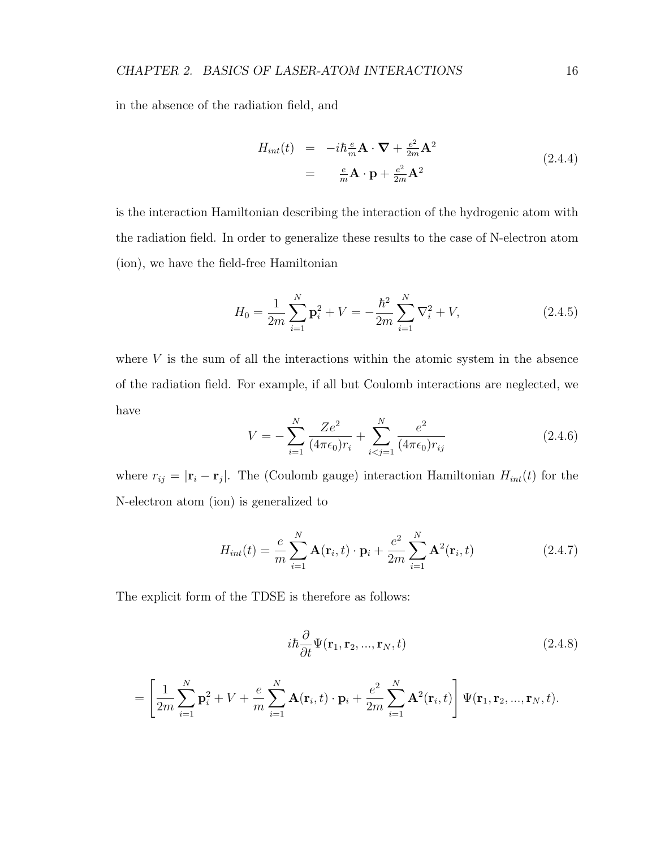in the absence of the radiation field, and

$$
H_{int}(t) = -i\hbar \frac{e}{m} \mathbf{A} \cdot \mathbf{\nabla} + \frac{e^2}{2m} \mathbf{A}^2
$$
  
= 
$$
\frac{e}{m} \mathbf{A} \cdot \mathbf{p} + \frac{e^2}{2m} \mathbf{A}^2
$$
(2.4.4)

is the interaction Hamiltonian describing the interaction of the hydrogenic atom with the radiation field. In order to generalize these results to the case of N-electron atom (ion), we have the field-free Hamiltonian

$$
H_0 = \frac{1}{2m} \sum_{i=1}^{N} \mathbf{p}_i^2 + V = -\frac{\hbar^2}{2m} \sum_{i=1}^{N} \nabla_i^2 + V,
$$
 (2.4.5)

where  $V$  is the sum of all the interactions within the atomic system in the absence of the radiation field. For example, if all but Coulomb interactions are neglected, we have

$$
V = -\sum_{i=1}^{N} \frac{Ze^2}{(4\pi\epsilon_0)r_i} + \sum_{i < j=1}^{N} \frac{e^2}{(4\pi\epsilon_0)r_{ij}} \tag{2.4.6}
$$

where  $r_{ij} = |\mathbf{r}_i - \mathbf{r}_j|$ . The (Coulomb gauge) interaction Hamiltonian  $H_{int}(t)$  for the N-electron atom (ion) is generalized to

$$
H_{int}(t) = \frac{e}{m} \sum_{i=1}^{N} \mathbf{A}(\mathbf{r}_i, t) \cdot \mathbf{p}_i + \frac{e^2}{2m} \sum_{i=1}^{N} \mathbf{A}^2(\mathbf{r}_i, t)
$$
(2.4.7)

The explicit form of the TDSE is therefore as follows:

$$
i\hbar \frac{\partial}{\partial t} \Psi(\mathbf{r}_1, \mathbf{r}_2, ..., \mathbf{r}_N, t) \tag{2.4.8}
$$

$$
= \left[\frac{1}{2m}\sum_{i=1}^{N} \mathbf{p}_i^2 + V + \frac{e}{m}\sum_{i=1}^{N} \mathbf{A}(\mathbf{r}_i, t) \cdot \mathbf{p}_i + \frac{e^2}{2m}\sum_{i=1}^{N} \mathbf{A}^2(\mathbf{r}_i, t)\right] \Psi(\mathbf{r}_1, \mathbf{r}_2, ..., \mathbf{r}_N, t).
$$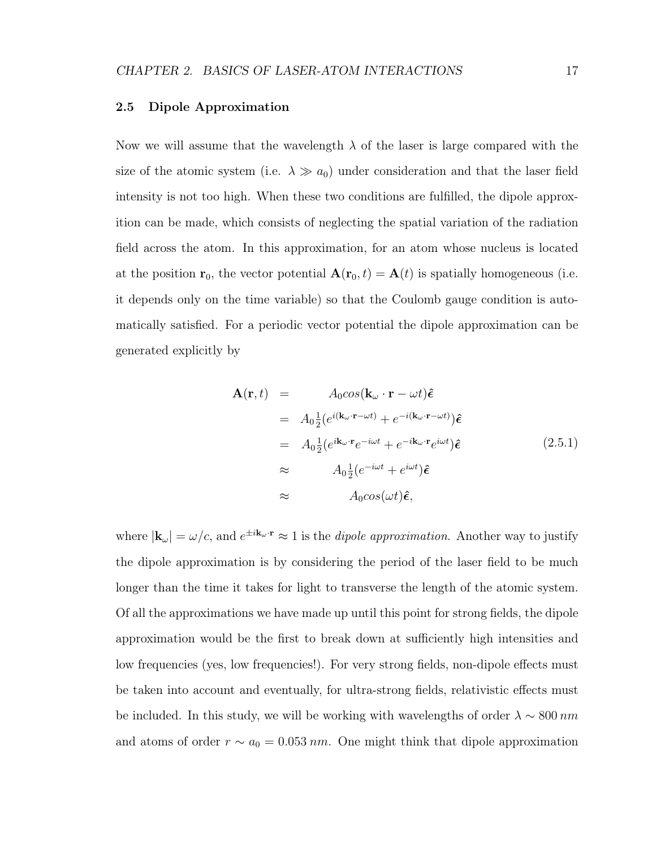#### 2.5 Dipole Approximation

Now we will assume that the wavelength  $\lambda$  of the laser is large compared with the size of the atomic system (i.e.  $\lambda \gg a_0$ ) under consideration and that the laser field intensity is not too high. When these two conditions are fulfilled, the dipole approxition can be made, which consists of neglecting the spatial variation of the radiation field across the atom. In this approximation, for an atom whose nucleus is located at the position  $r_0$ , the vector potential  $A(r_0, t) = A(t)$  is spatially homogeneous (i.e. it depends only on the time variable) so that the Coulomb gauge condition is automatically satisfied. For a periodic vector potential the dipole approximation can be generated explicitly by

$$
\mathbf{A}(\mathbf{r},t) = A_0 cos(\mathbf{k}_{\omega} \cdot \mathbf{r} - \omega t) \hat{\boldsymbol{\epsilon}}
$$
  
\n
$$
= A_0 \frac{1}{2} (e^{i(\mathbf{k}_{\omega} \cdot \mathbf{r} - \omega t)} + e^{-i(\mathbf{k}_{\omega} \cdot \mathbf{r} - \omega t)}) \hat{\boldsymbol{\epsilon}}
$$
  
\n
$$
= A_0 \frac{1}{2} (e^{i\mathbf{k}_{\omega} \cdot \mathbf{r}} e^{-i\omega t} + e^{-i\mathbf{k}_{\omega} \cdot \mathbf{r}} e^{i\omega t}) \hat{\boldsymbol{\epsilon}}
$$
  
\n
$$
\approx A_0 \frac{1}{2} (e^{-i\omega t} + e^{i\omega t}) \hat{\boldsymbol{\epsilon}}
$$
  
\n
$$
\approx A_0 cos(\omega t) \hat{\boldsymbol{\epsilon}},
$$
\n(2.5.1)

where  $|\mathbf{k}_{\omega}| = \omega/c$ , and  $e^{\pm i\mathbf{k}_{\omega} \cdot \mathbf{r}} \approx 1$  is the *dipole approximation*. Another way to justify the dipole approximation is by considering the period of the laser field to be much longer than the time it takes for light to transverse the length of the atomic system. Of all the approximations we have made up until this point for strong fields, the dipole approximation would be the first to break down at sufficiently high intensities and low frequencies (yes, low frequencies!). For very strong fields, non-dipole effects must be taken into account and eventually, for ultra-strong fields, relativistic effects must be included. In this study, we will be working with wavelengths of order  $\lambda \sim 800 \, nm$ and atoms of order  $r \sim a_0 = 0.053$  nm. One might think that dipole approximation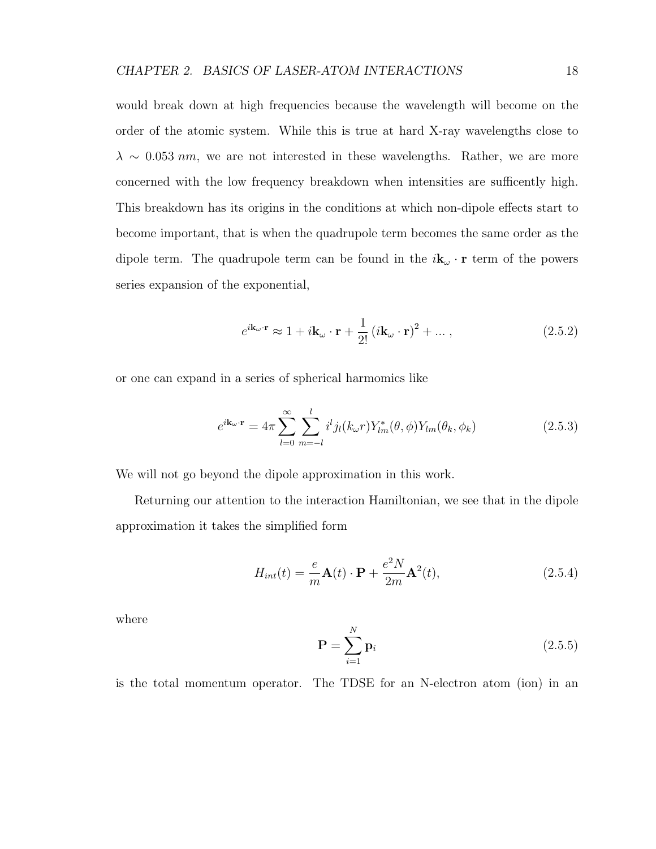would break down at high frequencies because the wavelength will become on the order of the atomic system. While this is true at hard X-ray wavelengths close to  $\lambda \sim 0.053$  nm, we are not interested in these wavelengths. Rather, we are more concerned with the low frequency breakdown when intensities are sufficently high. This breakdown has its origins in the conditions at which non-dipole effects start to become important, that is when the quadrupole term becomes the same order as the dipole term. The quadrupole term can be found in the  $i\mathbf{k}_{\omega} \cdot \mathbf{r}$  term of the powers series expansion of the exponential,

$$
e^{i\mathbf{k}_{\omega}\cdot\mathbf{r}} \approx 1 + i\mathbf{k}_{\omega}\cdot\mathbf{r} + \frac{1}{2!} (i\mathbf{k}_{\omega}\cdot\mathbf{r})^2 + \dots, \qquad (2.5.2)
$$

or one can expand in a series of spherical harmomics like

$$
e^{i\mathbf{k}_{\omega}\cdot\mathbf{r}} = 4\pi \sum_{l=0}^{\infty} \sum_{m=-l}^{l} i^{l} j_{l}(k_{\omega}r) Y_{lm}^{*}(\theta,\phi) Y_{lm}(\theta_{k},\phi_{k})
$$
\n(2.5.3)

We will not go beyond the dipole approximation in this work.

Returning our attention to the interaction Hamiltonian, we see that in the dipole approximation it takes the simplified form

$$
H_{int}(t) = \frac{e}{m}\mathbf{A}(t)\cdot\mathbf{P} + \frac{e^2N}{2m}\mathbf{A}^2(t),
$$
\n(2.5.4)

where

$$
\mathbf{P} = \sum_{i=1}^{N} \mathbf{p}_i
$$
 (2.5.5)

is the total momentum operator. The TDSE for an N-electron atom (ion) in an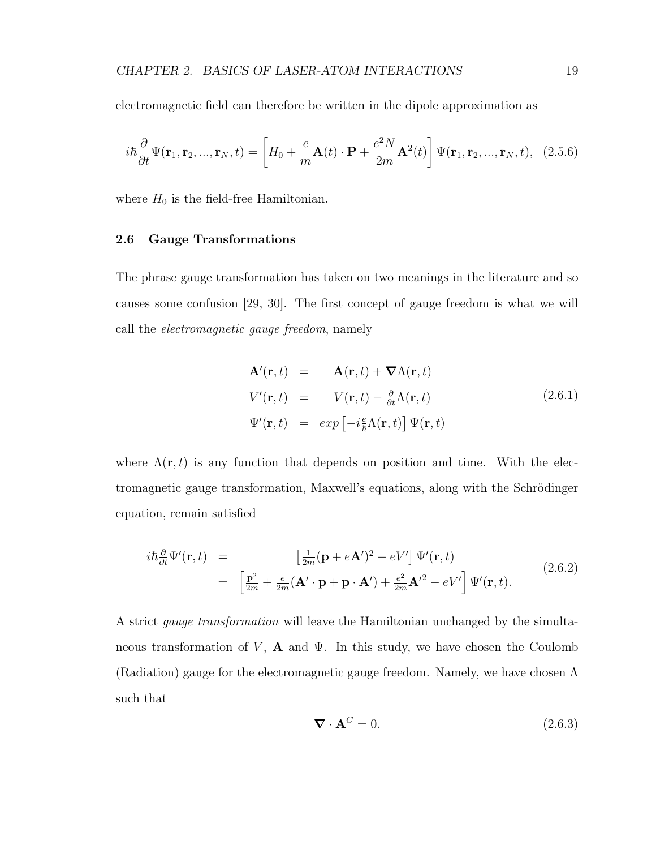electromagnetic field can therefore be written in the dipole approximation as

$$
i\hbar\frac{\partial}{\partial t}\Psi(\mathbf{r}_1,\mathbf{r}_2,...,\mathbf{r}_N,t) = \left[H_0 + \frac{e}{m}\mathbf{A}(t)\cdot\mathbf{P} + \frac{e^2N}{2m}\mathbf{A}^2(t)\right]\Psi(\mathbf{r}_1,\mathbf{r}_2,...,\mathbf{r}_N,t),\tag{2.5.6}
$$

where  $H_0$  is the field-free Hamiltonian.

#### 2.6 Gauge Transformations

The phrase gauge transformation has taken on two meanings in the literature and so causes some confusion [29, 30]. The first concept of gauge freedom is what we will call the electromagnetic gauge freedom, namely

$$
\mathbf{A}'(\mathbf{r},t) = \mathbf{A}(\mathbf{r},t) + \nabla \Lambda(\mathbf{r},t) \nV'(\mathbf{r},t) = V(\mathbf{r},t) - \frac{\partial}{\partial t} \Lambda(\mathbf{r},t) \n\Psi'(\mathbf{r},t) = exp \left[ -i\frac{e}{\hbar} \Lambda(\mathbf{r},t) \right] \Psi(\mathbf{r},t)
$$
\n(2.6.1)

where  $\Lambda(\mathbf{r},t)$  is any function that depends on position and time. With the electromagnetic gauge transformation, Maxwell's equations, along with the Schrödinger equation, remain satisfied

$$
i\hbar \frac{\partial}{\partial t} \Psi'(\mathbf{r}, t) = \left[\frac{1}{2m} (\mathbf{p} + e\mathbf{A}')^2 - eV'\right] \Psi'(\mathbf{r}, t)
$$
  

$$
= \left[\frac{\mathbf{p}^2}{2m} + \frac{e}{2m} (\mathbf{A}' \cdot \mathbf{p} + \mathbf{p} \cdot \mathbf{A}') + \frac{e^2}{2m} \mathbf{A}'^2 - eV'\right] \Psi'(\mathbf{r}, t).
$$
(2.6.2)

A strict gauge transformation will leave the Hamiltonian unchanged by the simultaneous transformation of V,  $\bf{A}$  and  $\Psi$ . In this study, we have chosen the Coulomb (Radiation) gauge for the electromagnetic gauge freedom. Namely, we have chosen Λ such that

$$
\nabla \cdot \mathbf{A}^C = 0. \tag{2.6.3}
$$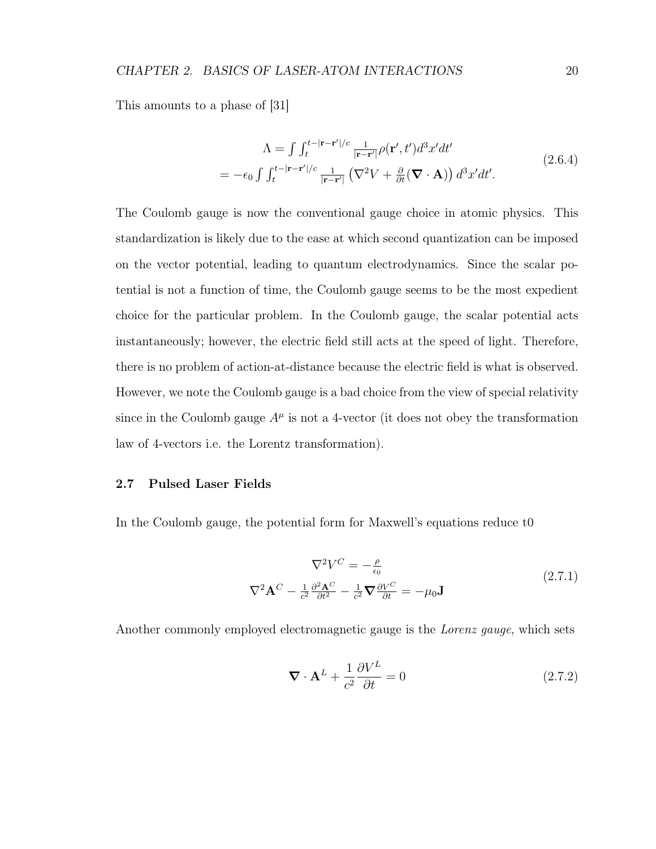#### CHAPTER 2. BASICS OF LASER-ATOM INTERACTIONS 20

This amounts to a phase of [31]

$$
\Lambda = \int \int_{t}^{t-|\mathbf{r}-\mathbf{r}'|/c} \frac{1}{|\mathbf{r}-\mathbf{r}'|} \rho(\mathbf{r}',t')d^3x'dt'
$$
\n
$$
= -\epsilon_0 \int \int_{t}^{t-|\mathbf{r}-\mathbf{r}'|/c} \frac{1}{|\mathbf{r}-\mathbf{r}'|} \left(\nabla^2 V + \frac{\partial}{\partial t}(\nabla \cdot \mathbf{A})\right) d^3x'dt'. \tag{2.6.4}
$$

The Coulomb gauge is now the conventional gauge choice in atomic physics. This standardization is likely due to the ease at which second quantization can be imposed on the vector potential, leading to quantum electrodynamics. Since the scalar potential is not a function of time, the Coulomb gauge seems to be the most expedient choice for the particular problem. In the Coulomb gauge, the scalar potential acts instantaneously; however, the electric field still acts at the speed of light. Therefore, there is no problem of action-at-distance because the electric field is what is observed. However, we note the Coulomb gauge is a bad choice from the view of special relativity since in the Coulomb gauge  $A^{\mu}$  is not a 4-vector (it does not obey the transformation law of 4-vectors i.e. the Lorentz transformation).

#### 2.7 Pulsed Laser Fields

In the Coulomb gauge, the potential form for Maxwell's equations reduce t0

$$
\nabla^2 V^C = -\frac{\rho}{\epsilon_0}
$$
  

$$
\nabla^2 \mathbf{A}^C - \frac{1}{c^2} \frac{\partial^2 \mathbf{A}^C}{\partial t^2} - \frac{1}{c^2} \mathbf{\nabla} \frac{\partial V^C}{\partial t} = -\mu_0 \mathbf{J}
$$
 (2.7.1)

Another commonly employed electromagnetic gauge is the Lorenz gauge, which sets

$$
\nabla \cdot \mathbf{A}^L + \frac{1}{c^2} \frac{\partial V^L}{\partial t} = 0 \tag{2.7.2}
$$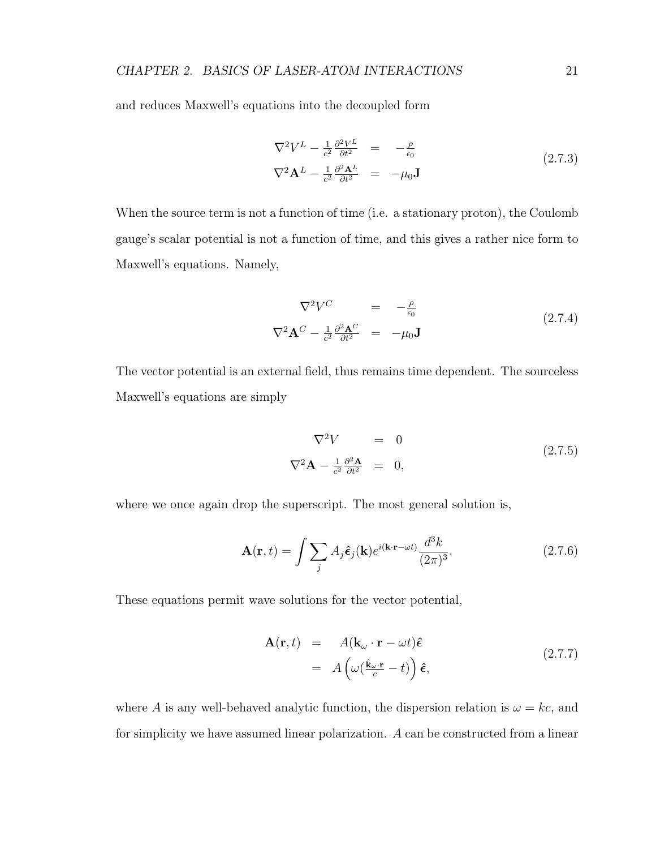and reduces Maxwell's equations into the decoupled form

$$
\nabla^2 V^L - \frac{1}{c^2} \frac{\partial^2 V^L}{\partial t^2} = -\frac{\rho}{\epsilon_0}
$$
  

$$
\nabla^2 \mathbf{A}^L - \frac{1}{c^2} \frac{\partial^2 \mathbf{A}^L}{\partial t^2} = -\mu_0 \mathbf{J}
$$
 (2.7.3)

When the source term is not a function of time (i.e. a stationary proton), the Coulomb gauge's scalar potential is not a function of time, and this gives a rather nice form to Maxwell's equations. Namely,

$$
\nabla^2 V^C = -\frac{\rho}{\epsilon_0}
$$
  

$$
\nabla^2 \mathbf{A}^C - \frac{1}{c^2} \frac{\partial^2 \mathbf{A}^C}{\partial t^2} = -\mu_0 \mathbf{J}
$$
 (2.7.4)

The vector potential is an external field, thus remains time dependent. The sourceless Maxwell's equations are simply

$$
\nabla^2 V = 0
$$
  

$$
\nabla^2 \mathbf{A} - \frac{1}{c^2} \frac{\partial^2 \mathbf{A}}{\partial t^2} = 0,
$$
 (2.7.5)

where we once again drop the superscript. The most general solution is,

$$
\mathbf{A}(\mathbf{r},t) = \int \sum_{j} A_j \hat{\boldsymbol{\epsilon}}_j(\mathbf{k}) e^{i(\mathbf{k}\cdot\mathbf{r}-\omega t)} \frac{d^3 k}{(2\pi)^3}.
$$
 (2.7.6)

These equations permit wave solutions for the vector potential,

$$
\mathbf{A}(\mathbf{r},t) = A(\mathbf{k}_{\omega} \cdot \mathbf{r} - \omega t)\hat{\boldsymbol{\epsilon}} \n= A\left(\omega(\frac{\hat{\mathbf{k}}_{\omega} \cdot \mathbf{r}}{c} - t)\right)\hat{\boldsymbol{\epsilon}},
$$
\n(2.7.7)

where A is any well-behaved analytic function, the dispersion relation is  $\omega = kc$ , and for simplicity we have assumed linear polarization. A can be constructed from a linear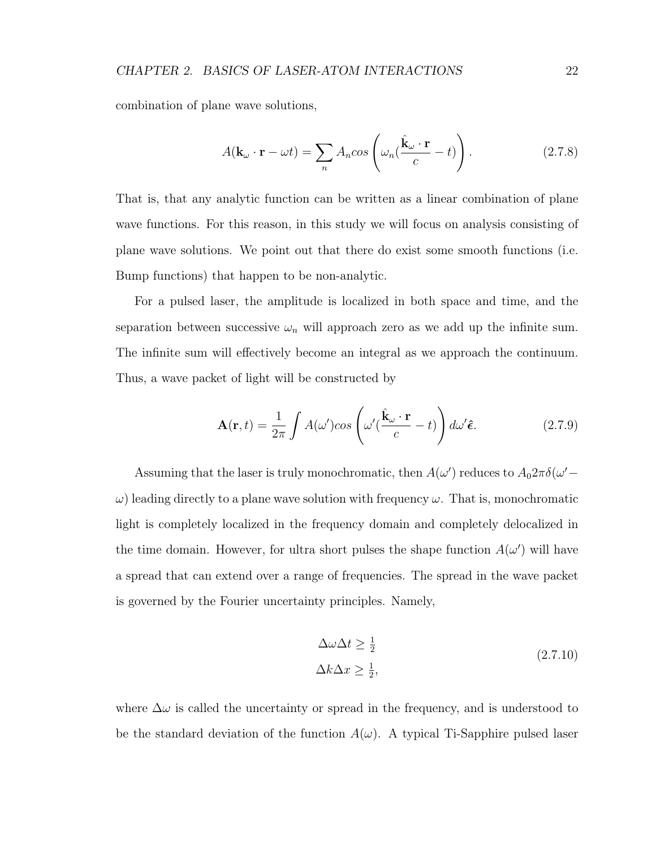combination of plane wave solutions,

$$
A(\mathbf{k}_{\omega} \cdot \mathbf{r} - \omega t) = \sum_{n} A_{n} \cos \left( \omega_{n} \left( \frac{\hat{\mathbf{k}}_{\omega} \cdot \mathbf{r}}{c} - t \right) \right).
$$
 (2.7.8)

That is, that any analytic function can be written as a linear combination of plane wave functions. For this reason, in this study we will focus on analysis consisting of plane wave solutions. We point out that there do exist some smooth functions (i.e. Bump functions) that happen to be non-analytic.

For a pulsed laser, the amplitude is localized in both space and time, and the separation between successive  $\omega_n$  will approach zero as we add up the infinite sum. The infinite sum will effectively become an integral as we approach the continuum. Thus, a wave packet of light will be constructed by

$$
\mathbf{A}(\mathbf{r},t) = \frac{1}{2\pi} \int A(\omega') \cos\left(\omega'(\frac{\hat{\mathbf{k}}_{\omega} \cdot \mathbf{r}}{c} - t)\right) d\omega' \hat{\boldsymbol{\epsilon}}.
$$
 (2.7.9)

Assuming that the laser is truly monochromatic, then  $A(\omega')$  reduces to  $A_0 2\pi \delta(\omega' \omega$ ) leading directly to a plane wave solution with frequency  $\omega$ . That is, monochromatic light is completely localized in the frequency domain and completely delocalized in the time domain. However, for ultra short pulses the shape function  $A(\omega')$  will have a spread that can extend over a range of frequencies. The spread in the wave packet is governed by the Fourier uncertainty principles. Namely,

$$
\Delta\omega\Delta t \ge \frac{1}{2}
$$
  
 
$$
\Delta k\Delta x \ge \frac{1}{2},
$$
 (2.7.10)

where  $\Delta\omega$  is called the uncertainty or spread in the frequency, and is understood to be the standard deviation of the function  $A(\omega)$ . A typical Ti-Sapphire pulsed laser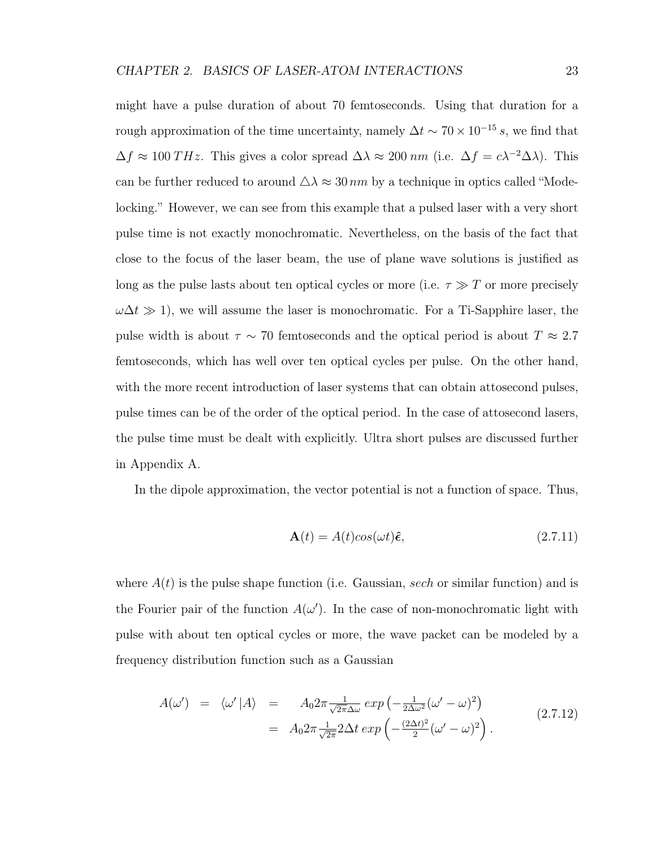might have a pulse duration of about 70 femtoseconds. Using that duration for a rough approximation of the time uncertainty, namely  $\Delta t \sim 70 \times 10^{-15} s$ , we find that  $\Delta f \approx 100 \, THz$ . This gives a color spread  $\Delta \lambda \approx 200 \, nm$  (i.e.  $\Delta f = c\lambda^{-2}\Delta\lambda$ ). This can be further reduced to around  $\Delta \lambda \approx 30 \text{ nm}$  by a technique in optics called "Modelocking." However, we can see from this example that a pulsed laser with a very short pulse time is not exactly monochromatic. Nevertheless, on the basis of the fact that close to the focus of the laser beam, the use of plane wave solutions is justified as long as the pulse lasts about ten optical cycles or more (i.e.  $\tau \gg T$  or more precisely  $\omega\Delta t \gg 1$ , we will assume the laser is monochromatic. For a Ti-Sapphire laser, the pulse width is about  $\tau \sim 70$  femtoseconds and the optical period is about  $T \approx 2.7$ femtoseconds, which has well over ten optical cycles per pulse. On the other hand, with the more recent introduction of laser systems that can obtain attosecond pulses, pulse times can be of the order of the optical period. In the case of attosecond lasers, the pulse time must be dealt with explicitly. Ultra short pulses are discussed further in Appendix A.

In the dipole approximation, the vector potential is not a function of space. Thus,

$$
\mathbf{A}(t) = A(t)\cos(\omega t)\hat{\boldsymbol{\epsilon}},\tag{2.7.11}
$$

where  $A(t)$  is the pulse shape function (i.e. Gaussian, sech or similar function) and is the Fourier pair of the function  $A(\omega')$ . In the case of non-monochromatic light with pulse with about ten optical cycles or more, the wave packet can be modeled by a frequency distribution function such as a Gaussian

$$
A(\omega') = \langle \omega' | A \rangle = A_0 2\pi \frac{1}{\sqrt{2\pi}\Delta\omega} \exp\left(-\frac{1}{2\Delta\omega^2} (\omega' - \omega)^2\right)
$$
  
=  $A_0 2\pi \frac{1}{\sqrt{2\pi}} 2\Delta t \exp\left(-\frac{(2\Delta t)^2}{2} (\omega' - \omega)^2\right).$  (2.7.12)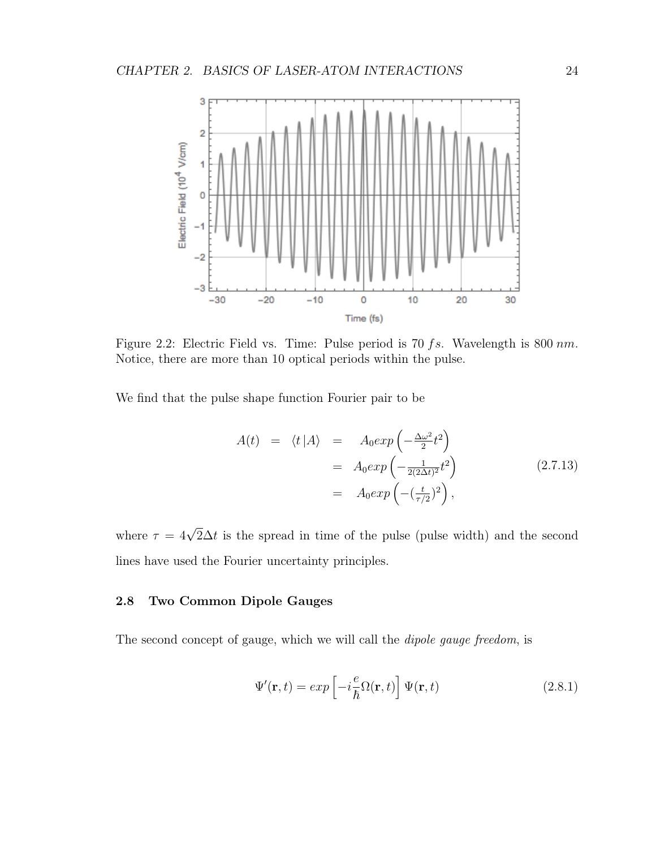

Figure 2.2: Electric Field vs. Time: Pulse period is 70 fs. Wavelength is 800 nm. Notice, there are more than 10 optical periods within the pulse.

We find that the pulse shape function Fourier pair to be

$$
A(t) = \langle t | A \rangle = A_0 exp\left(-\frac{\Delta \omega^2}{2} t^2\right)
$$
  
=  $A_0 exp\left(-\frac{1}{2(2\Delta t)^2} t^2\right)$  (2.7.13)  
=  $A_0 exp\left(-\left(\frac{t}{\tau/2}\right)^2\right),$ 

where  $\tau = 4\sqrt{2}\Delta t$  is the spread in time of the pulse (pulse width) and the second lines have used the Fourier uncertainty principles.

#### 2.8 Two Common Dipole Gauges

The second concept of gauge, which we will call the dipole gauge freedom, is

$$
\Psi'(\mathbf{r},t) = exp\left[-i\frac{e}{\hbar}\Omega(\mathbf{r},t)\right]\Psi(\mathbf{r},t)
$$
\n(2.8.1)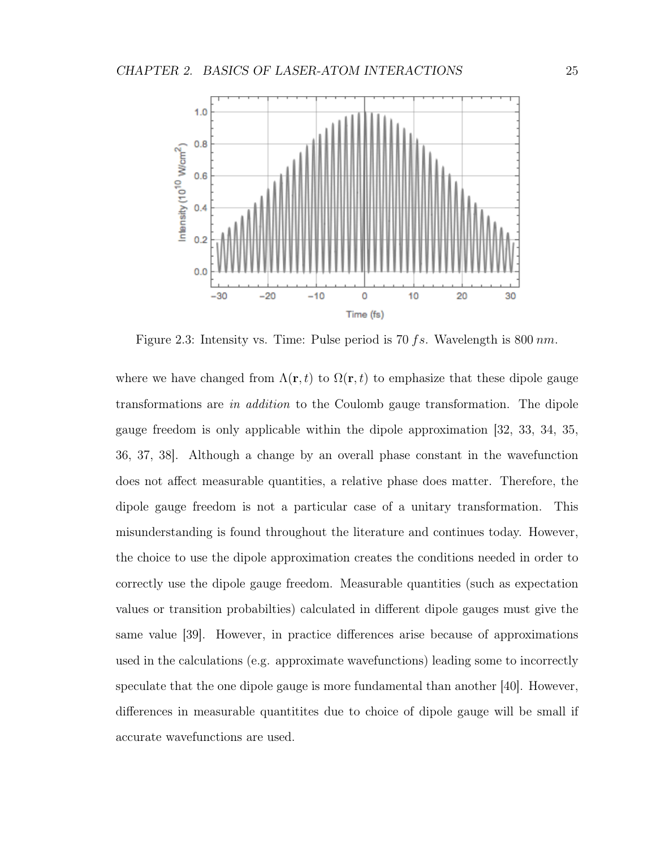

Figure 2.3: Intensity vs. Time: Pulse period is 70 fs. Wavelength is 800  $nm$ .

where we have changed from  $\Lambda(\mathbf{r},t)$  to  $\Omega(\mathbf{r},t)$  to emphasize that these dipole gauge transformations are in addition to the Coulomb gauge transformation. The dipole gauge freedom is only applicable within the dipole approximation [32, 33, 34, 35, 36, 37, 38]. Although a change by an overall phase constant in the wavefunction does not affect measurable quantities, a relative phase does matter. Therefore, the dipole gauge freedom is not a particular case of a unitary transformation. This misunderstanding is found throughout the literature and continues today. However, the choice to use the dipole approximation creates the conditions needed in order to correctly use the dipole gauge freedom. Measurable quantities (such as expectation values or transition probabilties) calculated in different dipole gauges must give the same value [39]. However, in practice differences arise because of approximations used in the calculations (e.g. approximate wavefunctions) leading some to incorrectly speculate that the one dipole gauge is more fundamental than another [40]. However, differences in measurable quantitites due to choice of dipole gauge will be small if accurate wavefunctions are used.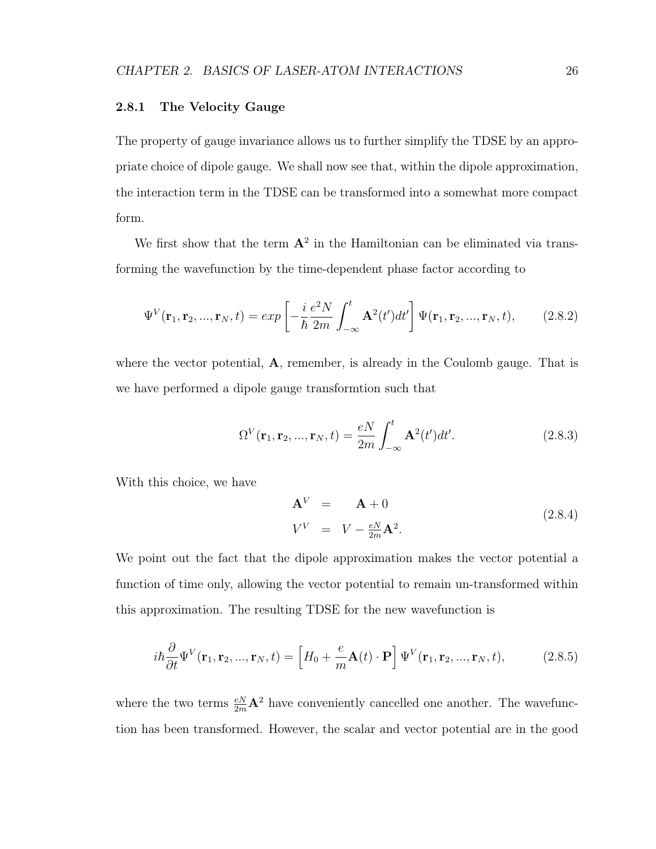#### 2.8.1 The Velocity Gauge

The property of gauge invariance allows us to further simplify the TDSE by an appropriate choice of dipole gauge. We shall now see that, within the dipole approximation, the interaction term in the TDSE can be transformed into a somewhat more compact form.

We first show that the term  $A^2$  in the Hamiltonian can be eliminated via transforming the wavefunction by the time-dependent phase factor according to

$$
\Psi^{V}(\mathbf{r}_{1}, \mathbf{r}_{2}, ..., \mathbf{r}_{N}, t) = exp\left[-\frac{i}{\hbar} \frac{e^{2}N}{2m} \int_{-\infty}^{t} \mathbf{A}^{2}(t')dt'\right] \Psi(\mathbf{r}_{1}, \mathbf{r}_{2}, ..., \mathbf{r}_{N}, t), \quad (2.8.2)
$$

where the vector potential,  $A$ , remember, is already in the Coulomb gauge. That is we have performed a dipole gauge transformtion such that

$$
\Omega^{V}(\mathbf{r}_{1}, \mathbf{r}_{2}, ..., \mathbf{r}_{N}, t) = \frac{eN}{2m} \int_{-\infty}^{t} \mathbf{A}^{2}(t')dt'.
$$
 (2.8.3)

With this choice, we have

$$
\mathbf{A}^V = \mathbf{A} + 0
$$
  
\n
$$
V^V = V - \frac{eN}{2m} \mathbf{A}^2.
$$
\n(2.8.4)

We point out the fact that the dipole approximation makes the vector potential a function of time only, allowing the vector potential to remain un-transformed within this approximation. The resulting TDSE for the new wavefunction is

$$
i\hbar \frac{\partial}{\partial t} \Psi^V(\mathbf{r}_1, \mathbf{r}_2, ..., \mathbf{r}_N, t) = \left[ H_0 + \frac{e}{m} \mathbf{A}(t) \cdot \mathbf{P} \right] \Psi^V(\mathbf{r}_1, \mathbf{r}_2, ..., \mathbf{r}_N, t), \tag{2.8.5}
$$

where the two terms  $\frac{eN}{2m}$ **A**<sup>2</sup> have conveniently cancelled one another. The wavefunction has been transformed. However, the scalar and vector potential are in the good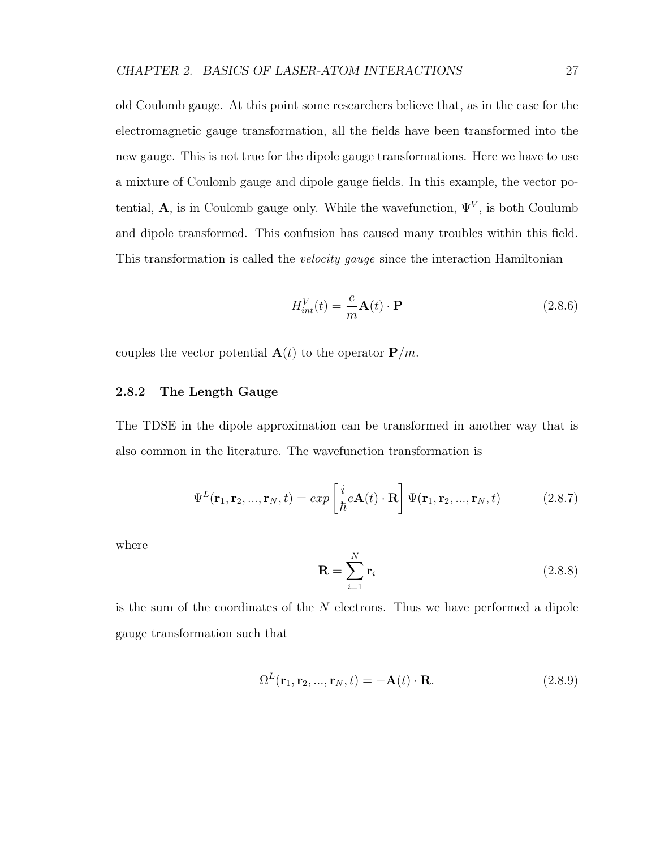old Coulomb gauge. At this point some researchers believe that, as in the case for the electromagnetic gauge transformation, all the fields have been transformed into the new gauge. This is not true for the dipole gauge transformations. Here we have to use a mixture of Coulomb gauge and dipole gauge fields. In this example, the vector potential, A, is in Coulomb gauge only. While the wavefunction,  $\Psi^V$ , is both Coulumb and dipole transformed. This confusion has caused many troubles within this field. This transformation is called the *velocity gauge* since the interaction Hamiltonian

$$
H_{int}^{V}(t) = -\frac{e}{m}\mathbf{A}(t) \cdot \mathbf{P}
$$
 (2.8.6)

couples the vector potential  $\mathbf{A}(t)$  to the operator  $\mathbf{P}/m$ .

## 2.8.2 The Length Gauge

The TDSE in the dipole approximation can be transformed in another way that is also common in the literature. The wavefunction transformation is

$$
\Psi^{L}(\mathbf{r}_{1}, \mathbf{r}_{2}, ..., \mathbf{r}_{N}, t) = exp\left[\frac{i}{\hbar}e\mathbf{A}(t) \cdot \mathbf{R}\right] \Psi(\mathbf{r}_{1}, \mathbf{r}_{2}, ..., \mathbf{r}_{N}, t)
$$
(2.8.7)

where

$$
\mathbf{R} = \sum_{i=1}^{N} \mathbf{r}_i
$$
 (2.8.8)

is the sum of the coordinates of the N electrons. Thus we have performed a dipole gauge transformation such that

$$
\Omega^{L}(\mathbf{r}_{1}, \mathbf{r}_{2}, ..., \mathbf{r}_{N}, t) = -\mathbf{A}(t) \cdot \mathbf{R}.
$$
\n(2.8.9)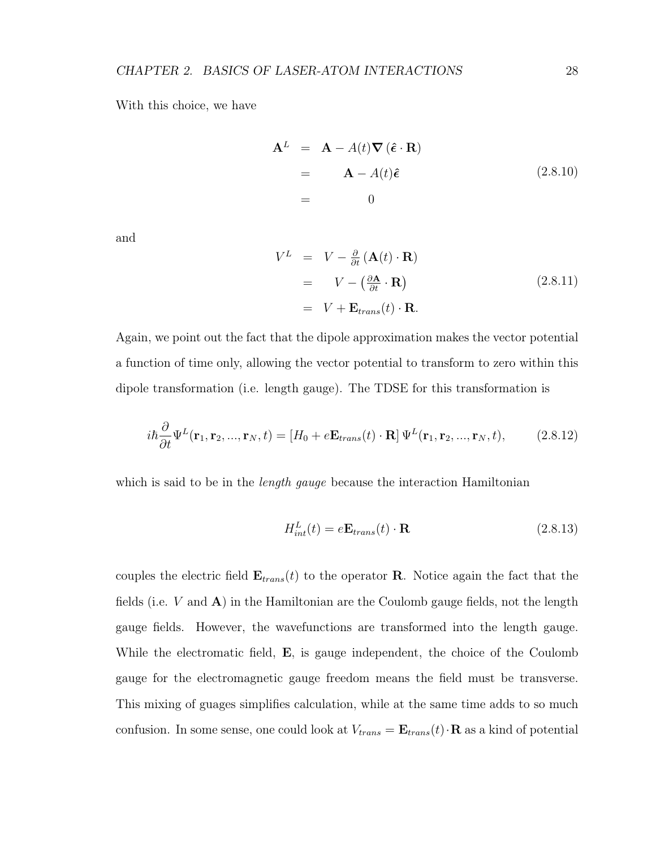With this choice, we have

$$
\mathbf{A}^{L} = \mathbf{A} - A(t) \nabla (\hat{\boldsymbol{\epsilon}} \cdot \mathbf{R})
$$
  
=  $\mathbf{A} - A(t) \hat{\boldsymbol{\epsilon}}$  (2.8.10)  
= 0

and

$$
V^{L} = V - \frac{\partial}{\partial t} (\mathbf{A}(t) \cdot \mathbf{R})
$$
  
=  $V - (\frac{\partial \mathbf{A}}{\partial t} \cdot \mathbf{R})$  (2.8.11)  
=  $V + \mathbf{E}_{trans}(t) \cdot \mathbf{R}$ .

Again, we point out the fact that the dipole approximation makes the vector potential a function of time only, allowing the vector potential to transform to zero within this dipole transformation (i.e. length gauge). The TDSE for this transformation is

$$
i\hbar \frac{\partial}{\partial t} \Psi^L(\mathbf{r}_1, \mathbf{r}_2, ..., \mathbf{r}_N, t) = [H_0 + e\mathbf{E}_{trans}(t) \cdot \mathbf{R}] \Psi^L(\mathbf{r}_1, \mathbf{r}_2, ..., \mathbf{r}_N, t), \quad (2.8.12)
$$

which is said to be in the *length gauge* because the interaction Hamiltonian

$$
H_{int}^{L}(t) = e\mathbf{E}_{trans}(t) \cdot \mathbf{R}
$$
 (2.8.13)

couples the electric field  $\mathbf{E}_{trans}(t)$  to the operator **R**. Notice again the fact that the fields (i.e.  $V$  and  $\mathbf{A}$ ) in the Hamiltonian are the Coulomb gauge fields, not the length gauge fields. However, the wavefunctions are transformed into the length gauge. While the electromatic field, **E**, is gauge independent, the choice of the Coulomb gauge for the electromagnetic gauge freedom means the field must be transverse. This mixing of guages simplifies calculation, while at the same time adds to so much confusion. In some sense, one could look at  $V_{trans} = \mathbf{E}_{trans}(t) \cdot \mathbf{R}$  as a kind of potential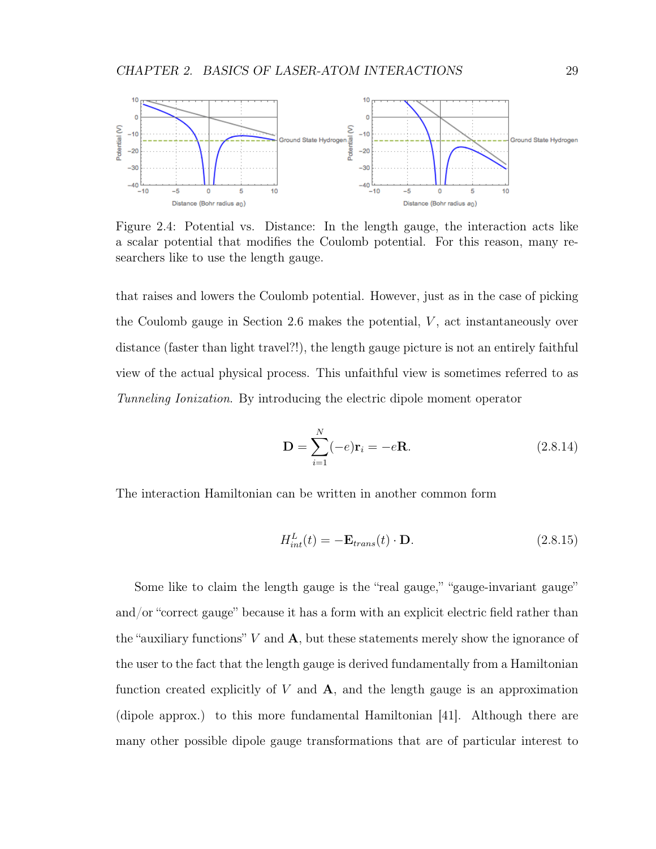

Figure 2.4: Potential vs. Distance: In the length gauge, the interaction acts like a scalar potential that modifies the Coulomb potential. For this reason, many researchers like to use the length gauge.

that raises and lowers the Coulomb potential. However, just as in the case of picking the Coulomb gauge in Section 2.6 makes the potential,  $V$ , act instantaneously over distance (faster than light travel?!), the length gauge picture is not an entirely faithful view of the actual physical process. This unfaithful view is sometimes referred to as Tunneling Ionization. By introducing the electric dipole moment operator

$$
\mathbf{D} = \sum_{i=1}^{N} (-e)\mathbf{r}_i = -e\mathbf{R}.
$$
 (2.8.14)

The interaction Hamiltonian can be written in another common form

$$
H_{int}^{L}(t) = -\mathbf{E}_{trans}(t) \cdot \mathbf{D}.
$$
 (2.8.15)

Some like to claim the length gauge is the "real gauge," "gauge-invariant gauge" and/or "correct gauge" because it has a form with an explicit electric field rather than the "auxiliary functions"  $V$  and  $A$ , but these statements merely show the ignorance of the user to the fact that the length gauge is derived fundamentally from a Hamiltonian function created explicitly of  $V$  and  $A$ , and the length gauge is an approximation (dipole approx.) to this more fundamental Hamiltonian [41]. Although there are many other possible dipole gauge transformations that are of particular interest to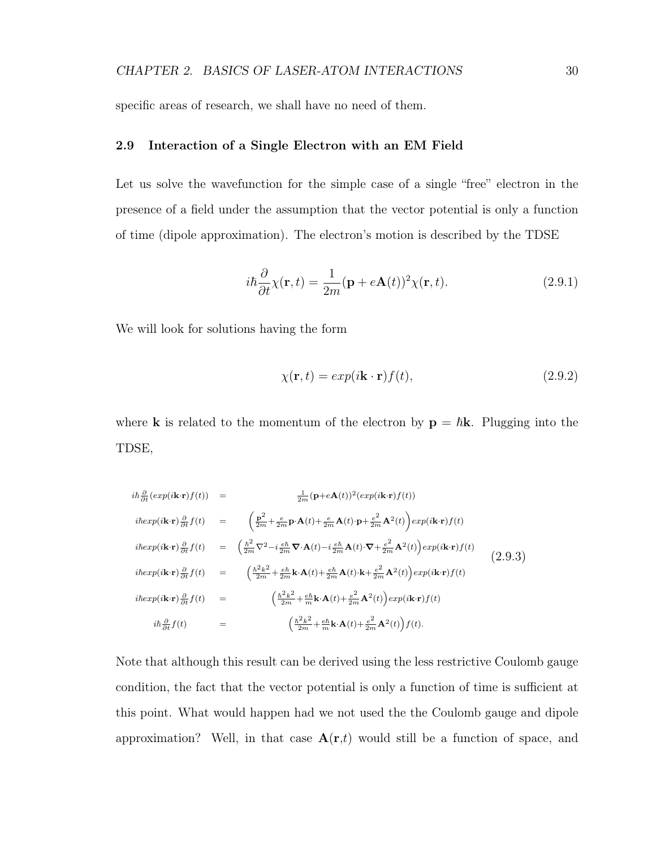specific areas of research, we shall have no need of them.

## 2.9 Interaction of a Single Electron with an EM Field

Let us solve the wavefunction for the simple case of a single "free" electron in the presence of a field under the assumption that the vector potential is only a function of time (dipole approximation). The electron's motion is described by the TDSE

$$
i\hbar \frac{\partial}{\partial t} \chi(\mathbf{r}, t) = \frac{1}{2m} (\mathbf{p} + e\mathbf{A}(t))^2 \chi(\mathbf{r}, t).
$$
 (2.9.1)

We will look for solutions having the form

$$
\chi(\mathbf{r},t) = exp(i\mathbf{k}\cdot\mathbf{r})f(t),\tag{2.9.2}
$$

where **k** is related to the momentum of the electron by  $\mathbf{p} = \hbar \mathbf{k}$ . Plugging into the TDSE,

$$
i\hbar \frac{\partial}{\partial t} (exp(i\mathbf{k}\cdot\mathbf{r})f(t)) = \frac{1}{2m} (\mathbf{p}+e\mathbf{A}(t))^2 (exp(i\mathbf{k}\cdot\mathbf{r})f(t))
$$
  
\n
$$
i\hbar exp(i\mathbf{k}\cdot\mathbf{r}) \frac{\partial}{\partial t} f(t) = \left(\frac{\mathbf{p}^2}{2m} + \frac{e}{2m} \mathbf{p}\cdot\mathbf{A}(t) + \frac{e}{2m} \mathbf{A}(t)\cdot\mathbf{p} + \frac{e^2}{2m} \mathbf{A}^2(t)\right) exp(i\mathbf{k}\cdot\mathbf{r})f(t)
$$
  
\n
$$
i\hbar exp(i\mathbf{k}\cdot\mathbf{r}) \frac{\partial}{\partial t} f(t) = \left(\frac{\hbar^2}{2m} \nabla^2 - i\frac{e\hbar}{2m} \nabla\cdot\mathbf{A}(t) - i\frac{e\hbar}{2m} \mathbf{A}(t)\cdot\mathbf{\nabla} + \frac{e^2}{2m} \mathbf{A}^2(t)\right) exp(i\mathbf{k}\cdot\mathbf{r})f(t)
$$
  
\n
$$
i\hbar exp(i\mathbf{k}\cdot\mathbf{r}) \frac{\partial}{\partial t} f(t) = \left(\frac{\hbar^2 k^2}{2m} + \frac{e\hbar}{2m} \mathbf{k}\cdot\mathbf{A}(t) + \frac{e\hbar}{2m} \mathbf{A}(t)\cdot\mathbf{k} + \frac{e^2}{2m} \mathbf{A}^2(t)\right) exp(i\mathbf{k}\cdot\mathbf{r})f(t)
$$
  
\n
$$
i\hbar \frac{\partial}{\partial t} f(t) = \left(\frac{\hbar^2 k^2}{2m} + \frac{e\hbar}{m} \mathbf{k}\cdot\mathbf{A}(t) + \frac{e^2}{2m} \mathbf{A}^2(t)\right) exp(i\mathbf{k}\cdot\mathbf{r})f(t)
$$
  
\n
$$
i\hbar \frac{\partial}{\partial t} f(t) = \left(\frac{\hbar^2 k^2}{2m} + \frac{e\hbar}{m} \mathbf{k}\cdot\mathbf{A}(t) + \frac{e^2}{2m} \mathbf{A}^2(t)\right) f(t).
$$
\n(2.9.3)

Note that although this result can be derived using the less restrictive Coulomb gauge condition, the fact that the vector potential is only a function of time is sufficient at this point. What would happen had we not used the the Coulomb gauge and dipole approximation? Well, in that case  $A(r,t)$  would still be a function of space, and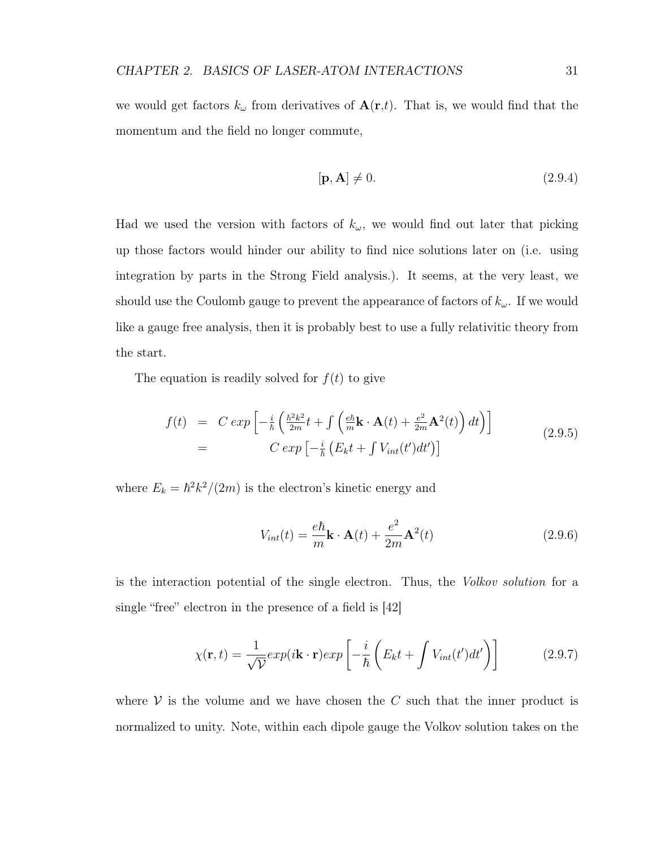we would get factors  $k_{\omega}$  from derivatives of  $\mathbf{A}(\mathbf{r},t)$ . That is, we would find that the momentum and the field no longer commute,

$$
[\mathbf{p}, \mathbf{A}] \neq 0. \tag{2.9.4}
$$

Had we used the version with factors of  $k_{\omega}$ , we would find out later that picking up those factors would hinder our ability to find nice solutions later on (i.e. using integration by parts in the Strong Field analysis.). It seems, at the very least, we should use the Coulomb gauge to prevent the appearance of factors of  $k_{\omega}$ . If we would like a gauge free analysis, then it is probably best to use a fully relativitic theory from the start.

The equation is readily solved for  $f(t)$  to give

$$
f(t) = C \exp\left[-\frac{i}{\hbar} \left(\frac{\hbar^2 k^2}{2m} t + \int \left(\frac{e\hbar}{m} \mathbf{k} \cdot \mathbf{A}(t) + \frac{e^2}{2m} \mathbf{A}^2(t)\right) dt\right)\right]
$$
  
= 
$$
C \exp\left[-\frac{i}{\hbar} \left(E_k t + \int V_{int}(t') dt'\right)\right]
$$
(2.9.5)

where  $E_k = \hbar^2 k^2/(2m)$  is the electron's kinetic energy and

$$
V_{int}(t) = \frac{e\hbar}{m}\mathbf{k} \cdot \mathbf{A}(t) + \frac{e^2}{2m}\mathbf{A}^2(t)
$$
 (2.9.6)

is the interaction potential of the single electron. Thus, the Volkov solution for a single "free" electron in the presence of a field is [42]

$$
\chi(\mathbf{r},t) = \frac{1}{\sqrt{\mathcal{V}}} exp(i\mathbf{k}\cdot\mathbf{r}) exp\left[-\frac{i}{\hbar}\left(E_k t + \int V_{int}(t')dt'\right)\right]
$$
(2.9.7)

where  $V$  is the volume and we have chosen the  $C$  such that the inner product is normalized to unity. Note, within each dipole gauge the Volkov solution takes on the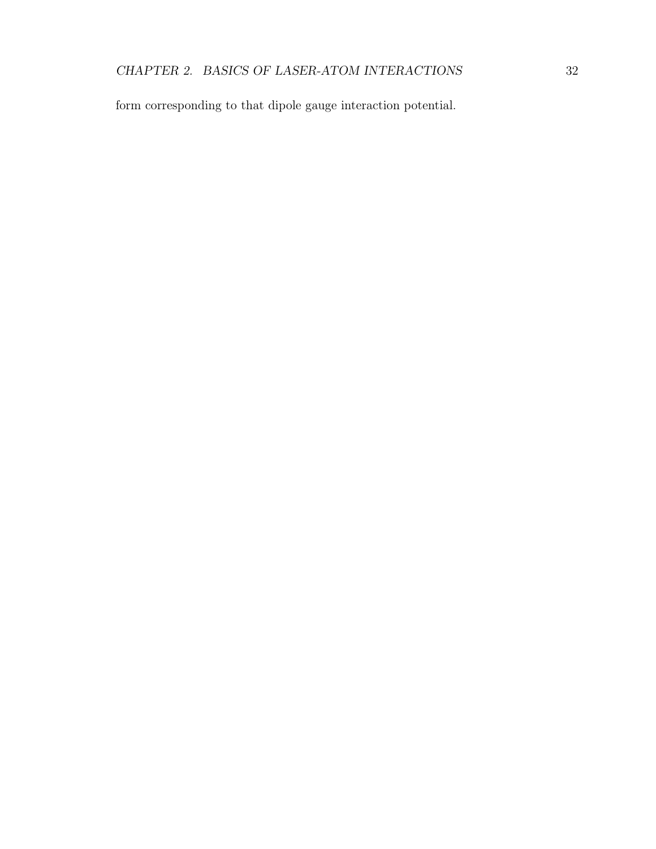form corresponding to that dipole gauge interaction potential.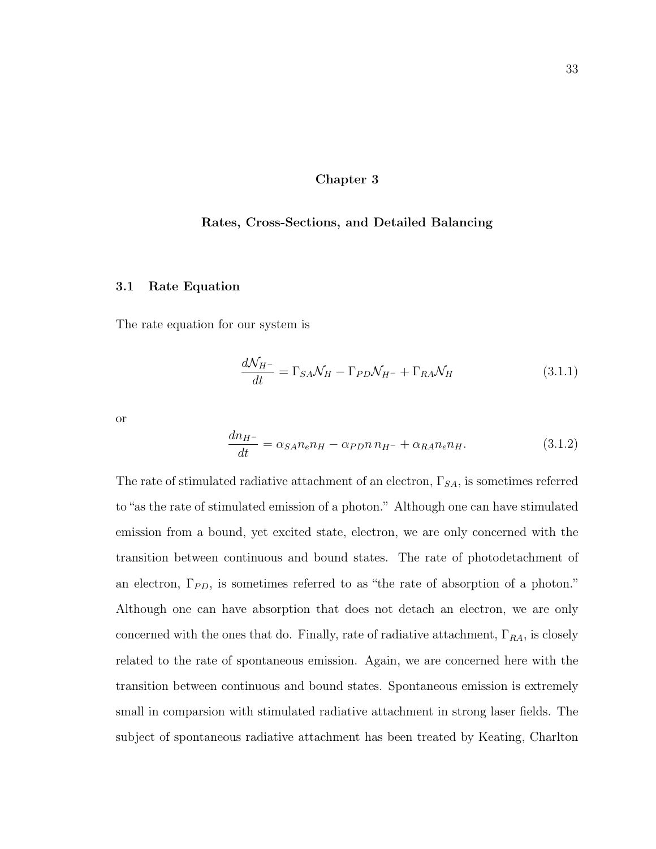### Chapter 3

### Rates, Cross-Sections, and Detailed Balancing

### 3.1 Rate Equation

The rate equation for our system is

$$
\frac{d\mathcal{N}_{H^{-}}}{dt} = \Gamma_{SA}\mathcal{N}_{H} - \Gamma_{PD}\mathcal{N}_{H^{-}} + \Gamma_{RA}\mathcal{N}_{H}
$$
\n(3.1.1)

or

$$
\frac{dn_{H^-}}{dt} = \alpha_{SA} n_e n_H - \alpha_{PD} n_{H^-} + \alpha_{RA} n_e n_H. \tag{3.1.2}
$$

The rate of stimulated radiative attachment of an electron,  $\Gamma_{SA}$ , is sometimes referred to "as the rate of stimulated emission of a photon." Although one can have stimulated emission from a bound, yet excited state, electron, we are only concerned with the transition between continuous and bound states. The rate of photodetachment of an electron,  $\Gamma_{PD}$ , is sometimes referred to as "the rate of absorption of a photon." Although one can have absorption that does not detach an electron, we are only concerned with the ones that do. Finally, rate of radiative attachment,  $\Gamma_{RA}$ , is closely related to the rate of spontaneous emission. Again, we are concerned here with the transition between continuous and bound states. Spontaneous emission is extremely small in comparsion with stimulated radiative attachment in strong laser fields. The subject of spontaneous radiative attachment has been treated by Keating, Charlton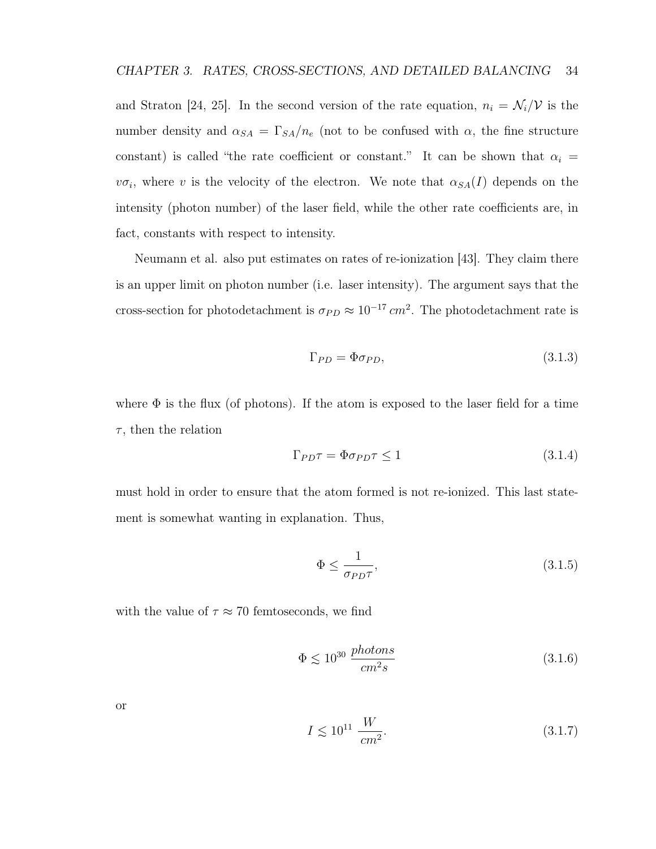and Straton [24, 25]. In the second version of the rate equation,  $n_i = \mathcal{N}_i/\mathcal{V}$  is the number density and  $\alpha_{SA} = \Gamma_{SA}/n_e$  (not to be confused with  $\alpha$ , the fine structure constant) is called "the rate coefficient or constant." It can be shown that  $\alpha_i =$  $v\sigma_i$ , where v is the velocity of the electron. We note that  $\alpha_{SA}(I)$  depends on the intensity (photon number) of the laser field, while the other rate coefficients are, in fact, constants with respect to intensity.

Neumann et al. also put estimates on rates of re-ionization [43]. They claim there is an upper limit on photon number (i.e. laser intensity). The argument says that the cross-section for photodetachment is  $\sigma_{PD} \approx 10^{-17} \, \text{cm}^2$ . The photodetachment rate is

$$
\Gamma_{PD} = \Phi \sigma_{PD},\tag{3.1.3}
$$

where  $\Phi$  is the flux (of photons). If the atom is exposed to the laser field for a time  $\tau$ , then the relation

$$
\Gamma_{PD}\tau = \Phi \sigma_{PD}\tau \le 1\tag{3.1.4}
$$

must hold in order to ensure that the atom formed is not re-ionized. This last statement is somewhat wanting in explanation. Thus,

$$
\Phi \le \frac{1}{\sigma_{PD}\tau},\tag{3.1.5}
$$

with the value of  $\tau \approx 70$  femtoseconds, we find

$$
\Phi \lesssim 10^{30} \frac{photons}{cm^2 s} \tag{3.1.6}
$$

or

$$
I \le 10^{11} \frac{W}{cm^2}.\tag{3.1.7}
$$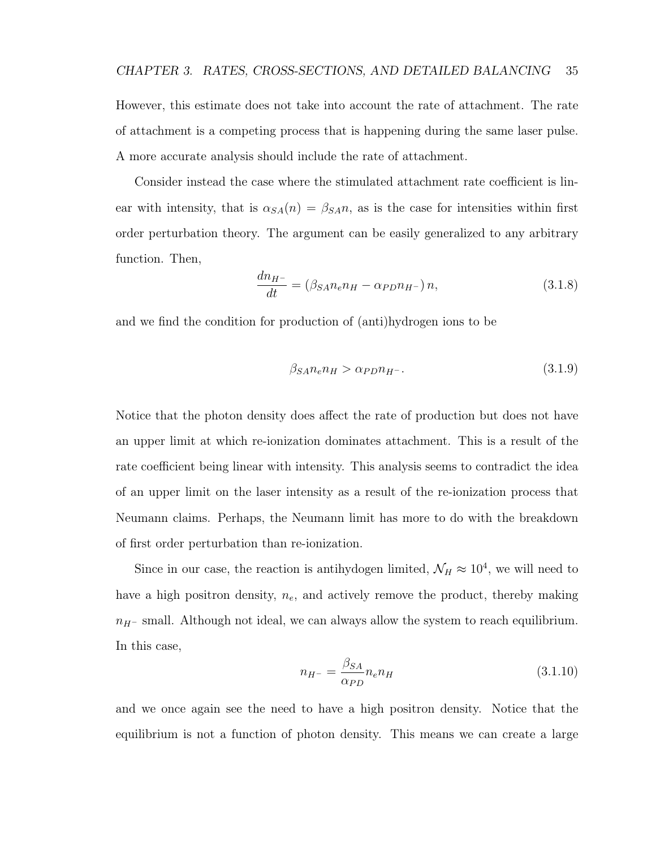However, this estimate does not take into account the rate of attachment. The rate of attachment is a competing process that is happening during the same laser pulse. A more accurate analysis should include the rate of attachment.

Consider instead the case where the stimulated attachment rate coefficient is linear with intensity, that is  $\alpha_{SA}(n) = \beta_{SA}n$ , as is the case for intensities within first order perturbation theory. The argument can be easily generalized to any arbitrary function. Then,

$$
\frac{dn_{H^{-}}}{dt} = \left(\beta_{SA} n_e n_H - \alpha_{PD} n_{H^{-}}\right) n,\tag{3.1.8}
$$

and we find the condition for production of (anti)hydrogen ions to be

$$
\beta_{SA} n_e n_H > \alpha_{PD} n_{H^-}.\tag{3.1.9}
$$

Notice that the photon density does affect the rate of production but does not have an upper limit at which re-ionization dominates attachment. This is a result of the rate coefficient being linear with intensity. This analysis seems to contradict the idea of an upper limit on the laser intensity as a result of the re-ionization process that Neumann claims. Perhaps, the Neumann limit has more to do with the breakdown of first order perturbation than re-ionization.

Since in our case, the reaction is antihydogen limited,  $\mathcal{N}_H \approx 10^4$ , we will need to have a high positron density,  $n_e$ , and actively remove the product, thereby making  $n_{H}$ – small. Although not ideal, we can always allow the system to reach equilibrium. In this case,

$$
n_{H^{-}} = \frac{\beta_{SA}}{\alpha_{PD}} n_e n_H \tag{3.1.10}
$$

and we once again see the need to have a high positron density. Notice that the equilibrium is not a function of photon density. This means we can create a large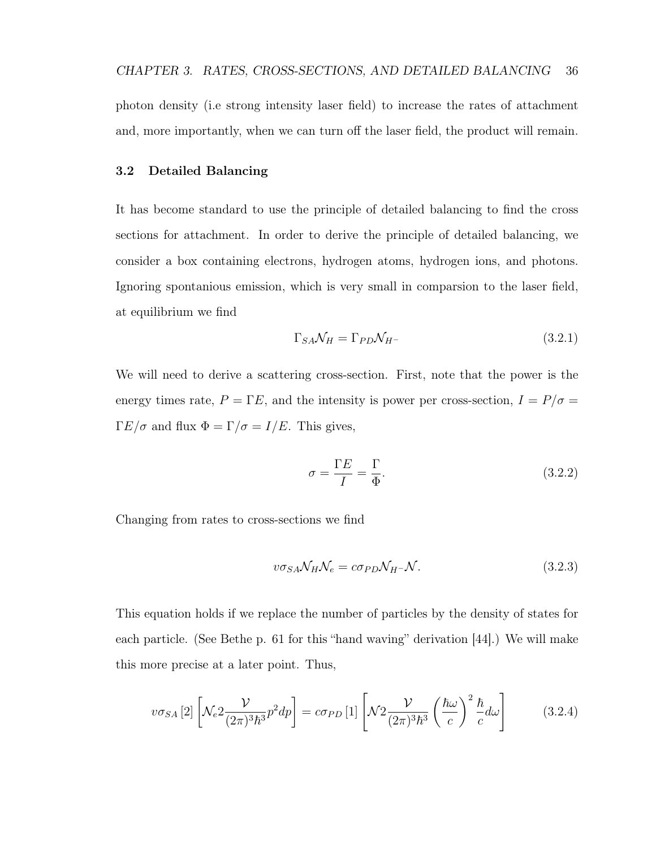photon density (i.e strong intensity laser field) to increase the rates of attachment and, more importantly, when we can turn off the laser field, the product will remain.

## 3.2 Detailed Balancing

It has become standard to use the principle of detailed balancing to find the cross sections for attachment. In order to derive the principle of detailed balancing, we consider a box containing electrons, hydrogen atoms, hydrogen ions, and photons. Ignoring spontanious emission, which is very small in comparsion to the laser field, at equilibrium we find

$$
\Gamma_{SA} \mathcal{N}_H = \Gamma_{PD} \mathcal{N}_{H^-} \tag{3.2.1}
$$

We will need to derive a scattering cross-section. First, note that the power is the energy times rate,  $P = \Gamma E$ , and the intensity is power per cross-section,  $I = P/\sigma =$  $\Gamma E/\sigma$  and flux  $\Phi = \Gamma/\sigma = I/E$ . This gives,

$$
\sigma = \frac{\Gamma E}{I} = \frac{\Gamma}{\Phi}.\tag{3.2.2}
$$

Changing from rates to cross-sections we find

$$
v\sigma_{SA}\mathcal{N}_H\mathcal{N}_e = c\sigma_{PD}\mathcal{N}_H - \mathcal{N}.\tag{3.2.3}
$$

This equation holds if we replace the number of particles by the density of states for each particle. (See Bethe p. 61 for this "hand waving" derivation [44].) We will make this more precise at a later point. Thus,

$$
v\sigma_{SA}[2]\left[\mathcal{N}_e 2\frac{\mathcal{V}}{(2\pi)^3\hbar^3}p^2dp\right] = c\sigma_{PD}[1]\left[\mathcal{N} 2\frac{\mathcal{V}}{(2\pi)^3\hbar^3}\left(\frac{\hbar\omega}{c}\right)^2\frac{\hbar}{c}d\omega\right] \tag{3.2.4}
$$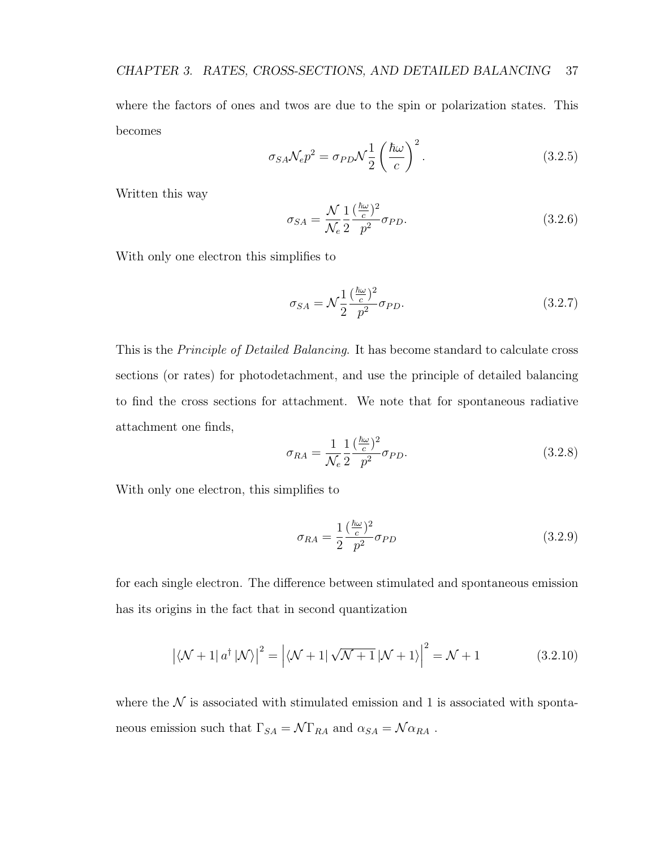where the factors of ones and twos are due to the spin or polarization states. This becomes

$$
\sigma_{SA} \mathcal{N}_e p^2 = \sigma_{PD} \mathcal{N} \frac{1}{2} \left( \frac{\hbar \omega}{c} \right)^2.
$$
 (3.2.5)

Written this way

$$
\sigma_{SA} = \frac{\mathcal{N}}{\mathcal{N}_e} \frac{1}{2} \frac{(\frac{\hbar \omega}{c})^2}{p^2} \sigma_{PD}.
$$
\n(3.2.6)

With only one electron this simplifies to

$$
\sigma_{SA} = \mathcal{N}\frac{1}{2}\frac{(\frac{\hbar\omega}{c})^2}{p^2}\sigma_{PD}.\tag{3.2.7}
$$

This is the *Principle of Detailed Balancing*. It has become standard to calculate cross sections (or rates) for photodetachment, and use the principle of detailed balancing to find the cross sections for attachment. We note that for spontaneous radiative attachment one finds,

$$
\sigma_{RA} = \frac{1}{\mathcal{N}_e} \frac{1}{2} \frac{\left(\frac{\hbar \omega}{c}\right)^2}{p^2} \sigma_{PD}.
$$
\n(3.2.8)

With only one electron, this simplifies to

$$
\sigma_{RA} = \frac{1}{2} \frac{(\frac{\hbar \omega}{c})^2}{p^2} \sigma_{PD}
$$
\n(3.2.9)

for each single electron. The difference between stimulated and spontaneous emission has its origins in the fact that in second quantization

$$
\left| \langle \mathcal{N} + 1 | a^{\dagger} | \mathcal{N} \rangle \right|^2 = \left| \langle \mathcal{N} + 1 | \sqrt{\mathcal{N} + 1} | \mathcal{N} + 1 \rangle \right|^2 = \mathcal{N} + 1 \tag{3.2.10}
$$

where the  $\mathcal N$  is associated with stimulated emission and 1 is associated with spontaneous emission such that  $\Gamma_{SA} = \mathcal{N} \Gamma_{RA}$  and  $\alpha_{SA} = \mathcal{N} \alpha_{RA}$ .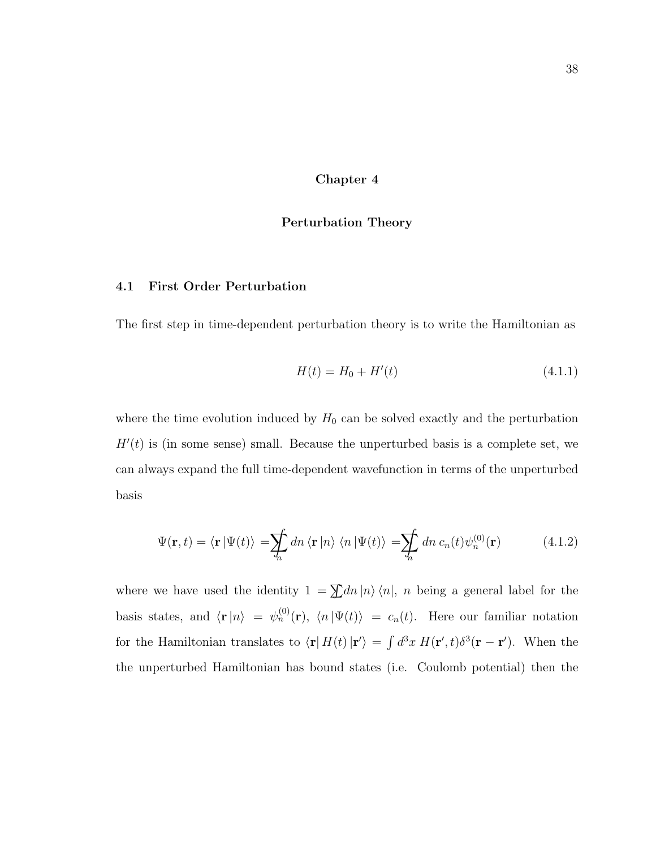Chapter 4

### Perturbation Theory

### 4.1 First Order Perturbation

The first step in time-dependent perturbation theory is to write the Hamiltonian as

$$
H(t) = H_0 + H'(t)
$$
\n(4.1.1)

where the time evolution induced by  $H_0$  can be solved exactly and the perturbation  $H'(t)$  is (in some sense) small. Because the unperturbed basis is a complete set, we can always expand the full time-dependent wavefunction in terms of the unperturbed basis

$$
\Psi(\mathbf{r},t) = \langle \mathbf{r} | \Psi(t) \rangle = \sum_{n} dn \langle \mathbf{r} | n \rangle \langle n | \Psi(t) \rangle = \sum_{n} dn \, c_n(t) \psi_n^{(0)}(\mathbf{r}) \tag{4.1.2}
$$

where we have used the identity  $1 = \sum dn |n\rangle \langle n|$ , n being a general label for the basis states, and  $\langle \mathbf{r} | n \rangle = \psi_n^{(0)}(\mathbf{r}), \langle n | \Psi(t) \rangle = c_n(t)$ . Here our familiar notation for the Hamiltonian translates to  $\langle \mathbf{r} | H(t) | \mathbf{r}' \rangle = \int d^3x \, H(\mathbf{r}', t) \delta^3(\mathbf{r} - \mathbf{r}')$ . When the the unperturbed Hamiltonian has bound states (i.e. Coulomb potential) then the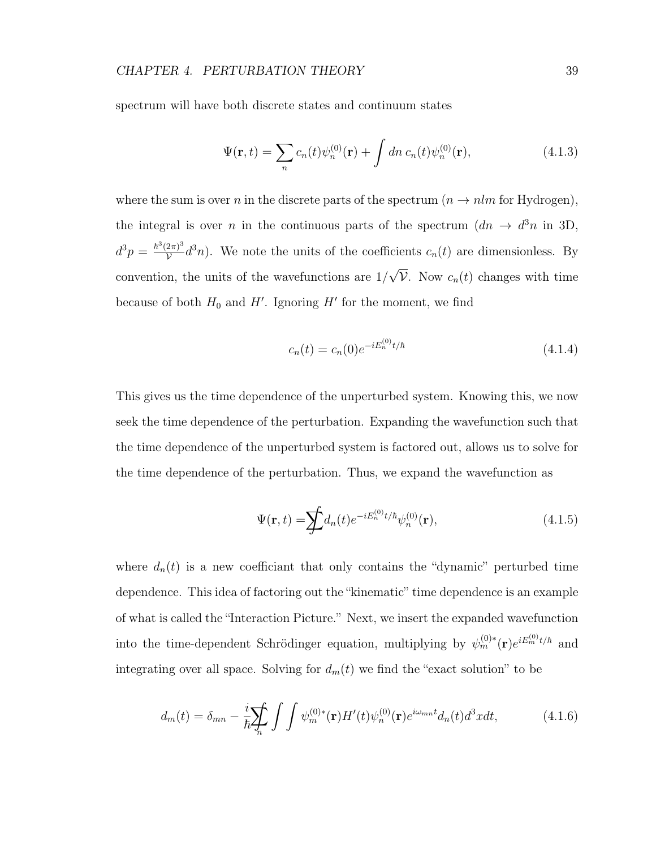spectrum will have both discrete states and continuum states

$$
\Psi(\mathbf{r},t) = \sum_{n} c_n(t) \psi_n^{(0)}(\mathbf{r}) + \int dn \, c_n(t) \psi_n^{(0)}(\mathbf{r}), \tag{4.1.3}
$$

where the sum is over n in the discrete parts of the spectrum  $(n \rightarrow n \text{ln} \text{ for Hydrogen}),$ the integral is over *n* in the continuous parts of the spectrum  $(dn \rightarrow d^3n$  in 3D,  $d^3p = \frac{\hbar^3(2\pi)^3}{v}$  $\frac{(2\pi)^3}{\mathcal{V}}d^3n$ . We note the units of the coefficients  $c_n(t)$  are dimensionless. By convention, the units of the wavefunctions are 1/ √  $\mathcal V$ . Now  $c_n(t)$  changes with time because of both  $H_0$  and  $H'$ . Ignoring  $H'$  for the moment, we find

$$
c_n(t) = c_n(0)e^{-iE_n^{(0)}t/\hbar}
$$
\n(4.1.4)

This gives us the time dependence of the unperturbed system. Knowing this, we now seek the time dependence of the perturbation. Expanding the wavefunction such that the time dependence of the unperturbed system is factored out, allows us to solve for the time dependence of the perturbation. Thus, we expand the wavefunction as

$$
\Psi(\mathbf{r},t) = \sum f d_n(t) e^{-iE_n^{(0)}t/\hbar} \psi_n^{(0)}(\mathbf{r}),\tag{4.1.5}
$$

where  $d_n(t)$  is a new coefficiant that only contains the "dynamic" perturbed time dependence. This idea of factoring out the "kinematic" time dependence is an example of what is called the "Interaction Picture." Next, we insert the expanded wavefunction into the time-dependent Schrödinger equation, multiplying by  $\psi_m^{(0)*}(\mathbf{r})e^{iE_m^{(0)}t/\hbar}$  and integrating over all space. Solving for  $d_m(t)$  we find the "exact solution" to be

$$
d_m(t) = \delta_{mn} - \frac{i}{\hbar} \sum_n \int \int \psi_m^{(0)*}(\mathbf{r}) H'(t) \psi_n^{(0)}(\mathbf{r}) e^{i\omega_{mn}t} d_n(t) d^3x dt,
$$
 (4.1.6)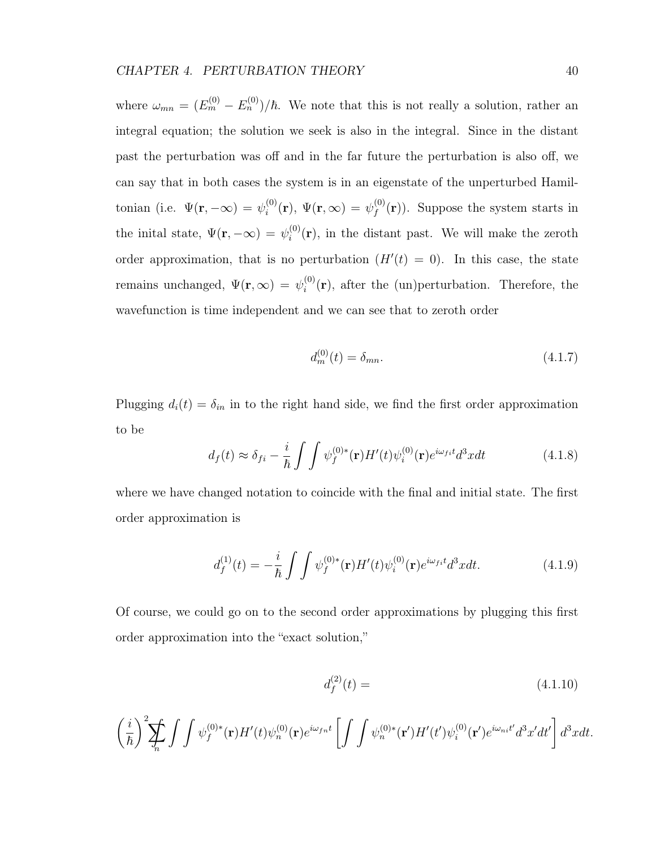where  $\omega_{mn} = (E_m^{(0)} - E_n^{(0)})/\hbar$ . We note that this is not really a solution, rather an integral equation; the solution we seek is also in the integral. Since in the distant past the perturbation was off and in the far future the perturbation is also off, we can say that in both cases the system is in an eigenstate of the unperturbed Hamiltonian (i.e.  $\Psi(\mathbf{r}, -\infty) = \psi_i^{(0)}$  $\stackrel{(0)}{i}(\mathbf{r}),\ \Psi(\mathbf{r},\infty)\,=\,\psi_f^{(0)}$  $f_f^{(0)}(\mathbf{r})$ . Suppose the system starts in the inital state,  $\Psi(\mathbf{r}, -\infty) = \psi_i^{(0)}$  $i^{(0)}(r)$ , in the distant past. We will make the zeroth order approximation, that is no perturbation  $(H'(t) = 0)$ . In this case, the state remains unchanged,  $\Psi(\mathbf{r}, \infty) = \psi_i^{(0)}$  $i^{(0)}(r)$ , after the (un)perturbation. Therefore, the wavefunction is time independent and we can see that to zeroth order

$$
d_m^{(0)}(t) = \delta_{mn}.\tag{4.1.7}
$$

Plugging  $d_i(t) = \delta_{in}$  in to the right hand side, we find the first order approximation to be

$$
d_f(t) \approx \delta_{fi} - \frac{i}{\hbar} \int \int \psi_f^{(0)*}(\mathbf{r}) H'(t) \psi_i^{(0)}(\mathbf{r}) e^{i\omega_{fi}t} d^3x dt \qquad (4.1.8)
$$

where we have changed notation to coincide with the final and initial state. The first order approximation is

$$
d_f^{(1)}(t) = -\frac{i}{\hbar} \int \int \psi_f^{(0)*}(\mathbf{r}) H'(t) \psi_i^{(0)}(\mathbf{r}) e^{i\omega_{fi}t} d^3x dt.
$$
 (4.1.9)

Of course, we could go on to the second order approximations by plugging this first order approximation into the "exact solution,"

$$
d_f^{(2)}(t) = (4.1.10)
$$

$$
\left(\frac{i}{\hbar}\right)^2 \sum_{n} \int \int \psi_f^{(0)*}(\mathbf{r}) H'(t) \psi_n^{(0)}(\mathbf{r}) e^{i\omega_{fn}t} \left[ \int \int \psi_n^{(0)*}(\mathbf{r}') H'(t') \psi_i^{(0)}(\mathbf{r}') e^{i\omega_{ni}t'} d^3x' dt' \right] d^3x dt.
$$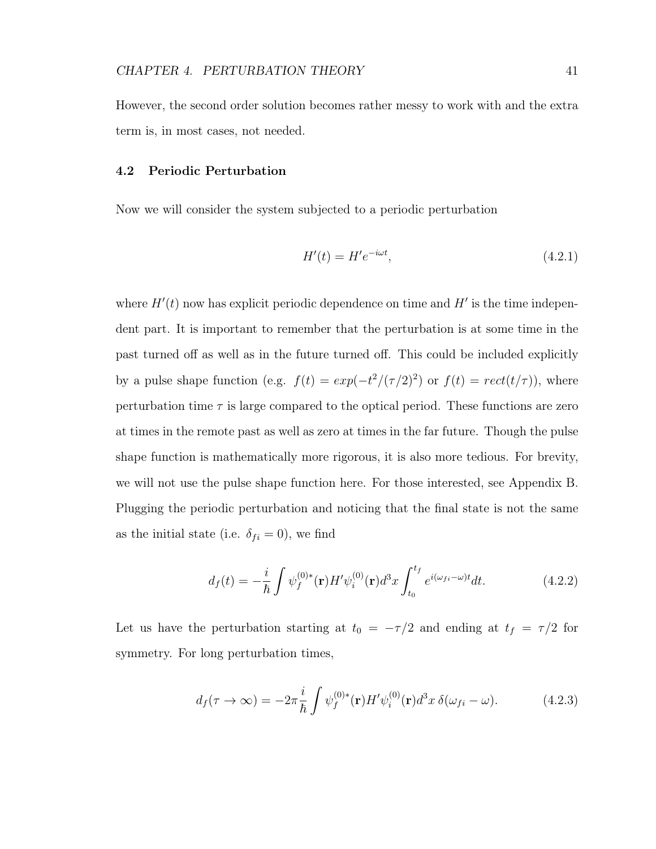However, the second order solution becomes rather messy to work with and the extra term is, in most cases, not needed.

## 4.2 Periodic Perturbation

Now we will consider the system subjected to a periodic perturbation

$$
H'(t) = H'e^{-i\omega t},\tag{4.2.1}
$$

where  $H'(t)$  now has explicit periodic dependence on time and  $H'$  is the time independent part. It is important to remember that the perturbation is at some time in the past turned off as well as in the future turned off. This could be included explicitly by a pulse shape function (e.g.  $f(t) = exp(-t^2/(\tau/2)^2)$  or  $f(t) = rect(t/\tau)$ ), where perturbation time  $\tau$  is large compared to the optical period. These functions are zero at times in the remote past as well as zero at times in the far future. Though the pulse shape function is mathematically more rigorous, it is also more tedious. For brevity, we will not use the pulse shape function here. For those interested, see Appendix B. Plugging the periodic perturbation and noticing that the final state is not the same as the initial state (i.e.  $\delta_{fi} = 0$ ), we find

$$
d_f(t) = -\frac{i}{\hbar} \int \psi_f^{(0)*}(\mathbf{r}) H' \psi_i^{(0)}(\mathbf{r}) d^3 x \int_{t_0}^{t_f} e^{i(\omega_{fi} - \omega)t} dt.
$$
 (4.2.2)

Let us have the perturbation starting at  $t_0 = -\tau/2$  and ending at  $t_f = \tau/2$  for symmetry. For long perturbation times,

$$
d_f(\tau \to \infty) = -2\pi \frac{i}{\hbar} \int \psi_f^{(0)*}(\mathbf{r}) H' \psi_i^{(0)}(\mathbf{r}) d^3 x \, \delta(\omega_{fi} - \omega). \tag{4.2.3}
$$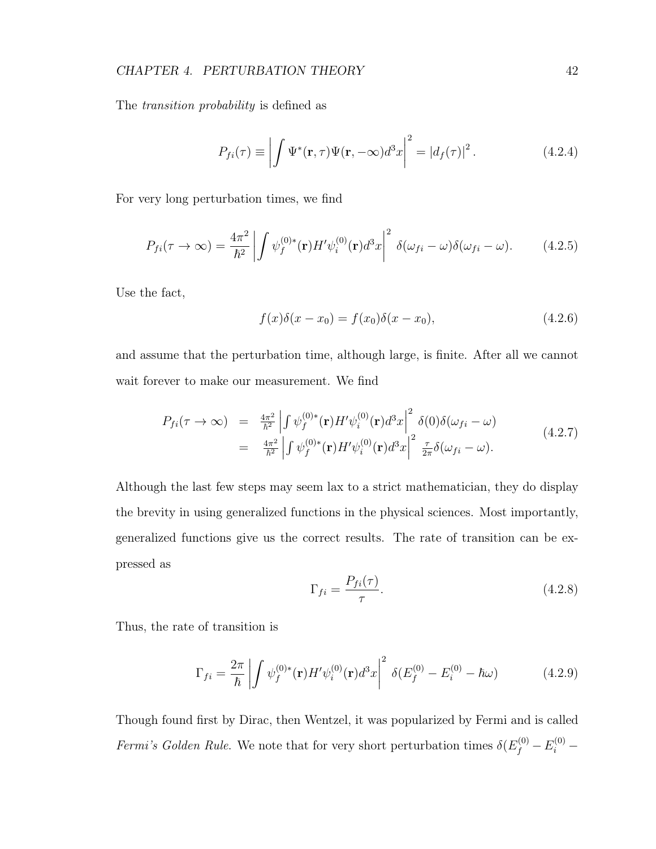# CHAPTER 4. PERTURBATION THEORY 42

The transition probability is defined as

$$
P_{fi}(\tau) \equiv \left| \int \Psi^*(\mathbf{r}, \tau) \Psi(\mathbf{r}, -\infty) d^3x \right|^2 = |d_f(\tau)|^2.
$$
 (4.2.4)

For very long perturbation times, we find

$$
P_{fi}(\tau \to \infty) = \frac{4\pi^2}{\hbar^2} \left| \int \psi_f^{(0)*}(\mathbf{r}) H' \psi_i^{(0)}(\mathbf{r}) d^3x \right|^2 \delta(\omega_{fi} - \omega) \delta(\omega_{fi} - \omega). \tag{4.2.5}
$$

Use the fact,

$$
f(x)\delta(x - x_0) = f(x_0)\delta(x - x_0),
$$
\n(4.2.6)

and assume that the perturbation time, although large, is finite. After all we cannot wait forever to make our measurement. We find

$$
P_{fi}(\tau \to \infty) = \frac{4\pi^2}{\hbar^2} \left| \int \psi_f^{(0)*}(\mathbf{r}) H' \psi_i^{(0)}(\mathbf{r}) d^3 x \right|^2 \delta(0) \delta(\omega_{fi} - \omega) = \frac{4\pi^2}{\hbar^2} \left| \int \psi_f^{(0)*}(\mathbf{r}) H' \psi_i^{(0)}(\mathbf{r}) d^3 x \right|^2 \frac{\tau}{2\pi} \delta(\omega_{fi} - \omega).
$$
(4.2.7)

Although the last few steps may seem lax to a strict mathematician, they do display the brevity in using generalized functions in the physical sciences. Most importantly, generalized functions give us the correct results. The rate of transition can be expressed as

$$
\Gamma_{fi} = \frac{P_{fi}(\tau)}{\tau}.
$$
\n(4.2.8)

Thus, the rate of transition is

$$
\Gamma_{fi} = \frac{2\pi}{\hbar} \left| \int \psi_f^{(0)*}(\mathbf{r}) H' \psi_i^{(0)}(\mathbf{r}) d^3 x \right|^2 \delta(E_f^{(0)} - E_i^{(0)} - \hbar \omega) \tag{4.2.9}
$$

Though found first by Dirac, then Wentzel, it was popularized by Fermi and is called Fermi's Golden Rule. We note that for very short perturbation times  $\delta(E_f^{(0)} - E_i^{(0)} -$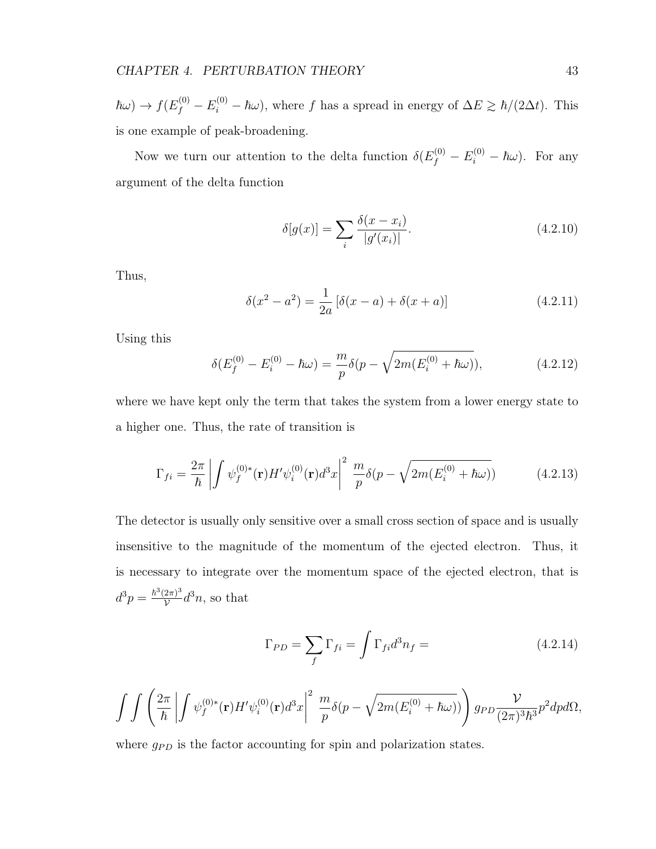$\hbar\omega$ )  $\to f(E_f^{(0)} - E_i^{(0)} - \hbar\omega)$ , where f has a spread in energy of  $\Delta E \ge \hbar/(2\Delta t)$ . This is one example of peak-broadening.

Now we turn our attention to the delta function  $\delta(E_f^{(0)} - E_i^{(0)} - \hbar \omega)$ . For any argument of the delta function

$$
\delta[g(x)] = \sum_{i} \frac{\delta(x - x_i)}{|g'(x_i)|}.
$$
\n(4.2.10)

Thus,

$$
\delta(x^2 - a^2) = \frac{1}{2a} [\delta(x - a) + \delta(x + a)] \tag{4.2.11}
$$

Using this

$$
\delta(E_f^{(0)} - E_i^{(0)} - \hbar\omega) = \frac{m}{p}\delta(p - \sqrt{2m(E_i^{(0)} + \hbar\omega)}),
$$
\n(4.2.12)

where we have kept only the term that takes the system from a lower energy state to a higher one. Thus, the rate of transition is

$$
\Gamma_{fi} = \frac{2\pi}{\hbar} \left| \int \psi_f^{(0)*}(\mathbf{r}) H' \psi_i^{(0)}(\mathbf{r}) d^3 x \right|^2 \frac{m}{p} \delta(p - \sqrt{2m(E_i^{(0)} + \hbar \omega)}) \tag{4.2.13}
$$

The detector is usually only sensitive over a small cross section of space and is usually insensitive to the magnitude of the momentum of the ejected electron. Thus, it is necessary to integrate over the momentum space of the ejected electron, that is  $d^3p = \frac{\hbar^3(2\pi)^3}{v}$  $\frac{2\pi)^3}{\mathcal{V}}d^3n$ , so that

$$
\Gamma_{PD} = \sum_{f} \Gamma_{fi} = \int \Gamma_{fi} d^3 n_f = \tag{4.2.14}
$$

$$
\int\int\left(\frac{2\pi}{\hbar}\left|\int\psi_{f}^{(0)*}(\mathbf{r})H'\psi_{i}^{(0)}(\mathbf{r})d^{3}x\right|^{2}\frac{m}{p}\delta(p-\sqrt{2m(E_{i}^{(0)}+\hbar\omega)})\right)g_{PD}\frac{\mathcal{V}}{(2\pi)^{3}\hbar^{3}}p^{2}dpd\Omega,
$$

where  $g_{PD}$  is the factor accounting for spin and polarization states.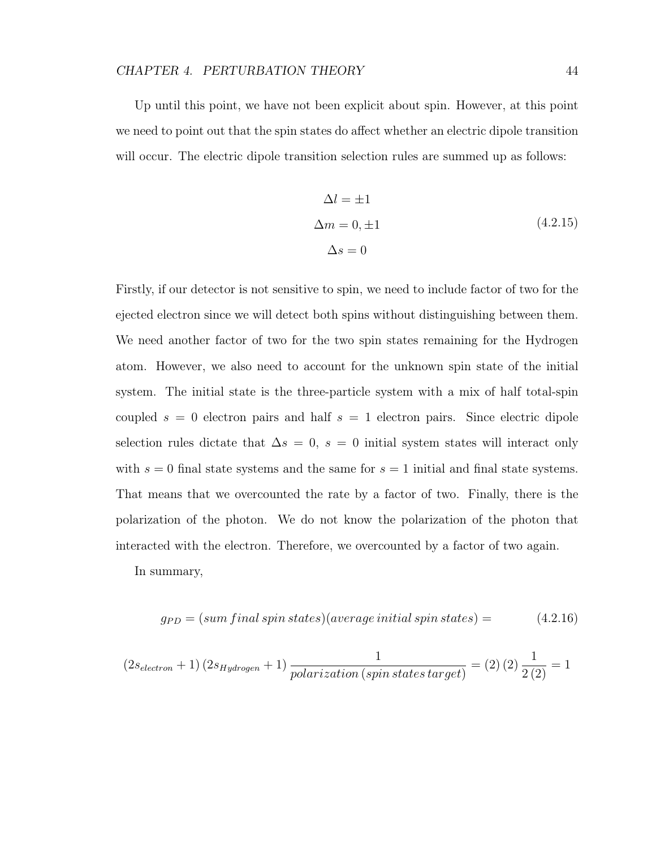Up until this point, we have not been explicit about spin. However, at this point we need to point out that the spin states do affect whether an electric dipole transition will occur. The electric dipole transition selection rules are summed up as follows:

$$
\Delta l = \pm 1
$$
  
\n
$$
\Delta m = 0, \pm 1
$$
  
\n
$$
\Delta s = 0
$$
\n(4.2.15)

Firstly, if our detector is not sensitive to spin, we need to include factor of two for the ejected electron since we will detect both spins without distinguishing between them. We need another factor of two for the two spin states remaining for the Hydrogen atom. However, we also need to account for the unknown spin state of the initial system. The initial state is the three-particle system with a mix of half total-spin coupled  $s = 0$  electron pairs and half  $s = 1$  electron pairs. Since electric dipole selection rules dictate that  $\Delta s = 0$ ,  $s = 0$  initial system states will interact only with  $s = 0$  final state systems and the same for  $s = 1$  initial and final state systems. That means that we overcounted the rate by a factor of two. Finally, there is the polarization of the photon. We do not know the polarization of the photon that interacted with the electron. Therefore, we overcounted by a factor of two again.

In summary,

$$
g_{PD} = (sum final \, spins \, states)(average \, initial \, spin \, states) = \qquad \qquad (4.2.16)
$$

$$
(2s_{electron}+1) (2s_{Hydrogen}+1) \frac{1}{polarization (spin states target)} = (2) (2) \frac{1}{2 (2)} = 1
$$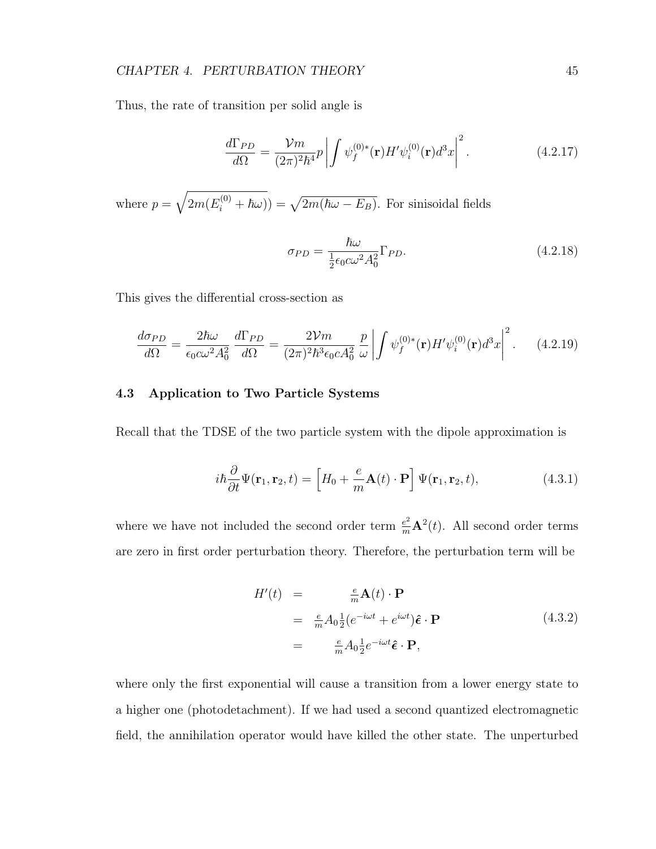### CHAPTER 4. PERTURBATION THEORY 45

Thus, the rate of transition per solid angle is

$$
\frac{d\Gamma_{PD}}{d\Omega} = \frac{\mathcal{V}m}{(2\pi)^2\hbar^4}p \left| \int \psi_f^{(0)*}(\mathbf{r})H'\psi_i^{(0)}(\mathbf{r})d^3x \right|^2.
$$
 (4.2.17)

where  $p = \sqrt{2m(E_i^{(0)} + \hbar\omega)} = \sqrt{2m(\hbar\omega - E_B)}$ . For sinisoidal fields

$$
\sigma_{PD} = \frac{\hbar\omega}{\frac{1}{2}\epsilon_0 c\omega^2 A_0^2} \Gamma_{PD}.
$$
\n(4.2.18)

This gives the differential cross-section as

$$
\frac{d\sigma_{PD}}{d\Omega} = \frac{2\hbar\omega}{\epsilon_0 c\omega^2 A_0^2} \frac{d\Gamma_{PD}}{d\Omega} = \frac{2\mathcal{V}m}{(2\pi)^2 \hbar^3 \epsilon_0 c A_0^2} \frac{p}{\omega} \left| \int \psi_f^{(0)*}(\mathbf{r}) H' \psi_i^{(0)}(\mathbf{r}) d^3x \right|^2. \tag{4.2.19}
$$

### 4.3 Application to Two Particle Systems

Recall that the TDSE of the two particle system with the dipole approximation is

$$
i\hbar \frac{\partial}{\partial t} \Psi(\mathbf{r}_1, \mathbf{r}_2, t) = \left[ H_0 + \frac{e}{m} \mathbf{A}(t) \cdot \mathbf{P} \right] \Psi(\mathbf{r}_1, \mathbf{r}_2, t), \tag{4.3.1}
$$

where we have not included the second order term  $\frac{e^2}{m}\mathbf{A}^2(t)$ . All second order terms are zero in first order perturbation theory. Therefore, the perturbation term will be

$$
H'(t) = \frac{e}{m} \mathbf{A}(t) \cdot \mathbf{P}
$$
  
=  $\frac{e}{m} A_0 \frac{1}{2} (e^{-i\omega t} + e^{i\omega t}) \hat{\boldsymbol{\epsilon}} \cdot \mathbf{P}$   
=  $\frac{e}{m} A_0 \frac{1}{2} e^{-i\omega t} \hat{\boldsymbol{\epsilon}} \cdot \mathbf{P},$  (4.3.2)

where only the first exponential will cause a transition from a lower energy state to a higher one (photodetachment). If we had used a second quantized electromagnetic field, the annihilation operator would have killed the other state. The unperturbed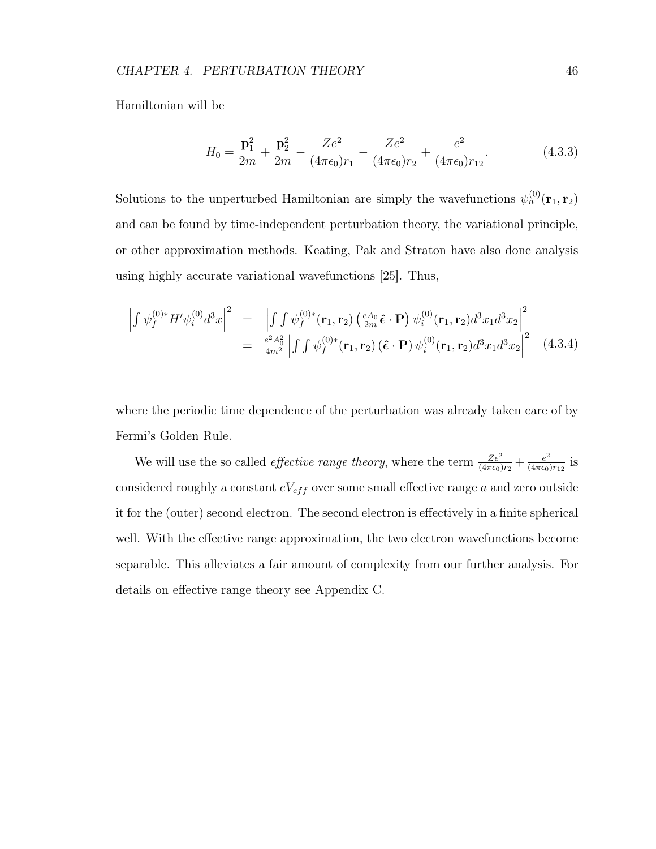Hamiltonian will be

$$
H_0 = \frac{\mathbf{p}_1^2}{2m} + \frac{\mathbf{p}_2^2}{2m} - \frac{Ze^2}{(4\pi\epsilon_0)r_1} - \frac{Ze^2}{(4\pi\epsilon_0)r_2} + \frac{e^2}{(4\pi\epsilon_0)r_{12}}.
$$
(4.3.3)

Solutions to the unperturbed Hamiltonian are simply the wavefunctions  $\psi_n^{(0)}(\mathbf{r}_1, \mathbf{r}_2)$ and can be found by time-independent perturbation theory, the variational principle, or other approximation methods. Keating, Pak and Straton have also done analysis using highly accurate variational wavefunctions [25]. Thus,

$$
\left| \int \psi_f^{(0)*} H' \psi_i^{(0)} d^3 x \right|^2 = \left| \int \int \psi_f^{(0)*} (\mathbf{r}_1, \mathbf{r}_2) \left( \frac{eA_0}{2m} \hat{\boldsymbol{\epsilon}} \cdot \mathbf{P} \right) \psi_i^{(0)} (\mathbf{r}_1, \mathbf{r}_2) d^3 x_1 d^3 x_2 \right|^2
$$
  
= 
$$
\frac{e^2 A_0^2}{4m^2} \left| \int \int \psi_f^{(0)*} (\mathbf{r}_1, \mathbf{r}_2) (\hat{\boldsymbol{\epsilon}} \cdot \mathbf{P}) \psi_i^{(0)} (\mathbf{r}_1, \mathbf{r}_2) d^3 x_1 d^3 x_2 \right|^2
$$
(4.3.4)

where the periodic time dependence of the perturbation was already taken care of by Fermi's Golden Rule.

We will use the so called *effective range theory*, where the term  $\frac{Ze^2}{(4\pi\epsilon_0)r_2} + \frac{e^2}{(4\pi\epsilon_0)}$  $\frac{e^2}{(4\pi\epsilon_0)r_{12}}$  is considered roughly a constant  $eV_{eff}$  over some small effective range a and zero outside it for the (outer) second electron. The second electron is effectively in a finite spherical well. With the effective range approximation, the two electron wavefunctions become separable. This alleviates a fair amount of complexity from our further analysis. For details on effective range theory see Appendix C.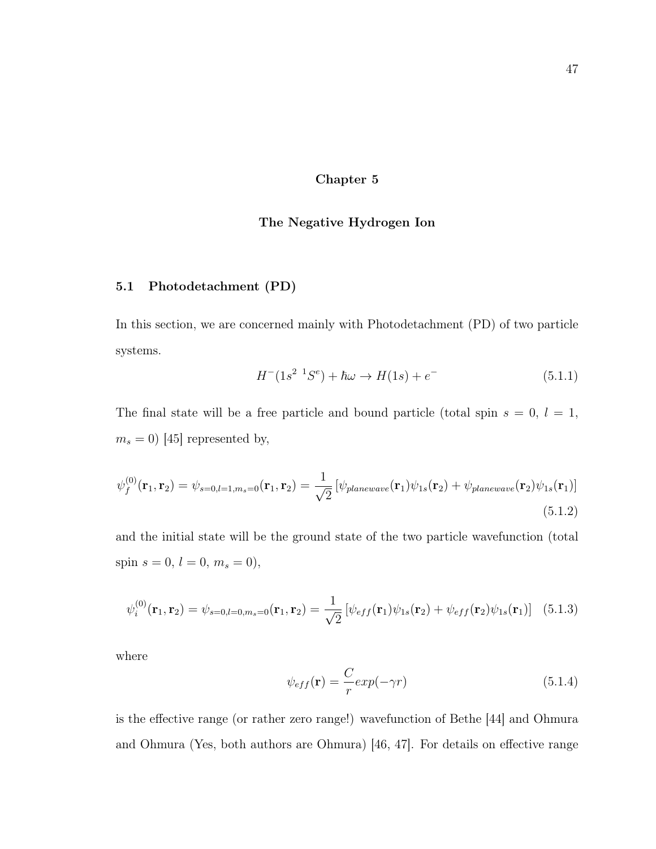### Chapter 5

### The Negative Hydrogen Ion

### 5.1 Photodetachment (PD)

In this section, we are concerned mainly with Photodetachment (PD) of two particle systems.

$$
H^{-}(1s^{2} {}^{1}S^{e}) + \hbar \omega \to H(1s) + e^{-}
$$
\n(5.1.1)

The final state will be a free particle and bound particle (total spin  $s = 0, l = 1$ ,  $m_s = 0$ ) [45] represented by,

$$
\psi_f^{(0)}(\mathbf{r}_1, \mathbf{r}_2) = \psi_{s=0,l=1,m_s=0}(\mathbf{r}_1, \mathbf{r}_2) = \frac{1}{\sqrt{2}} \left[ \psi_{plane wave}(\mathbf{r}_1) \psi_{1s}(\mathbf{r}_2) + \psi_{plane wave}(\mathbf{r}_2) \psi_{1s}(\mathbf{r}_1) \right]
$$
(5.1.2)

and the initial state will be the ground state of the two particle wavefunction (total spin  $s = 0, l = 0, m_s = 0$ ,

$$
\psi_i^{(0)}(\mathbf{r}_1, \mathbf{r}_2) = \psi_{s=0, l=0, m_s=0}(\mathbf{r}_1, \mathbf{r}_2) = \frac{1}{\sqrt{2}} \left[ \psi_{eff}(\mathbf{r}_1) \psi_{1s}(\mathbf{r}_2) + \psi_{eff}(\mathbf{r}_2) \psi_{1s}(\mathbf{r}_1) \right] (5.1.3)
$$

where

$$
\psi_{eff}(\mathbf{r}) = \frac{C}{r} exp(-\gamma r) \tag{5.1.4}
$$

is the effective range (or rather zero range!) wavefunction of Bethe [44] and Ohmura and Ohmura (Yes, both authors are Ohmura) [46, 47]. For details on effective range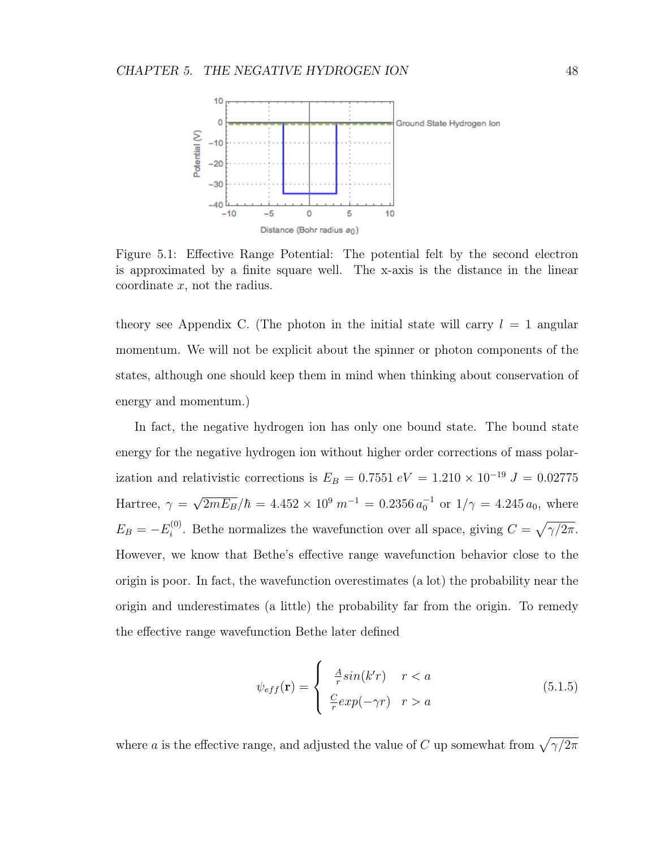

Figure 5.1: Effective Range Potential: The potential felt by the second electron is approximated by a finite square well. The x-axis is the distance in the linear coordinate  $x$ , not the radius.

theory see Appendix C. (The photon in the initial state will carry  $l = 1$  angular momentum. We will not be explicit about the spinner or photon components of the states, although one should keep them in mind when thinking about conservation of energy and momentum.)

In fact, the negative hydrogen ion has only one bound state. The bound state energy for the negative hydrogen ion without higher order corrections of mass polarization and relativistic corrections is  $E_B = 0.7551 \text{ eV} = 1.210 \times 10^{-19} \text{ J} = 0.02775$ Hartree,  $\gamma =$  $\sqrt{2mE_B}/\hbar = 4.452 \times 10^9 \; m^{-1} = 0.2356 \, a_0^{-1} \text{ or } 1/\gamma = 4.245 \, a_0, \text{ where}$  $E_B = -E_i^{(0)}$ <sup>(0)</sup>. Bethe normalizes the wavefunction over all space, giving  $C = \sqrt{\gamma/2\pi}$ . However, we know that Bethe's effective range wavefunction behavior close to the origin is poor. In fact, the wavefunction overestimates (a lot) the probability near the origin and underestimates (a little) the probability far from the origin. To remedy the effective range wavefunction Bethe later defined

$$
\psi_{eff}(\mathbf{r}) = \begin{cases} \frac{A}{r} sin(k'r) & r < a \\ \frac{C}{r} exp(-\gamma r) & r > a \end{cases}
$$
(5.1.5)

where a is the effective range, and adjusted the value of C up somewhat from  $\sqrt{\gamma/2\pi}$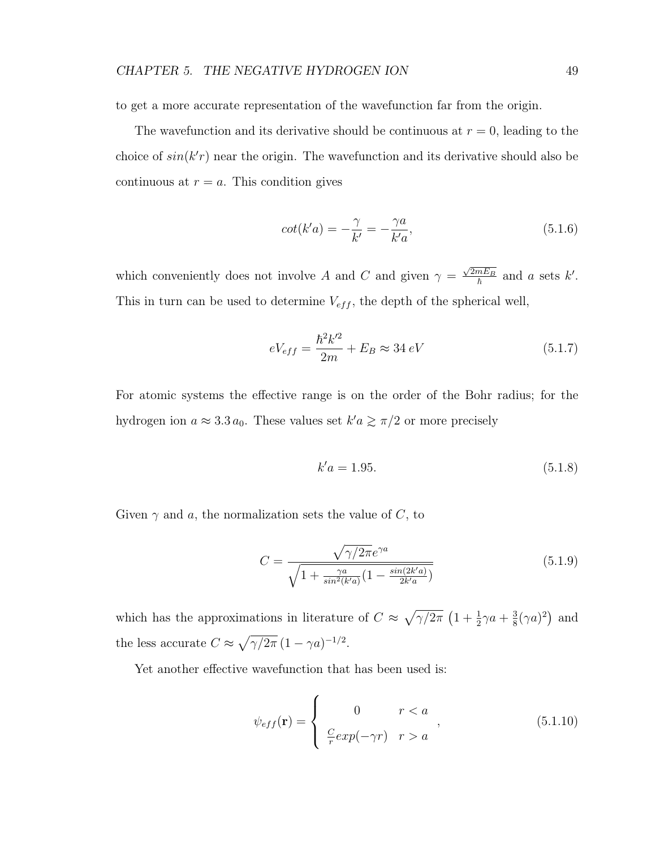to get a more accurate representation of the wavefunction far from the origin.

The wavefunction and its derivative should be continuous at  $r = 0$ , leading to the choice of  $sin(k'r)$  near the origin. The wavefunction and its derivative should also be continuous at  $r = a$ . This condition gives

$$
cot(k'a) = -\frac{\gamma}{k'} = -\frac{\gamma a}{k'a},\tag{5.1.6}
$$

which conveniently does not involve A and C and given  $\gamma =$  $\frac{\sqrt{2mE_B}}{\hbar}$  and a sets k'. This in turn can be used to determine  $V_{eff}$ , the depth of the spherical well,

$$
eV_{eff} = \frac{\hbar^2 k'^2}{2m} + E_B \approx 34 \, eV \tag{5.1.7}
$$

For atomic systems the effective range is on the order of the Bohr radius; for the hydrogen ion  $a \approx 3.3 a_0$ . These values set  $k'a \ge \pi/2$  or more precisely

$$
k'a = 1.95.\t(5.1.8)
$$

Given  $\gamma$  and a, the normalization sets the value of C, to

$$
C = \frac{\sqrt{\gamma/2\pi}e^{\gamma a}}{\sqrt{1 + \frac{\gamma a}{\sin^2(k'a)}(1 - \frac{\sin(2k'a)}{2k'a})}}
$$
(5.1.9)

which has the approximations in literature of  $C \approx \sqrt{\gamma/2\pi} \left(1 + \frac{1}{2}\gamma a + \frac{3}{8}\right)$  $\frac{3}{8}(\gamma a)^2$  and the less accurate  $C \approx \sqrt{\gamma/2\pi} (1 - \gamma a)^{-1/2}$ .

Yet another effective wavefunction that has been used is:

$$
\psi_{eff}(\mathbf{r}) = \begin{cases}\n0 & r < a \\
\frac{C}{r} exp(-\gamma r) & r > a\n\end{cases},\n\tag{5.1.10}
$$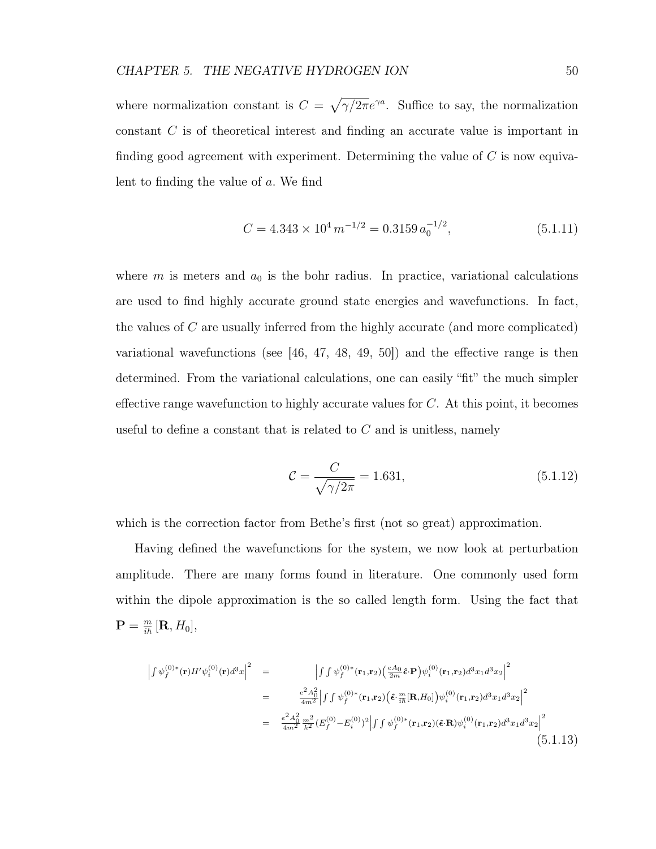where normalization constant is  $C = \sqrt{\gamma/2\pi}e^{\gamma a}$ . Suffice to say, the normalization constant C is of theoretical interest and finding an accurate value is important in finding good agreement with experiment. Determining the value of  $C$  is now equivalent to finding the value of a. We find

$$
C = 4.343 \times 10^4 \, m^{-1/2} = 0.3159 \, a_0^{-1/2},\tag{5.1.11}
$$

where m is meters and  $a_0$  is the bohr radius. In practice, variational calculations are used to find highly accurate ground state energies and wavefunctions. In fact, the values of C are usually inferred from the highly accurate (and more complicated) variational wavefunctions (see [46, 47, 48, 49, 50]) and the effective range is then determined. From the variational calculations, one can easily "fit" the much simpler effective range wavefunction to highly accurate values for  $C$ . At this point, it becomes useful to define a constant that is related to  $C$  and is unitless, namely

$$
C = \frac{C}{\sqrt{\gamma/2\pi}} = 1.631,
$$
\n(5.1.12)

which is the correction factor from Bethe's first (not so great) approximation.

Having defined the wavefunctions for the system, we now look at perturbation amplitude. There are many forms found in literature. One commonly used form within the dipole approximation is the so called length form. Using the fact that  $\mathbf{P} = \frac{m}{i\hbar} \left[ \mathbf{R}, H_0 \right],$ 

$$
\begin{split}\n\left| \int \psi_f^{(0)*}(\mathbf{r}) H' \psi_i^{(0)}(\mathbf{r}) d^3 x \right|^2 &= \left| \int \int \psi_f^{(0)*}(\mathbf{r}_1, \mathbf{r}_2) \left( \frac{eA_0}{2m} \hat{\boldsymbol{\epsilon}} \cdot \mathbf{P} \right) \psi_i^{(0)}(\mathbf{r}_1, \mathbf{r}_2) d^3 x_1 d^3 x_2 \right|^2 \\
&= \left| \frac{e^2 A_0^2}{4m^2} \int \int \psi_f^{(0)*}(\mathbf{r}_1, \mathbf{r}_2) \left( \hat{\boldsymbol{\epsilon}} \cdot \frac{m}{i\hbar} [\mathbf{R}, H_0] \right) \psi_i^{(0)}(\mathbf{r}_1, \mathbf{r}_2) d^3 x_1 d^3 x_2 \right|^2 \\
&= \left| \frac{e^2 A_0^2}{4m^2} \frac{m^2}{\hbar^2} (E_f^{(0)} - E_i^{(0)})^2 \right| \int \int \psi_f^{(0)*}(\mathbf{r}_1, \mathbf{r}_2) (\hat{\boldsymbol{\epsilon}} \cdot \mathbf{R}) \psi_i^{(0)}(\mathbf{r}_1, \mathbf{r}_2) d^3 x_1 d^3 x_2 \right|^2\n\end{split} \tag{5.1.13}
$$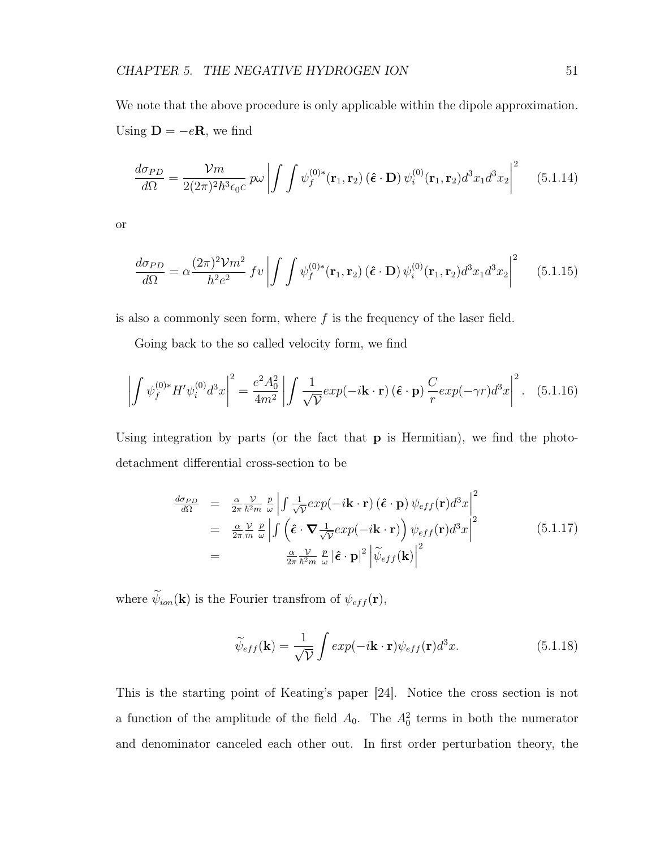We note that the above procedure is only applicable within the dipole approximation. Using  $\mathbf{D} = -e\mathbf{R}$ , we find

$$
\frac{d\sigma_{PD}}{d\Omega} = \frac{\mathcal{V}m}{2(2\pi)^2\hbar^3\epsilon_0 c} p\omega \left| \int \int \psi_f^{(0)*}(\mathbf{r}_1, \mathbf{r}_2) \left(\hat{\boldsymbol{\epsilon}} \cdot \mathbf{D}\right) \psi_i^{(0)}(\mathbf{r}_1, \mathbf{r}_2) d^3 x_1 d^3 x_2 \right|^2 \tag{5.1.14}
$$

or

$$
\frac{d\sigma_{PD}}{d\Omega} = \alpha \frac{(2\pi)^2 \mathcal{V}m^2}{h^2 e^2} f v \left| \int \int \psi_f^{(0)*}(\mathbf{r}_1, \mathbf{r}_2) \left(\hat{\boldsymbol{\epsilon}} \cdot \mathbf{D}\right) \psi_i^{(0)}(\mathbf{r}_1, \mathbf{r}_2) d^3 x_1 d^3 x_2 \right|^2 \tag{5.1.15}
$$

is also a commonly seen form, where  $f$  is the frequency of the laser field.

Going back to the so called velocity form, we find

$$
\left| \int \psi_f^{(0)*} H' \psi_i^{(0)} d^3 x \right|^2 = \frac{e^2 A_0^2}{4m^2} \left| \int \frac{1}{\sqrt{\mathcal{V}}} exp(-i\mathbf{k} \cdot \mathbf{r}) \left( \hat{\boldsymbol{\epsilon}} \cdot \mathbf{p} \right) \frac{C}{r} exp(-\gamma r) d^3 x \right|^2. \tag{5.1.16}
$$

Using integration by parts (or the fact that **p** is Hermitian), we find the photodetachment differential cross-section to be

$$
\frac{d\sigma_{PD}}{d\Omega} = \frac{\alpha}{2\pi} \frac{\mathcal{V}}{\hbar^2 m} \frac{p}{\omega} \left| \int \frac{1}{\sqrt{\mathcal{V}}} exp(-i\mathbf{k} \cdot \mathbf{r}) (\hat{\boldsymbol{\epsilon}} \cdot \mathbf{p}) \psi_{eff}(\mathbf{r}) d^3 x \right|^2
$$
\n
$$
= \frac{\alpha}{2\pi} \frac{\mathcal{V}}{m} \frac{p}{\omega} \left| \int (\hat{\boldsymbol{\epsilon}} \cdot \nabla \frac{1}{\sqrt{\mathcal{V}}} exp(-i\mathbf{k} \cdot \mathbf{r})) \psi_{eff}(\mathbf{r}) d^3 x \right|^2
$$
\n
$$
= \frac{\alpha}{2\pi} \frac{\mathcal{V}}{\hbar^2 m} \frac{p}{\omega} |\hat{\boldsymbol{\epsilon}} \cdot \mathbf{p}|^2 \left| \widetilde{\psi}_{eff}(\mathbf{k}) \right|^2
$$
\n(5.1.17)

where  $\widetilde{\psi}_{ion}(\mathbf{k})$  is the Fourier transfrom of  $\psi_{eff}(\mathbf{r}),$ 

$$
\widetilde{\psi}_{eff}(\mathbf{k}) = \frac{1}{\sqrt{\mathcal{V}}} \int exp(-i\mathbf{k} \cdot \mathbf{r}) \psi_{eff}(\mathbf{r}) d^3 x.
$$
\n(5.1.18)

This is the starting point of Keating's paper [24]. Notice the cross section is not a function of the amplitude of the field  $A_0$ . The  $A_0^2$  terms in both the numerator and denominator canceled each other out. In first order perturbation theory, the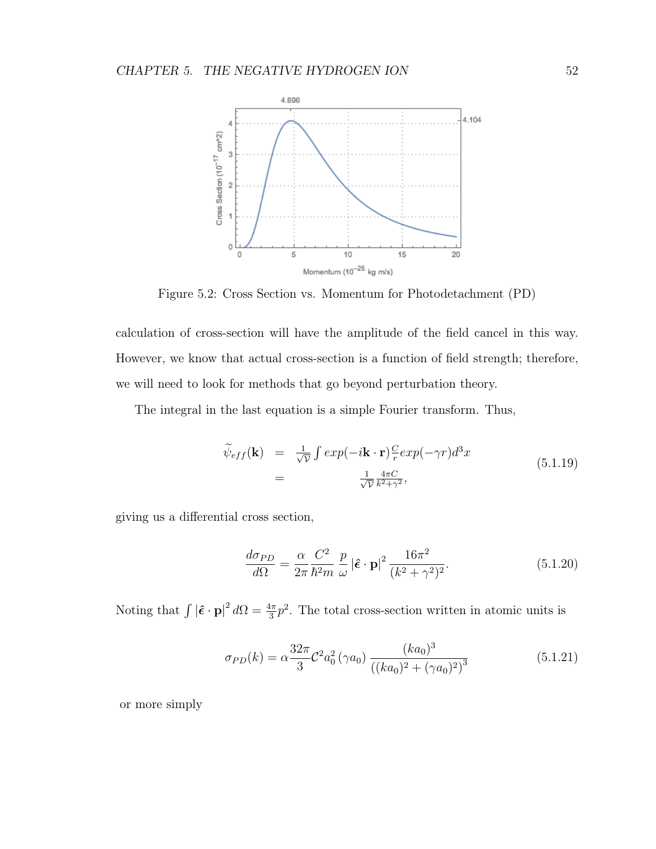# CHAPTER 5. THE NEGATIVE HYDROGEN ION 52



Figure 5.2: Cross Section vs. Momentum for Photodetachment (PD)

calculation of cross-section will have the amplitude of the field cancel in this way. However, we know that actual cross-section is a function of field strength; therefore, we will need to look for methods that go beyond perturbation theory.

The integral in the last equation is a simple Fourier transform. Thus,

$$
\widetilde{\psi}_{eff}(\mathbf{k}) = \frac{1}{\sqrt{\mathcal{V}}} \int exp(-i\mathbf{k} \cdot \mathbf{r}) \frac{C}{r} exp(-\gamma r) d^3 x
$$
\n
$$
= \frac{1}{\sqrt{\mathcal{V}}} \frac{4\pi C}{k^2 + \gamma^2},
$$
\n(5.1.19)

giving us a differential cross section,

$$
\frac{d\sigma_{PD}}{d\Omega} = \frac{\alpha}{2\pi} \frac{C^2}{\hbar^2 m} \frac{p}{\omega} |\hat{\boldsymbol{\epsilon}} \cdot \mathbf{p}|^2 \frac{16\pi^2}{(k^2 + \gamma^2)^2}.
$$
(5.1.20)

Noting that  $\int |\hat{\epsilon} \cdot \mathbf{p}|^2 d\Omega = \frac{4\pi}{3} p^2$ . The total cross-section written in atomic units is

$$
\sigma_{PD}(k) = \alpha \frac{32\pi}{3} \mathcal{C}^2 a_0^2 \left(\gamma a_0\right) \frac{(ka_0)^3}{\left((ka_0)^2 + (\gamma a_0)^2\right)^3} \tag{5.1.21}
$$

or more simply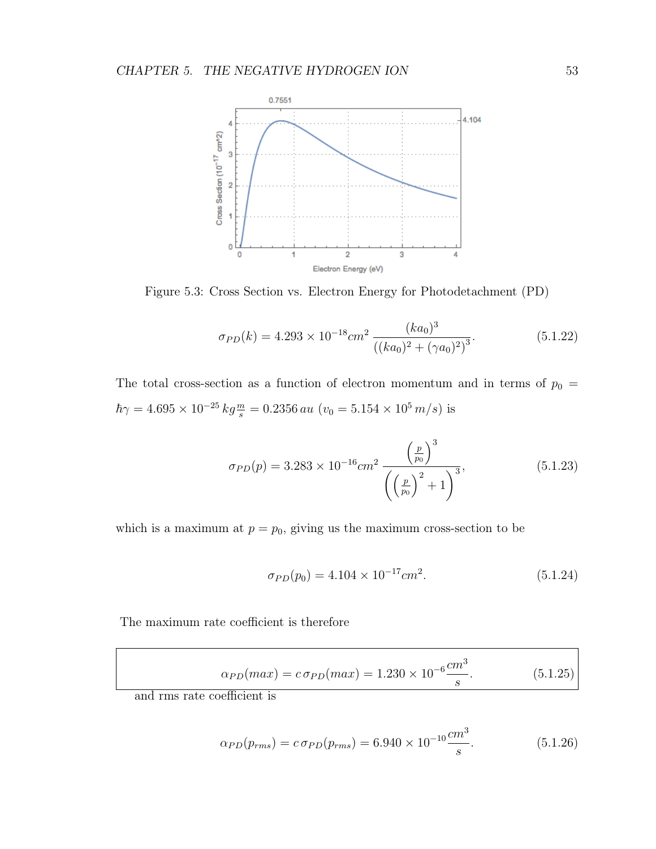

Figure 5.3: Cross Section vs. Electron Energy for Photodetachment (PD)

$$
\sigma_{PD}(k) = 4.293 \times 10^{-18} \, \text{cm}^2 \, \frac{(ka_0)^3}{\left( (ka_0)^2 + (\gamma a_0)^2 \right)^3}.\tag{5.1.22}
$$

The total cross-section as a function of electron momentum and in terms of  $p_0 =$  $\hbar\gamma = 4.695 \times 10^{-25} \text{ kg}\frac{m}{s} = 0.2356 \text{ au } (v_0 = 5.154 \times 10^5 \text{ m/s})$  is

$$
\sigma_{PD}(p) = 3.283 \times 10^{-16} \, \text{cm}^2 \, \frac{\left(\frac{p}{p_0}\right)^3}{\left(\left(\frac{p}{p_0}\right)^2 + 1\right)^3},\tag{5.1.23}
$$

which is a maximum at  $p = p_0$ , giving us the maximum cross-section to be

$$
\sigma_{PD}(p_0) = 4.104 \times 10^{-17} cm^2. \tag{5.1.24}
$$

The maximum rate coefficient is therefore

$$
\alpha_{PD}(max) = c \sigma_{PD}(max) = 1.230 \times 10^{-6} \frac{cm^3}{s}.
$$
 (5.1.25)

and rms rate coefficient is

$$
\alpha_{PD}(p_{rms}) = c \sigma_{PD}(p_{rms}) = 6.940 \times 10^{-10} \frac{cm^3}{s}.
$$
\n(5.1.26)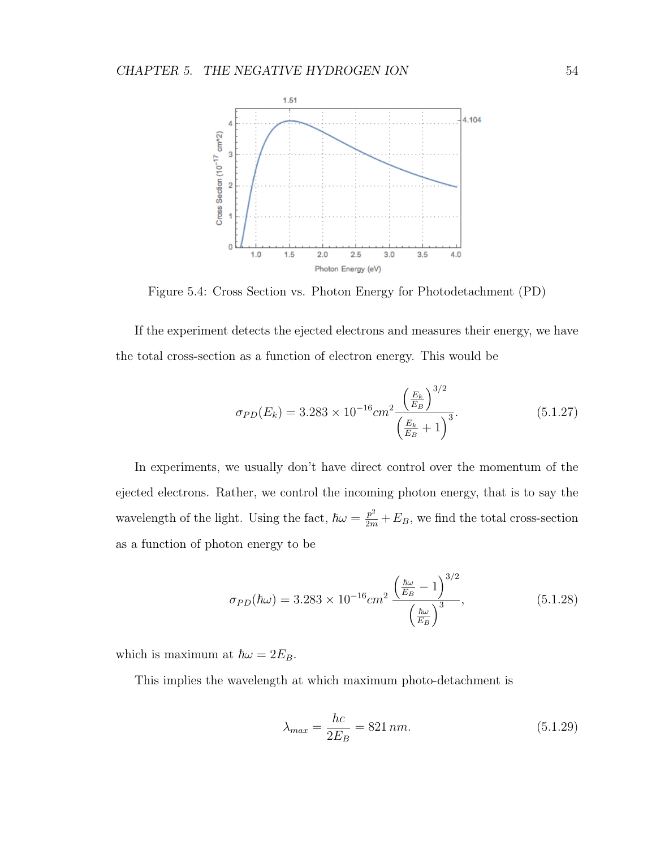

Figure 5.4: Cross Section vs. Photon Energy for Photodetachment (PD)

If the experiment detects the ejected electrons and measures their energy, we have the total cross-section as a function of electron energy. This would be

$$
\sigma_{PD}(E_k) = 3.283 \times 10^{-16} \, \text{cm}^2 \, \frac{\left(\frac{E_k}{E_B}\right)^{3/2}}{\left(\frac{E_k}{E_B} + 1\right)^3}.\tag{5.1.27}
$$

In experiments, we usually don't have direct control over the momentum of the ejected electrons. Rather, we control the incoming photon energy, that is to say the wavelength of the light. Using the fact,  $\hbar \omega = \frac{p^2}{2m} + E_B$ , we find the total cross-section as a function of photon energy to be

$$
\sigma_{PD}(\hbar\omega) = 3.283 \times 10^{-16} cm^2 \frac{\left(\frac{\hbar\omega}{E_B} - 1\right)^{3/2}}{\left(\frac{\hbar\omega}{E_B}\right)^3},\tag{5.1.28}
$$

which is maximum at  $\hbar \omega = 2E_B$ .

This implies the wavelength at which maximum photo-detachment is

$$
\lambda_{max} = \frac{hc}{2E_B} = 821 \, nm. \tag{5.1.29}
$$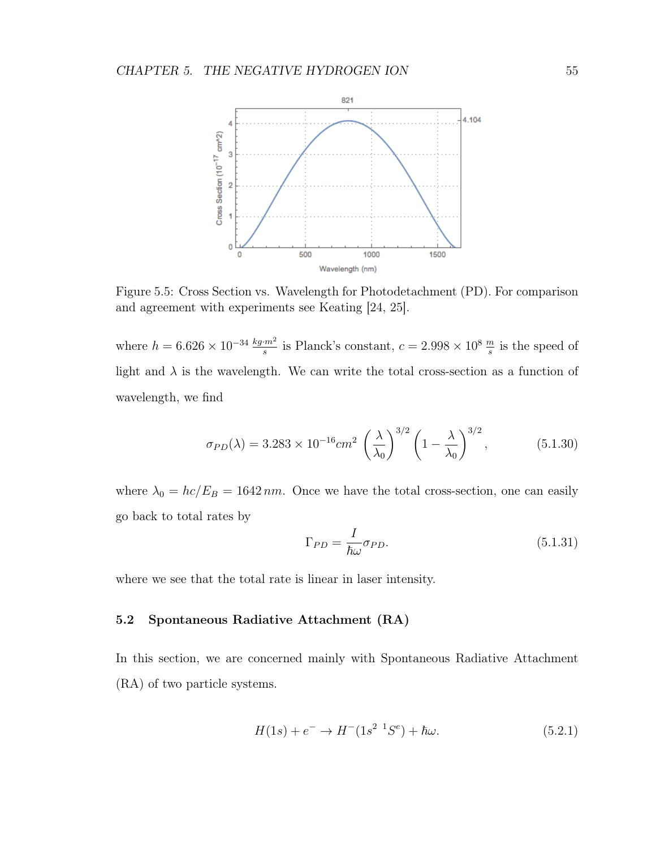

Figure 5.5: Cross Section vs. Wavelength for Photodetachment (PD). For comparison and agreement with experiments see Keating [24, 25].

where  $h = 6.626 \times 10^{-34} \frac{kg \cdot m^2}{s}$  is Planck's constant,  $c = 2.998 \times 10^8 \frac{m}{s}$  is the speed of light and  $\lambda$  is the wavelength. We can write the total cross-section as a function of wavelength, we find

$$
\sigma_{PD}(\lambda) = 3.283 \times 10^{-16} \, \text{cm}^2 \, \left(\frac{\lambda}{\lambda_0}\right)^{3/2} \left(1 - \frac{\lambda}{\lambda_0}\right)^{3/2},\tag{5.1.30}
$$

where  $\lambda_0 = hc/E_B = 1642 \, nm$ . Once we have the total cross-section, one can easily go back to total rates by

$$
\Gamma_{PD} = \frac{I}{\hbar \omega} \sigma_{PD}.
$$
\n(5.1.31)

where we see that the total rate is linear in laser intensity.

## 5.2 Spontaneous Radiative Attachment (RA)

In this section, we are concerned mainly with Spontaneous Radiative Attachment (RA) of two particle systems.

$$
H(1s) + e^- \to H^-(1s^2 \ {}^1S^e) + \hbar\omega. \tag{5.2.1}
$$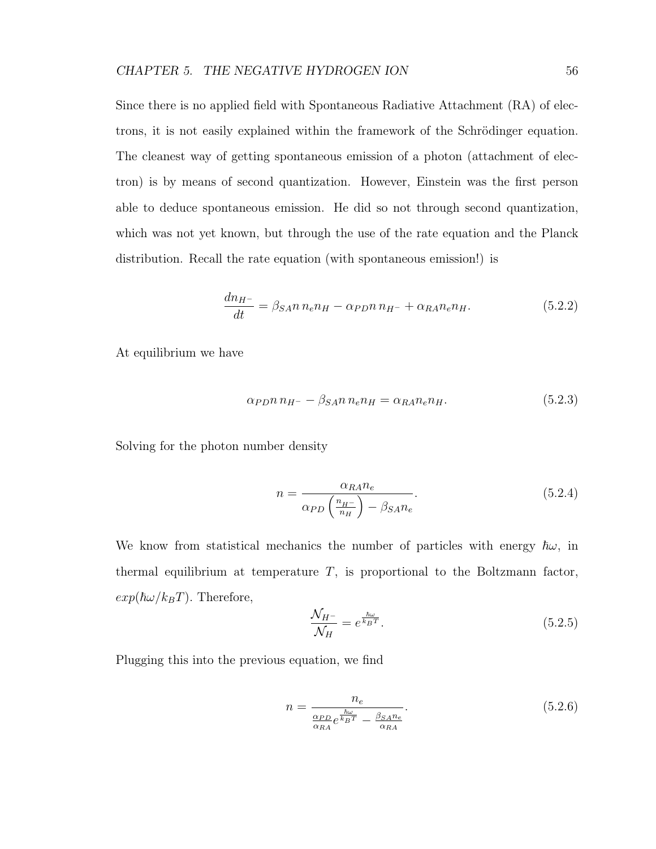Since there is no applied field with Spontaneous Radiative Attachment (RA) of electrons, it is not easily explained within the framework of the Schrödinger equation. The cleanest way of getting spontaneous emission of a photon (attachment of electron) is by means of second quantization. However, Einstein was the first person able to deduce spontaneous emission. He did so not through second quantization, which was not yet known, but through the use of the rate equation and the Planck distribution. Recall the rate equation (with spontaneous emission!) is

$$
\frac{dn_{H^{-}}}{dt} = \beta_{SA} n n_e n_H - \alpha_{PD} n n_{H^{-}} + \alpha_{RA} n_e n_H.
$$
\n(5.2.2)

At equilibrium we have

$$
\alpha_{PD} n n_{H^-} - \beta_{SA} n n_e n_H = \alpha_{RA} n_e n_H. \tag{5.2.3}
$$

Solving for the photon number density

$$
n = \frac{\alpha_{RA} n_e}{\alpha_{PD} \left(\frac{n_{H^-}}{n_H}\right) - \beta_{SA} n_e}.
$$
\n(5.2.4)

We know from statistical mechanics the number of particles with energy  $\hbar\omega$ , in thermal equilibrium at temperature  $T$ , is proportional to the Boltzmann factor,  $exp(\hbar\omega/k_BT)$ . Therefore,

$$
\frac{\mathcal{N}_{H^-}}{\mathcal{N}_H} = e^{\frac{\hbar\omega}{k_B T}}.\tag{5.2.5}
$$

Plugging this into the previous equation, we find

$$
n = \frac{n_e}{\frac{\alpha_{PD}}{\alpha_{RA}}e^{\frac{\hbar\omega}{k_BT}} - \frac{\beta_{SAR}}{\alpha_{RA}}}.
$$
\n(5.2.6)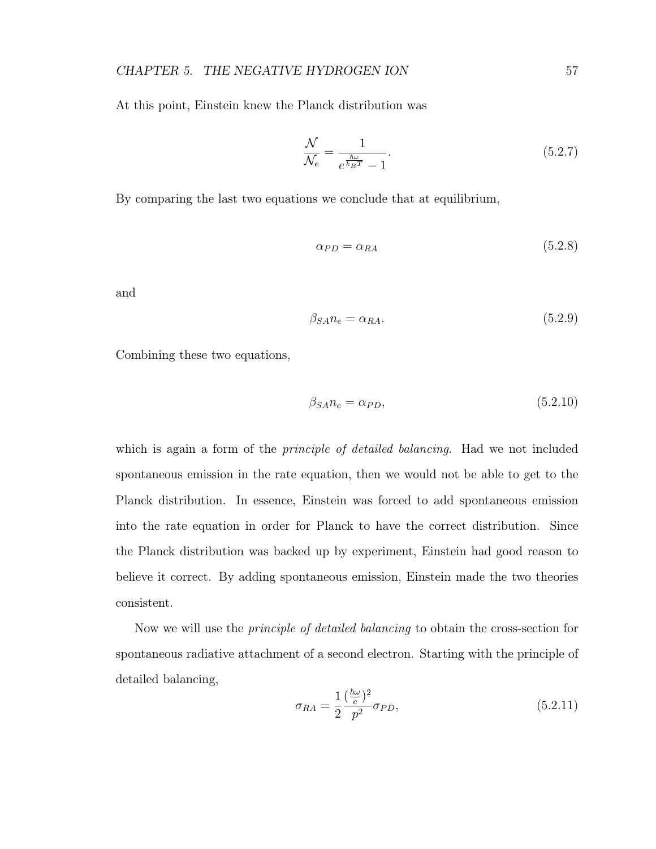At this point, Einstein knew the Planck distribution was

$$
\frac{\mathcal{N}}{\mathcal{N}_e} = \frac{1}{e^{\frac{\hbar \omega}{k_B T}} - 1}.
$$
\n(5.2.7)

By comparing the last two equations we conclude that at equilibrium,

$$
\alpha_{PD} = \alpha_{RA} \tag{5.2.8}
$$

and

$$
\beta_{SA} n_e = \alpha_{RA}.\tag{5.2.9}
$$

Combining these two equations,

$$
\beta_{SA} n_e = \alpha_{PD},\tag{5.2.10}
$$

which is again a form of the *principle of detailed balancing*. Had we not included spontaneous emission in the rate equation, then we would not be able to get to the Planck distribution. In essence, Einstein was forced to add spontaneous emission into the rate equation in order for Planck to have the correct distribution. Since the Planck distribution was backed up by experiment, Einstein had good reason to believe it correct. By adding spontaneous emission, Einstein made the two theories consistent.

Now we will use the principle of detailed balancing to obtain the cross-section for spontaneous radiative attachment of a second electron. Starting with the principle of detailed balancing,

$$
\sigma_{RA} = \frac{1}{2} \frac{(\frac{\hbar \omega}{c})^2}{p^2} \sigma_{PD},\tag{5.2.11}
$$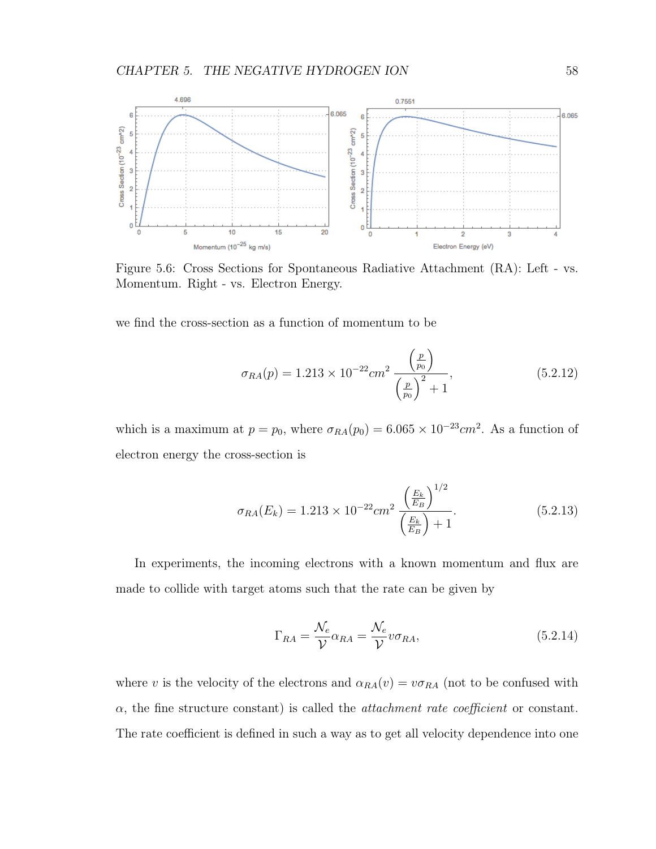

Figure 5.6: Cross Sections for Spontaneous Radiative Attachment (RA): Left - vs. Momentum. Right - vs. Electron Energy.

we find the cross-section as a function of momentum to be

$$
\sigma_{RA}(p) = 1.213 \times 10^{-22} \, cm^2 \, \frac{\left(\frac{p}{p_0}\right)}{\left(\frac{p}{p_0}\right)^2 + 1},\tag{5.2.12}
$$

which is a maximum at  $p = p_0$ , where  $\sigma_{RA}(p_0) = 6.065 \times 10^{-23}$  cm<sup>2</sup>. As a function of electron energy the cross-section is

$$
\sigma_{RA}(E_k) = 1.213 \times 10^{-22} \, \text{cm}^2 \, \frac{\left(\frac{E_k}{E_B}\right)^{1/2}}{\left(\frac{E_k}{E_B}\right) + 1}.\tag{5.2.13}
$$

In experiments, the incoming electrons with a known momentum and flux are made to collide with target atoms such that the rate can be given by

$$
\Gamma_{RA} = \frac{\mathcal{N}_e}{\mathcal{V}} \alpha_{RA} = \frac{\mathcal{N}_e}{\mathcal{V}} v \sigma_{RA},
$$
\n(5.2.14)

where v is the velocity of the electrons and  $\alpha_{RA}(v) = v \sigma_{RA}$  (not to be confused with  $\alpha$ , the fine structure constant) is called the *attachment rate coefficient* or constant. The rate coefficient is defined in such a way as to get all velocity dependence into one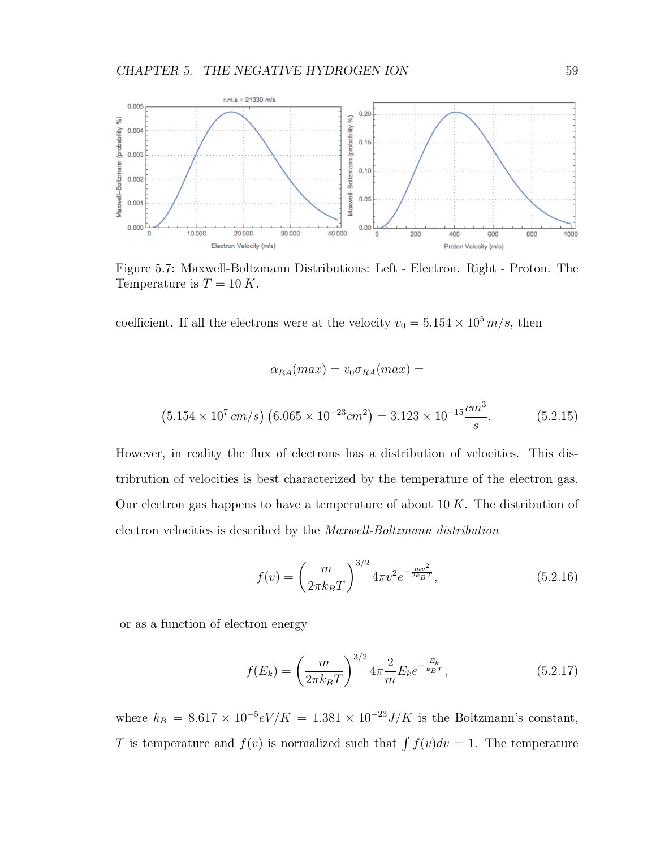

Figure 5.7: Maxwell-Boltzmann Distributions: Left - Electron. Right - Proton. The Temperature is  $T = 10 K$ .

 $\alpha_{RA}(max) = v_0 \sigma_{RA}(max) =$ 

coefficient. If all the electrons were at the velocity  $v_0 = 5.154 \times 10^5 \, m/s$ , then

$$
(5.154 \times 10^7 \, \text{cm/s}) \left(6.065 \times 10^{-23} \text{cm}^2\right) = 3.123 \times 10^{-15} \frac{\text{cm}^3}{\text{s}}.\tag{5.2.15}
$$

However, in reality the flux of electrons has a distribution of velocities. This distribrution of velocities is best characterized by the temperature of the electron gas. Our electron gas happens to have a temperature of about  $10 K$ . The distribution of electron velocities is described by the Maxwell-Boltzmann distribution

$$
f(v) = \left(\frac{m}{2\pi k_B T}\right)^{3/2} 4\pi v^2 e^{-\frac{mv^2}{2k_B T}},
$$
\n(5.2.16)

or as a function of electron energy

$$
f(E_k) = \left(\frac{m}{2\pi k_B T}\right)^{3/2} 4\pi \frac{2}{m} E_k e^{-\frac{E_k}{k_B T}}, \tag{5.2.17}
$$

where  $k_B = 8.617 \times 10^{-5} eV/K = 1.381 \times 10^{-23} J/K$  is the Boltzmann's constant, T is temperature and  $f(v)$  is normalized such that  $\int f(v)dv = 1$ . The temperature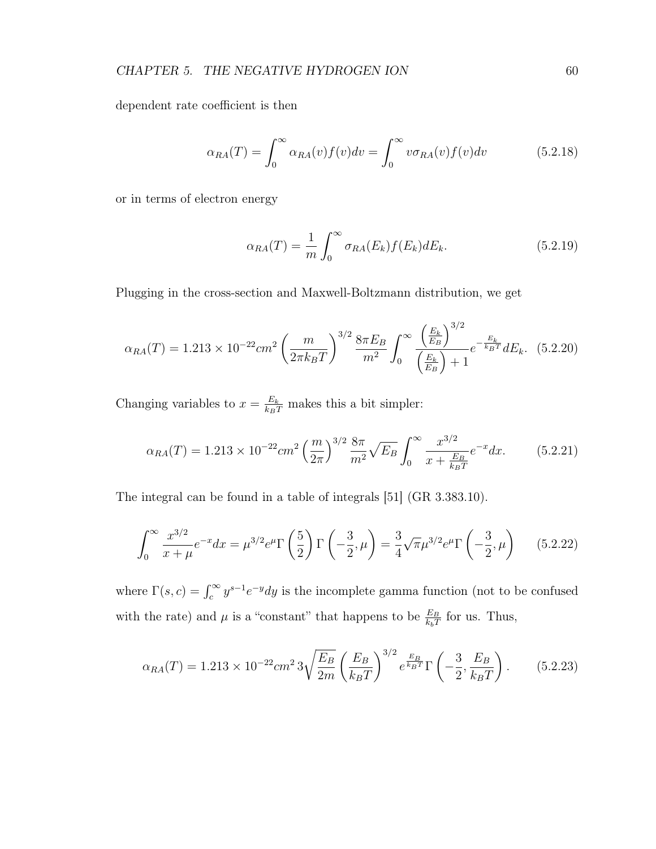dependent rate coefficient is then

$$
\alpha_{RA}(T) = \int_0^\infty \alpha_{RA}(v) f(v) dv = \int_0^\infty v \sigma_{RA}(v) f(v) dv \qquad (5.2.18)
$$

or in terms of electron energy

$$
\alpha_{RA}(T) = \frac{1}{m} \int_0^\infty \sigma_{RA}(E_k) f(E_k) dE_k.
$$
\n(5.2.19)

Plugging in the cross-section and Maxwell-Boltzmann distribution, we get

$$
\alpha_{RA}(T) = 1.213 \times 10^{-22} \, \text{cm}^2 \left(\frac{m}{2\pi k_B T}\right)^{3/2} \frac{8\pi E_B}{m^2} \int_0^\infty \frac{\left(\frac{E_k}{E_B}\right)^{3/2}}{\left(\frac{E_k}{E_B}\right) + 1} e^{-\frac{E_k}{k_B T}} dE_k. \tag{5.2.20}
$$

Changing variables to  $x = \frac{E_k}{k_B T}$  makes this a bit simpler:

$$
\alpha_{RA}(T) = 1.213 \times 10^{-22} cm^2 \left(\frac{m}{2\pi}\right)^{3/2} \frac{8\pi}{m^2} \sqrt{E_B} \int_0^\infty \frac{x^{3/2}}{x + \frac{E_B}{k_B T}} e^{-x} dx. \tag{5.2.21}
$$

The integral can be found in a table of integrals [51] (GR 3.383.10).

$$
\int_0^\infty \frac{x^{3/2}}{x+\mu} e^{-x} dx = \mu^{3/2} e^{\mu} \Gamma\left(\frac{5}{2}\right) \Gamma\left(-\frac{3}{2}, \mu\right) = \frac{3}{4} \sqrt{\pi} \mu^{3/2} e^{\mu} \Gamma\left(-\frac{3}{2}, \mu\right) \tag{5.2.22}
$$

where  $\Gamma(s,c) = \int_c^{\infty} y^{s-1} e^{-y} dy$  is the incomplete gamma function (not to be confused with the rate) and  $\mu$  is a "constant" that happens to be  $\frac{E_B}{k_bT}$  for us. Thus,

$$
\alpha_{RA}(T) = 1.213 \times 10^{-22} \, \text{cm}^2 \, \text{3} \sqrt{\frac{E_B}{2m}} \left(\frac{E_B}{k_B T}\right)^{3/2} e^{\frac{E_B}{k_B T}} \Gamma\left(-\frac{3}{2}, \frac{E_B}{k_B T}\right). \tag{5.2.23}
$$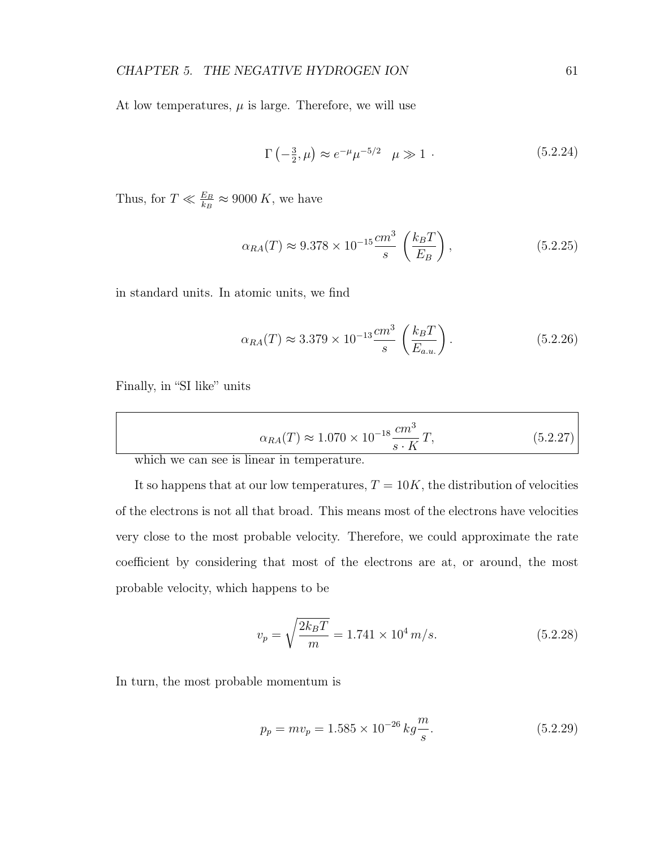At low temperatures,  $\mu$  is large. Therefore, we will use

$$
\Gamma(-\frac{3}{2}, \mu) \approx e^{-\mu} \mu^{-5/2} \quad \mu \gg 1 \quad .
$$
 (5.2.24)

Thus, for  $T \ll \frac{E_B}{k_B} \approx 9000 K$ , we have

$$
\alpha_{RA}(T) \approx 9.378 \times 10^{-15} \frac{cm^3}{s} \left(\frac{k_B T}{E_B}\right),
$$
\n(5.2.25)

in standard units. In atomic units, we find

$$
\alpha_{RA}(T) \approx 3.379 \times 10^{-13} \frac{cm^3}{s} \left(\frac{k_B T}{E_{a.u.}}\right). \tag{5.2.26}
$$

Finally, in "SI like" units

$$
\alpha_{RA}(T) \approx 1.070 \times 10^{-18} \frac{cm^3}{s \cdot K} T,\tag{5.2.27}
$$

which we can see is linear in temperature.

It so happens that at our low temperatures,  $T = 10K$ , the distribution of velocities of the electrons is not all that broad. This means most of the electrons have velocities very close to the most probable velocity. Therefore, we could approximate the rate coefficient by considering that most of the electrons are at, or around, the most probable velocity, which happens to be

$$
v_p = \sqrt{\frac{2k_B T}{m}} = 1.741 \times 10^4 \, m/s. \tag{5.2.28}
$$

In turn, the most probable momentum is

$$
p_p = mv_p = 1.585 \times 10^{-26} \, kg \frac{m}{s}.\tag{5.2.29}
$$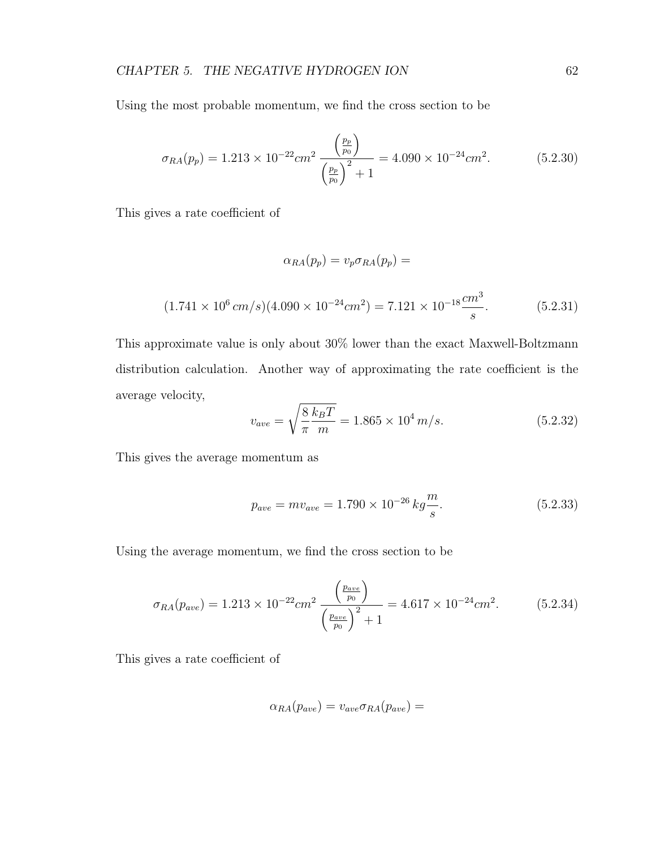Using the most probable momentum, we find the cross section to be

$$
\sigma_{RA}(p_p) = 1.213 \times 10^{-22} \, \text{cm}^2 \, \frac{\left(\frac{p_p}{p_0}\right)}{\left(\frac{p_p}{p_0}\right)^2 + 1} = 4.090 \times 10^{-24} \, \text{cm}^2. \tag{5.2.30}
$$

This gives a rate coefficient of

$$
\alpha_{RA}(p_p) = v_p \sigma_{RA}(p_p) =
$$
  
(1.741 × 10<sup>6</sup> cm/s)(4.090 × 10<sup>-24</sup> cm<sup>2</sup>) = 7.121 × 10<sup>-18</sup>  $\frac{cm^3}{s}$ . (5.2.31)

This approximate value is only about 30% lower than the exact Maxwell-Boltzmann distribution calculation. Another way of approximating the rate coefficient is the average velocity,

$$
v_{ave} = \sqrt{\frac{8 k_B T}{\pi m}} = 1.865 \times 10^4 m/s.
$$
 (5.2.32)

This gives the average momentum as

$$
p_{ave} = mv_{ave} = 1.790 \times 10^{-26} \, kg \frac{m}{s}.\tag{5.2.33}
$$

Using the average momentum, we find the cross section to be

$$
\sigma_{RA}(p_{ave}) = 1.213 \times 10^{-22} \, \text{cm}^2 \, \frac{\left(\frac{p_{ave}}{p_0}\right)}{\left(\frac{p_{ave}}{p_0}\right)^2 + 1} = 4.617 \times 10^{-24} \, \text{cm}^2. \tag{5.2.34}
$$

This gives a rate coefficient of

$$
\alpha_{RA}(p_{ave}) = v_{ave}\sigma_{RA}(p_{ave}) =
$$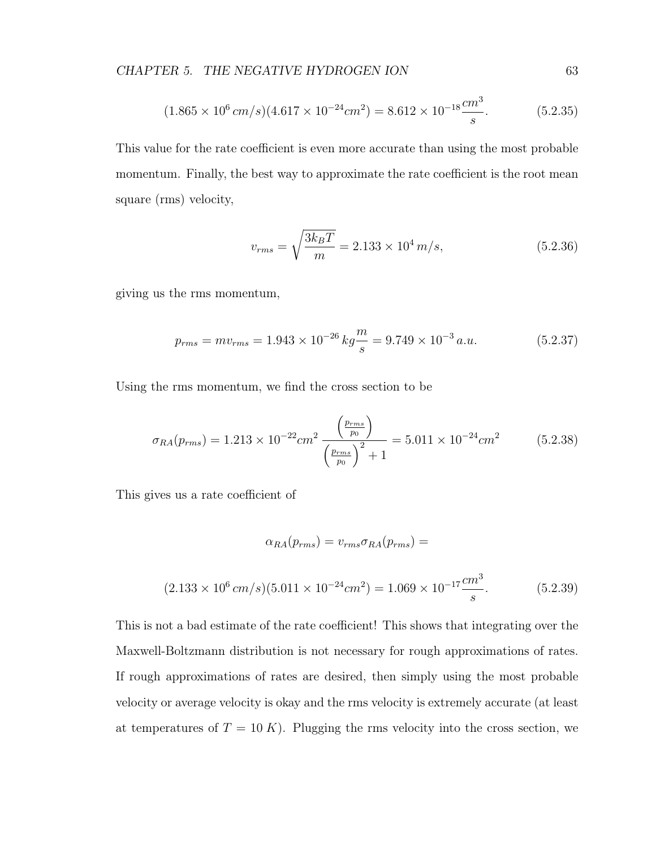$$
(1.865 \times 10^6 \, \text{cm/s})(4.617 \times 10^{-24} \text{cm}^2) = 8.612 \times 10^{-18} \frac{\text{cm}^3}{\text{s}}. \tag{5.2.35}
$$

This value for the rate coefficient is even more accurate than using the most probable momentum. Finally, the best way to approximate the rate coefficient is the root mean square (rms) velocity,

$$
v_{rms} = \sqrt{\frac{3k_B T}{m}} = 2.133 \times 10^4 \, m/s,\tag{5.2.36}
$$

giving us the rms momentum,

$$
p_{rms} = mv_{rms} = 1.943 \times 10^{-26} \, kg \frac{m}{s} = 9.749 \times 10^{-3} \, a.u. \tag{5.2.37}
$$

Using the rms momentum, we find the cross section to be

$$
\sigma_{RA}(p_{rms}) = 1.213 \times 10^{-22} cm^2 \frac{\left(\frac{p_{rms}}{p_0}\right)}{\left(\frac{p_{rms}}{p_0}\right)^2 + 1} = 5.011 \times 10^{-24} cm^2 \tag{5.2.38}
$$

This gives us a rate coefficient of

$$
\alpha_{RA}(p_{rms}) = v_{rms}\sigma_{RA}(p_{rms}) =
$$
  
(2.133 × 10<sup>6</sup> cm/s)(5.011 × 10<sup>-24</sup> cm<sup>2</sup>) = 1.069 × 10<sup>-17</sup>  $\frac{cm^3}{s}$ . (5.2.39)

This is not a bad estimate of the rate coefficient! This shows that integrating over the Maxwell-Boltzmann distribution is not necessary for rough approximations of rates. If rough approximations of rates are desired, then simply using the most probable velocity or average velocity is okay and the rms velocity is extremely accurate (at least at temperatures of  $T = 10 K$ ). Plugging the rms velocity into the cross section, we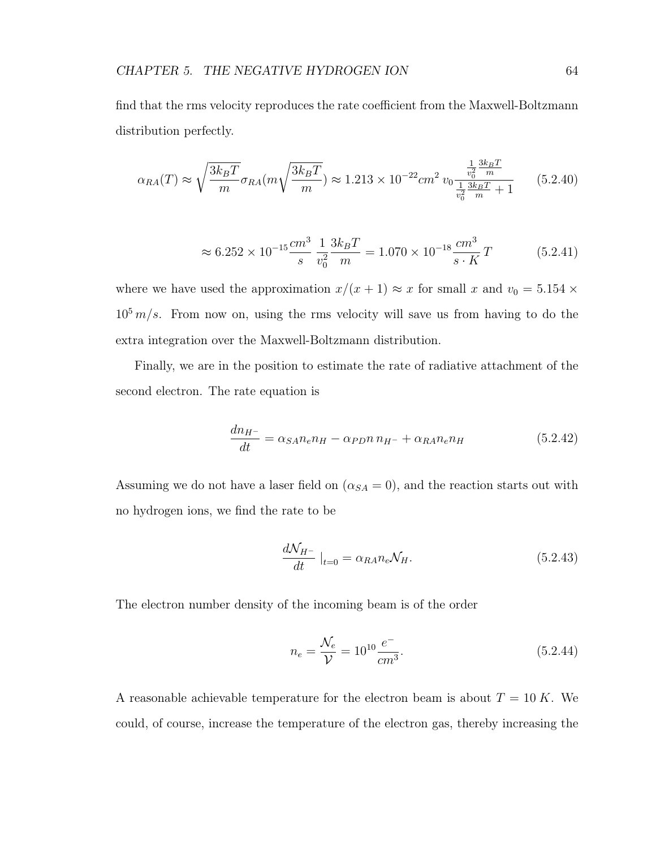find that the rms velocity reproduces the rate coefficient from the Maxwell-Boltzmann distribution perfectly.

$$
\alpha_{RA}(T) \approx \sqrt{\frac{3k_B T}{m}} \sigma_{RA}(m\sqrt{\frac{3k_B T}{m}}) \approx 1.213 \times 10^{-22} cm^2 v_0 \frac{\frac{1}{v_0^2} \frac{3k_B T}{m}}{\frac{1}{v_0^2} \frac{3k_B T}{m} + 1}
$$
(5.2.40)

$$
\approx 6.252 \times 10^{-15} \frac{cm^3}{s} \frac{1}{v_0^2} \frac{3k_B T}{m} = 1.070 \times 10^{-18} \frac{cm^3}{s \cdot K} T \tag{5.2.41}
$$

where we have used the approximation  $x/(x+1) \approx x$  for small x and  $v_0 = 5.154 \times$  $10^5$  m/s. From now on, using the rms velocity will save us from having to do the extra integration over the Maxwell-Boltzmann distribution.

Finally, we are in the position to estimate the rate of radiative attachment of the second electron. The rate equation is

$$
\frac{dn_{H^-}}{dt} = \alpha_{SA} n_e n_H - \alpha_{PD} n n_{H^-} + \alpha_{RA} n_e n_H \tag{5.2.42}
$$

Assuming we do not have a laser field on  $(\alpha_{SA} = 0)$ , and the reaction starts out with no hydrogen ions, we find the rate to be

$$
\frac{d\mathcal{N}_{H^{-}}}{dt}\big|_{t=0} = \alpha_{RA} n_e \mathcal{N}_H. \tag{5.2.43}
$$

The electron number density of the incoming beam is of the order

$$
n_e = \frac{\mathcal{N}_e}{\mathcal{V}} = 10^{10} \frac{e^-}{cm^3}.
$$
\n(5.2.44)

A reasonable achievable temperature for the electron beam is about  $T = 10 K$ . We could, of course, increase the temperature of the electron gas, thereby increasing the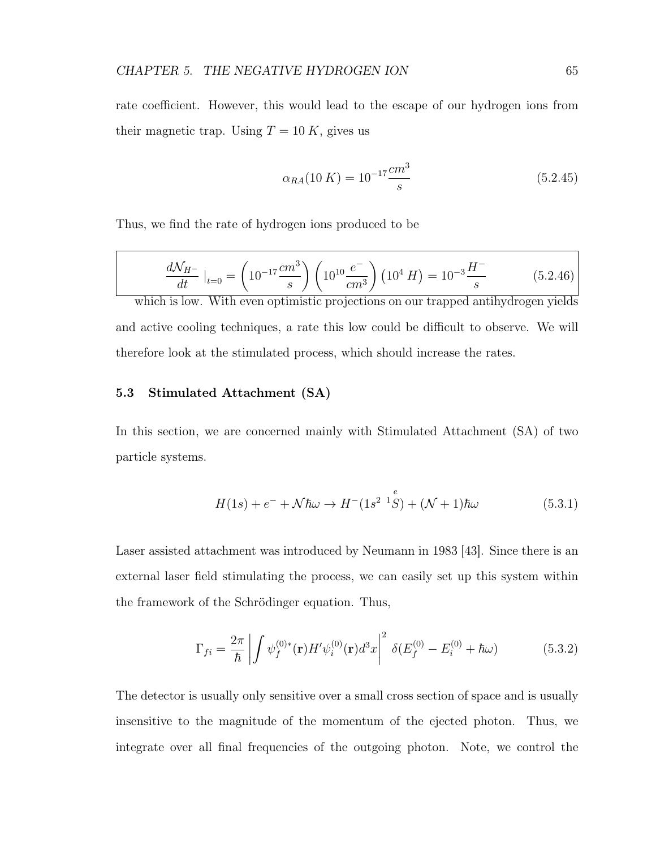rate coefficient. However, this would lead to the escape of our hydrogen ions from their magnetic trap. Using  $T = 10 K$ , gives us

$$
\alpha_{RA}(10\ K) = 10^{-17} \frac{cm^3}{s} \tag{5.2.45}
$$

Thus, we find the rate of hydrogen ions produced to be

$$
\frac{dN_{H^{-}}}{dt}|_{t=0} = \left(10^{-17} \frac{cm^{3}}{s}\right) \left(10^{10} \frac{e^{-}}{cm^{3}}\right) \left(10^{4} H\right) = 10^{-3} \frac{H^{-}}{s} \tag{5.2.46}
$$

which is low. With even optimistic projections on our trapped antihydrogen yields and active cooling techniques, a rate this low could be difficult to observe. We will therefore look at the stimulated process, which should increase the rates.

# 5.3 Stimulated Attachment (SA)

In this section, we are concerned mainly with Stimulated Attachment (SA) of two particle systems.

$$
H(1s) + e^- + \mathcal{N}\hbar\omega \to H^-(1s^{2} {}^{1}S) + (\mathcal{N} + 1)\hbar\omega
$$
 (5.3.1)

Laser assisted attachment was introduced by Neumann in 1983 [43]. Since there is an external laser field stimulating the process, we can easily set up this system within the framework of the Schrödinger equation. Thus,

$$
\Gamma_{fi} = \frac{2\pi}{\hbar} \left| \int \psi_f^{(0)*}(\mathbf{r}) H' \psi_i^{(0)}(\mathbf{r}) d^3 x \right|^2 \delta(E_f^{(0)} - E_i^{(0)} + \hbar \omega) \tag{5.3.2}
$$

The detector is usually only sensitive over a small cross section of space and is usually insensitive to the magnitude of the momentum of the ejected photon. Thus, we integrate over all final frequencies of the outgoing photon. Note, we control the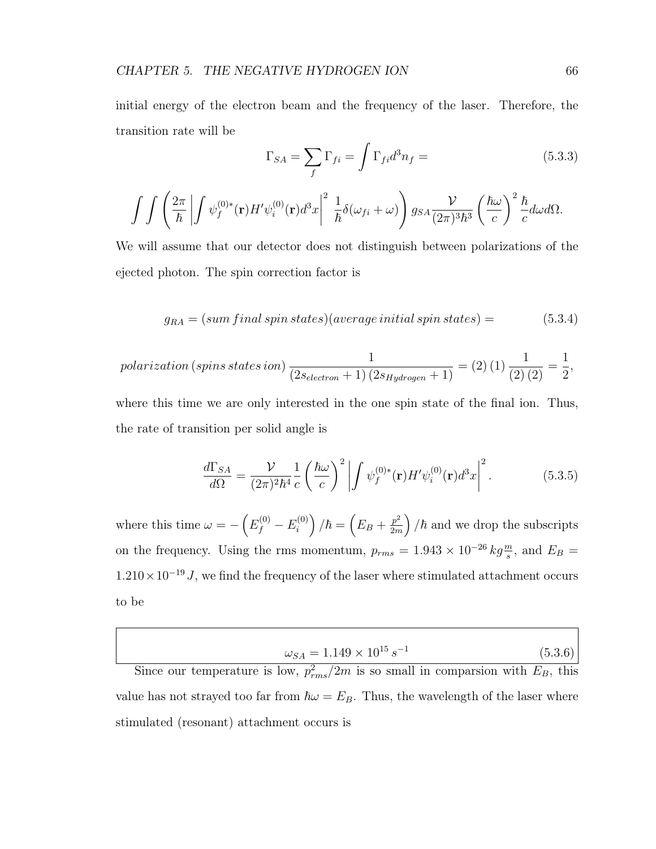initial energy of the electron beam and the frequency of the laser. Therefore, the transition rate will be

$$
\Gamma_{SA} = \sum_{f} \Gamma_{fi} = \int \Gamma_{fi} d^3 n_f = \tag{5.3.3}
$$

$$
\int\int\left(\frac{2\pi}{\hbar}\left|\int\psi_f^{(0)*}(\mathbf{r})H'\psi_i^{(0)}(\mathbf{r})d^3x\right|^2\frac{1}{\hbar}\delta(\omega_{fi}+\omega)\right)g_{SA}\frac{\mathcal{V}}{(2\pi)^3\hbar^3}\left(\frac{\hbar\omega}{c}\right)^2\frac{\hbar}{c}d\omega d\Omega.
$$

We will assume that our detector does not distinguish between polarizations of the ejected photon. The spin correction factor is

$$
g_{RA} = (sum final spin states)(average initial spin states) = (5.3.4)
$$

$$
polarization (spins states ion) \frac{1}{(2s_{electron}+1)(2s_{Hydrogen}+1)} = (2) (1) \frac{1}{(2) (2)} = \frac{1}{2},
$$

where this time we are only interested in the one spin state of the final ion. Thus, the rate of transition per solid angle is

$$
\frac{d\Gamma_{SA}}{d\Omega} = \frac{\mathcal{V}}{(2\pi)^2\hbar^4} \frac{1}{c} \left(\frac{\hbar\omega}{c}\right)^2 \left| \int \psi_f^{(0)*}(\mathbf{r}) H'\psi_i^{(0)}(\mathbf{r}) d^3x \right|^2.
$$
 (5.3.5)

where this time  $\omega = -\left(E_f^{(0)} - E_i^{(0)}\right)$  $\binom{0)}{i}/\hbar = \left(E_B + \frac{p^2}{2m}\right)$  $\left(\frac{p^2}{2m}\right)$  / $\hbar$  and we drop the subscripts on the frequency. Using the rms momentum,  $p_{rms} = 1.943 \times 10^{-26} kg \frac{m}{s}$ , and  $E_B =$  $1.210\times10^{-19}$  J, we find the frequency of the laser where stimulated attachment occurs to be

| $\omega_{SA} = 1.149 \times 10^{15} s^{-1}$ | (5.3.6) |
|---------------------------------------------|---------|
|---------------------------------------------|---------|

Since our temperature is low,  $p_{rms}^2/2m$  is so small in comparsion with  $E_B$ , this value has not strayed too far from  $\hbar\omega = E_B$ . Thus, the wavelength of the laser where stimulated (resonant) attachment occurs is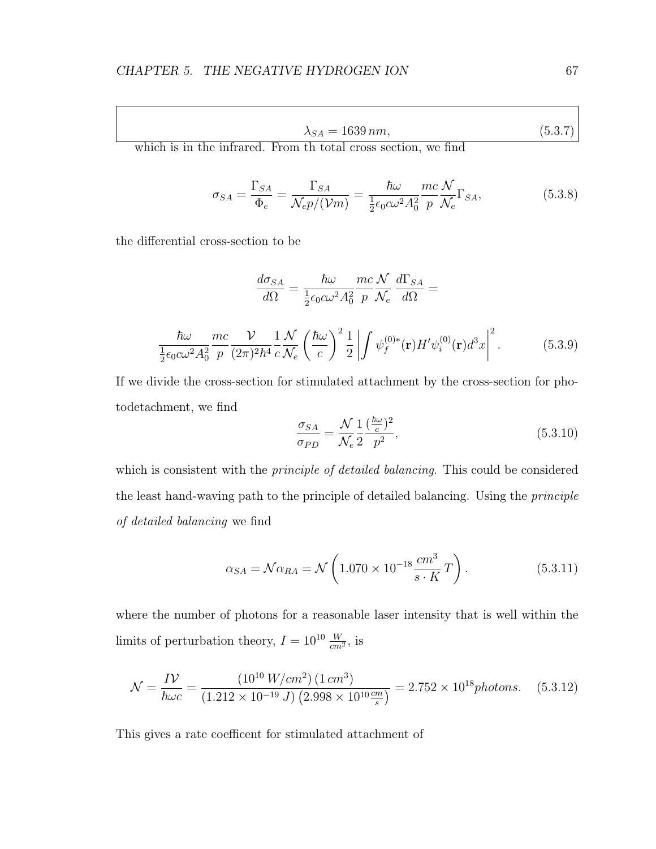$$
\lambda_{SA} = 1639 \, nm,\tag{5.3.7}
$$

which is in the infrared. From th total cross section, we find

$$
\sigma_{SA} = \frac{\Gamma_{SA}}{\Phi_e} = \frac{\Gamma_{SA}}{\mathcal{N}_e p / (\mathcal{V}m)} = \frac{\hbar \omega}{\frac{1}{2} \epsilon_0 c \omega^2 A_0^2} \frac{mc}{p} \frac{\mathcal{N}}{\mathcal{N}_e} \Gamma_{SA},
$$
(5.3.8)

the differential cross-section to be

$$
\frac{d\sigma_{SA}}{d\Omega} = \frac{\hbar\omega}{\frac{1}{2}\epsilon_0 c\omega^2 A_0^2} \frac{mc}{p} \frac{\mathcal{N}}{\mathcal{N}_e} \frac{d\Gamma_{SA}}{d\Omega} =
$$
\n
$$
\frac{\hbar\omega}{\frac{1}{2}\epsilon_0 c\omega^2 A_0^2} \frac{mc}{p} \frac{\mathcal{V}}{(2\pi)^2 \hbar^4} \frac{1}{c} \frac{\mathcal{N}}{\mathcal{N}_e} \left(\frac{\hbar\omega}{c}\right)^2 \frac{1}{2} \left| \int \psi_f^{(0)*}(\mathbf{r}) H'\psi_i^{(0)}(\mathbf{r}) d^3x \right|^2. \tag{5.3.9}
$$

If we divide the cross-section for stimulated attachment by the cross-section for photodetachment, we find ~ω  $\overline{a}$ 

$$
\frac{\sigma_{SA}}{\sigma_{PD}} = \frac{\mathcal{N}}{\mathcal{N}_e} \frac{1}{2} \frac{\left(\frac{\hbar \omega}{c}\right)^2}{p^2},\tag{5.3.10}
$$

which is consistent with the *principle of detailed balancing*. This could be considered the least hand-waving path to the principle of detailed balancing. Using the principle of detailed balancing we find

$$
\alpha_{SA} = \mathcal{N}\alpha_{RA} = \mathcal{N}\left(1.070 \times 10^{-18} \frac{cm^3}{s \cdot K} T\right). \tag{5.3.11}
$$

where the number of photons for a reasonable laser intensity that is well within the limits of perturbation theory,  $I = 10^{10} \frac{W}{cm^2}$ , is

$$
\mathcal{N} = \frac{IV}{\hbar \omega c} = \frac{(10^{10} \, W/cm^2) (1 \, cm^3)}{(1.212 \times 10^{-19} \, J) (2.998 \times 10^{10} \frac{cm}{s})} = 2.752 \times 10^{18} \text{photons.}
$$
 (5.3.12)

This gives a rate coefficent for stimulated attachment of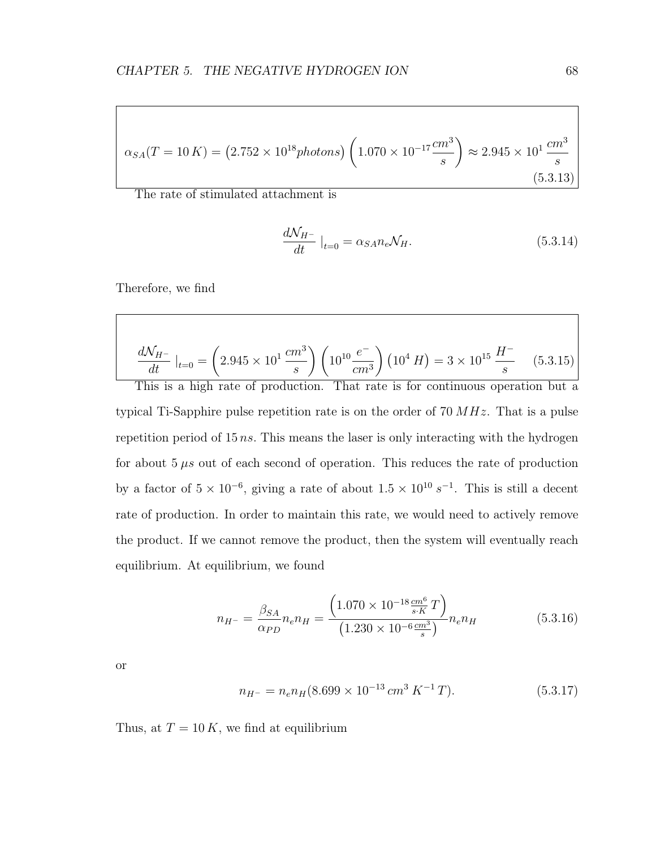$$
\alpha_{SA}(T = 10 \, K) = (2.752 \times 10^{18} \, photons) \left( 1.070 \times 10^{-17} \frac{cm^3}{s} \right) \approx 2.945 \times 10^1 \frac{cm^3}{s} \tag{5.3.13}
$$

The rate of stimulated attachment is

$$
\frac{d\mathcal{N}_{H^-}}{dt}\big|_{t=0} = \alpha_{SA} n_e \mathcal{N}_H. \tag{5.3.14}
$$

Therefore, we find

$$
\frac{dN_{H^{-}}}{dt}|_{t=0} = \left(2.945 \times 10^{1} \frac{cm^{3}}{s}\right) \left(10^{10} \frac{e^{-}}{cm^{3}}\right) \left(10^{4} H\right) = 3 \times 10^{15} \frac{H^{-}}{s} \tag{5.3.15}
$$

This is a high rate of production. That rate is for continuous operation but a typical Ti-Sapphire pulse repetition rate is on the order of  $70 MHz$ . That is a pulse repetition period of  $15 ns$ . This means the laser is only interacting with the hydrogen for about  $5 \mu s$  out of each second of operation. This reduces the rate of production by a factor of  $5 \times 10^{-6}$ , giving a rate of about  $1.5 \times 10^{10} s^{-1}$ . This is still a decent rate of production. In order to maintain this rate, we would need to actively remove the product. If we cannot remove the product, then the system will eventually reach equilibrium. At equilibrium, we found

$$
n_{H^{-}} = \frac{\beta_{SA}}{\alpha_{PD}} n_e n_H = \frac{\left(1.070 \times 10^{-18} \frac{cm^6}{s \cdot K} T\right)}{\left(1.230 \times 10^{-6} \frac{cm^3}{s}\right)} n_e n_H \tag{5.3.16}
$$

or

$$
n_{H^-} = n_e n_H (8.699 \times 10^{-13} \, \text{cm}^3 \, \text{K}^{-1} \, \text{T}). \tag{5.3.17}
$$

Thus, at  $T = 10 K$ , we find at equilibrium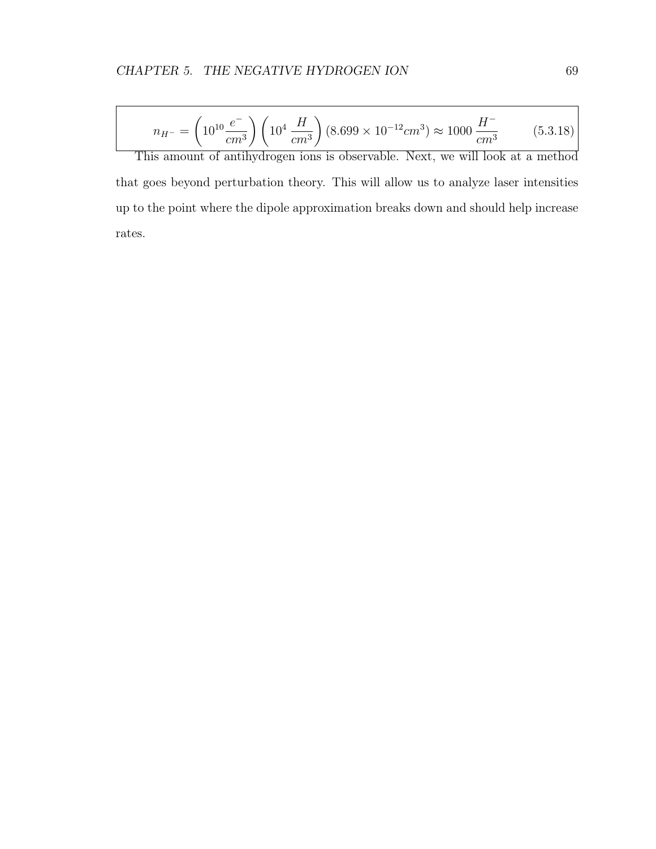$$
n_{H^{-}} = \left(10^{10} \frac{e^{-}}{cm^{3}}\right) \left(10^{4} \frac{H}{cm^{3}}\right) (8.699 \times 10^{-12} cm^{3}) \approx 1000 \frac{H^{-}}{cm^{3}} \tag{5.3.18}
$$

This amount of antihydrogen ions is observable. Next, we will look at a method that goes beyond perturbation theory. This will allow us to analyze laser intensities up to the point where the dipole approximation breaks down and should help increase rates.

 $\overline{1}$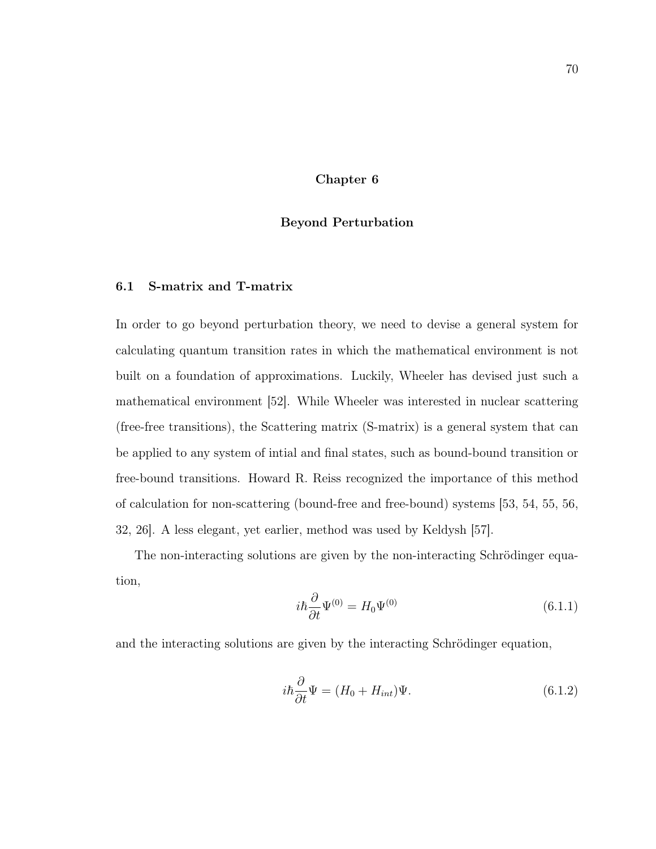Chapter 6

# Beyond Perturbation

# 6.1 S-matrix and T-matrix

In order to go beyond perturbation theory, we need to devise a general system for calculating quantum transition rates in which the mathematical environment is not built on a foundation of approximations. Luckily, Wheeler has devised just such a mathematical environment [52]. While Wheeler was interested in nuclear scattering (free-free transitions), the Scattering matrix (S-matrix) is a general system that can be applied to any system of intial and final states, such as bound-bound transition or free-bound transitions. Howard R. Reiss recognized the importance of this method of calculation for non-scattering (bound-free and free-bound) systems [53, 54, 55, 56, 32, 26]. A less elegant, yet earlier, method was used by Keldysh [57].

The non-interacting solutions are given by the non-interacting Schrödinger equation,

$$
i\hbar \frac{\partial}{\partial t} \Psi^{(0)} = H_0 \Psi^{(0)} \tag{6.1.1}
$$

and the interacting solutions are given by the interacting Schrödinger equation,

$$
i\hbar \frac{\partial}{\partial t} \Psi = (H_0 + H_{int}) \Psi.
$$
\n(6.1.2)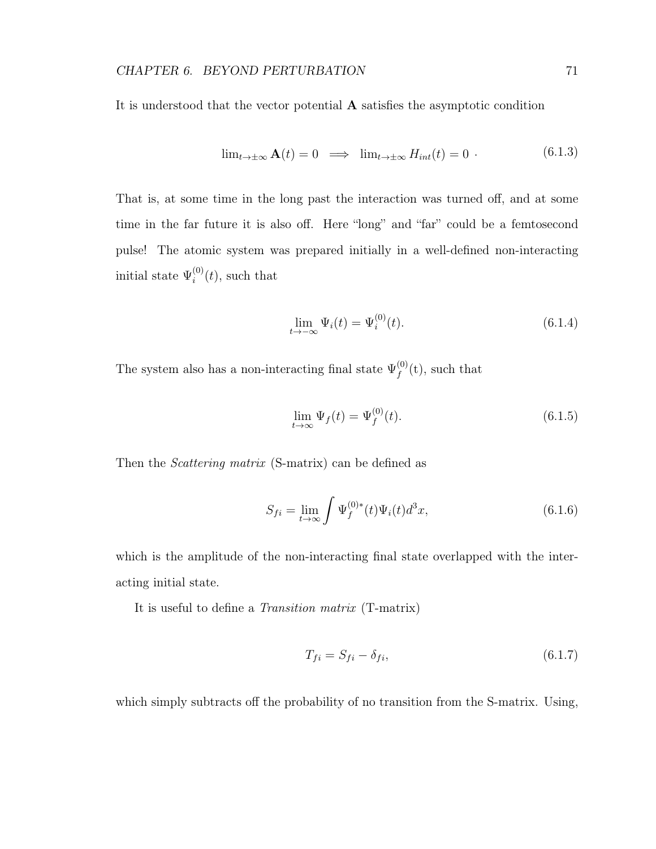It is understood that the vector potential A satisfies the asymptotic condition

$$
\lim_{t \to \pm \infty} \mathbf{A}(t) = 0 \implies \lim_{t \to \pm \infty} H_{int}(t) = 0 \tag{6.1.3}
$$

That is, at some time in the long past the interaction was turned off, and at some time in the far future it is also off. Here "long" and "far" could be a femtosecond pulse! The atomic system was prepared initially in a well-defined non-interacting initial state  $\Psi_i^{(0)}$  $i^{(0)}(t)$ , such that

$$
\lim_{t \to -\infty} \Psi_i(t) = \Psi_i^{(0)}(t). \tag{6.1.4}
$$

The system also has a non-interacting final state  $\Psi_f^{(0)}$  $f^{(0)}(t)$ , such that

$$
\lim_{t \to \infty} \Psi_f(t) = \Psi_f^{(0)}(t). \tag{6.1.5}
$$

Then the *Scattering matrix* (S-matrix) can be defined as

$$
S_{fi} = \lim_{t \to \infty} \int \Psi_f^{(0)*}(t) \Psi_i(t) d^3 x,\tag{6.1.6}
$$

which is the amplitude of the non-interacting final state overlapped with the interacting initial state.

It is useful to define a Transition matrix (T-matrix)

$$
T_{fi} = S_{fi} - \delta_{fi},\tag{6.1.7}
$$

which simply subtracts off the probability of no transition from the S-matrix. Using,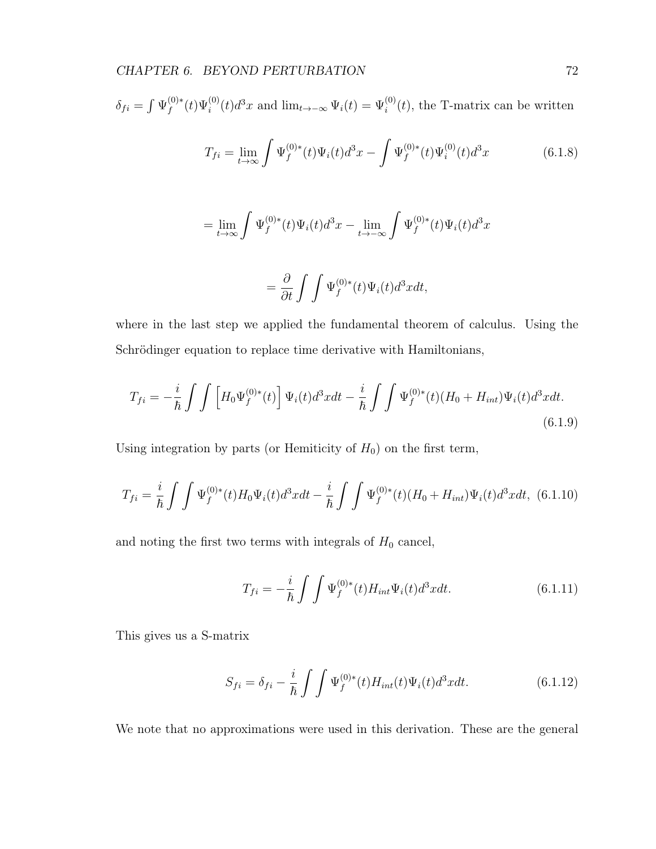$$
\delta_{fi} = \int \Psi_f^{(0)*}(t) \Psi_i^{(0)}(t) d^3x
$$
 and  $\lim_{t \to -\infty} \Psi_i(t) = \Psi_i^{(0)}(t)$ , the T-matrix can be written

$$
T_{fi} = \lim_{t \to \infty} \int \Psi_f^{(0)*}(t) \Psi_i(t) d^3x - \int \Psi_f^{(0)*}(t) \Psi_i^{(0)}(t) d^3x \tag{6.1.8}
$$

$$
= \lim_{t \to \infty} \int \Psi_f^{(0)*}(t) \Psi_i(t) d^3x - \lim_{t \to -\infty} \int \Psi_f^{(0)*}(t) \Psi_i(t) d^3x
$$

$$
= \frac{\partial}{\partial t} \int \int \Psi_f^{(0)*}(t) \Psi_i(t) d^3x dt,
$$

where in the last step we applied the fundamental theorem of calculus. Using the Schrödinger equation to replace time derivative with Hamiltonians,

$$
T_{fi} = -\frac{i}{\hbar} \int \int \left[ H_0 \Psi_f^{(0)*}(t) \right] \Psi_i(t) d^3x dt - \frac{i}{\hbar} \int \int \Psi_f^{(0)*}(t) (H_0 + H_{int}) \Psi_i(t) d^3x dt.
$$
\n(6.1.9)

Using integration by parts (or Hemiticity of  $H_0$ ) on the first term,

$$
T_{fi} = \frac{i}{\hbar} \int \int \Psi_f^{(0)*}(t) H_0 \Psi_i(t) d^3x dt - \frac{i}{\hbar} \int \int \Psi_f^{(0)*}(t) (H_0 + H_{int}) \Psi_i(t) d^3x dt, \tag{6.1.10}
$$

and noting the first two terms with integrals of  $H_0$  cancel,

$$
T_{fi} = -\frac{i}{\hbar} \int \int \Psi_f^{(0)*}(t) H_{int} \Psi_i(t) d^3x dt.
$$
 (6.1.11)

This gives us a S-matrix

$$
S_{fi} = \delta_{fi} - \frac{i}{\hbar} \int \int \Psi_f^{(0)*}(t) H_{int}(t) \Psi_i(t) d^3x dt.
$$
 (6.1.12)

We note that no approximations were used in this derivation. These are the general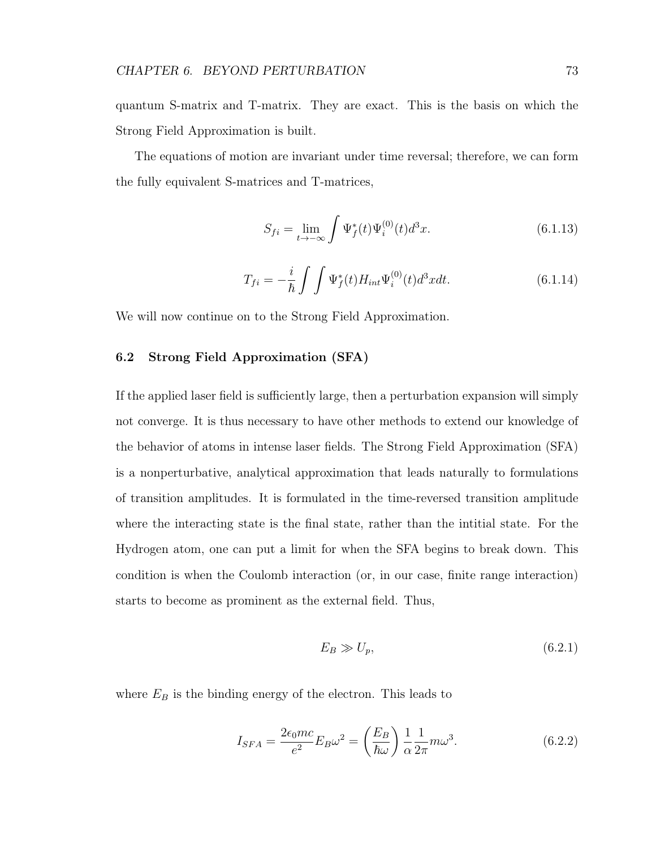quantum S-matrix and T-matrix. They are exact. This is the basis on which the Strong Field Approximation is built.

The equations of motion are invariant under time reversal; therefore, we can form the fully equivalent S-matrices and T-matrices,

$$
S_{fi} = \lim_{t \to -\infty} \int \Psi_f^*(t) \Psi_i^{(0)}(t) d^3 x.
$$
 (6.1.13)

$$
T_{fi} = -\frac{i}{\hbar} \int \int \Psi_f^*(t) H_{int} \Psi_i^{(0)}(t) d^3x dt.
$$
 (6.1.14)

We will now continue on to the Strong Field Approximation.

# 6.2 Strong Field Approximation (SFA)

If the applied laser field is sufficiently large, then a perturbation expansion will simply not converge. It is thus necessary to have other methods to extend our knowledge of the behavior of atoms in intense laser fields. The Strong Field Approximation (SFA) is a nonperturbative, analytical approximation that leads naturally to formulations of transition amplitudes. It is formulated in the time-reversed transition amplitude where the interacting state is the final state, rather than the intitial state. For the Hydrogen atom, one can put a limit for when the SFA begins to break down. This condition is when the Coulomb interaction (or, in our case, finite range interaction) starts to become as prominent as the external field. Thus,

$$
E_B \gg U_p,\tag{6.2.1}
$$

where  $E_B$  is the binding energy of the electron. This leads to

$$
I_{SFA} = \frac{2\epsilon_0 mc}{e^2} E_B \omega^2 = \left(\frac{E_B}{\hbar \omega}\right) \frac{1}{\alpha} \frac{1}{2\pi} m \omega^3.
$$
 (6.2.2)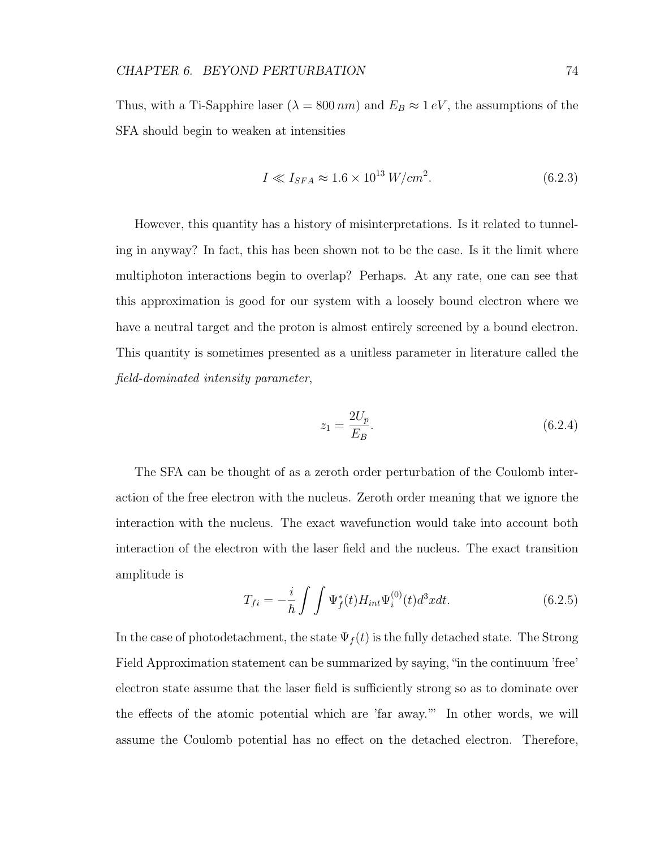Thus, with a Ti-Sapphire laser ( $\lambda = 800 \, nm$ ) and  $E_B \approx 1 \, eV$ , the assumptions of the SFA should begin to weaken at intensities

$$
I \ll I_{SFA} \approx 1.6 \times 10^{13} \, W/cm^2. \tag{6.2.3}
$$

However, this quantity has a history of misinterpretations. Is it related to tunneling in anyway? In fact, this has been shown not to be the case. Is it the limit where multiphoton interactions begin to overlap? Perhaps. At any rate, one can see that this approximation is good for our system with a loosely bound electron where we have a neutral target and the proton is almost entirely screened by a bound electron. This quantity is sometimes presented as a unitless parameter in literature called the field-dominated intensity parameter,

$$
z_1 = \frac{2U_p}{E_B}.\t(6.2.4)
$$

The SFA can be thought of as a zeroth order perturbation of the Coulomb interaction of the free electron with the nucleus. Zeroth order meaning that we ignore the interaction with the nucleus. The exact wavefunction would take into account both interaction of the electron with the laser field and the nucleus. The exact transition amplitude is

$$
T_{fi} = -\frac{i}{\hbar} \int \int \Psi_f^*(t) H_{int} \Psi_i^{(0)}(t) d^3x dt.
$$
 (6.2.5)

In the case of photodetachment, the state  $\Psi_f(t)$  is the fully detached state. The Strong Field Approximation statement can be summarized by saying, "in the continuum 'free' electron state assume that the laser field is sufficiently strong so as to dominate over the effects of the atomic potential which are 'far away.'" In other words, we will assume the Coulomb potential has no effect on the detached electron. Therefore,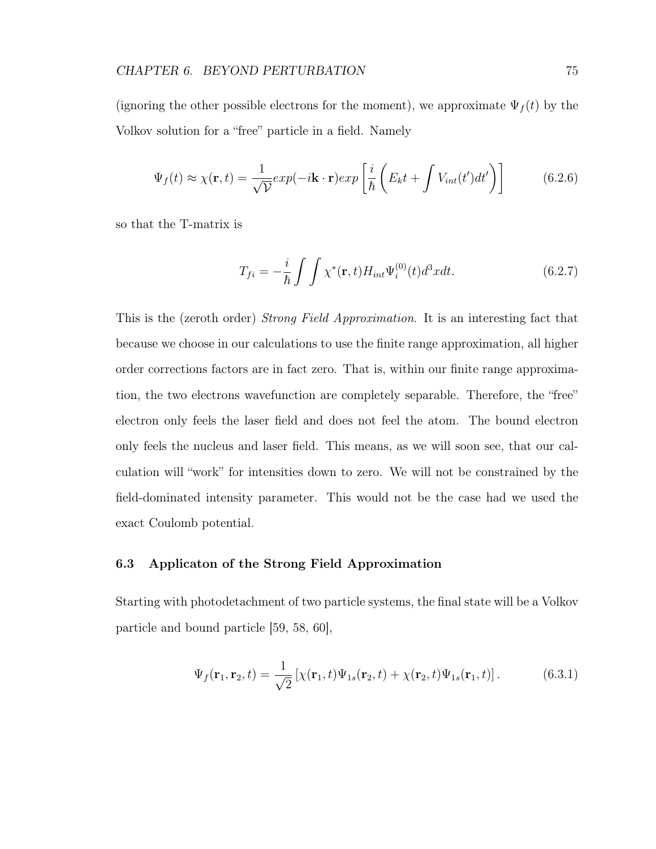(ignoring the other possible electrons for the moment), we approximate  $\Psi_f(t)$  by the Volkov solution for a "free" particle in a field. Namely

$$
\Psi_f(t) \approx \chi(\mathbf{r}, t) = \frac{1}{\sqrt{\mathcal{V}}} exp(-i\mathbf{k} \cdot \mathbf{r}) exp\left[\frac{i}{\hbar} \left(E_k t + \int V_{int}(t') dt'\right)\right]
$$
(6.2.6)

so that the T-matrix is

$$
T_{fi} = -\frac{i}{\hbar} \int \int \chi^*(\mathbf{r}, t) H_{int} \Psi_i^{(0)}(t) d^3x dt.
$$
 (6.2.7)

This is the (zeroth order) Strong Field Approximation. It is an interesting fact that because we choose in our calculations to use the finite range approximation, all higher order corrections factors are in fact zero. That is, within our finite range approximation, the two electrons wavefunction are completely separable. Therefore, the "free" electron only feels the laser field and does not feel the atom. The bound electron only feels the nucleus and laser field. This means, as we will soon see, that our calculation will "work" for intensities down to zero. We will not be constrained by the field-dominated intensity parameter. This would not be the case had we used the exact Coulomb potential.

# 6.3 Applicaton of the Strong Field Approximation

Starting with photodetachment of two particle systems, the final state will be a Volkov particle and bound particle [59, 58, 60],

$$
\Psi_f(\mathbf{r}_1, \mathbf{r}_2, t) = \frac{1}{\sqrt{2}} \left[ \chi(\mathbf{r}_1, t) \Psi_{1s}(\mathbf{r}_2, t) + \chi(\mathbf{r}_2, t) \Psi_{1s}(\mathbf{r}_1, t) \right]. \tag{6.3.1}
$$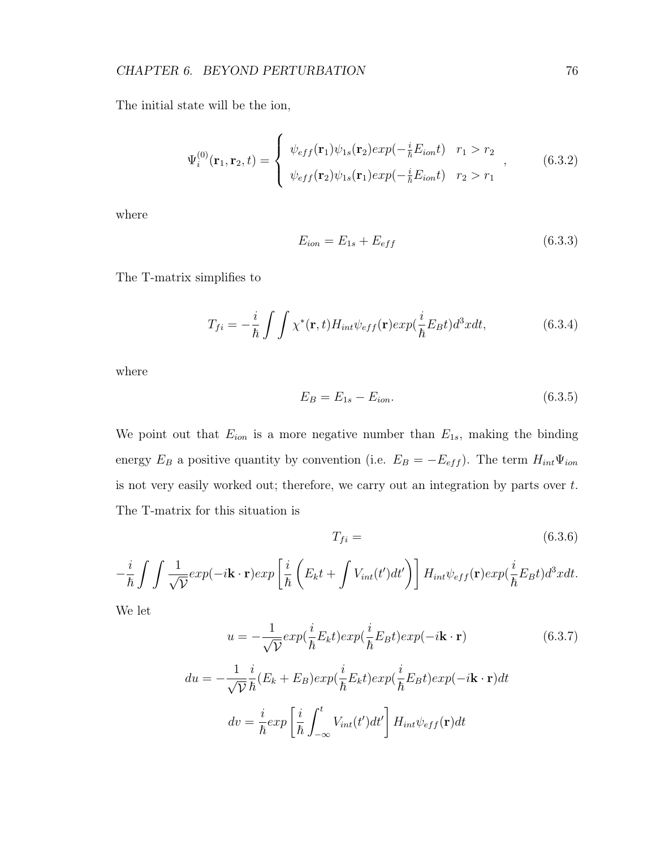The initial state will be the ion,

$$
\Psi_i^{(0)}(\mathbf{r}_1, \mathbf{r}_2, t) = \begin{cases} \psi_{eff}(\mathbf{r}_1)\psi_{1s}(\mathbf{r}_2)exp(-\frac{i}{\hbar}E_{ion}t) & r_1 > r_2 \\ \psi_{eff}(\mathbf{r}_2)\psi_{1s}(\mathbf{r}_1)exp(-\frac{i}{\hbar}E_{ion}t) & r_2 > r_1 \end{cases}, \quad (6.3.2)
$$

where

$$
E_{ion} = E_{1s} + E_{eff} \tag{6.3.3}
$$

The T-matrix simplifies to

$$
T_{fi} = -\frac{i}{\hbar} \int \int \chi^*(\mathbf{r}, t) H_{int} \psi_{eff}(\mathbf{r}) exp(\frac{i}{\hbar} E_B t) d^3x dt,
$$
 (6.3.4)

where

$$
E_B = E_{1s} - E_{ion}.\t\t(6.3.5)
$$

We point out that  $E_{ion}$  is a more negative number than  $E_{1s}$ , making the binding energy  $E_B$  a positive quantity by convention (i.e.  $E_B = -E_{eff}$ ). The term  $H_{int}\Psi_{ion}$ is not very easily worked out; therefore, we carry out an integration by parts over  $t$ . The T-matrix for this situation is

$$
T_{fi} = (6.3.6)
$$

$$
-\frac{i}{\hbar} \int \int \frac{1}{\sqrt{\mathcal{V}}} exp(-i\mathbf{k} \cdot \mathbf{r}) exp\left[\frac{i}{\hbar} \left(E_k t + \int V_{int}(t') dt'\right)\right] H_{int} \psi_{eff}(\mathbf{r}) exp(\frac{i}{\hbar} E_B t) d^3x dt.
$$

We let

$$
u = -\frac{1}{\sqrt{\mathcal{V}}} exp(\frac{i}{\hbar} E_k t) exp(\frac{i}{\hbar} E_B t) exp(-i\mathbf{k} \cdot \mathbf{r})
$$
(6.3.7)  

$$
du = -\frac{1}{\sqrt{\mathcal{V}}} \frac{i}{\hbar} (E_k + E_B) exp(\frac{i}{\hbar} E_k t) exp(\frac{i}{\hbar} E_B t) exp(-i\mathbf{k} \cdot \mathbf{r}) dt
$$

$$
dv = \frac{i}{\hbar} exp\left[\frac{i}{\hbar} \int_{-\infty}^t V_{int}(t') dt'\right] H_{int} \psi_{eff}(\mathbf{r}) dt
$$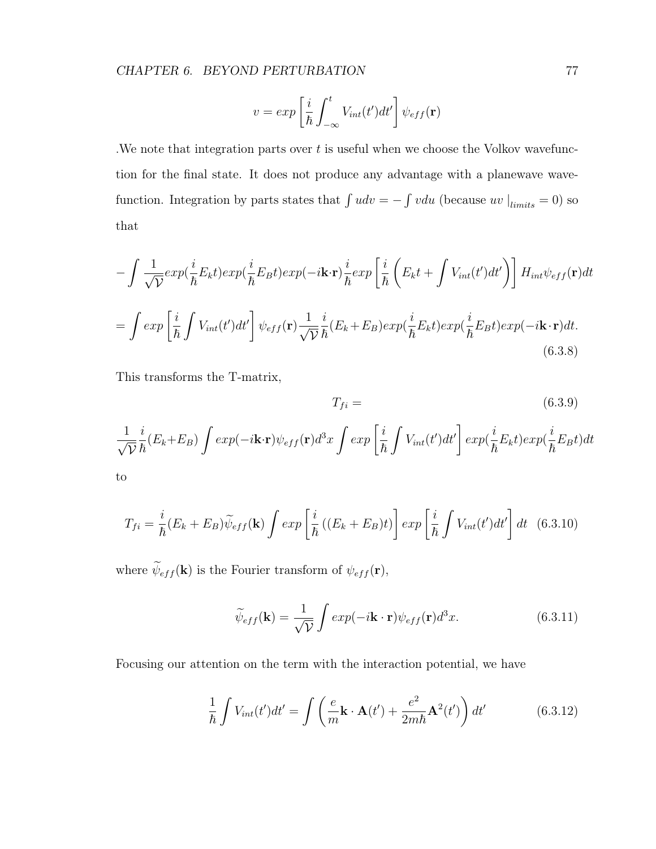$$
v = exp\left[\frac{i}{\hbar} \int_{-\infty}^{t} V_{int}(t')dt'\right] \psi_{eff}(\mathbf{r})
$$

. We note that integration parts over  $t$  is useful when we choose the Volkov wavefunction for the final state. It does not produce any advantage with a planewave wavefunction. Integration by parts states that  $\int u dv = - \int v du$  (because uv  $\left|_{\text{limits}} = 0\right|$ ) so that

$$
-\int \frac{1}{\sqrt{\mathcal{V}}} exp(\frac{i}{\hbar} E_k t) exp(\frac{i}{\hbar} E_B t) exp(-i\mathbf{k} \cdot \mathbf{r}) \frac{i}{\hbar} exp\left[\frac{i}{\hbar} \left(E_k t + \int V_{int}(t') dt'\right)\right] H_{int} \psi_{eff}(\mathbf{r}) dt
$$

$$
= \int exp\left[\frac{i}{\hbar} \int V_{int}(t') dt'\right] \psi_{eff}(\mathbf{r}) \frac{1}{\sqrt{\mathcal{V}}} \frac{i}{\hbar} (E_k + E_B) exp(\frac{i}{\hbar} E_k t) exp(\frac{i}{\hbar} E_B t) exp(-i\mathbf{k} \cdot \mathbf{r}) dt.
$$
(6.3.8)

This transforms the T-matrix,

$$
T_{fi} = (6.3.9)
$$

$$
\frac{1}{\sqrt{\mathcal{V}}}\frac{i}{\hbar}(E_k + E_B) \int exp(-i\mathbf{k}\cdot\mathbf{r})\psi_{eff}(\mathbf{r})d^3x \int exp\left[\frac{i}{\hbar}\int V_{int}(t')dt'\right]exp(\frac{i}{\hbar}E_kt)exp(\frac{i}{\hbar}E_Bt)dt
$$
to

$$
T_{fi} = \frac{i}{\hbar} (E_k + E_B) \widetilde{\psi}_{eff}(\mathbf{k}) \int exp\left[\frac{i}{\hbar} \left( (E_k + E_B)t \right)\right] exp\left[\frac{i}{\hbar} \int V_{int}(t') dt'\right] dt \quad (6.3.10)
$$

where  $\widetilde{\psi}_{eff}(\mathbf{k})$  is the Fourier transform of  $\psi_{eff}(\mathbf{r}),$ 

$$
\widetilde{\psi}_{eff}(\mathbf{k}) = \frac{1}{\sqrt{\mathcal{V}}} \int exp(-i\mathbf{k} \cdot \mathbf{r}) \psi_{eff}(\mathbf{r}) d^3 x.
$$
\n(6.3.11)

Focusing our attention on the term with the interaction potential, we have

$$
\frac{1}{\hbar} \int V_{int}(t')dt' = \int \left(\frac{e}{m}\mathbf{k} \cdot \mathbf{A}(t') + \frac{e^2}{2m\hbar} \mathbf{A}^2(t')\right) dt'
$$
(6.3.12)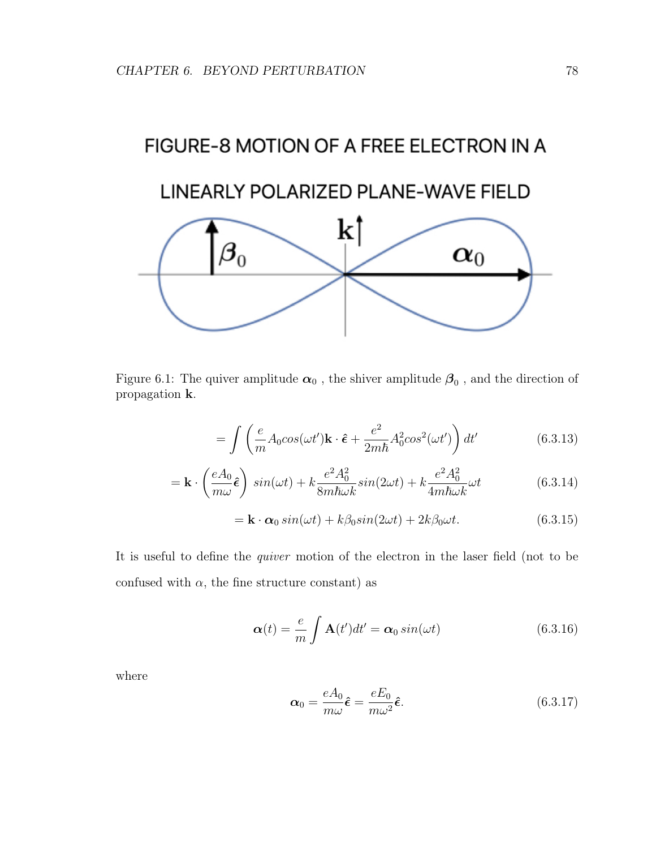# FIGURE-8 MOTION OF A FREE ELECTRON IN A LINEARLY POLARIZED PLANE-WAVE FIELD  $\bf k$  $\bm{\beta}_0$  $\boldsymbol{\alpha}_0$

Figure 6.1: The quiver amplitude  $\alpha_0$  , the shiver amplitude  $\beta_0$  , and the direction of propagation k.

$$
= \int \left( \frac{e}{m} A_0 \cos(\omega t') \mathbf{k} \cdot \hat{\boldsymbol{\epsilon}} + \frac{e^2}{2m\hbar} A_0^2 \cos^2(\omega t') \right) dt' \tag{6.3.13}
$$

$$
= \mathbf{k} \cdot \left(\frac{eA_0}{m\omega}\hat{\epsilon}\right) \sin(\omega t) + k \frac{e^2 A_0^2}{8m\hbar\omega k} \sin(2\omega t) + k \frac{e^2 A_0^2}{4m\hbar\omega k} \omega t \tag{6.3.14}
$$

$$
= \mathbf{k} \cdot \boldsymbol{\alpha}_0 \sin(\omega t) + k\beta_0 \sin(2\omega t) + 2k\beta_0 \omega t.
$$
 (6.3.15)

It is useful to define the quiver motion of the electron in the laser field (not to be confused with  $\alpha$ , the fine structure constant) as

$$
\boldsymbol{\alpha}(t) = \frac{e}{m} \int \mathbf{A}(t')dt' = \boldsymbol{\alpha}_0 \sin(\omega t) \tag{6.3.16}
$$

where

$$
\boldsymbol{\alpha}_0 = \frac{eA_0}{m\omega}\hat{\boldsymbol{\epsilon}} = \frac{eE_0}{m\omega^2}\hat{\boldsymbol{\epsilon}}.\tag{6.3.17}
$$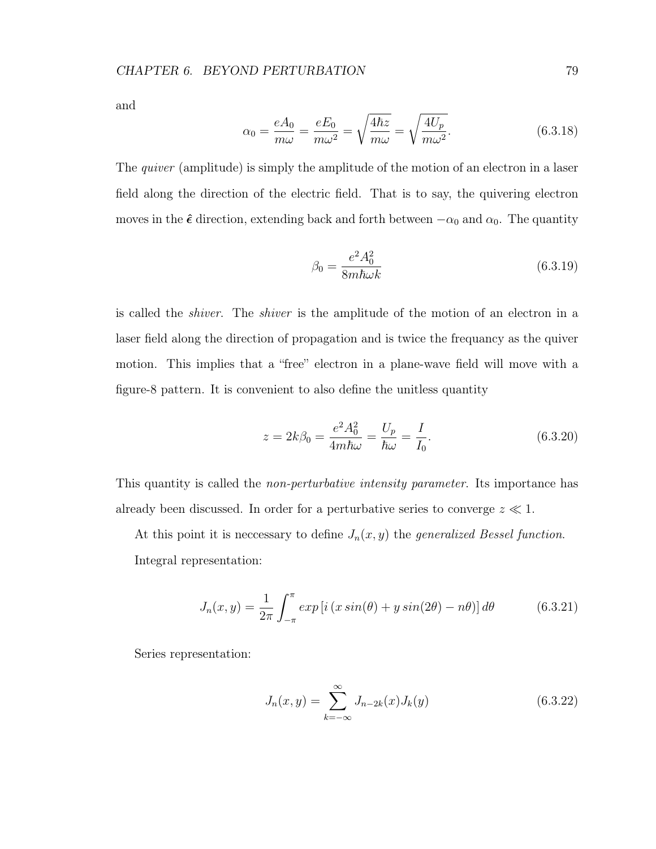and

$$
\alpha_0 = \frac{eA_0}{m\omega} = \frac{eE_0}{m\omega^2} = \sqrt{\frac{4\hbar z}{m\omega}} = \sqrt{\frac{4U_p}{m\omega^2}}.
$$
\n(6.3.18)

The *quiver* (amplitude) is simply the amplitude of the motion of an electron in a laser field along the direction of the electric field. That is to say, the quivering electron moves in the  $\hat{\epsilon}$  direction, extending back and forth between  $-\alpha_0$  and  $\alpha_0$ . The quantity

$$
\beta_0 = \frac{e^2 A_0^2}{8m\hbar\omega k} \tag{6.3.19}
$$

is called the shiver. The shiver is the amplitude of the motion of an electron in a laser field along the direction of propagation and is twice the frequancy as the quiver motion. This implies that a "free" electron in a plane-wave field will move with a figure-8 pattern. It is convenient to also define the unitless quantity

$$
z = 2k\beta_0 = \frac{e^2 A_0^2}{4m\hbar\omega} = \frac{U_p}{\hbar\omega} = \frac{I}{I_0}.
$$
 (6.3.20)

This quantity is called the *non-perturbative intensity parameter*. Its importance has already been discussed. In order for a perturbative series to converge  $z \ll 1$ .

At this point it is necessary to define  $J_n(x, y)$  the generalized Bessel function. Integral representation:

$$
J_n(x,y) = \frac{1}{2\pi} \int_{-\pi}^{\pi} exp[i(x \sin(\theta) + y \sin(2\theta) - n\theta)] d\theta \qquad (6.3.21)
$$

Series representation:

$$
J_n(x,y) = \sum_{k=-\infty}^{\infty} J_{n-2k}(x) J_k(y)
$$
 (6.3.22)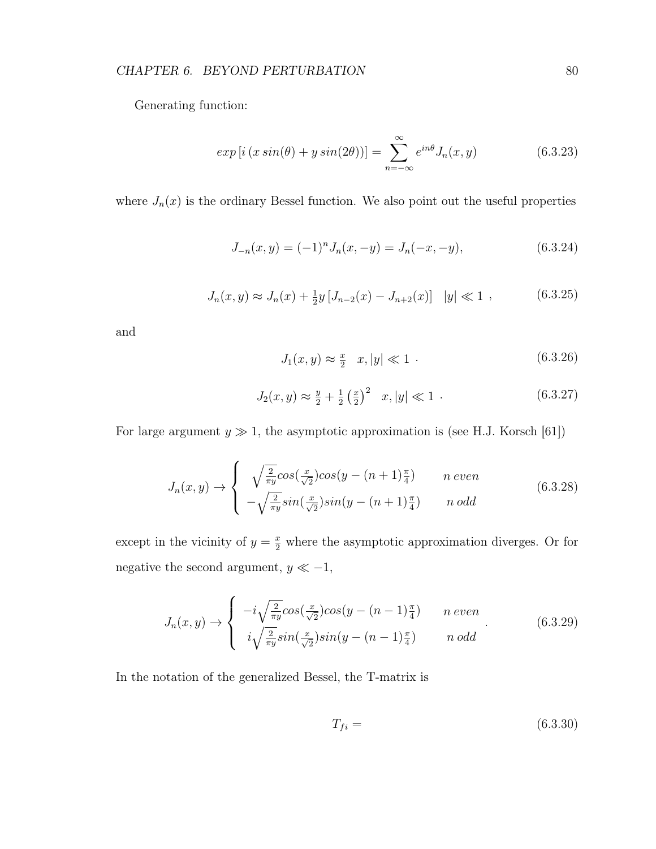# CHAPTER 6. BEYOND PERTURBATION 80

Generating function:

$$
exp[i(x\sin(\theta) + y\sin(2\theta))] = \sum_{n=-\infty}^{\infty} e^{in\theta} J_n(x, y)
$$
(6.3.23)

where  $J_n(x)$  is the ordinary Bessel function. We also point out the useful properties

$$
J_{-n}(x,y) = (-1)^n J_n(x,-y) = J_n(-x,-y), \qquad (6.3.24)
$$

$$
J_n(x,y) \approx J_n(x) + \frac{1}{2}y \left[ J_{n-2}(x) - J_{n+2}(x) \right] \quad |y| \ll 1 \quad , \tag{6.3.25}
$$

and

$$
J_1(x, y) \approx \frac{x}{2} \quad x, |y| \ll 1 \tag{6.3.26}
$$

$$
J_2(x,y) \approx \frac{y}{2} + \frac{1}{2} \left(\frac{x}{2}\right)^2 \quad x, |y| \ll 1 \quad . \tag{6.3.27}
$$

For large argument  $y \gg 1$ , the asymptotic approximation is (see H.J. Korsch [61])

$$
J_n(x,y) \to \begin{cases} \sqrt{\frac{2}{\pi y}} \cos(\frac{x}{\sqrt{2}}) \cos(y - (n+1)\frac{\pi}{4}) & n \text{ even} \\ -\sqrt{\frac{2}{\pi y}} \sin(\frac{x}{\sqrt{2}}) \sin(y - (n+1)\frac{\pi}{4}) & n \text{ odd} \end{cases}
$$
(6.3.28)

except in the vicinity of  $y = \frac{x}{2}$  where the asymptotic approximation diverges. Or for negative the second argument,  $y\ll -1,$ 

$$
J_n(x,y) \rightarrow \begin{cases} -i\sqrt{\frac{2}{\pi y}}cos(\frac{x}{\sqrt{2}})cos(y-(n-1)\frac{\pi}{4}) & n \text{ even} \\ i\sqrt{\frac{2}{\pi y}}sin(\frac{x}{\sqrt{2}})sin(y-(n-1)\frac{\pi}{4}) & n \text{ odd} \end{cases}
$$
(6.3.29)

In the notation of the generalized Bessel, the T-matrix is

$$
T_{fi} = (6.3.30)
$$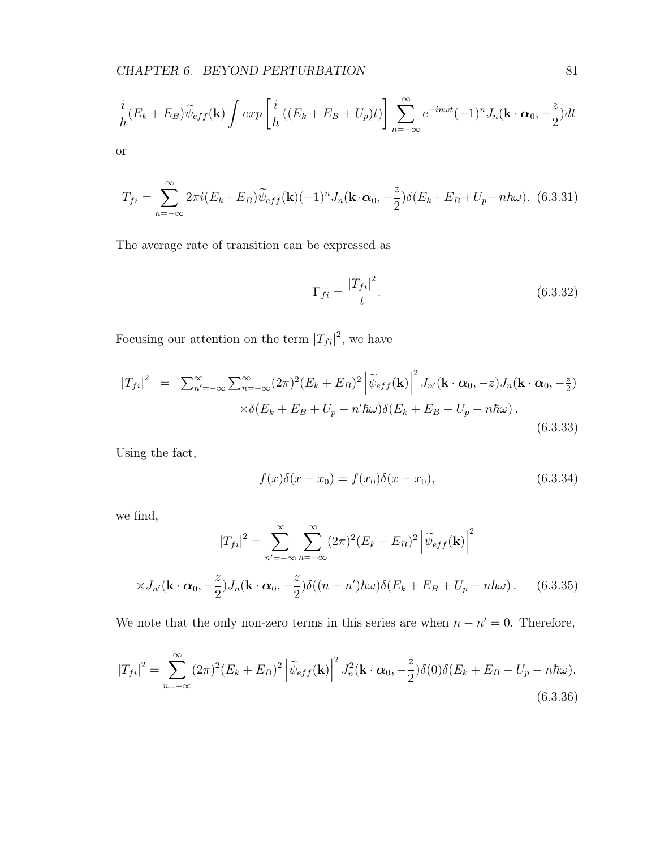$$
\frac{i}{\hbar}(E_k + E_B)\widetilde{\psi}_{eff}(\mathbf{k}) \int exp\left[\frac{i}{\hbar}\left((E_k + E_B + U_p)t\right)\right] \sum_{n=-\infty}^{\infty} e^{-in\omega t}(-1)^n J_n(\mathbf{k} \cdot \boldsymbol{\alpha}_0, -\frac{z}{2}) dt
$$

or

$$
T_{fi} = \sum_{n=-\infty}^{\infty} 2\pi i (E_k + E_B) \widetilde{\psi}_{eff}(\mathbf{k}) (-1)^n J_n(\mathbf{k} \cdot \boldsymbol{\alpha}_0, -\frac{z}{2}) \delta(E_k + E_B + U_p - n\hbar\omega). \tag{6.3.31}
$$

The average rate of transition can be expressed as

$$
\Gamma_{fi} = \frac{|T_{fi}|^2}{t}.\tag{6.3.32}
$$

Focusing our attention on the term  $|T_{fi}|^2$ , we have

$$
|T_{fi}|^2 = \sum_{n'=-\infty}^{\infty} \sum_{n=-\infty}^{\infty} (2\pi)^2 (E_k + E_B)^2 \left| \widetilde{\psi}_{eff}(\mathbf{k}) \right|^2 J_{n'}(\mathbf{k} \cdot \boldsymbol{\alpha}_0, -z) J_n(\mathbf{k} \cdot \boldsymbol{\alpha}_0, -\frac{z}{2})
$$

$$
\times \delta(E_k + E_B + U_p - n'\hbar\omega) \delta(E_k + E_B + U_p - n\hbar\omega).
$$
(6.3.33)

Using the fact,

$$
f(x)\delta(x - x_0) = f(x_0)\delta(x - x_0),
$$
\n(6.3.34)

we find,

$$
|T_{fi}|^2 = \sum_{n'=-\infty}^{\infty} \sum_{n=-\infty}^{\infty} (2\pi)^2 (E_k + E_B)^2 \left| \widetilde{\psi}_{eff}(\mathbf{k}) \right|^2
$$
  
 
$$
\times J_{n'}(\mathbf{k} \cdot \boldsymbol{\alpha}_0, -\frac{z}{2}) J_n(\mathbf{k} \cdot \boldsymbol{\alpha}_0, -\frac{z}{2}) \delta((n - n') \hbar \omega) \delta(E_k + E_B + U_p - n \hbar \omega).
$$
 (6.3.35)

We note that the only non-zero terms in this series are when  $n - n' = 0$ . Therefore,

$$
|T_{fi}|^2 = \sum_{n=-\infty}^{\infty} (2\pi)^2 (E_k + E_B)^2 \left| \widetilde{\psi}_{eff}(\mathbf{k}) \right|^2 J_n^2(\mathbf{k} \cdot \boldsymbol{\alpha}_0, -\frac{z}{2}) \delta(0) \delta(E_k + E_B + U_p - n\hbar\omega).
$$
\n(6.3.36)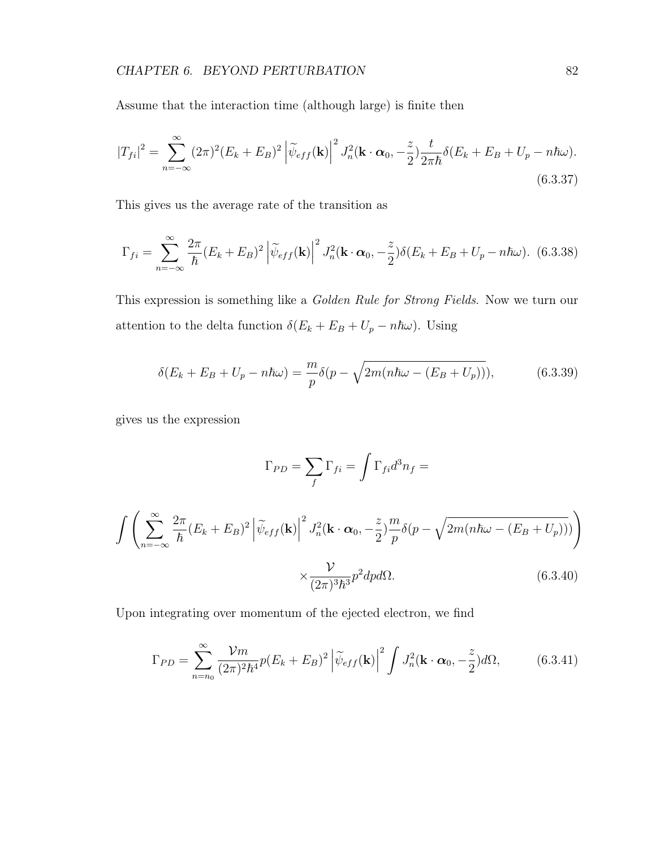Assume that the interaction time (although large) is finite then

$$
|T_{fi}|^2 = \sum_{n=-\infty}^{\infty} (2\pi)^2 (E_k + E_B)^2 \left| \tilde{\psi}_{eff}(\mathbf{k}) \right|^2 J_n^2(\mathbf{k} \cdot \boldsymbol{\alpha}_0, -\frac{z}{2}) \frac{t}{2\pi\hbar} \delta(E_k + E_B + U_p - n\hbar\omega).
$$
(6.3.37)

This gives us the average rate of the transition as

$$
\Gamma_{fi} = \sum_{n=-\infty}^{\infty} \frac{2\pi}{\hbar} (E_k + E_B)^2 \left| \widetilde{\psi}_{eff}(\mathbf{k}) \right|^2 J_n^2(\mathbf{k} \cdot \boldsymbol{\alpha}_0, -\frac{z}{2}) \delta(E_k + E_B + U_p - n\hbar\omega). \tag{6.3.38}
$$

This expression is something like a Golden Rule for Strong Fields. Now we turn our attention to the delta function  $\delta(E_k + E_B + U_p - n\hbar\omega)$ . Using

$$
\delta(E_k + E_B + U_p - n\hbar\omega) = \frac{m}{p}\delta(p - \sqrt{2m(n\hbar\omega - (E_B + U_p))}),\tag{6.3.39}
$$

gives us the expression

$$
\Gamma_{PD} = \sum_{f} \Gamma_{fi} = \int \Gamma_{fi} d^3 n_f =
$$

$$
\int \left( \sum_{n=-\infty}^{\infty} \frac{2\pi}{\hbar} (E_k + E_B)^2 \left| \widetilde{\psi}_{eff}(\mathbf{k}) \right|^2 J_n^2(\mathbf{k} \cdot \boldsymbol{\alpha}_0, -\frac{z}{2}) \frac{m}{p} \delta(p - \sqrt{2m(n\hbar\omega - (E_B + U_p)))} \right) \times \frac{\mathcal{V}}{(2\pi)^3 \hbar^3} p^2 dp d\Omega.
$$
 (6.3.40)

Upon integrating over momentum of the ejected electron, we find

$$
\Gamma_{PD} = \sum_{n=n_0}^{\infty} \frac{\mathcal{V}m}{(2\pi)^2 \hbar^4} p(E_k + E_B)^2 \left| \widetilde{\psi}_{eff}(\mathbf{k}) \right|^2 \int J_n^2(\mathbf{k} \cdot \boldsymbol{\alpha}_0, -\frac{z}{2}) d\Omega, \tag{6.3.41}
$$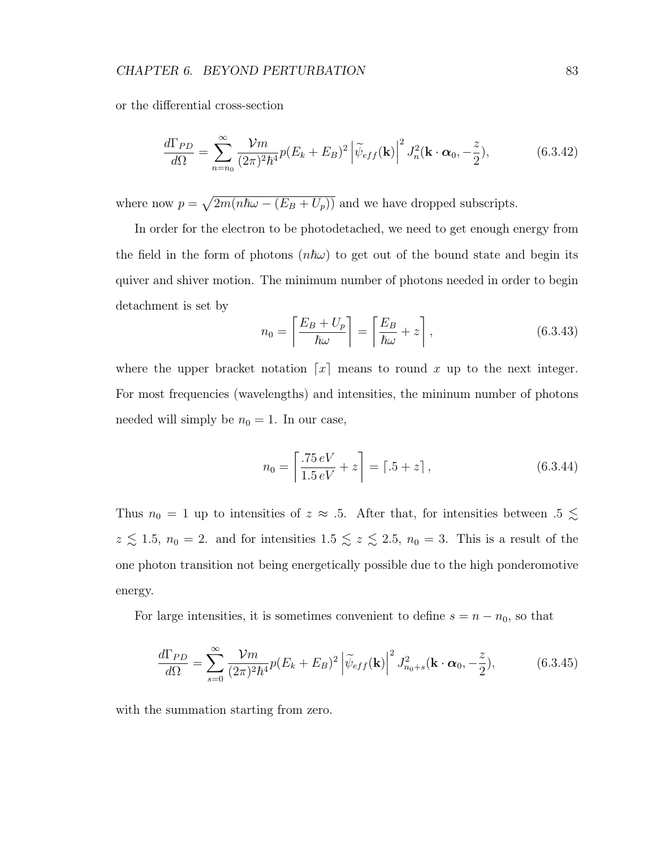or the differential cross-section

$$
\frac{d\Gamma_{PD}}{d\Omega} = \sum_{n=n_0}^{\infty} \frac{\mathcal{V}m}{(2\pi)^2 \hbar^4} p(E_k + E_B)^2 \left| \widetilde{\psi}_{eff}(\mathbf{k}) \right|^2 J_n^2(\mathbf{k} \cdot \boldsymbol{\alpha}_0, -\frac{z}{2}), \tag{6.3.42}
$$

where now  $p = \sqrt{2m(n\hbar\omega - (E_B + U_p))}$  and we have dropped subscripts.

In order for the electron to be photodetached, we need to get enough energy from the field in the form of photons  $(n\hbar\omega)$  to get out of the bound state and begin its quiver and shiver motion. The minimum number of photons needed in order to begin detachment is set by

$$
n_0 = \left\lceil \frac{E_B + U_p}{\hbar \omega} \right\rceil = \left\lceil \frac{E_B}{\hbar \omega} + z \right\rceil, \tag{6.3.43}
$$

where the upper bracket notation  $\lceil x \rceil$  means to round x up to the next integer. For most frequencies (wavelengths) and intensities, the mininum number of photons needed will simply be  $n_0 = 1$ . In our case,

$$
n_0 = \left[\frac{.75 \, eV}{1.5 \, eV} + z\right] = \left[ .5 + z \right],\tag{6.3.44}
$$

Thus  $n_0 = 1$  up to intensities of  $z \approx .5$ . After that, for intensities between  $.5 \lesssim$  $z \lesssim 1.5$ ,  $n_0 = 2$ . and for intensities  $1.5 \lesssim z \lesssim 2.5$ ,  $n_0 = 3$ . This is a result of the one photon transition not being energetically possible due to the high ponderomotive energy.

For large intensities, it is sometimes convenient to define  $s = n - n_0$ , so that

$$
\frac{d\Gamma_{PD}}{d\Omega} = \sum_{s=0}^{\infty} \frac{\mathcal{V}m}{(2\pi)^2 \hbar^4} p(E_k + E_B)^2 \left| \widetilde{\psi}_{eff}(\mathbf{k}) \right|^2 J_{n_0+s}^2(\mathbf{k} \cdot \boldsymbol{\alpha}_0, -\frac{z}{2}), \tag{6.3.45}
$$

with the summation starting from zero.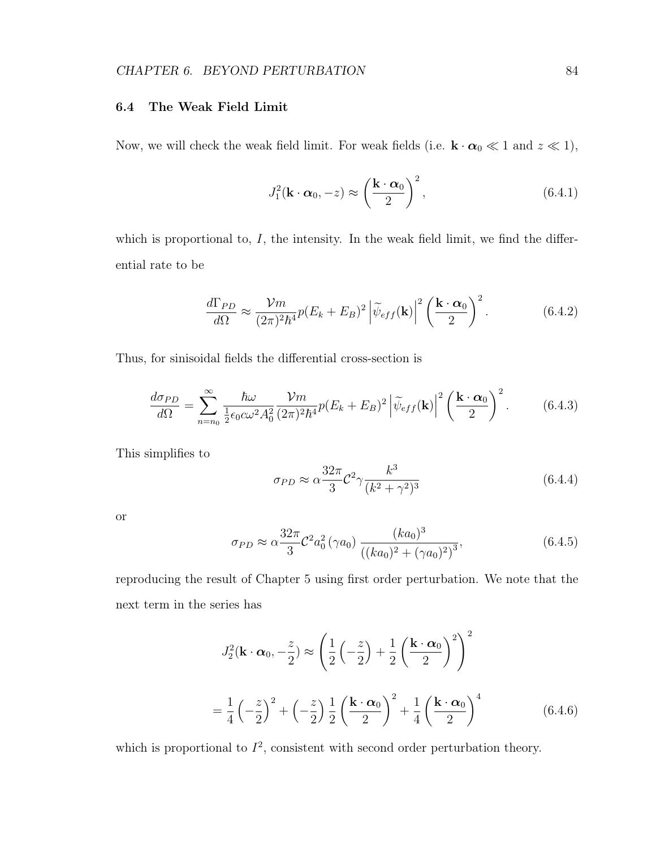# 6.4 The Weak Field Limit

Now, we will check the weak field limit. For weak fields (i.e.  $\mathbf{k} \cdot \boldsymbol{\alpha}_0 \ll 1$  and  $z \ll 1$ ),

$$
J_1^2(\mathbf{k} \cdot \boldsymbol{\alpha}_0, -z) \approx \left(\frac{\mathbf{k} \cdot \boldsymbol{\alpha}_0}{2}\right)^2, \tag{6.4.1}
$$

which is proportional to,  $I$ , the intensity. In the weak field limit, we find the differential rate to be

$$
\frac{d\Gamma_{PD}}{d\Omega} \approx \frac{\mathcal{V}m}{(2\pi)^2\hbar^4} p(E_k + E_B)^2 \left| \widetilde{\psi}_{eff}(\mathbf{k}) \right|^2 \left( \frac{\mathbf{k} \cdot \boldsymbol{\alpha}_0}{2} \right)^2. \tag{6.4.2}
$$

Thus, for sinisoidal fields the differential cross-section is

$$
\frac{d\sigma_{PD}}{d\Omega} = \sum_{n=n_0}^{\infty} \frac{\hbar \omega}{\frac{1}{2} \epsilon_0 c \omega^2 A_0^2} \frac{\mathcal{V}m}{(2\pi)^2 \hbar^4} p(E_k + E_B)^2 \left| \widetilde{\psi}_{eff}(\mathbf{k}) \right|^2 \left( \frac{\mathbf{k} \cdot \mathbf{\alpha}_0}{2} \right)^2.
$$
 (6.4.3)

This simplifies to

$$
\sigma_{PD} \approx \alpha \frac{32\pi}{3} \mathcal{C}^2 \gamma \frac{k^3}{(k^2 + \gamma^2)^3}
$$
\n(6.4.4)

or

$$
\sigma_{PD} \approx \alpha \frac{32\pi}{3} \mathcal{C}^2 a_0^2 (\gamma a_0) \frac{(ka_0)^3}{((ka_0)^2 + (\gamma a_0)^2)^3},
$$
\n(6.4.5)

reproducing the result of Chapter 5 using first order perturbation. We note that the next term in the series has

$$
J_2^2(\mathbf{k} \cdot \boldsymbol{\alpha}_0, -\frac{z}{2}) \approx \left(\frac{1}{2}\left(-\frac{z}{2}\right) + \frac{1}{2}\left(\frac{\mathbf{k} \cdot \boldsymbol{\alpha}_0}{2}\right)^2\right)^2
$$

$$
= \frac{1}{4}\left(-\frac{z}{2}\right)^2 + \left(-\frac{z}{2}\right)\frac{1}{2}\left(\frac{\mathbf{k} \cdot \boldsymbol{\alpha}_0}{2}\right)^2 + \frac{1}{4}\left(\frac{\mathbf{k} \cdot \boldsymbol{\alpha}_0}{2}\right)^4 \tag{6.4.6}
$$

which is proportional to  $I^2$ , consistent with second order perturbation theory.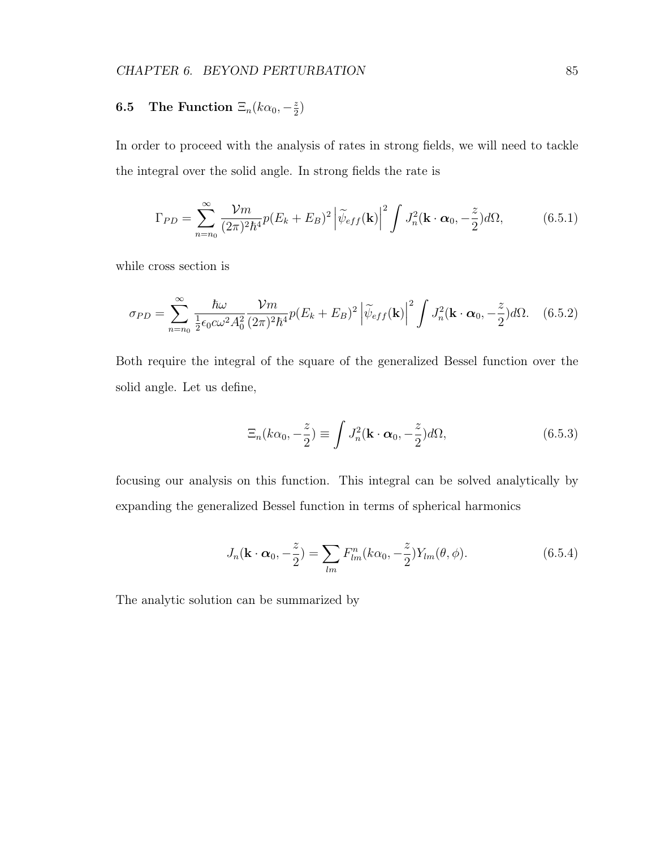#### **6.5** The Function  $\Xi_n(k\alpha_0, -\frac{z}{2})$  $\frac{z}{2}$

In order to proceed with the analysis of rates in strong fields, we will need to tackle the integral over the solid angle. In strong fields the rate is

$$
\Gamma_{PD} = \sum_{n=n_0}^{\infty} \frac{\mathcal{V}m}{(2\pi)^2 \hbar^4} p(E_k + E_B)^2 \left| \widetilde{\psi}_{eff}(\mathbf{k}) \right|^2 \int J_n^2(\mathbf{k} \cdot \boldsymbol{\alpha}_0, -\frac{z}{2}) d\Omega, \tag{6.5.1}
$$

while cross section is

$$
\sigma_{PD} = \sum_{n=n_0}^{\infty} \frac{\hbar \omega}{\frac{1}{2} \epsilon_0 c \omega^2 A_0^2} \frac{\mathcal{V}m}{(2\pi)^2 \hbar^4} p(E_k + E_B)^2 \left| \widetilde{\psi}_{eff}(\mathbf{k}) \right|^2 \int J_n^2(\mathbf{k} \cdot \boldsymbol{\alpha}_0, -\frac{z}{2}) d\Omega. \tag{6.5.2}
$$

Both require the integral of the square of the generalized Bessel function over the solid angle. Let us define,

$$
\Xi_n(k\alpha_0, -\frac{z}{2}) \equiv \int J_n^2(\mathbf{k} \cdot \boldsymbol{\alpha}_0, -\frac{z}{2})d\Omega,\tag{6.5.3}
$$

focusing our analysis on this function. This integral can be solved analytically by expanding the generalized Bessel function in terms of spherical harmonics

$$
J_n(\mathbf{k} \cdot \boldsymbol{\alpha}_0, -\frac{z}{2}) = \sum_{lm} F_{lm}^n(k\alpha_0, -\frac{z}{2}) Y_{lm}(\theta, \phi).
$$
 (6.5.4)

The analytic solution can be summarized by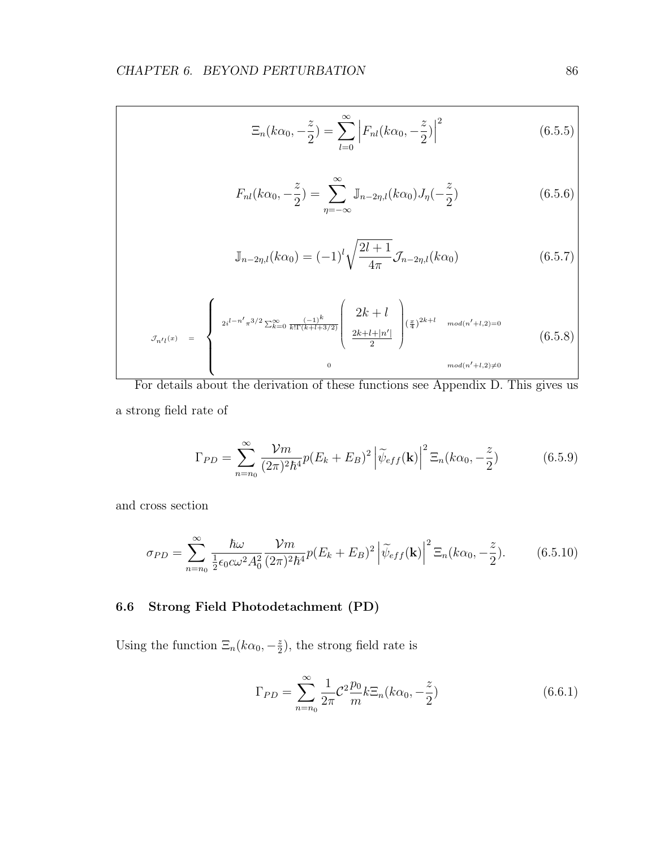$$
\Xi_n(k\alpha_0, -\frac{z}{2}) = \sum_{l=0}^{\infty} \left| F_{nl}(k\alpha_0, -\frac{z}{2}) \right|^2 \tag{6.5.5}
$$

$$
F_{nl}(k\alpha_0, -\frac{z}{2}) = \sum_{\eta = -\infty}^{\infty} \mathbb{J}_{n-2\eta, l}(k\alpha_0) J_{\eta}(-\frac{z}{2})
$$
(6.5.6)

$$
\mathbb{J}_{n-2\eta,l}(k\alpha_0) = (-1)^l \sqrt{\frac{2l+1}{4\pi}} \mathcal{J}_{n-2\eta,l}(k\alpha_0)
$$
\n(6.5.7)

$$
\mathcal{J}_{n'l}(x) = \begin{cases}\n2i^{l-n'}\pi^{3/2} \sum_{k=0}^{\infty} \frac{(-1)^k}{k!\Gamma(k+l+3/2)} \begin{pmatrix} 2k+l \\ \frac{2k+l+|n'|}{2} \end{pmatrix} \begin{pmatrix} \frac{x}{4} \end{pmatrix}^{2k+l} \mod (n'+l,2)=0 \\
\frac{2k+l+|n'|}{2} \end{cases} (6.5.8)
$$
\n
$$
\mod (n'+l,2) \neq 0
$$

For details about the derivation of these functions see Appendix D. This gives us a strong field rate of

$$
\Gamma_{PD} = \sum_{n=n_0}^{\infty} \frac{\mathcal{V}m}{(2\pi)^2 \hbar^4} p(E_k + E_B)^2 \left| \widetilde{\psi}_{eff}(\mathbf{k}) \right|^2 \Xi_n(k\alpha_0, -\frac{z}{2}) \tag{6.5.9}
$$

and cross section

$$
\sigma_{PD} = \sum_{n=n_0}^{\infty} \frac{\hbar \omega}{\frac{1}{2} \epsilon_0 c \omega^2 A_0^2} \frac{\mathcal{V}m}{(2\pi)^2 \hbar^4} p(E_k + E_B)^2 \left| \widetilde{\psi}_{eff}(\mathbf{k}) \right|^2 \Xi_n(k\alpha_0, -\frac{z}{2}). \tag{6.5.10}
$$

# 6.6 Strong Field Photodetachment (PD)

Using the function  $\Xi_n(k\alpha_0, -\frac{z}{2})$  $(\frac{z}{2})$ , the strong field rate is

$$
\Gamma_{PD} = \sum_{n=n_0}^{\infty} \frac{1}{2\pi} C^2 \frac{p_0}{m} k \Xi_n(k\alpha_0, -\frac{z}{2})
$$
\n(6.6.1)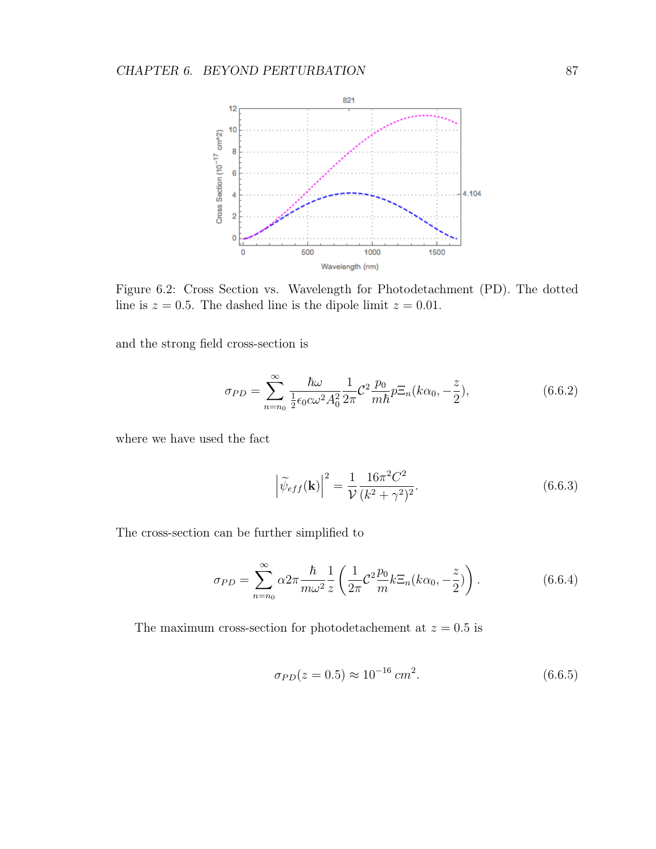

Figure 6.2: Cross Section vs. Wavelength for Photodetachment (PD). The dotted line is  $z = 0.5$ . The dashed line is the dipole limit  $z = 0.01$ .

and the strong field cross-section is

$$
\sigma_{PD} = \sum_{n=n_0}^{\infty} \frac{\hbar \omega}{\frac{1}{2} \epsilon_0 c \omega^2 A_0^2} \frac{1}{2\pi} C^2 \frac{p_0}{m \hbar} p \Xi_n(k\alpha_0, -\frac{z}{2}), \tag{6.6.2}
$$

where we have used the fact

$$
\left| \widetilde{\psi}_{eff}(\mathbf{k}) \right|^2 = \frac{1}{\mathcal{V}} \frac{16\pi^2 C^2}{(k^2 + \gamma^2)^2}.
$$
 (6.6.3)

The cross-section can be further simplified to

$$
\sigma_{PD} = \sum_{n=n_0}^{\infty} \alpha 2\pi \frac{\hbar}{m\omega^2} \frac{1}{z} \left( \frac{1}{2\pi} C^2 \frac{p_0}{m} k \Xi_n (k\alpha_0, -\frac{z}{2}) \right). \tag{6.6.4}
$$

The maximum cross-section for photodetachement at  $z = 0.5$  is

$$
\sigma_{PD}(z=0.5) \approx 10^{-16} \, \text{cm}^2. \tag{6.6.5}
$$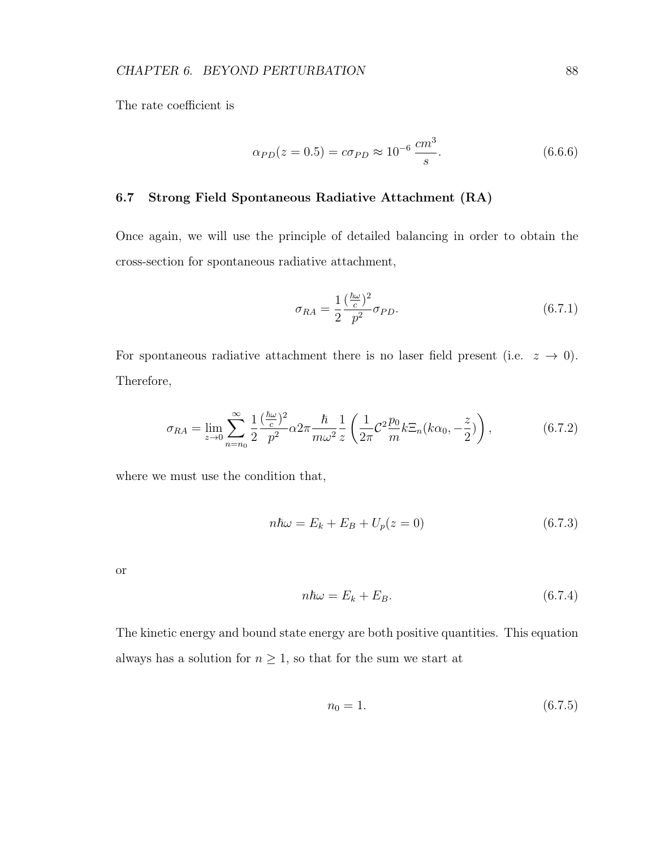The rate coefficient is

$$
\alpha_{PD}(z=0.5) = c\sigma_{PD} \approx 10^{-6} \frac{cm^3}{s}.
$$
\n(6.6.6)

# 6.7 Strong Field Spontaneous Radiative Attachment (RA)

Once again, we will use the principle of detailed balancing in order to obtain the cross-section for spontaneous radiative attachment,

$$
\sigma_{RA} = \frac{1}{2} \frac{\left(\frac{\hbar \omega}{c}\right)^2}{p^2} \sigma_{PD}.
$$
\n(6.7.1)

For spontaneous radiative attachment there is no laser field present (i.e.  $z \rightarrow 0$ ). Therefore,

$$
\sigma_{RA} = \lim_{z \to 0} \sum_{n=n_0}^{\infty} \frac{1}{2} \frac{(\frac{\hbar \omega}{c})^2}{p^2} \alpha 2\pi \frac{\hbar}{m \omega^2} \frac{1}{z} \left( \frac{1}{2\pi} C^2 \frac{p_0}{m} k \Xi_n (k \alpha_0, -\frac{z}{2}) \right), \tag{6.7.2}
$$

where we must use the condition that,

$$
n\hbar\omega = E_k + E_B + U_p(z=0) \tag{6.7.3}
$$

or

$$
n\hbar\omega = E_k + E_B. \tag{6.7.4}
$$

The kinetic energy and bound state energy are both positive quantities. This equation always has a solution for  $n\geq 1,$  so that for the sum we start at

$$
n_0 = 1.\t\t(6.7.5)
$$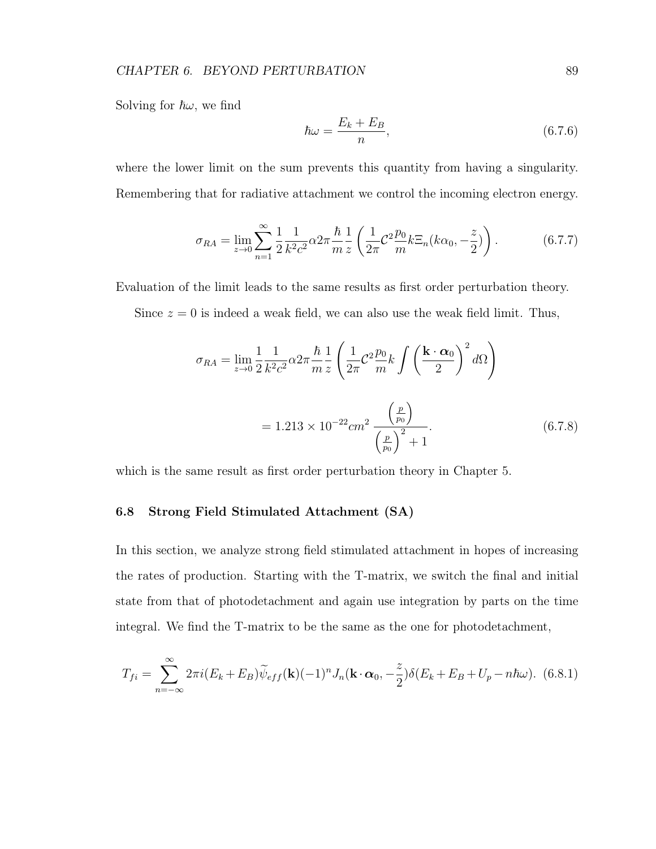Solving for  $\hbar\omega$ , we find

$$
\hbar\omega = \frac{E_k + E_B}{n},\tag{6.7.6}
$$

where the lower limit on the sum prevents this quantity from having a singularity. Remembering that for radiative attachment we control the incoming electron energy.

$$
\sigma_{RA} = \lim_{z \to 0} \sum_{n=1}^{\infty} \frac{1}{2} \frac{1}{k^2 c^2} \alpha 2\pi \frac{\hbar}{m} \frac{1}{z} \left( \frac{1}{2\pi} C^2 \frac{p_0}{m} k \Xi_n (k\alpha_0, -\frac{z}{2}) \right).
$$
 (6.7.7)

Evaluation of the limit leads to the same results as first order perturbation theory.

Since  $z = 0$  is indeed a weak field, we can also use the weak field limit. Thus,

$$
\sigma_{RA} = \lim_{z \to 0} \frac{1}{2} \frac{1}{k^2 c^2} \alpha 2\pi \frac{\hbar}{m} \frac{1}{z} \left( \frac{1}{2\pi} C^2 \frac{p_0}{m} k \int \left( \frac{\mathbf{k} \cdot \mathbf{\alpha}_0}{2} \right)^2 d\Omega \right)
$$
  
= 1.213 × 10<sup>-22</sup> cm<sup>2</sup>  $\frac{\left( \frac{p}{p_0} \right)}{\left( \frac{p}{p_0} \right)^2 + 1}$ . (6.7.8)

which is the same result as first order perturbation theory in Chapter 5.

# 6.8 Strong Field Stimulated Attachment (SA)

In this section, we analyze strong field stimulated attachment in hopes of increasing the rates of production. Starting with the T-matrix, we switch the final and initial state from that of photodetachment and again use integration by parts on the time integral. We find the T-matrix to be the same as the one for photodetachment,

$$
T_{fi} = \sum_{n=-\infty}^{\infty} 2\pi i (E_k + E_B) \widetilde{\psi}_{eff}(\mathbf{k}) (-1)^n J_n(\mathbf{k} \cdot \boldsymbol{\alpha}_0, -\frac{z}{2}) \delta(E_k + E_B + U_p - n\hbar\omega). \tag{6.8.1}
$$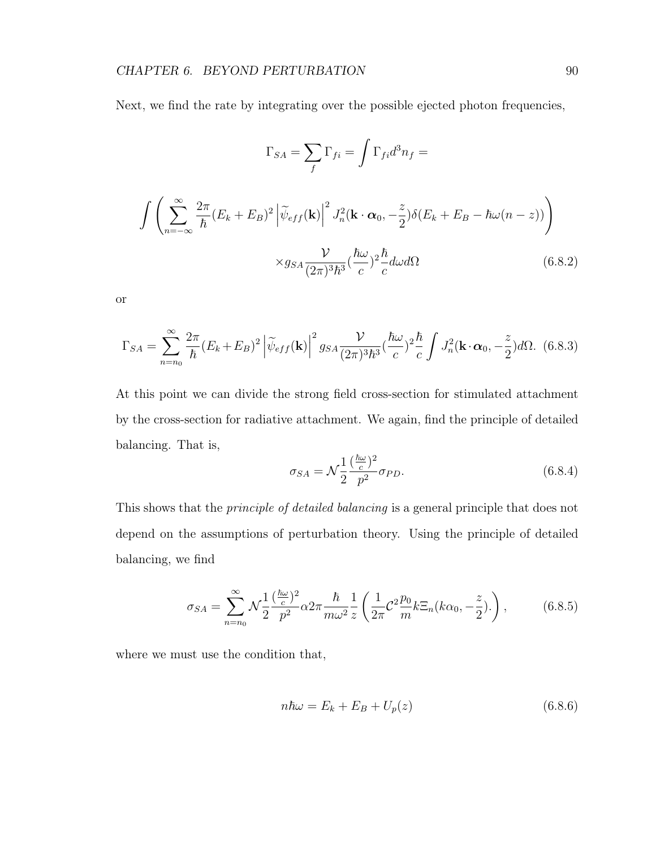Next, we find the rate by integrating over the possible ejected photon frequencies,

$$
\Gamma_{SA} = \sum_{f} \Gamma_{fi} = \int \Gamma_{fi} d^{3}n_{f} =
$$
\n
$$
\int \left( \sum_{n=-\infty}^{\infty} \frac{2\pi}{\hbar} (E_{k} + E_{B})^{2} \left| \tilde{\psi}_{eff}(\mathbf{k}) \right|^{2} J_{n}^{2}(\mathbf{k} \cdot \boldsymbol{\alpha}_{0}, -\frac{z}{2}) \delta(E_{k} + E_{B} - \hbar \omega (n - z)) \right)
$$
\n
$$
\times g_{SA} \frac{\mathcal{V}}{(2\pi)^{3} \hbar^{3}} (\frac{\hbar \omega}{c})^{2} \frac{\hbar}{c} d\omega d\Omega \qquad (6.8.2)
$$

or

$$
\Gamma_{SA} = \sum_{n=n_0}^{\infty} \frac{2\pi}{\hbar} (E_k + E_B)^2 \left| \widetilde{\psi}_{eff}(\mathbf{k}) \right|^2 g_{SA} \frac{\mathcal{V}}{(2\pi)^3 \hbar^3} (\frac{\hbar \omega}{c})^2 \frac{\hbar}{c} \int J_n^2(\mathbf{k} \cdot \boldsymbol{\alpha}_0, -\frac{z}{2}) d\Omega. \tag{6.8.3}
$$

At this point we can divide the strong field cross-section for stimulated attachment by the cross-section for radiative attachment. We again, find the principle of detailed balancing. That is,

$$
\sigma_{SA} = \mathcal{N}\frac{1}{2}\frac{(\frac{\hbar\omega}{c})^2}{p^2}\sigma_{PD}.\tag{6.8.4}
$$

This shows that the *principle of detailed balancing* is a general principle that does not depend on the assumptions of perturbation theory. Using the principle of detailed balancing, we find

$$
\sigma_{SA} = \sum_{n=n_0}^{\infty} \mathcal{N} \frac{1}{2} \frac{(\frac{\hbar \omega}{c})^2}{p^2} \alpha 2\pi \frac{\hbar}{m \omega^2} \frac{1}{z} \left( \frac{1}{2\pi} \mathcal{C}^2 \frac{p_0}{m} k \Xi_n (k \alpha_0, -\frac{z}{2}). \right), \tag{6.8.5}
$$

where we must use the condition that,

$$
n\hbar\omega = E_k + E_B + U_p(z) \tag{6.8.6}
$$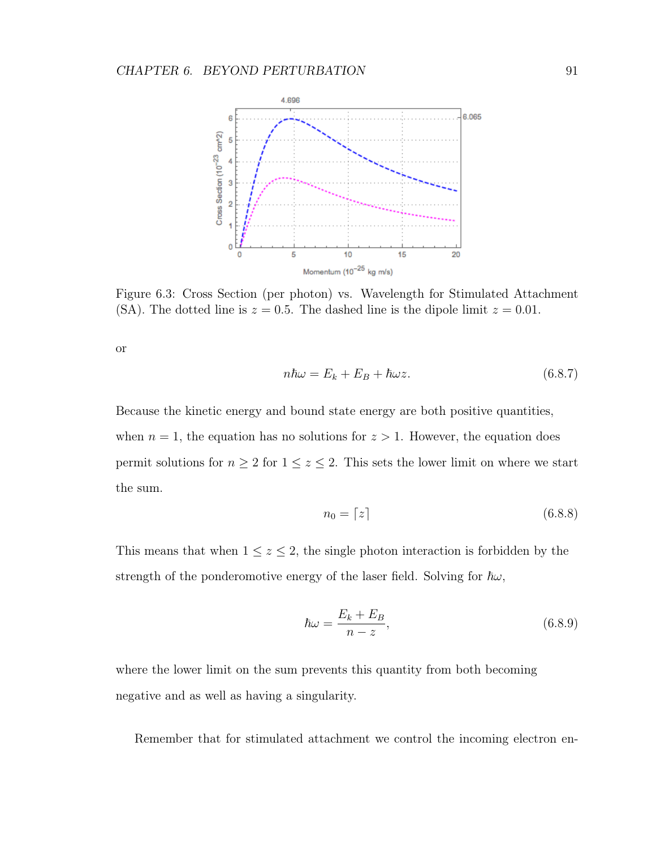

Figure 6.3: Cross Section (per photon) vs. Wavelength for Stimulated Attachment (SA). The dotted line is  $z = 0.5$ . The dashed line is the dipole limit  $z = 0.01$ .

or

$$
n\hbar\omega = E_k + E_B + \hbar\omega z.
$$
\n(6.8.7)

Because the kinetic energy and bound state energy are both positive quantities, when  $n = 1$ , the equation has no solutions for  $z > 1$ . However, the equation does permit solutions for  $n \geq 2$  for  $1 \leq z \leq 2$ . This sets the lower limit on where we start the sum.

$$
n_0 = \lceil z \rceil \tag{6.8.8}
$$

This means that when  $1 \leq z \leq 2$ , the single photon interaction is forbidden by the strength of the ponderomotive energy of the laser field. Solving for  $\hbar\omega$ ,

$$
\hbar\omega = \frac{E_k + E_B}{n - z},\tag{6.8.9}
$$

where the lower limit on the sum prevents this quantity from both becoming negative and as well as having a singularity.

Remember that for stimulated attachment we control the incoming electron en-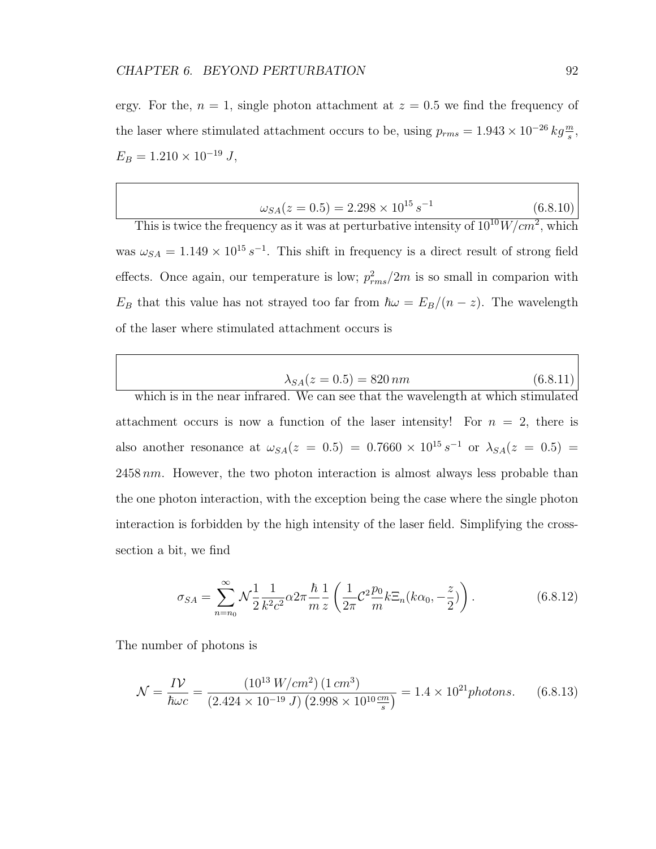ergy. For the,  $n = 1$ , single photon attachment at  $z = 0.5$  we find the frequency of the laser where stimulated attachment occurs to be, using  $p_{rms} = 1.943 \times 10^{-26} kg \frac{m}{s}$ ,  $E_B = 1.210 \times 10^{-19}$  J,

$$
\omega_{SA}(z = 0.5) = 2.298 \times 10^{15} s^{-1} \tag{6.8.10}
$$

This is twice the frequency as it was at perturbative intensity of  $10^{10}W/cm^2$ , which was  $\omega_{SA} = 1.149 \times 10^{15} s^{-1}$ . This shift in frequency is a direct result of strong field effects. Once again, our temperature is low;  $p_{rms}^2/2m$  is so small in comparion with  $E_B$  that this value has not strayed too far from  $\hbar \omega = E_B/(n-z)$ . The wavelength of the laser where stimulated attachment occurs is

| $\lambda_{SA}(z = 0.5) = 820 \, nm$ | (6.8.11) |
|-------------------------------------|----------|
|-------------------------------------|----------|

which is in the near infrared. We can see that the wavelength at which stimulated attachment occurs is now a function of the laser intensity! For  $n = 2$ , there is also another resonance at  $\omega_{SA}(z = 0.5) = 0.7660 \times 10^{15} s^{-1}$  or  $\lambda_{SA}(z = 0.5) =$  $2458\,nm$ . However, the two photon interaction is almost always less probable than the one photon interaction, with the exception being the case where the single photon interaction is forbidden by the high intensity of the laser field. Simplifying the crosssection a bit, we find

$$
\sigma_{SA} = \sum_{n=n_0}^{\infty} \mathcal{N} \frac{1}{2} \frac{1}{k^2 c^2} \alpha 2\pi \frac{\hbar}{m} \frac{1}{z} \left( \frac{1}{2\pi} \mathcal{C}^2 \frac{p_0}{m} k \Xi_n (k\alpha_0, -\frac{z}{2}) \right).
$$
 (6.8.12)

The number of photons is

$$
\mathcal{N} = \frac{IV}{\hbar \omega c} = \frac{(10^{13} \, W/cm^2) (1 \, cm^3)}{(2.424 \times 10^{-19} \, J) (2.998 \times 10^{10} \frac{cm}{s})} = 1.4 \times 10^{21} \, photons. \tag{6.8.13}
$$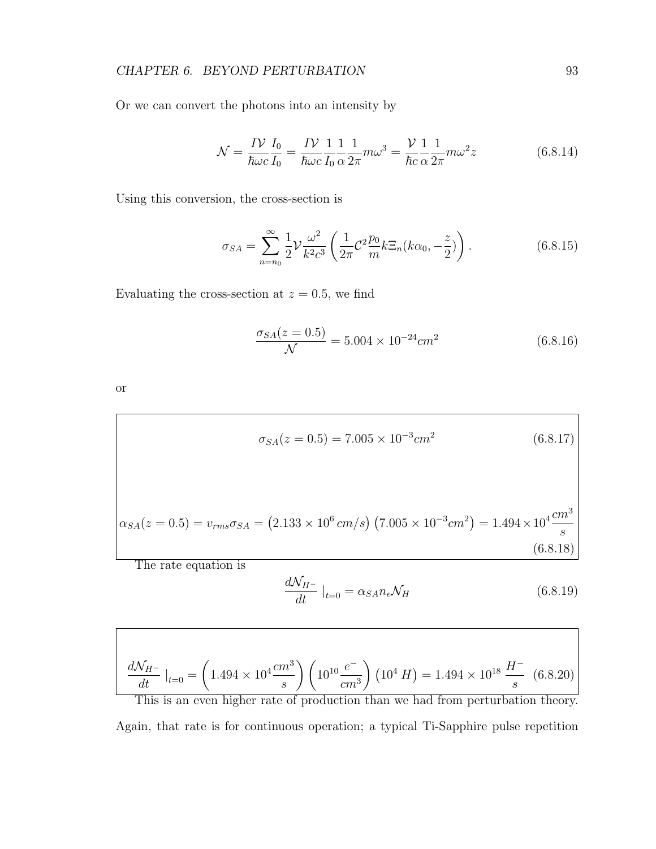Or we can convert the photons into an intensity by

$$
\mathcal{N} = \frac{IV}{\hbar \omega c} \frac{I_0}{I_0} = \frac{IV}{\hbar \omega c} \frac{1}{I_0} \frac{1}{\alpha} \frac{1}{2\pi} m \omega^3 = \frac{V}{\hbar c} \frac{1}{\alpha} \frac{1}{2\pi} m \omega^2 z
$$
(6.8.14)

Using this conversion, the cross-section is

$$
\sigma_{SA} = \sum_{n=n_0}^{\infty} \frac{1}{2} \mathcal{V} \frac{\omega^2}{k^2 c^3} \left( \frac{1}{2\pi} \mathcal{C}^2 \frac{p_0}{m} k \Xi_n (k\alpha_0, -\frac{z}{2}) \right).
$$
 (6.8.15)

Evaluating the cross-section at  $z = 0.5$ , we find

$$
\frac{\sigma_{SA}(z=0.5)}{\mathcal{N}} = 5.004 \times 10^{-24} cm^2 \tag{6.8.16}
$$

or

$$
\sigma_{SA}(z = 0.5) = 7.005 \times 10^{-3} cm^2 \tag{6.8.17}
$$

$$
\alpha_{SA}(z=0.5) = v_{rms}\sigma_{SA} = (2.133 \times 10^6 \, \text{cm/s}) \left(7.005 \times 10^{-3} \, \text{cm}^2\right) = 1.494 \times 10^4 \, \frac{\text{cm}^3}{\text{s}} \tag{6.8.18}
$$

The rate equation is

$$
\frac{d\mathcal{N}_{H^-}}{dt}\big|_{t=0} = \alpha_{SA} n_e \mathcal{N}_H \tag{6.8.19}
$$

$$
\frac{dN_{H^-}}{dt}|_{t=0} = \left(1.494 \times 10^4 \frac{cm^3}{s}\right) \left(10^{10} \frac{e^-}{cm^3}\right) \left(10^4 H\right) = 1.494 \times 10^{18} \frac{H^-}{s} \tag{6.8.20}
$$

This is an even higher rate of production than we had from perturbation theory. Again, that rate is for continuous operation; a typical Ti-Sapphire pulse repetition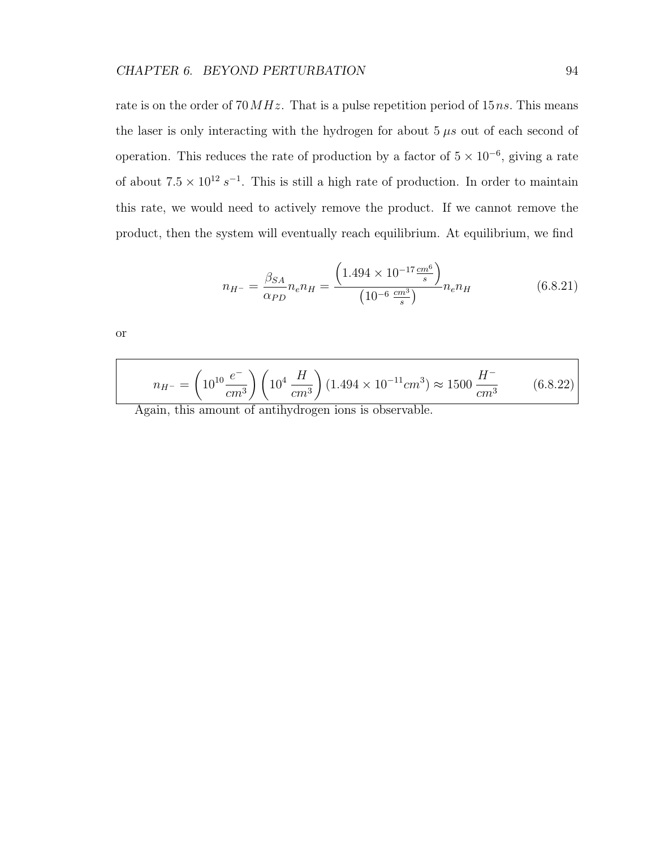rate is on the order of  $70 MHz$ . That is a pulse repetition period of 15ns. This means the laser is only interacting with the hydrogen for about  $5 \mu s$  out of each second of operation. This reduces the rate of production by a factor of  $5 \times 10^{-6}$ , giving a rate of about  $7.5 \times 10^{12} s^{-1}$ . This is still a high rate of production. In order to maintain this rate, we would need to actively remove the product. If we cannot remove the product, then the system will eventually reach equilibrium. At equilibrium, we find

$$
n_{H^{-}} = \frac{\beta_{SA}}{\alpha_{PD}} n_e n_H = \frac{\left(1.494 \times 10^{-17} \frac{cm^6}{s}\right)}{\left(10^{-6} \frac{cm^3}{s}\right)} n_e n_H \tag{6.8.21}
$$

or

$$
n_{H^-} = \left(10^{10} \frac{e^-}{cm^3}\right) \left(10^4 \frac{H}{cm^3}\right) (1.494 \times 10^{-11} cm^3) \approx 1500 \frac{H^-}{cm^3} \tag{6.8.22}
$$

Again, this amount of antihydrogen ions is observable.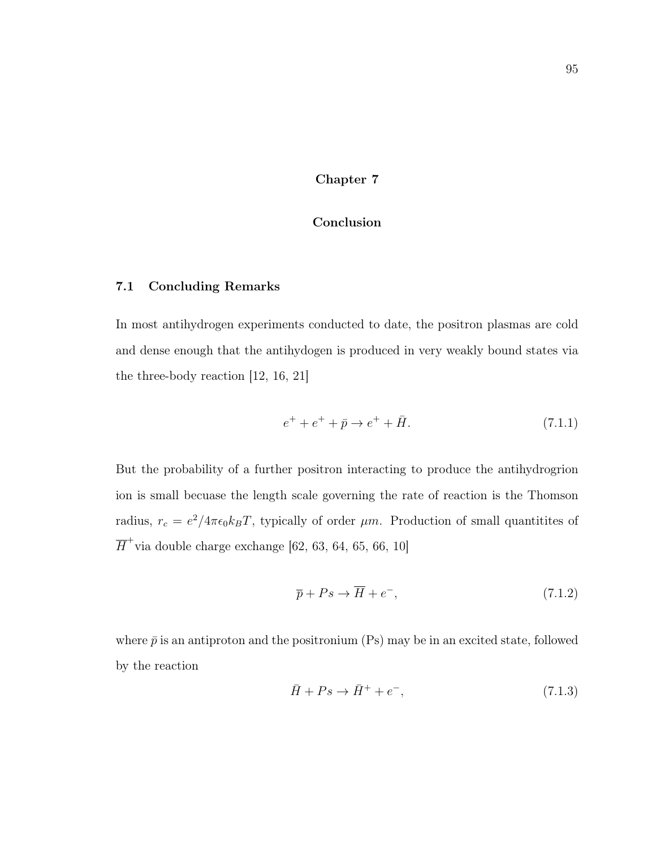# Chapter 7

# Conclusion

# 7.1 Concluding Remarks

In most antihydrogen experiments conducted to date, the positron plasmas are cold and dense enough that the antihydogen is produced in very weakly bound states via the three-body reaction [12, 16, 21]

$$
e^{+} + e^{+} + \bar{p} \to e^{+} + \bar{H}.
$$
\n(7.1.1)

But the probability of a further positron interacting to produce the antihydrogrion ion is small becuase the length scale governing the rate of reaction is the Thomson radius,  $r_c = e^2/4\pi\epsilon_0 k_B T$ , typically of order  $\mu$ m. Production of small quantitites of  $\overline{H}^+$ via double charge exchange [62, 63, 64, 65, 66, 10]

$$
\overline{p} + Ps \to \overline{H} + e^-, \tag{7.1.2}
$$

where  $\bar{p}$  is an antiproton and the positronium (Ps) may be in an excited state, followed by the reaction

$$
\bar{H} + Ps \to \bar{H}^+ + e^-, \tag{7.1.3}
$$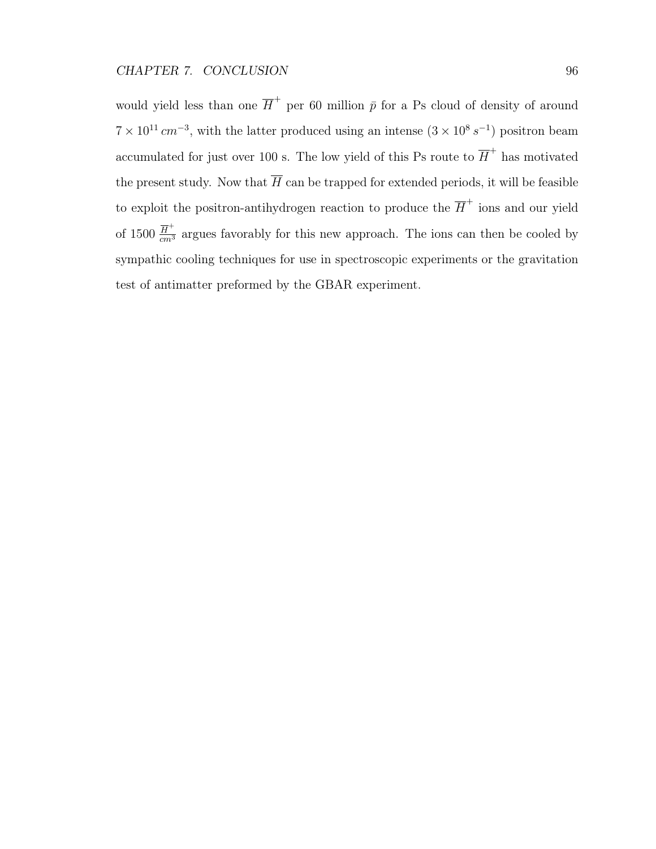would yield less than one  $\overline{H}^+$  per 60 million  $\overline{p}$  for a Ps cloud of density of around  $7 \times 10^{11}$  cm<sup>-3</sup>, with the latter produced using an intense  $(3 \times 10^8 \text{ s}^{-1})$  positron beam accumulated for just over 100 s. The low yield of this Ps route to  $\overline{H}^+$  has motivated the present study. Now that  $\overline{H}$  can be trapped for extended periods, it will be feasible to exploit the positron-antihydrogen reaction to produce the  $\overline{H}^+$  ions and our yield of 1500  $\frac{\overline{H}^+}{cm^3}$  argues favorably for this new approach. The ions can then be cooled by sympathic cooling techniques for use in spectroscopic experiments or the gravitation test of antimatter preformed by the GBAR experiment.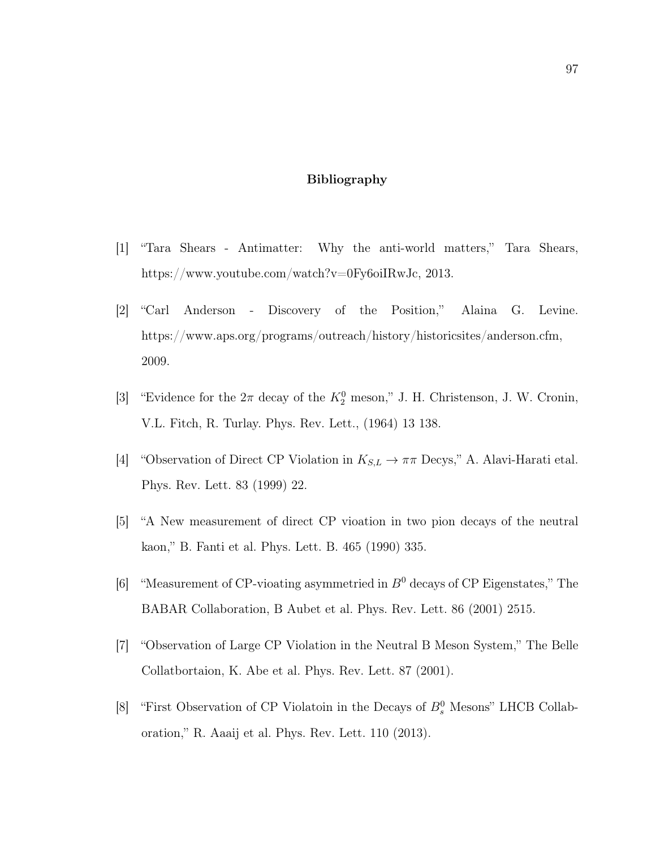# Bibliography

- [1] "Tara Shears Antimatter: Why the anti-world matters," Tara Shears, https://www.youtube.com/watch?v=0Fy6oiIRwJc, 2013.
- [2] "Carl Anderson Discovery of the Position," Alaina G. Levine. https://www.aps.org/programs/outreach/history/historicsites/anderson.cfm, 2009.
- [3] "Evidence for the  $2\pi$  decay of the  $K_2^0$  meson," J. H. Christenson, J. W. Cronin, V.L. Fitch, R. Turlay. Phys. Rev. Lett., (1964) 13 138.
- [4] "Observation of Direct CP Violation in  $K_{S,L} \to \pi\pi$  Decys," A. Alavi-Harati etal. Phys. Rev. Lett. 83 (1999) 22.
- [5] "A New measurement of direct CP vioation in two pion decays of the neutral kaon," B. Fanti et al. Phys. Lett. B. 465 (1990) 335.
- [6] "Measurement of CP-vioating asymmetried in  $B^0$  decays of CP Eigenstates," The BABAR Collaboration, B Aubet et al. Phys. Rev. Lett. 86 (2001) 2515.
- [7] "Observation of Large CP Violation in the Neutral B Meson System," The Belle Collatbortaion, K. Abe et al. Phys. Rev. Lett. 87 (2001).
- [8] "First Observation of CP Violatoin in the Decays of  $B_s^0$  Mesons" LHCB Collaboration," R. Aaaij et al. Phys. Rev. Lett. 110 (2013).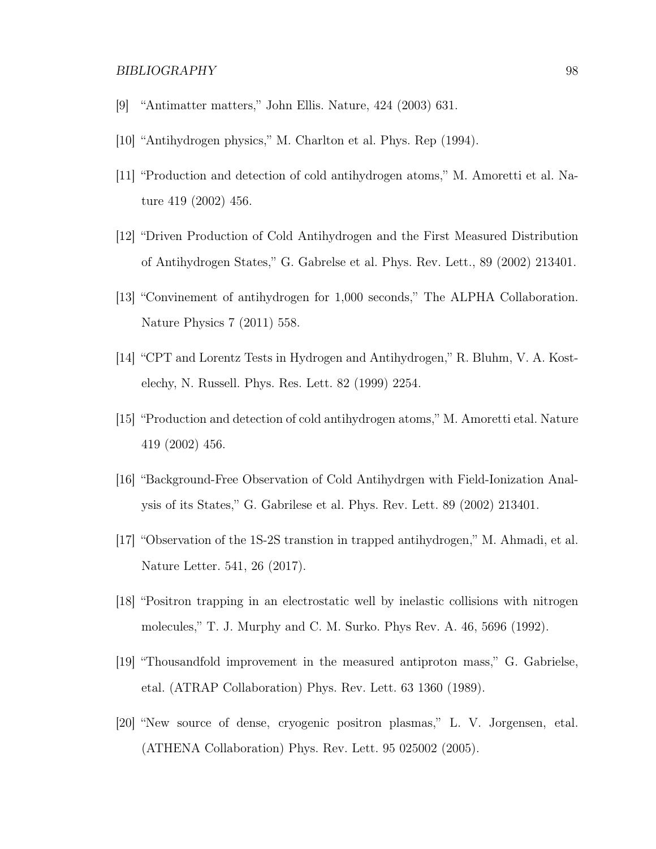# BIBLIOGRAPHY 98

- [9] "Antimatter matters," John Ellis. Nature, 424 (2003) 631.
- [10] "Antihydrogen physics," M. Charlton et al. Phys. Rep (1994).
- [11] "Production and detection of cold antihydrogen atoms," M. Amoretti et al. Nature 419 (2002) 456.
- [12] "Driven Production of Cold Antihydrogen and the First Measured Distribution of Antihydrogen States," G. Gabrelse et al. Phys. Rev. Lett., 89 (2002) 213401.
- [13] "Convinement of antihydrogen for 1,000 seconds," The ALPHA Collaboration. Nature Physics 7 (2011) 558.
- [14] "CPT and Lorentz Tests in Hydrogen and Antihydrogen," R. Bluhm, V. A. Kostelechy, N. Russell. Phys. Res. Lett. 82 (1999) 2254.
- [15] "Production and detection of cold antihydrogen atoms," M. Amoretti etal. Nature 419 (2002) 456.
- [16] "Background-Free Observation of Cold Antihydrgen with Field-Ionization Analysis of its States," G. Gabrilese et al. Phys. Rev. Lett. 89 (2002) 213401.
- [17] "Observation of the 1S-2S transtion in trapped antihydrogen," M. Ahmadi, et al. Nature Letter. 541, 26 (2017).
- [18] "Positron trapping in an electrostatic well by inelastic collisions with nitrogen molecules," T. J. Murphy and C. M. Surko. Phys Rev. A. 46, 5696 (1992).
- [19] "Thousandfold improvement in the measured antiproton mass," G. Gabrielse, etal. (ATRAP Collaboration) Phys. Rev. Lett. 63 1360 (1989).
- [20] "New source of dense, cryogenic positron plasmas," L. V. Jorgensen, etal. (ATHENA Collaboration) Phys. Rev. Lett. 95 025002 (2005).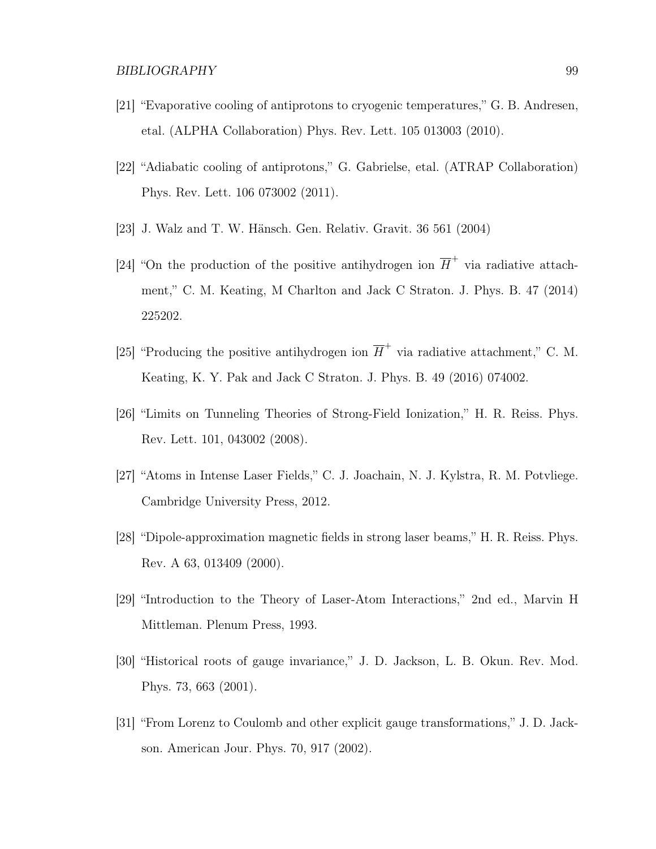- [21] "Evaporative cooling of antiprotons to cryogenic temperatures," G. B. Andresen, etal. (ALPHA Collaboration) Phys. Rev. Lett. 105 013003 (2010).
- [22] "Adiabatic cooling of antiprotons," G. Gabrielse, etal. (ATRAP Collaboration) Phys. Rev. Lett. 106 073002 (2011).
- [23] J. Walz and T. W. Hänsch. Gen. Relativ. Gravit. 36 561 (2004)
- [24] "On the production of the positive antihydrogen ion  $\overline{H}^+$  via radiative attachment," C. M. Keating, M Charlton and Jack C Straton. J. Phys. B. 47 (2014) 225202.
- [25] "Producing the positive antihydrogen ion  $\overline{H}^+$  via radiative attachment," C. M. Keating, K. Y. Pak and Jack C Straton. J. Phys. B. 49 (2016) 074002.
- [26] "Limits on Tunneling Theories of Strong-Field Ionization," H. R. Reiss. Phys. Rev. Lett. 101, 043002 (2008).
- [27] "Atoms in Intense Laser Fields," C. J. Joachain, N. J. Kylstra, R. M. Potvliege. Cambridge University Press, 2012.
- [28] "Dipole-approximation magnetic fields in strong laser beams," H. R. Reiss. Phys. Rev. A 63, 013409 (2000).
- [29] "Introduction to the Theory of Laser-Atom Interactions," 2nd ed., Marvin H Mittleman. Plenum Press, 1993.
- [30] "Historical roots of gauge invariance," J. D. Jackson, L. B. Okun. Rev. Mod. Phys. 73, 663 (2001).
- [31] "From Lorenz to Coulomb and other explicit gauge transformations," J. D. Jackson. American Jour. Phys. 70, 917 (2002).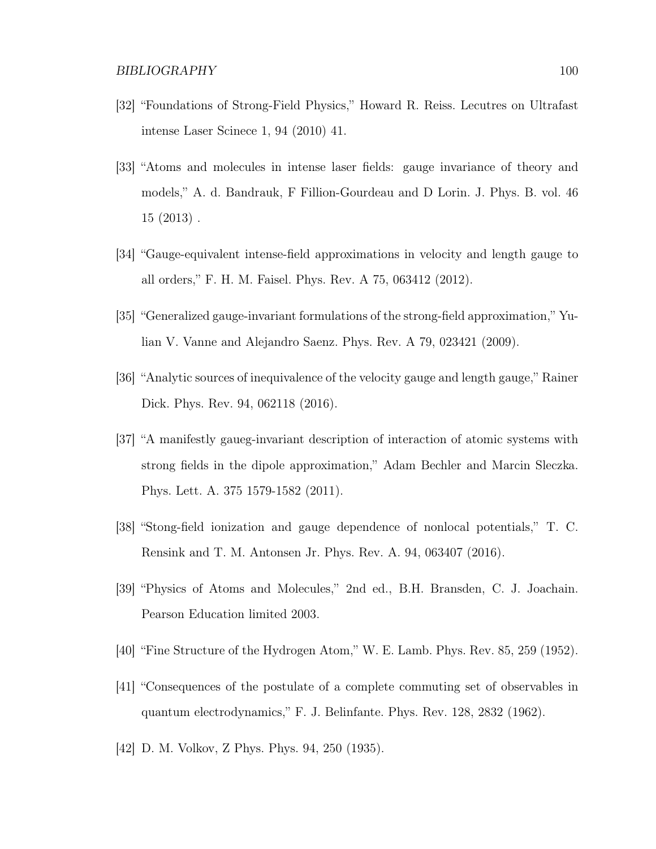- [32] "Foundations of Strong-Field Physics," Howard R. Reiss. Lecutres on Ultrafast intense Laser Scinece 1, 94 (2010) 41.
- [33] "Atoms and molecules in intense laser fields: gauge invariance of theory and models," A. d. Bandrauk, F Fillion-Gourdeau and D Lorin. J. Phys. B. vol. 46 15 (2013) .
- [34] "Gauge-equivalent intense-field approximations in velocity and length gauge to all orders," F. H. M. Faisel. Phys. Rev. A 75, 063412 (2012).
- [35] "Generalized gauge-invariant formulations of the strong-field approximation," Yulian V. Vanne and Alejandro Saenz. Phys. Rev. A 79, 023421 (2009).
- [36] "Analytic sources of inequivalence of the velocity gauge and length gauge," Rainer Dick. Phys. Rev. 94, 062118 (2016).
- [37] "A manifestly gaueg-invariant description of interaction of atomic systems with strong fields in the dipole approximation," Adam Bechler and Marcin Sleczka. Phys. Lett. A. 375 1579-1582 (2011).
- [38] "Stong-field ionization and gauge dependence of nonlocal potentials," T. C. Rensink and T. M. Antonsen Jr. Phys. Rev. A. 94, 063407 (2016).
- [39] "Physics of Atoms and Molecules," 2nd ed., B.H. Bransden, C. J. Joachain. Pearson Education limited 2003.
- [40] "Fine Structure of the Hydrogen Atom," W. E. Lamb. Phys. Rev. 85, 259 (1952).
- [41] "Consequences of the postulate of a complete commuting set of observables in quantum electrodynamics," F. J. Belinfante. Phys. Rev. 128, 2832 (1962).
- [42] D. M. Volkov, Z Phys. Phys. 94, 250 (1935).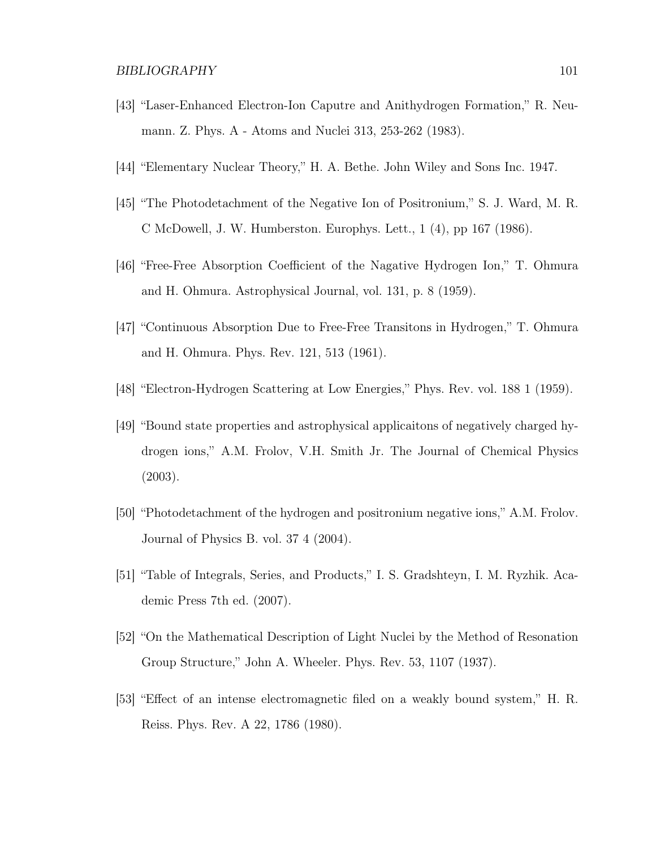- [43] "Laser-Enhanced Electron-Ion Caputre and Anithydrogen Formation," R. Neumann. Z. Phys. A - Atoms and Nuclei 313, 253-262 (1983).
- [44] "Elementary Nuclear Theory," H. A. Bethe. John Wiley and Sons Inc. 1947.
- [45] "The Photodetachment of the Negative Ion of Positronium," S. J. Ward, M. R. C McDowell, J. W. Humberston. Europhys. Lett., 1 (4), pp 167 (1986).
- [46] "Free-Free Absorption Coefficient of the Nagative Hydrogen Ion," T. Ohmura and H. Ohmura. Astrophysical Journal, vol. 131, p. 8 (1959).
- [47] "Continuous Absorption Due to Free-Free Transitons in Hydrogen," T. Ohmura and H. Ohmura. Phys. Rev. 121, 513 (1961).
- [48] "Electron-Hydrogen Scattering at Low Energies," Phys. Rev. vol. 188 1 (1959).
- [49] "Bound state properties and astrophysical applicaitons of negatively charged hydrogen ions," A.M. Frolov, V.H. Smith Jr. The Journal of Chemical Physics (2003).
- [50] "Photodetachment of the hydrogen and positronium negative ions," A.M. Frolov. Journal of Physics B. vol. 37 4 (2004).
- [51] "Table of Integrals, Series, and Products," I. S. Gradshteyn, I. M. Ryzhik. Academic Press 7th ed. (2007).
- [52] "On the Mathematical Description of Light Nuclei by the Method of Resonation Group Structure," John A. Wheeler. Phys. Rev. 53, 1107 (1937).
- [53] "Effect of an intense electromagnetic filed on a weakly bound system," H. R. Reiss. Phys. Rev. A 22, 1786 (1980).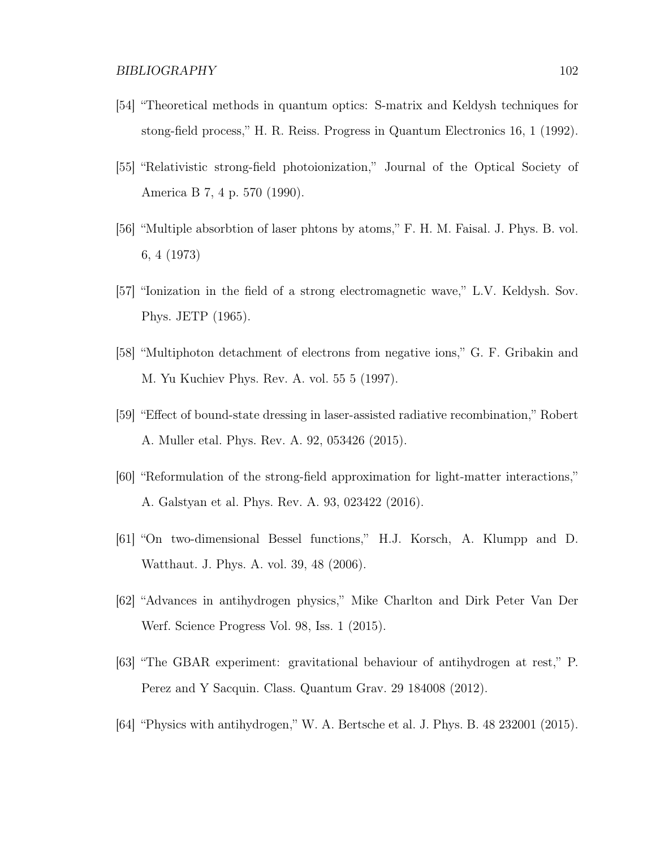- [54] "Theoretical methods in quantum optics: S-matrix and Keldysh techniques for stong-field process," H. R. Reiss. Progress in Quantum Electronics 16, 1 (1992).
- [55] "Relativistic strong-field photoionization," Journal of the Optical Society of America B 7, 4 p. 570 (1990).
- [56] "Multiple absorbtion of laser phtons by atoms," F. H. M. Faisal. J. Phys. B. vol. 6, 4 (1973)
- [57] "Ionization in the field of a strong electromagnetic wave," L.V. Keldysh. Sov. Phys. JETP (1965).
- [58] "Multiphoton detachment of electrons from negative ions," G. F. Gribakin and M. Yu Kuchiev Phys. Rev. A. vol. 55 5 (1997).
- [59] "Effect of bound-state dressing in laser-assisted radiative recombination," Robert A. Muller etal. Phys. Rev. A. 92, 053426 (2015).
- [60] "Reformulation of the strong-field approximation for light-matter interactions," A. Galstyan et al. Phys. Rev. A. 93, 023422 (2016).
- [61] "On two-dimensional Bessel functions," H.J. Korsch, A. Klumpp and D. Watthaut. J. Phys. A. vol. 39, 48 (2006).
- [62] "Advances in antihydrogen physics," Mike Charlton and Dirk Peter Van Der Werf. Science Progress Vol. 98, Iss. 1 (2015).
- [63] "The GBAR experiment: gravitational behaviour of antihydrogen at rest," P. Perez and Y Sacquin. Class. Quantum Grav. 29 184008 (2012).
- [64] "Physics with antihydrogen," W. A. Bertsche et al. J. Phys. B. 48 232001 (2015).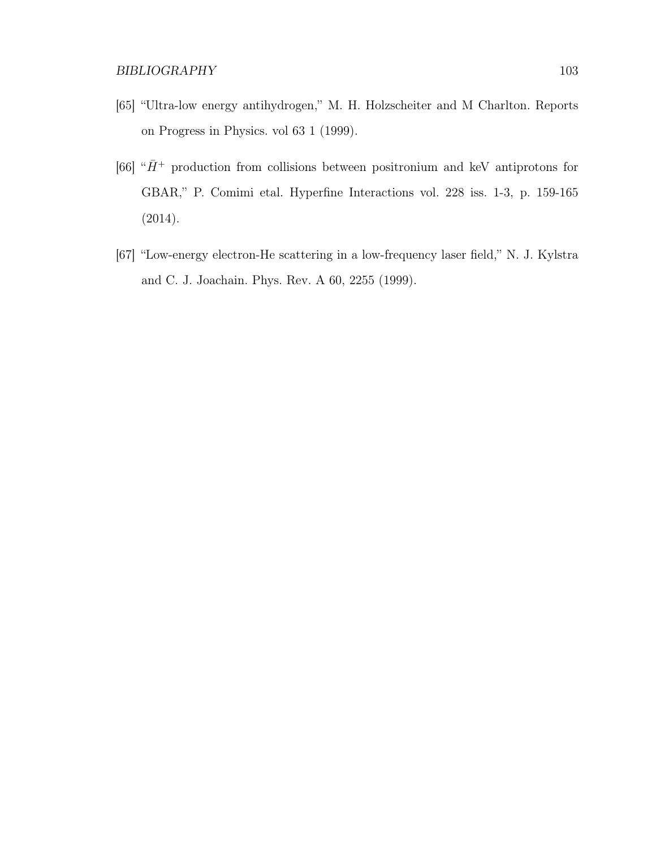- [65] "Ultra-low energy antihydrogen," M. H. Holzscheiter and M Charlton. Reports on Progress in Physics. vol 63 1 (1999).
- [66] " $\bar{H}^+$  production from collisions between positronium and keV antiprotons for GBAR," P. Comimi etal. Hyperfine Interactions vol. 228 iss. 1-3, p. 159-165 (2014).
- [67] "Low-energy electron-He scattering in a low-frequency laser field," N. J. Kylstra and C. J. Joachain. Phys. Rev. A 60, 2255 (1999).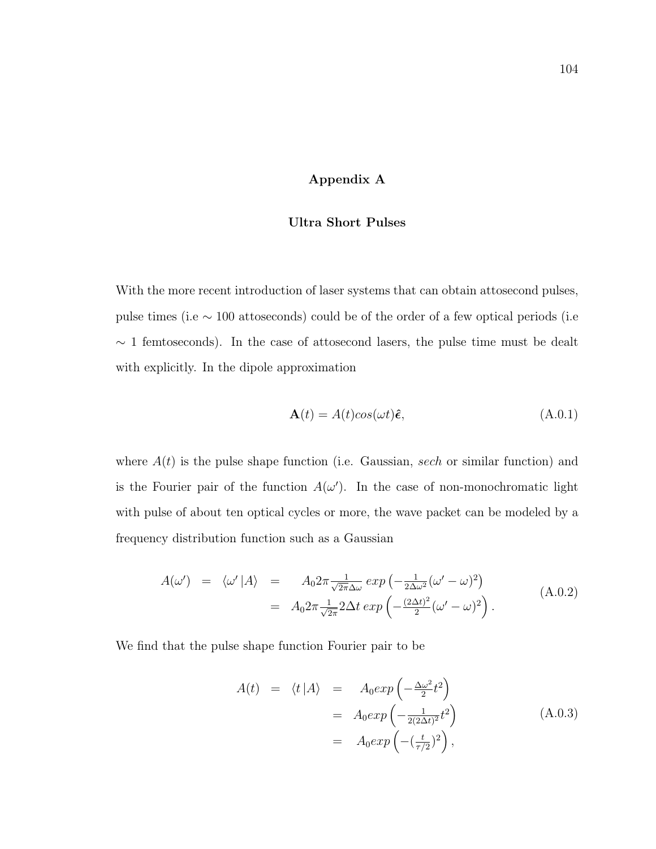#### Appendix A

# Ultra Short Pulses

With the more recent introduction of laser systems that can obtain attosecond pulses, pulse times (i.e ∼ 100 attoseconds) could be of the order of a few optical periods (i.e  $\sim$  1 femtoseconds). In the case of attosecond lasers, the pulse time must be dealt with explicitly. In the dipole approximation

$$
\mathbf{A}(t) = A(t)\cos(\omega t)\hat{\boldsymbol{\epsilon}},\tag{A.0.1}
$$

where  $A(t)$  is the pulse shape function (i.e. Gaussian, sech or similar function) and is the Fourier pair of the function  $A(\omega')$ . In the case of non-monochromatic light with pulse of about ten optical cycles or more, the wave packet can be modeled by a frequency distribution function such as a Gaussian

$$
A(\omega') = \langle \omega' | A \rangle = A_0 2\pi \frac{1}{\sqrt{2\pi} \Delta \omega} exp\left(-\frac{1}{2\Delta \omega^2} (\omega' - \omega)^2\right)
$$
  
=  $A_0 2\pi \frac{1}{\sqrt{2\pi}} 2\Delta t exp\left(-\frac{(2\Delta t)^2}{2} (\omega' - \omega)^2\right).$  (A.0.2)

We find that the pulse shape function Fourier pair to be

$$
A(t) = \langle t | A \rangle = A_0 exp\left(-\frac{\Delta \omega^2}{2} t^2\right)
$$
  
=  $A_0 exp\left(-\frac{1}{2(2\Delta t)^2} t^2\right)$  (A.0.3)  
=  $A_0 exp\left(-\left(\frac{t}{\tau/2}\right)^2\right),$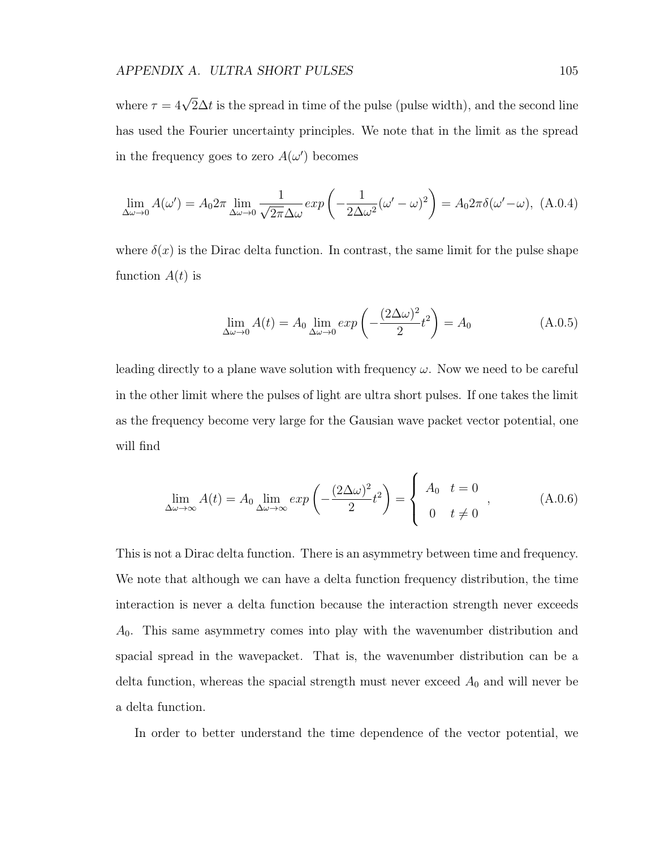where  $\tau = 4\sqrt{2}\Delta t$  is the spread in time of the pulse (pulse width), and the second line has used the Fourier uncertainty principles. We note that in the limit as the spread in the frequency goes to zero  $A(\omega')$  becomes

$$
\lim_{\Delta\omega \to 0} A(\omega') = A_0 2\pi \lim_{\Delta\omega \to 0} \frac{1}{\sqrt{2\pi}\Delta\omega} \exp\left(-\frac{1}{2\Delta\omega^2} (\omega' - \omega)^2\right) = A_0 2\pi \delta(\omega' - \omega), \text{ (A.0.4)}
$$

where  $\delta(x)$  is the Dirac delta function. In contrast, the same limit for the pulse shape function  $A(t)$  is

$$
\lim_{\Delta\omega \to 0} A(t) = A_0 \lim_{\Delta\omega \to 0} \exp\left(-\frac{(2\Delta\omega)^2}{2}t^2\right) = A_0 \tag{A.0.5}
$$

leading directly to a plane wave solution with frequency  $\omega$ . Now we need to be careful in the other limit where the pulses of light are ultra short pulses. If one takes the limit as the frequency become very large for the Gausian wave packet vector potential, one will find

$$
\lim_{\Delta\omega \to \infty} A(t) = A_0 \lim_{\Delta\omega \to \infty} exp\left(-\frac{(2\Delta\omega)^2}{2}t^2\right) = \begin{cases} A_0 & t = 0 \\ 0 & t \neq 0 \end{cases},
$$
 (A.0.6)

This is not a Dirac delta function. There is an asymmetry between time and frequency. We note that although we can have a delta function frequency distribution, the time interaction is never a delta function because the interaction strength never exceeds  $A_0$ . This same asymmetry comes into play with the wavenumber distribution and spacial spread in the wavepacket. That is, the wavenumber distribution can be a delta function, whereas the spacial strength must never exceed  $A_0$  and will never be a delta function.

In order to better understand the time dependence of the vector potential, we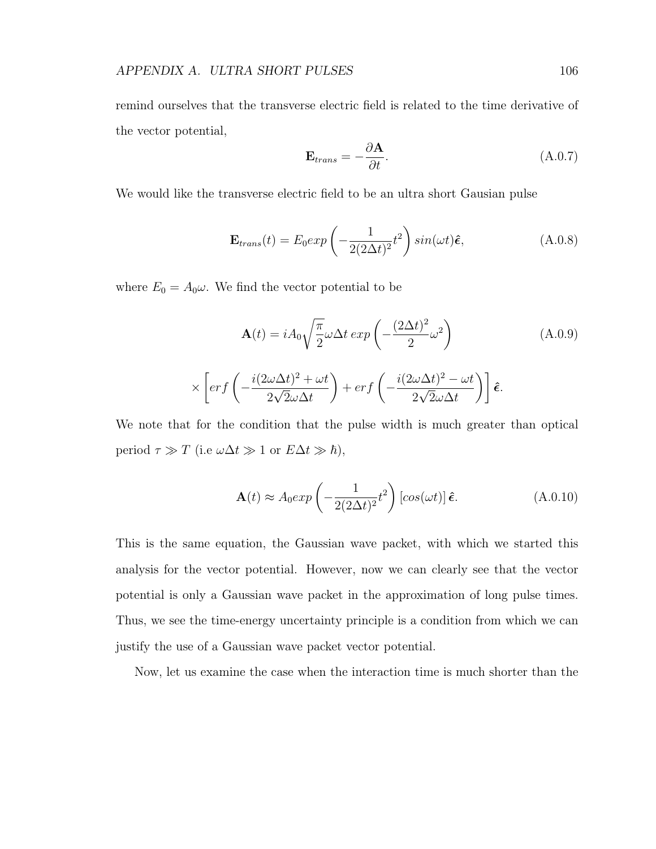remind ourselves that the transverse electric field is related to the time derivative of the vector potential,

$$
\mathbf{E}_{trans} = -\frac{\partial \mathbf{A}}{\partial t}.
$$
 (A.0.7)

We would like the transverse electric field to be an ultra short Gausian pulse

$$
\mathbf{E}_{trans}(t) = E_0 exp\left(-\frac{1}{2(2\Delta t)^2}t^2\right) sin(\omega t)\hat{\boldsymbol{\epsilon}},
$$
 (A.0.8)

where  $E_0 = A_0 \omega$ . We find the vector potential to be

$$
\mathbf{A}(t) = iA_0 \sqrt{\frac{\pi}{2}} \omega \Delta t \exp\left(-\frac{(2\Delta t)^2}{2} \omega^2\right) \tag{A.0.9}
$$
\n
$$
\times \left[ erf\left(-\frac{i(2\omega\Delta t)^2 + \omega t}{2\sqrt{2}\omega\Delta t}\right) + erf\left(-\frac{i(2\omega\Delta t)^2 - \omega t}{2\sqrt{2}\omega\Delta t}\right)\right] \hat{\boldsymbol{\epsilon}}.
$$

We note that for the condition that the pulse width is much greater than optical period  $\tau \gg T$  (i.e  $\omega \Delta t \gg 1$  or  $E \Delta t \gg \hbar$ ),

$$
\mathbf{A}(t) \approx A_0 exp\left(-\frac{1}{2(2\Delta t)^2}t^2\right) \left[cos(\omega t)\right] \hat{\boldsymbol{\epsilon}}.\tag{A.0.10}
$$

This is the same equation, the Gaussian wave packet, with which we started this analysis for the vector potential. However, now we can clearly see that the vector potential is only a Gaussian wave packet in the approximation of long pulse times. Thus, we see the time-energy uncertainty principle is a condition from which we can justify the use of a Gaussian wave packet vector potential.

Now, let us examine the case when the interaction time is much shorter than the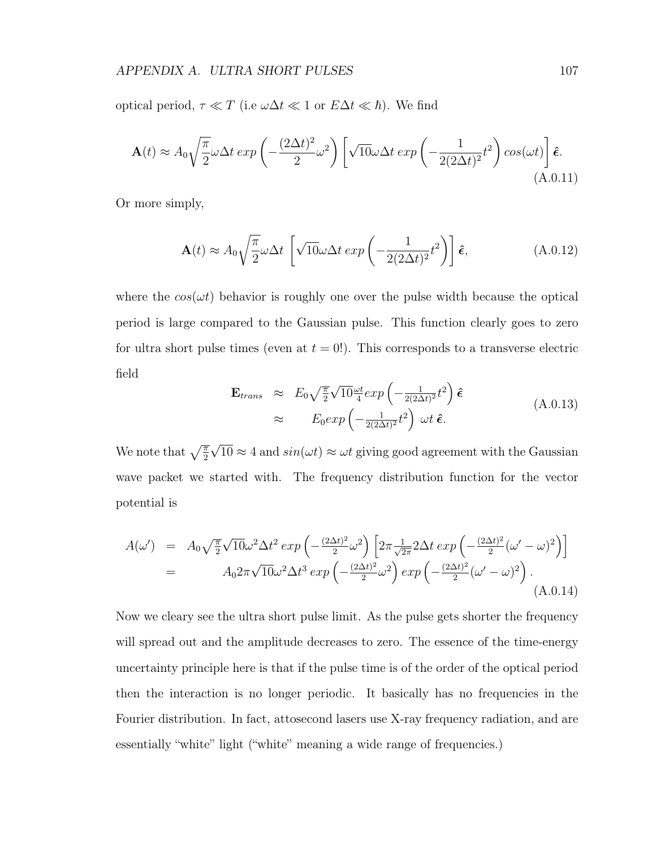optical period,  $\tau \ll T$  (i.e  $\omega \Delta t \ll 1$  or  $E \Delta t \ll \hbar$ ). We find

$$
\mathbf{A}(t) \approx A_0 \sqrt{\frac{\pi}{2}} \omega \Delta t \exp\left(-\frac{(2\Delta t)^2}{2}\omega^2\right) \left[\sqrt{10}\omega \Delta t \exp\left(-\frac{1}{2(2\Delta t)^2}t^2\right) \cos(\omega t)\right] \hat{\boldsymbol{\epsilon}}.\tag{A.0.11}
$$

Or more simply,

$$
\mathbf{A}(t) \approx A_0 \sqrt{\frac{\pi}{2}} \omega \Delta t \left[ \sqrt{10} \omega \Delta t \exp\left(-\frac{1}{2(2\Delta t)^2} t^2\right) \right] \hat{\boldsymbol{\epsilon}}, \tag{A.0.12}
$$

where the  $\cos(\omega t)$  behavior is roughly one over the pulse width because the optical period is large compared to the Gaussian pulse. This function clearly goes to zero for ultra short pulse times (even at  $t = 0$ ). This corresponds to a transverse electric field

$$
\mathbf{E}_{trans} \approx E_0 \sqrt{\frac{\pi}{2}} \sqrt{10} \frac{\omega t}{4} exp\left(-\frac{1}{2(2\Delta t)^2} t^2\right) \hat{\boldsymbol{\epsilon}}
$$
\n
$$
\approx E_0 exp\left(-\frac{1}{2(2\Delta t)^2} t^2\right) \omega t \hat{\boldsymbol{\epsilon}}.
$$
\n(A.0.13)

We note that  $\sqrt{\frac{\pi}{2}}$ √  $10 \approx 4$  and  $sin(\omega t) \approx \omega t$  giving good agreement with the Gaussian wave packet we started with. The frequency distribution function for the vector potential is

$$
A(\omega') = A_0 \sqrt{\frac{\pi}{2}} \sqrt{10} \omega^2 \Delta t^2 \exp\left(-\frac{(2\Delta t)^2}{2} \omega^2\right) \left[2\pi \frac{1}{\sqrt{2\pi}} 2\Delta t \exp\left(-\frac{(2\Delta t)^2}{2} (\omega' - \omega)^2\right)\right]
$$
  
= 
$$
A_0 2\pi \sqrt{10} \omega^2 \Delta t^3 \exp\left(-\frac{(2\Delta t)^2}{2} \omega^2\right) \exp\left(-\frac{(2\Delta t)^2}{2} (\omega' - \omega)^2\right).
$$
(A.0.14)

Now we cleary see the ultra short pulse limit. As the pulse gets shorter the frequency will spread out and the amplitude decreases to zero. The essence of the time-energy uncertainty principle here is that if the pulse time is of the order of the optical period then the interaction is no longer periodic. It basically has no frequencies in the Fourier distribution. In fact, attosecond lasers use X-ray frequency radiation, and are essentially "white" light ("white" meaning a wide range of frequencies.)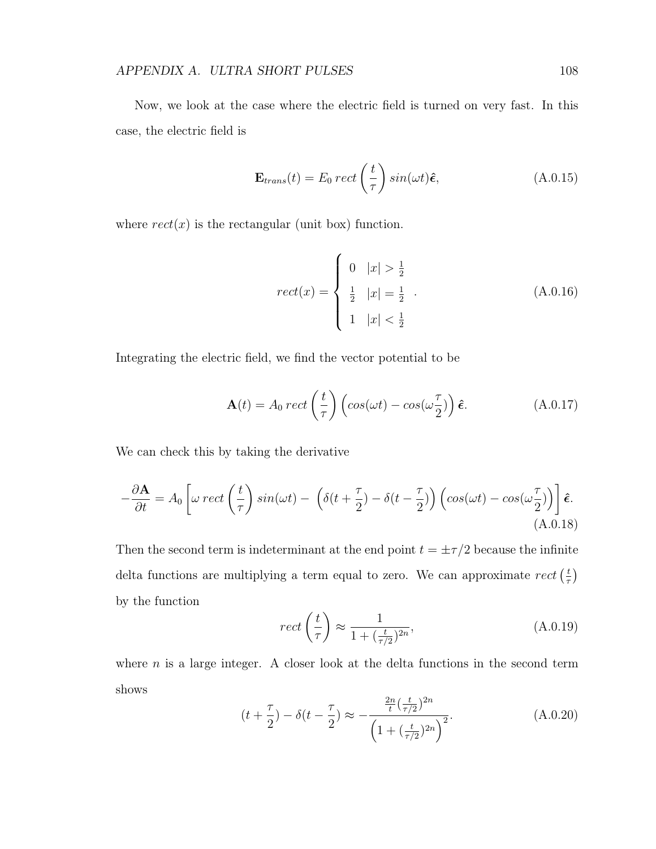Now, we look at the case where the electric field is turned on very fast. In this case, the electric field is

$$
\mathbf{E}_{trans}(t) = E_0 \, rect \left(\frac{t}{\tau}\right) \sin(\omega t) \hat{\boldsymbol{\epsilon}}, \tag{A.0.15}
$$

where  $rect(x)$  is the rectangular (unit box) function.

$$
rect(x) = \begin{cases} 0 & |x| > \frac{1}{2} \\ \frac{1}{2} & |x| = \frac{1}{2} \\ 1 & |x| < \frac{1}{2} \end{cases}
$$
 (A.0.16)

Integrating the electric field, we find the vector potential to be

$$
\mathbf{A}(t) = A_0 \, rect\left(\frac{t}{\tau}\right) \left( cos(\omega t) - cos(\omega \frac{\tau}{2}) \right) \hat{\boldsymbol{\epsilon}}.\tag{A.0.17}
$$

We can check this by taking the derivative

$$
-\frac{\partial \mathbf{A}}{\partial t} = A_0 \left[ \omega \, rect \left( \frac{t}{\tau} \right) \sin(\omega t) - \left( \delta(t + \frac{\tau}{2}) - \delta(t - \frac{\tau}{2}) \right) \left( \cos(\omega t) - \cos(\omega \frac{\tau}{2}) \right) \right] \hat{\boldsymbol{\epsilon}}.
$$
\n(A.0.18)

Then the second term is indeterminant at the end point  $t = \pm \tau/2$  because the infinite delta functions are multiplying a term equal to zero. We can approximate  $rect$   $(\frac{t}{\tau})$  $\frac{t}{\tau}$ by the function

$$
rect\left(\frac{t}{\tau}\right) \approx \frac{1}{1 + \left(\frac{t}{\tau/2}\right)^{2n}},\tag{A.0.19}
$$

where  $n$  is a large integer. A closer look at the delta functions in the second term shows

$$
(t + \frac{\tau}{2}) - \delta(t - \frac{\tau}{2}) \approx -\frac{\frac{2n}{t}(\frac{t}{\tau/2})^{2n}}{\left(1 + (\frac{t}{\tau/2})^{2n}\right)^2}.
$$
 (A.0.20)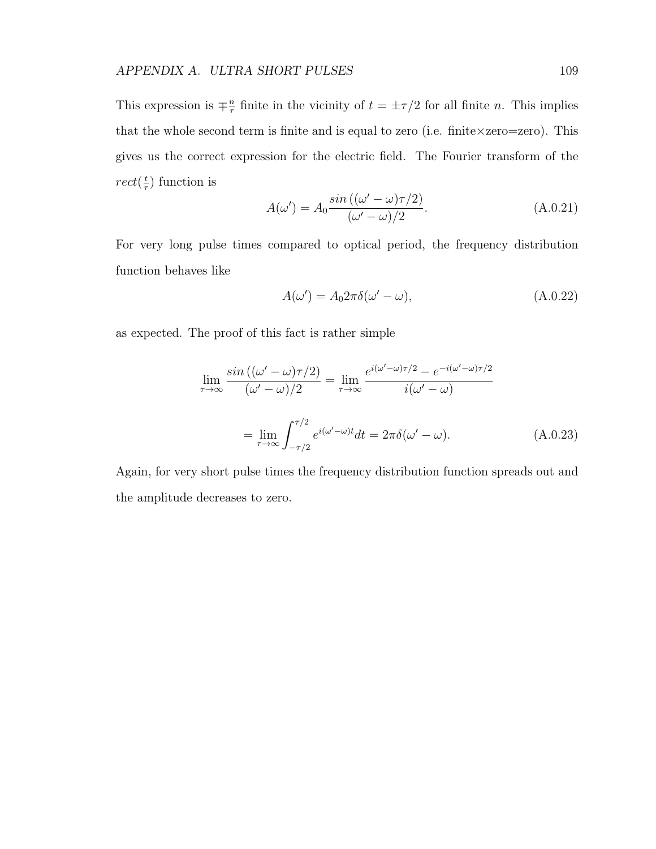This expression is  $\mp \frac{n}{\pi}$  $\frac{n}{\tau}$  finite in the vicinity of  $t = \pm \tau/2$  for all finite *n*. This implies that the whole second term is finite and is equal to zero (i.e. finite  $\times$ zero=zero). This gives us the correct expression for the electric field. The Fourier transform of the  $rect(\frac{t}{\tau}$  $(\frac{t}{\tau})$  function is

$$
A(\omega') = A_0 \frac{\sin((\omega' - \omega)\tau/2)}{(\omega' - \omega)/2}.
$$
\n(A.0.21)

For very long pulse times compared to optical period, the frequency distribution function behaves like

$$
A(\omega') = A_0 2\pi \delta(\omega' - \omega), \tag{A.0.22}
$$

as expected. The proof of this fact is rather simple

$$
\lim_{\tau \to \infty} \frac{\sin\left((\omega' - \omega)\tau/2\right)}{(\omega' - \omega)/2} = \lim_{\tau \to \infty} \frac{e^{i(\omega' - \omega)\tau/2} - e^{-i(\omega' - \omega)\tau/2}}{i(\omega' - \omega)}
$$
\n
$$
= \lim_{\tau \to \infty} \int_{-\tau/2}^{\tau/2} e^{i(\omega' - \omega)t} dt = 2\pi \delta(\omega' - \omega). \tag{A.0.23}
$$

Again, for very short pulse times the frequency distribution function spreads out and the amplitude decreases to zero.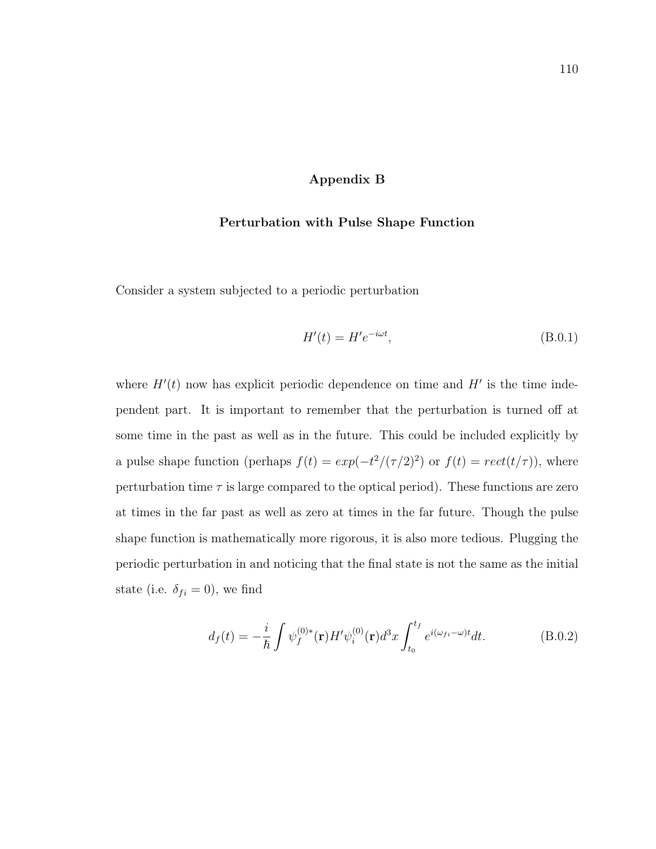## Appendix B

#### Perturbation with Pulse Shape Function

Consider a system subjected to a periodic perturbation

$$
H'(t) = H'e^{-i\omega t},\tag{B.0.1}
$$

where  $H'(t)$  now has explicit periodic dependence on time and  $H'$  is the time independent part. It is important to remember that the perturbation is turned off at some time in the past as well as in the future. This could be included explicitly by a pulse shape function (perhaps  $f(t) = exp(-t^2/(\tau/2)^2)$  or  $f(t) = rect(t/\tau)$ ), where perturbation time  $\tau$  is large compared to the optical period). These functions are zero at times in the far past as well as zero at times in the far future. Though the pulse shape function is mathematically more rigorous, it is also more tedious. Plugging the periodic perturbation in and noticing that the final state is not the same as the initial state (i.e.  $\delta_{fi} = 0$ ), we find

$$
d_f(t) = -\frac{i}{\hbar} \int \psi_f^{(0)*}(\mathbf{r}) H' \psi_i^{(0)}(\mathbf{r}) d^3x \int_{t_0}^{t_f} e^{i(\omega_{fi} - \omega)t} dt.
$$
 (B.0.2)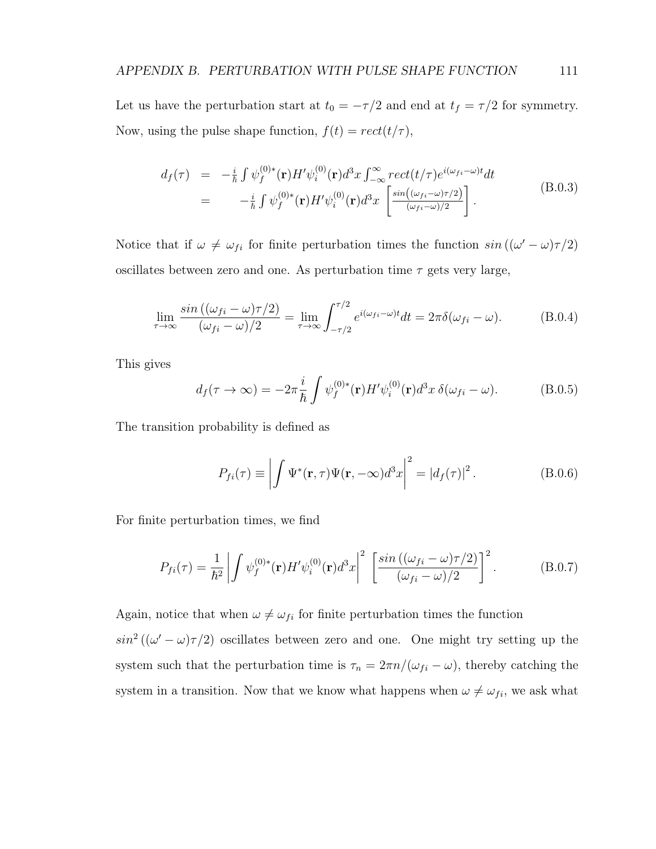Let us have the perturbation start at  $t_0 = -\tau/2$  and end at  $t_f = \tau/2$  for symmetry. Now, using the pulse shape function,  $f(t) = rect(t/\tau)$ ,

$$
d_f(\tau) = -\frac{i}{\hbar} \int \psi_f^{(0)*}(\mathbf{r}) H' \psi_i^{(0)}(\mathbf{r}) d^3 x \int_{-\infty}^{\infty} rect(t/\tau) e^{i(\omega_{fi}-\omega)t} dt
$$
  

$$
= -\frac{i}{\hbar} \int \psi_f^{(0)*}(\mathbf{r}) H' \psi_i^{(0)}(\mathbf{r}) d^3 x \left[ \frac{\sin((\omega_{fi}-\omega)\tau/2)}{(\omega_{fi}-\omega)/2} \right].
$$
 (B.0.3)

Notice that if  $\omega \neq \omega_{fi}$  for finite perturbation times the function  $sin((\omega' - \omega)\tau/2)$ oscillates between zero and one. As perturbation time  $\tau$  gets very large,

$$
\lim_{\tau \to \infty} \frac{\sin\left((\omega_{fi} - \omega)\tau/2\right)}{(\omega_{fi} - \omega)/2} = \lim_{\tau \to \infty} \int_{-\tau/2}^{\tau/2} e^{i(\omega_{fi} - \omega)t} dt = 2\pi \delta(\omega_{fi} - \omega). \tag{B.0.4}
$$

This gives

$$
d_f(\tau \to \infty) = -2\pi \frac{i}{\hbar} \int \psi_f^{(0)*}(\mathbf{r}) H' \psi_i^{(0)}(\mathbf{r}) d^3 x \, \delta(\omega_{fi} - \omega). \tag{B.0.5}
$$

The transition probability is defined as

$$
P_{fi}(\tau) \equiv \left| \int \Psi^*(\mathbf{r}, \tau) \Psi(\mathbf{r}, -\infty) d^3x \right|^2 = |d_f(\tau)|^2.
$$
 (B.0.6)

For finite perturbation times, we find

$$
P_{fi}(\tau) = \frac{1}{\hbar^2} \left| \int \psi_f^{(0)*}(\mathbf{r}) H' \psi_i^{(0)}(\mathbf{r}) d^3 x \right|^2 \left[ \frac{\sin ((\omega_{fi} - \omega)\tau/2)}{(\omega_{fi} - \omega)/2} \right]^2.
$$
 (B.0.7)

Again, notice that when  $\omega \neq \omega_{fi}$  for finite perturbation times the function

 $\sin^2((\omega'-\omega)\tau/2)$  oscillates between zero and one. One might try setting up the system such that the perturbation time is  $\tau_n = 2\pi n/(\omega_{fi} - \omega)$ , thereby catching the system in a transition. Now that we know what happens when  $\omega \neq \omega_{fi}$ , we ask what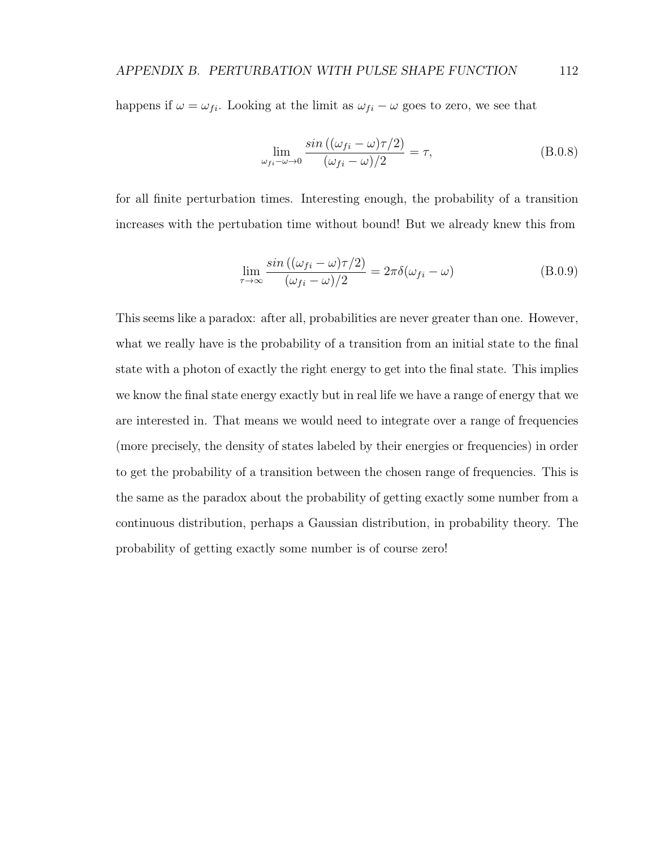happens if  $\omega = \omega_{fi}$ . Looking at the limit as  $\omega_{fi} - \omega$  goes to zero, we see that

$$
\lim_{\omega_{fi}-\omega \to 0} \frac{\sin ((\omega_{fi}-\omega)\tau/2)}{(\omega_{fi}-\omega)/2} = \tau,
$$
\n(B.0.8)

for all finite perturbation times. Interesting enough, the probability of a transition increases with the pertubation time without bound! But we already knew this from

$$
\lim_{\tau \to \infty} \frac{\sin ((\omega_{fi} - \omega)\tau/2)}{(\omega_{fi} - \omega)/2} = 2\pi \delta(\omega_{fi} - \omega)
$$
\n(B.0.9)

This seems like a paradox: after all, probabilities are never greater than one. However, what we really have is the probability of a transition from an initial state to the final state with a photon of exactly the right energy to get into the final state. This implies we know the final state energy exactly but in real life we have a range of energy that we are interested in. That means we would need to integrate over a range of frequencies (more precisely, the density of states labeled by their energies or frequencies) in order to get the probability of a transition between the chosen range of frequencies. This is the same as the paradox about the probability of getting exactly some number from a continuous distribution, perhaps a Gaussian distribution, in probability theory. The probability of getting exactly some number is of course zero!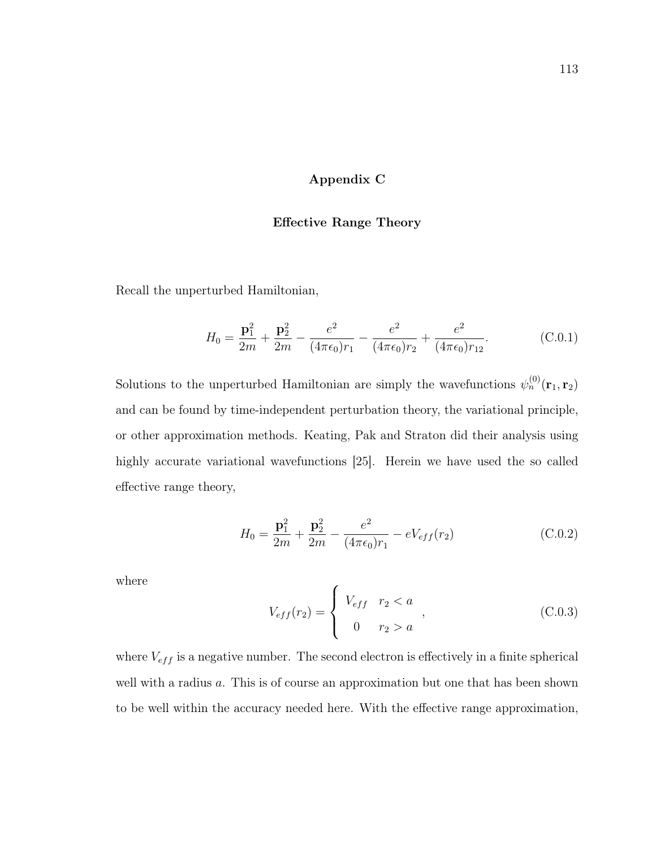## Appendix C

#### Effective Range Theory

Recall the unperturbed Hamiltonian,

$$
H_0 = \frac{\mathbf{p}_1^2}{2m} + \frac{\mathbf{p}_2^2}{2m} - \frac{e^2}{(4\pi\epsilon_0)r_1} - \frac{e^2}{(4\pi\epsilon_0)r_2} + \frac{e^2}{(4\pi\epsilon_0)r_{12}}.\tag{C.0.1}
$$

Solutions to the unperturbed Hamiltonian are simply the wavefunctions  $\psi_n^{(0)}(\mathbf{r}_1, \mathbf{r}_2)$ and can be found by time-independent perturbation theory, the variational principle, or other approximation methods. Keating, Pak and Straton did their analysis using highly accurate variational wavefunctions [25]. Herein we have used the so called effective range theory,

$$
H_0 = \frac{\mathbf{p}_1^2}{2m} + \frac{\mathbf{p}_2^2}{2m} - \frac{e^2}{(4\pi\epsilon_0)r_1} - eV_{eff}(r_2)
$$
 (C.0.2)

where

$$
V_{eff}(r_2) = \begin{cases} V_{eff} & r_2 < a \\ 0 & r_2 > a \end{cases},
$$
 (C.0.3)

where  $V_{eff}$  is a negative number. The second electron is effectively in a finite spherical well with a radius a. This is of course an approximation but one that has been shown to be well within the accuracy needed here. With the effective range approximation,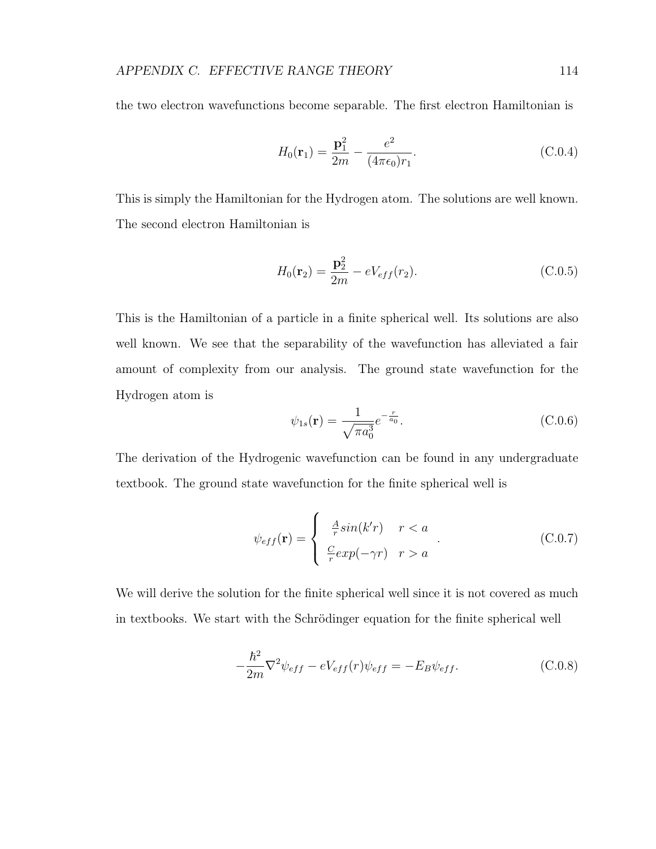the two electron wavefunctions become separable. The first electron Hamiltonian is

$$
H_0(\mathbf{r}_1) = \frac{\mathbf{p}_1^2}{2m} - \frac{e^2}{(4\pi\epsilon_0)r_1}.
$$
 (C.0.4)

This is simply the Hamiltonian for the Hydrogen atom. The solutions are well known. The second electron Hamiltonian is

$$
H_0(\mathbf{r}_2) = \frac{\mathbf{p}_2^2}{2m} - eV_{eff}(r_2).
$$
 (C.0.5)

This is the Hamiltonian of a particle in a finite spherical well. Its solutions are also well known. We see that the separability of the wavefunction has alleviated a fair amount of complexity from our analysis. The ground state wavefunction for the Hydrogen atom is

$$
\psi_{1s}(\mathbf{r}) = \frac{1}{\sqrt{\pi a_0^3}} e^{-\frac{r}{a_0}}.
$$
\n(C.0.6)

The derivation of the Hydrogenic wavefunction can be found in any undergraduate textbook. The ground state wavefunction for the finite spherical well is

$$
\psi_{eff}(\mathbf{r}) = \begin{cases} \frac{A}{r} \sin(k'r) & r < a \\ \frac{C}{r} \exp(-\gamma r) & r > a \end{cases}
$$
 (C.0.7)

We will derive the solution for the finite spherical well since it is not covered as much in textbooks. We start with the Schrödinger equation for the finite spherical well

$$
-\frac{\hbar^2}{2m}\nabla^2\psi_{eff} - eV_{eff}(r)\psi_{eff} = -E_B\psi_{eff}.
$$
\n(C.0.8)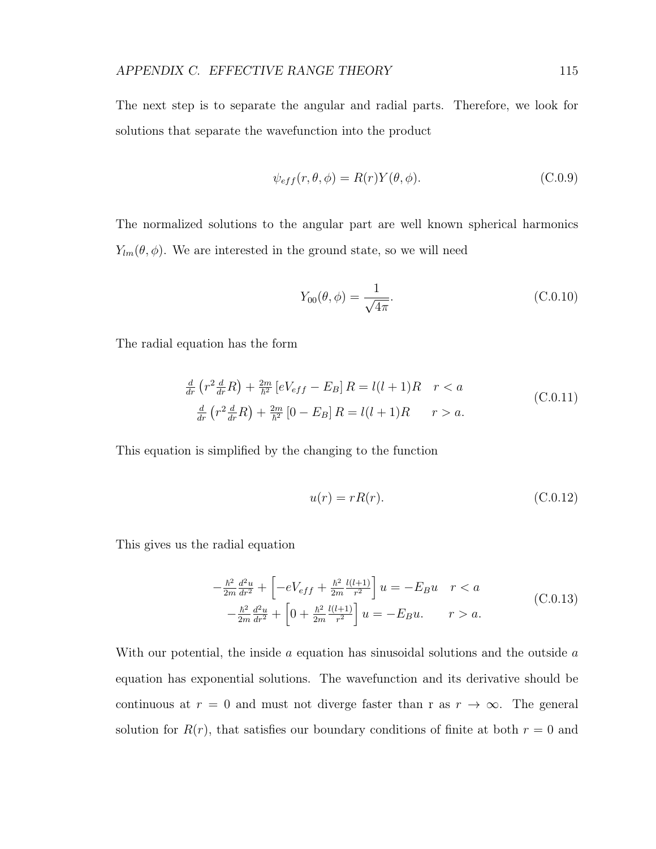The next step is to separate the angular and radial parts. Therefore, we look for solutions that separate the wavefunction into the product

$$
\psi_{eff}(r,\theta,\phi) = R(r)Y(\theta,\phi). \tag{C.0.9}
$$

The normalized solutions to the angular part are well known spherical harmonics  $Y_{lm}(\theta, \phi)$ . We are interested in the ground state, so we will need

$$
Y_{00}(\theta,\phi) = \frac{1}{\sqrt{4\pi}}.\t\t(C.0.10)
$$

The radial equation has the form

$$
\frac{d}{dr}\left(r^2\frac{d}{dr}R\right) + \frac{2m}{\hbar^2}\left[eV_{eff} - E_B\right]R = l(l+1)R \quad r < a
$$
\n
$$
\frac{d}{dr}\left(r^2\frac{d}{dr}R\right) + \frac{2m}{\hbar^2}\left[0 - E_B\right]R = l(l+1)R \quad r > a.
$$
\n(C.0.11)

This equation is simplified by the changing to the function

$$
u(r) = rR(r). \tag{C.0.12}
$$

This gives us the radial equation

$$
-\frac{\hbar^2}{2m}\frac{d^2u}{dr^2} + \left[ -eV_{eff} + \frac{\hbar^2}{2m}\frac{l(l+1)}{r^2} \right]u = -E_Bu \quad r < a
$$
  

$$
-\frac{\hbar^2}{2m}\frac{d^2u}{dr^2} + \left[ 0 + \frac{\hbar^2}{2m}\frac{l(l+1)}{r^2} \right]u = -E_Bu. \qquad r > a.
$$
 (C.0.13)

With our potential, the inside  $a$  equation has sinusoidal solutions and the outside  $a$ equation has exponential solutions. The wavefunction and its derivative should be continuous at  $r = 0$  and must not diverge faster than r as  $r \to \infty$ . The general solution for  $R(r)$ , that satisfies our boundary conditions of finite at both  $r = 0$  and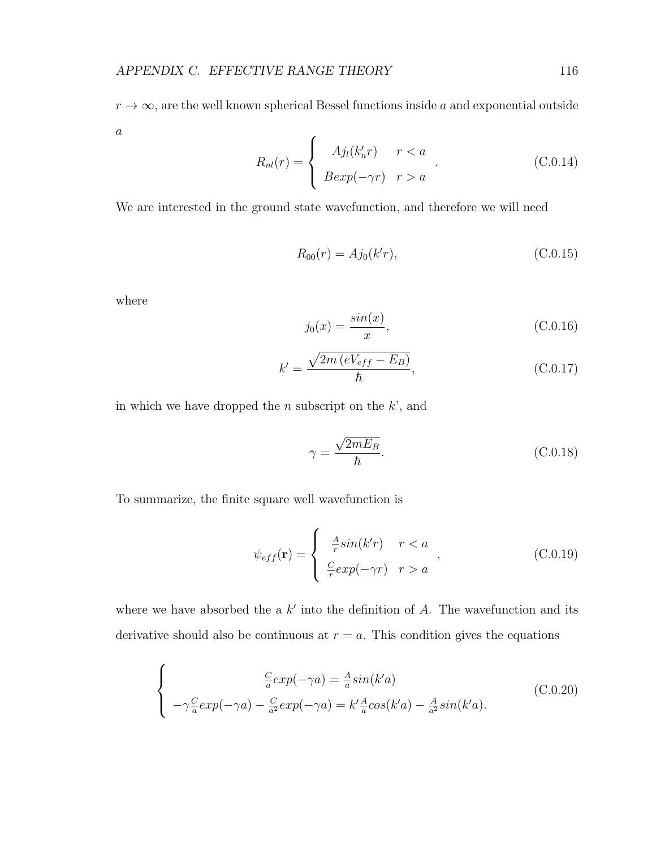$r \to \infty$ , are the well known spherical Bessel functions inside a and exponential outside  $\boldsymbol{a}$  $\epsilon$ 

$$
R_{nl}(r) = \begin{cases} A j_l(k'_n r) & r < a \\ B \exp(-\gamma r) & r > a \end{cases}
$$
 (C.0.14)

We are interested in the ground state wavefunction, and therefore we will need

$$
R_{00}(r) = Aj_0(k'r),
$$
\n(C.0.15)

where

$$
j_0(x) = \frac{\sin(x)}{x},
$$
 (C.0.16)

$$
k' = \frac{\sqrt{2m\left(eV_{eff} - E_B\right)}}{\hbar},\tag{C.0.17}
$$

in which we have dropped the  $n$  subscript on the  $k$ <sup>'</sup>, and

$$
\gamma = \frac{\sqrt{2mE_B}}{\hbar}.
$$
\n(C.0.18)

To summarize, the finite square well wavefunction is

$$
\psi_{eff}(\mathbf{r}) = \begin{cases} \frac{A}{r} \sin(k'r) & r < a \\ \frac{C}{r} \exp(-\gamma r) & r > a \end{cases},
$$
\n(C.0.19)

where we have absorbed the a  $k'$  into the definition of A. The wavefunction and its derivative should also be continuous at  $r = a$ . This condition gives the equations

$$
\begin{cases}\n\frac{C}{a} exp(-\gamma a) = \frac{A}{a} sin(k'a) \\
-\gamma \frac{C}{a} exp(-\gamma a) - \frac{C}{a^2} exp(-\gamma a) = k' \frac{A}{a} cos(k'a) - \frac{A}{a^2} sin(k'a).\n\end{cases}
$$
(C.0.20)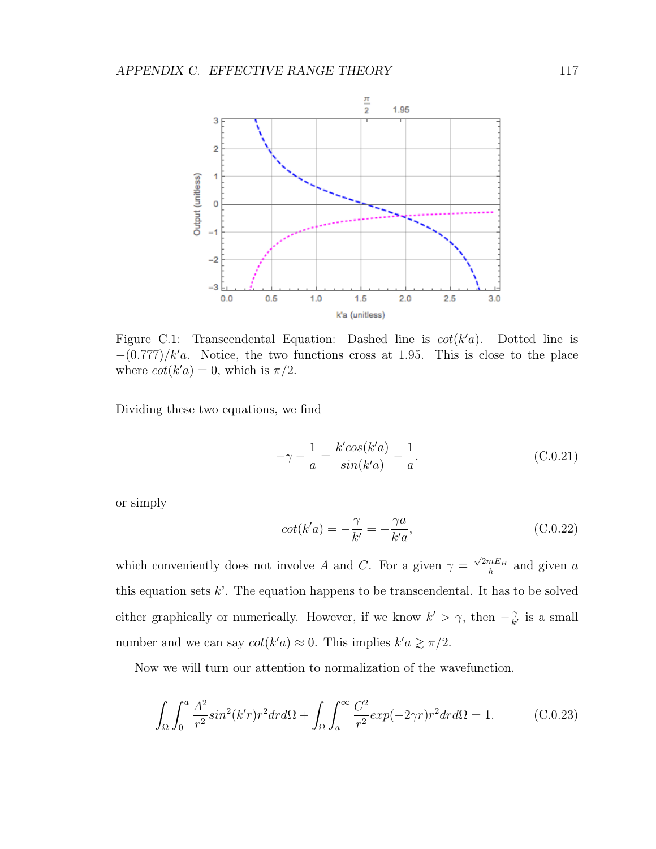

Figure C.1: Transcendental Equation: Dashed line is  $cot(k'a)$ . Dotted line is  $-(0.777)/k'a$ . Notice, the two functions cross at 1.95. This is close to the place where  $\cot(k'a) = 0$ , which is  $\pi/2$ .

Dividing these two equations, we find

$$
-\gamma - \frac{1}{a} = \frac{k' \cos(k'a)}{\sin(k'a)} - \frac{1}{a}.
$$
 (C.0.21)

or simply

$$
cot(k'a) = -\frac{\gamma}{k'} = -\frac{\gamma a}{k'a},\tag{C.0.22}
$$

which conveniently does not involve A and C. For a given  $\gamma =$  $\frac{\sqrt{2mE_B}}{\hbar}$  and given a this equation sets  $k'$ . The equation happens to be transcendental. It has to be solved either graphically or numerically. However, if we know  $k' > \gamma$ , then  $-\frac{\gamma}{k'}$  $\frac{\gamma}{k'}$  is a small number and we can say  $\cot(k'a) \approx 0$ . This implies  $k'a \ge \pi/2$ .

Now we will turn our attention to normalization of the wavefunction.

$$
\int_{\Omega} \int_0^a \frac{A^2}{r^2} \sin^2(k'r) r^2 dr d\Omega + \int_{\Omega} \int_a^\infty \frac{C^2}{r^2} \exp(-2\gamma r) r^2 dr d\Omega = 1.
$$
 (C.0.23)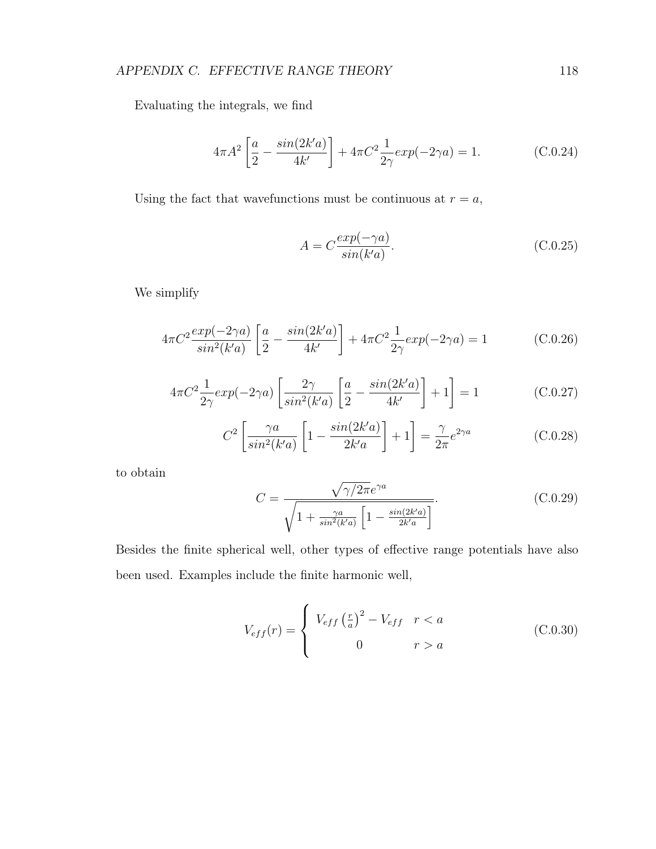Evaluating the integrals, we find

$$
4\pi A^2 \left[ \frac{a}{2} - \frac{\sin(2k'a)}{4k'} \right] + 4\pi C^2 \frac{1}{2\gamma} \exp(-2\gamma a) = 1.
$$
 (C.0.24)

Using the fact that wavefunctions must be continuous at  $r = a$ ,

$$
A = C \frac{exp(-\gamma a)}{sin(k'a)}.
$$
 (C.0.25)

We simplify

$$
4\pi C^2 \frac{\exp(-2\gamma a)}{\sin^2(k'a)} \left[ \frac{a}{2} - \frac{\sin(2k'a)}{4k'} \right] + 4\pi C^2 \frac{1}{2\gamma} \exp(-2\gamma a) = 1
$$
 (C.0.26)

$$
4\pi C^2 \frac{1}{2\gamma} exp(-2\gamma a) \left[ \frac{2\gamma}{\sin^2(k'a)} \left[ \frac{a}{2} - \frac{\sin(2k'a)}{4k'} \right] + 1 \right] = 1
$$
 (C.0.27)

$$
C^2 \left[ \frac{\gamma a}{\sin^2(k'a)} \left[ 1 - \frac{\sin(2k'a)}{2k'a} \right] + 1 \right] = \frac{\gamma}{2\pi} e^{2\gamma a}
$$
 (C.0.28)

to obtain

$$
C = \frac{\sqrt{\gamma/2\pi}e^{\gamma a}}{\sqrt{1 + \frac{\gamma a}{\sin^2(k'a)}\left[1 - \frac{\sin(2k'a)}{2k'a}\right]}}.
$$
(C.0.29)

Besides the finite spherical well, other types of effective range potentials have also been used. Examples include the finite harmonic well,

$$
V_{eff}(r) = \begin{cases} V_{eff} \left(\frac{r}{a}\right)^2 - V_{eff} & r < a\\ 0 & r > a \end{cases}
$$
 (C.0.30)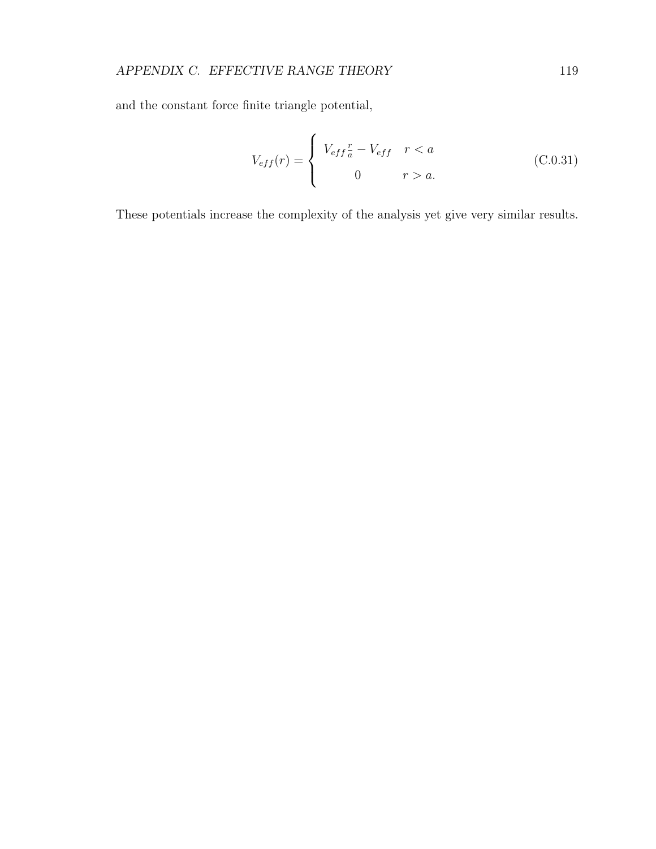and the constant force finite triangle potential,

$$
V_{eff}(r) = \begin{cases} V_{eff} \frac{r}{a} - V_{eff} & r < a \\ 0 & r > a. \end{cases}
$$
 (C.0.31)

These potentials increase the complexity of the analysis yet give very similar results.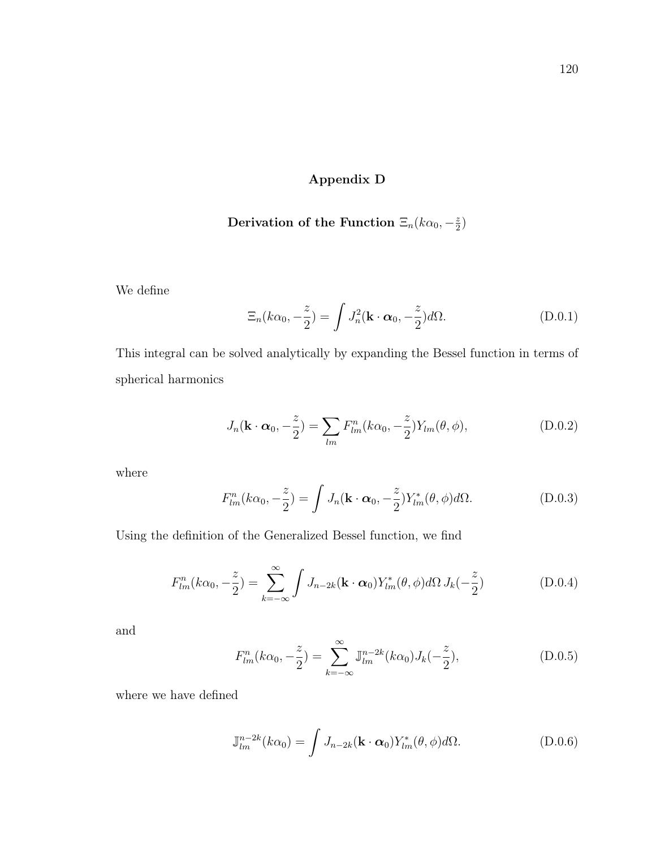# Appendix D

#### Derivation of the Function  $\Xi_n(k\alpha_0, -\frac{z}{2})$  $\frac{z}{2}$

We define

$$
\Xi_n(k\alpha_0, -\frac{z}{2}) = \int J_n^2(\mathbf{k} \cdot \boldsymbol{\alpha}_0, -\frac{z}{2})d\Omega.
$$
 (D.0.1)

This integral can be solved analytically by expanding the Bessel function in terms of spherical harmonics

$$
J_n(\mathbf{k} \cdot \boldsymbol{\alpha}_0, -\frac{z}{2}) = \sum_{lm} F^n_{lm}(k\alpha_0, -\frac{z}{2}) Y_{lm}(\theta, \phi), \qquad (D.0.2)
$$

where

$$
F_{lm}^n(k\alpha_0, -\frac{z}{2}) = \int J_n(\mathbf{k} \cdot \boldsymbol{\alpha}_0, -\frac{z}{2}) Y_{lm}^*(\theta, \phi) d\Omega.
$$
 (D.0.3)

Using the definition of the Generalized Bessel function, we find

$$
F_{lm}^n(k\alpha_0, -\frac{z}{2}) = \sum_{k=-\infty}^{\infty} \int J_{n-2k}(\mathbf{k} \cdot \boldsymbol{\alpha}_0) Y_{lm}^*(\theta, \phi) d\Omega J_k(-\frac{z}{2})
$$
(D.0.4)

and

$$
F_{lm}^{n}(k\alpha_0, -\frac{z}{2}) = \sum_{k=-\infty}^{\infty} \mathbb{J}_{lm}^{n-2k}(k\alpha_0) J_k(-\frac{z}{2}),
$$
 (D.0.5)

where we have defined

$$
\mathbb{J}_{lm}^{n-2k}(k\alpha_0) = \int J_{n-2k}(\mathbf{k} \cdot \boldsymbol{\alpha}_0) Y_{lm}^*(\theta, \phi) d\Omega.
$$
 (D.0.6)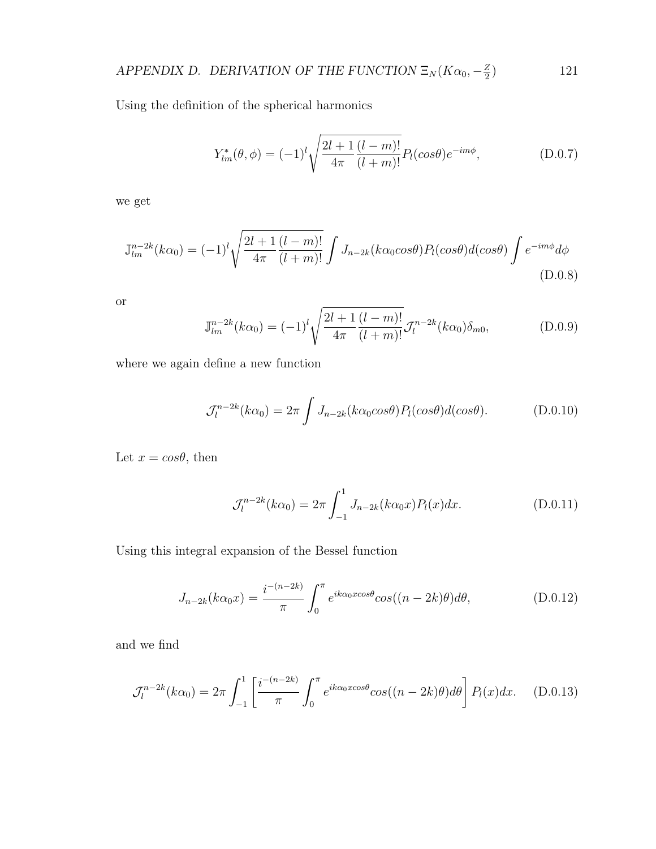#### APPENDIX D. DERIVATION OF THE FUNCTION  $\Xi_N(K\alpha_0, -\frac{Z}{2})$ 2 ) 121

Using the definition of the spherical harmonics

$$
Y_{lm}^*(\theta,\phi) = (-1)^l \sqrt{\frac{2l+1}{4\pi} \frac{(l-m)!}{(l+m)!}} P_l(\cos\theta) e^{-im\phi}, \qquad (D.0.7)
$$

we get

$$
\mathbb{J}_{lm}^{n-2k}(k\alpha_0) = (-1)^l \sqrt{\frac{2l+1}{4\pi} \frac{(l-m)!}{(l+m)!}} \int J_{n-2k}(k\alpha_0 \cos\theta) P_l(\cos\theta) d(\cos\theta) \int e^{-im\phi} d\phi
$$
\n(D.0.8)

or

$$
\mathbb{J}_{lm}^{n-2k}(k\alpha_0) = (-1)^l \sqrt{\frac{2l+1}{4\pi} \frac{(l-m)!}{(l+m)!}} \mathcal{J}_l^{n-2k}(k\alpha_0) \delta_{m0},
$$
\n(D.0.9)

where we again define a new function

$$
\mathcal{J}_l^{n-2k}(k\alpha_0) = 2\pi \int J_{n-2k}(k\alpha_0 \cos\theta) P_l(\cos\theta) d(\cos\theta). \tag{D.0.10}
$$

Let  $x = cos\theta$ , then

$$
\mathcal{J}_l^{n-2k}(k\alpha_0) = 2\pi \int_{-1}^1 J_{n-2k}(k\alpha_0 x) P_l(x) dx.
$$
 (D.0.11)

Using this integral expansion of the Bessel function

$$
J_{n-2k}(k\alpha_0 x) = \frac{i^{-(n-2k)}}{\pi} \int_0^\pi e^{ik\alpha_0 x \cos\theta} \cos((n-2k)\theta) d\theta,
$$
 (D.0.12)

and we find

$$
\mathcal{J}_l^{n-2k}(k\alpha_0) = 2\pi \int_{-1}^1 \left[ \frac{i^{-(n-2k)}}{\pi} \int_0^\pi e^{ik\alpha_0 x \cos\theta} \cos((n-2k)\theta) d\theta \right] P_l(x) dx. \quad (D.0.13)
$$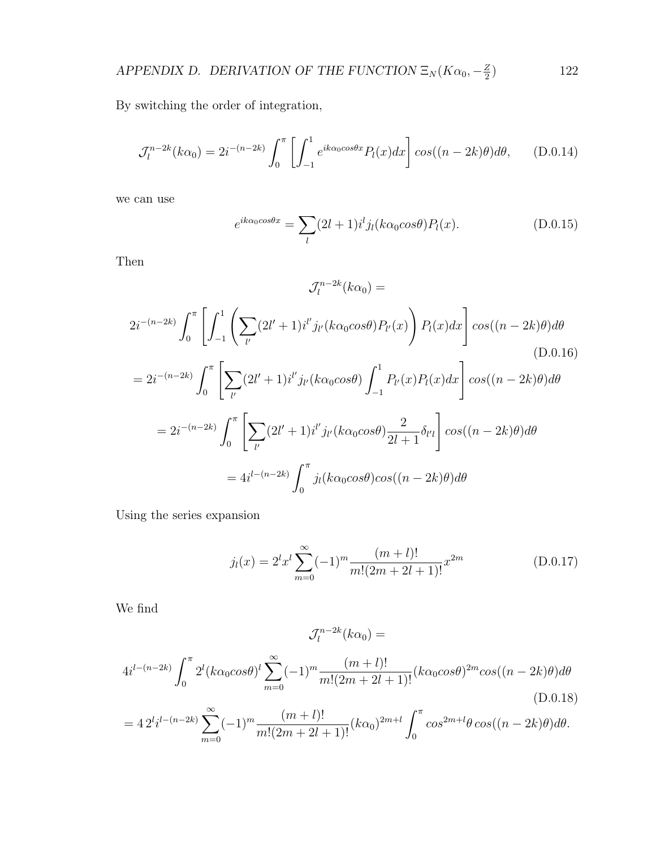By switching the order of integration,

$$
\mathcal{J}_l^{n-2k}(k\alpha_0) = 2i^{-(n-2k)} \int_0^{\pi} \left[ \int_{-1}^1 e^{ik\alpha_0 \cos\theta x} P_l(x) dx \right] \cos((n-2k)\theta) d\theta, \qquad (D.0.14)
$$

we can use

$$
e^{ik\alpha_0 \cos \theta x} = \sum_{l} (2l+1)i^l j_l(k\alpha_0 \cos \theta) P_l(x).
$$
 (D.0.15)

Then

$$
\mathcal{J}_l^{n-2k}(k\alpha_0) =
$$
  
\n
$$
2i^{-(n-2k)} \int_0^{\pi} \left[ \int_{-1}^1 \left( \sum_{l'} (2l' + 1)i^{l'} j_{l'}(k\alpha_0 \cos \theta) P_{l'}(x) \right) P_l(x) dx \right] \cos((n-2k)\theta) d\theta
$$
  
\n
$$
= 2i^{-(n-2k)} \int_0^{\pi} \left[ \sum_{l'} (2l' + 1)i^{l'} j_{l'}(k\alpha_0 \cos \theta) \int_{-1}^1 P_{l'}(x) P_l(x) dx \right] \cos((n-2k)\theta) d\theta
$$
  
\n
$$
= 2i^{-(n-2k)} \int_0^{\pi} \left[ \sum_{l'} (2l' + 1)i^{l'} j_{l'}(k\alpha_0 \cos \theta) \frac{2}{2l+1} \delta_{l'l} \right] \cos((n-2k)\theta) d\theta
$$
  
\n
$$
= 4i^{l-(n-2k)} \int_0^{\pi} j_l(k\alpha_0 \cos \theta) \cos((n-2k)\theta) d\theta
$$

Using the series expansion

$$
j_l(x) = 2^l x^l \sum_{m=0}^{\infty} (-1)^m \frac{(m+l)!}{m!(2m+2l+1)!} x^{2m}
$$
 (D.0.17)

We find

$$
4i^{l-(n-2k)}\int_0^{\pi} 2^l (k\alpha_0 \cos\theta)^l \sum_{m=0}^{\infty} (-1)^m \frac{(m+l)!}{m!(2m+2l+1)!} (k\alpha_0 \cos\theta)^{2m} \cos((n-2k)\theta) d\theta
$$
\n(D.0.18)

 $l_l^{n-2k}(k\alpha_0) =$ 

 $\mathcal{J}_l^{n-2k}$ 

$$
=42^{l}i^{l-(n-2k)}\sum_{m=0}^{\infty}(-1)^{m}\frac{(m+l)!}{m!(2m+2l+1)!}(k\alpha_0)^{2m+l}\int_0^{\pi}\cos^{2m+l}\theta\cos((n-2k)\theta)d\theta.
$$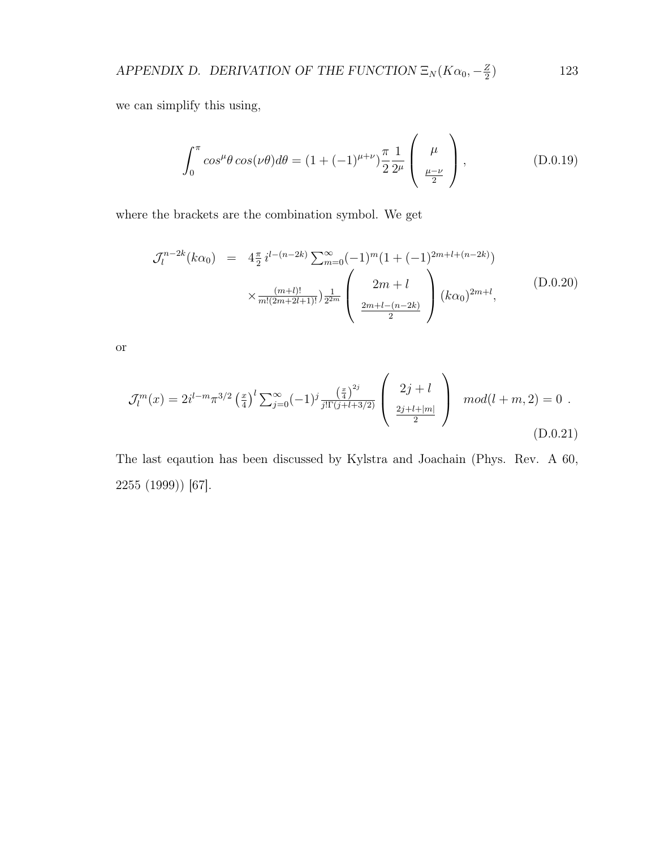we can simplify this using,

$$
\int_0^\pi \cos^{\mu}\theta \cos(\nu\theta)d\theta = (1 + (-1)^{\mu+\nu})\frac{\pi}{2}\frac{1}{2^{\mu}}\left(\begin{array}{c}\mu\\ \frac{\mu-\nu}{2}\end{array}\right),\tag{D.0.19}
$$

where the brackets are the combination symbol. We get

$$
\mathcal{J}_l^{n-2k}(k\alpha_0) = 4\frac{\pi}{2} i^{l-(n-2k)} \sum_{m=0}^{\infty} (-1)^m (1+(-1)^{2m+l+(n-2k)})
$$

$$
\times \frac{(m+l)!}{m!(2m+2l+1)!} \frac{1}{2^{2m}} \left( \frac{2m+l}{\frac{2m+l-(n-2k)}{2}} \right) (k\alpha_0)^{2m+l}, \tag{D.0.20}
$$

or

$$
\mathcal{J}_l^m(x) = 2i^{l-m} \pi^{3/2} \left(\frac{x}{4}\right)^l \sum_{j=0}^{\infty} (-1)^j \frac{\left(\frac{x}{4}\right)^{2j}}{j!\Gamma(j+l+3/2)} \left(\begin{array}{c} 2j+l\\ \frac{2j+l+|m|}{2} \end{array}\right) \mod(l+m,2) = 0.
$$
\n(D.0.21)

The last eqaution has been discussed by Kylstra and Joachain (Phys. Rev. A 60, 2255 (1999)) [67].